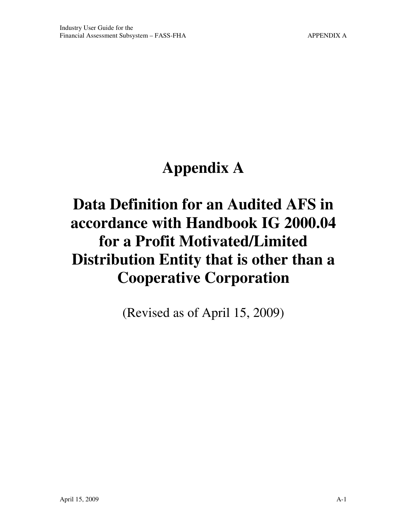# **Appendix A**

## **Data Definition for an Audited AFS in accordance with Handbook IG 2000.04 for a Profit Motivated/Limited Distribution Entity that is other than a Cooperative Corporation**

(Revised as of April 15, 2009)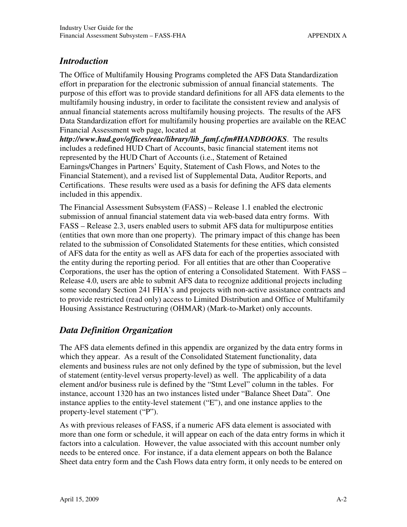#### *Introduction*

The Office of Multifamily Housing Programs completed the AFS Data Standardization effort in preparation for the electronic submission of annual financial statements. The purpose of this effort was to provide standard definitions for all AFS data elements to the multifamily housing industry, in order to facilitate the consistent review and analysis of annual financial statements across multifamily housing projects. The results of the AFS Data Standardization effort for multifamily housing properties are available on the REAC Financial Assessment web page, located at

*http://www.hud.gov/offices/reac/library/lib\_famf.cfm#HANDBOOKS*. The results includes a redefined HUD Chart of Accounts, basic financial statement items not represented by the HUD Chart of Accounts (i.e., Statement of Retained Earnings/Changes in Partners' Equity, Statement of Cash Flows, and Notes to the Financial Statement), and a revised list of Supplemental Data, Auditor Reports, and Certifications. These results were used as a basis for defining the AFS data elements included in this appendix.

The Financial Assessment Subsystem (FASS) – Release 1.1 enabled the electronic submission of annual financial statement data via web-based data entry forms. With FASS – Release 2.3, users enabled users to submit AFS data for multipurpose entities (entities that own more than one property). The primary impact of this change has been related to the submission of Consolidated Statements for these entities, which consisted of AFS data for the entity as well as AFS data for each of the properties associated with the entity during the reporting period. For all entities that are other than Cooperative Corporations, the user has the option of entering a Consolidated Statement. With FASS – Release 4.0, users are able to submit AFS data to recognize additional projects including some secondary Section 241 FHA's and projects with non-active assistance contracts and to provide restricted (read only) access to Limited Distribution and Office of Multifamily Housing Assistance Restructuring (OHMAR) (Mark-to-Market) only accounts.

### *Data Definition Organization*

The AFS data elements defined in this appendix are organized by the data entry forms in which they appear. As a result of the Consolidated Statement functionality, data elements and business rules are not only defined by the type of submission, but the level of statement (entity-level versus property-level) as well. The applicability of a data element and/or business rule is defined by the "Stmt Level" column in the tables. For instance, account 1320 has an two instances listed under "Balance Sheet Data". One instance applies to the entity-level statement ("E"), and one instance applies to the property-level statement ("P").

As with previous releases of FASS, if a numeric AFS data element is associated with more than one form or schedule, it will appear on each of the data entry forms in which it factors into a calculation. However, the value associated with this account number only needs to be entered once. For instance, if a data element appears on both the Balance Sheet data entry form and the Cash Flows data entry form, it only needs to be entered on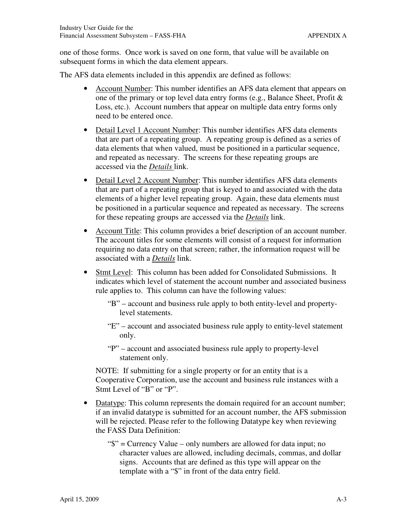one of those forms. Once work is saved on one form, that value will be available on subsequent forms in which the data element appears.

The AFS data elements included in this appendix are defined as follows:

- Account Number: This number identifies an AFS data element that appears on one of the primary or top level data entry forms (e.g., Balance Sheet, Profit & Loss, etc.). Account numbers that appear on multiple data entry forms only need to be entered once.
- Detail Level 1 Account Number: This number identifies AFS data elements that are part of a repeating group. A repeating group is defined as a series of data elements that when valued, must be positioned in a particular sequence, and repeated as necessary. The screens for these repeating groups are accessed via the *Details* link.
- Detail Level 2 Account Number: This number identifies AFS data elements that are part of a repeating group that is keyed to and associated with the data elements of a higher level repeating group. Again, these data elements must be positioned in a particular sequence and repeated as necessary. The screens for these repeating groups are accessed via the *Details* link.
- Account Title: This column provides a brief description of an account number. The account titles for some elements will consist of a request for information requiring no data entry on that screen; rather, the information request will be associated with a *Details* link.
- Stmt Level: This column has been added for Consolidated Submissions. It indicates which level of statement the account number and associated business rule applies to. This column can have the following values:
	- "B" account and business rule apply to both entity-level and propertylevel statements.
	- "E" account and associated business rule apply to entity-level statement only.
	- "P" account and associated business rule apply to property-level statement only.

NOTE: If submitting for a single property or for an entity that is a Cooperative Corporation, use the account and business rule instances with a Stmt Level of "B" or "P".

- Datatype: This column represents the domain required for an account number; if an invalid datatype is submitted for an account number, the AFS submission will be rejected. Please refer to the following Datatype key when reviewing the FASS Data Definition:
	- "\$" = Currency Value only numbers are allowed for data input; no character values are allowed, including decimals, commas, and dollar signs. Accounts that are defined as this type will appear on the template with a "\$" in front of the data entry field.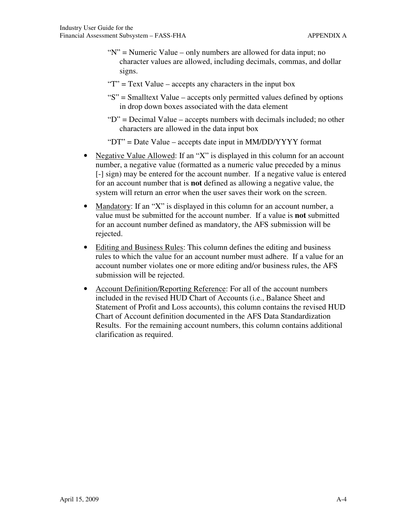- "N" = Numeric Value only numbers are allowed for data input; no character values are allowed, including decimals, commas, and dollar signs.
- " $T$ " = Text Value accepts any characters in the input box
- "S" = Smalltext Value accepts only permitted values defined by options in drop down boxes associated with the data element
- "D" = Decimal Value accepts numbers with decimals included; no other characters are allowed in the data input box

"DT" = Date Value – accepts date input in MM/DD/YYYY format

- Negative Value Allowed: If an "X" is displayed in this column for an account number, a negative value (formatted as a numeric value preceded by a minus [-] sign) may be entered for the account number. If a negative value is entered for an account number that is **not** defined as allowing a negative value, the system will return an error when the user saves their work on the screen.
- Mandatory: If an "X" is displayed in this column for an account number, a value must be submitted for the account number. If a value is **not** submitted for an account number defined as mandatory, the AFS submission will be rejected.
- Editing and Business Rules: This column defines the editing and business rules to which the value for an account number must adhere. If a value for an account number violates one or more editing and/or business rules, the AFS submission will be rejected.
- Account Definition/Reporting Reference: For all of the account numbers included in the revised HUD Chart of Accounts (i.e., Balance Sheet and Statement of Profit and Loss accounts), this column contains the revised HUD Chart of Account definition documented in the AFS Data Standardization Results. For the remaining account numbers, this column contains additional clarification as required.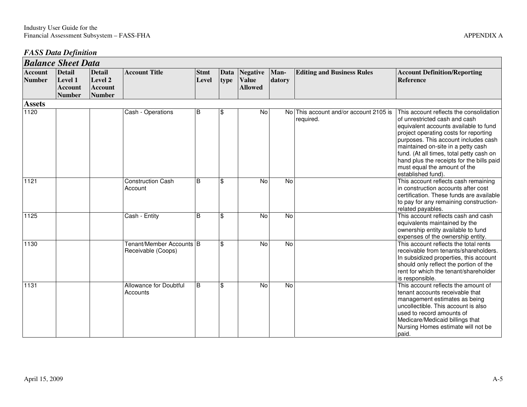#### *FASS Data Definition*

|                          | <b>Balance Sheet Data</b>                                   |                                                             |                                                |                      |              |                                                   |                |                                                     |                                                                                                                                                                                                                                                                                                                                                                                         |  |  |
|--------------------------|-------------------------------------------------------------|-------------------------------------------------------------|------------------------------------------------|----------------------|--------------|---------------------------------------------------|----------------|-----------------------------------------------------|-----------------------------------------------------------------------------------------------------------------------------------------------------------------------------------------------------------------------------------------------------------------------------------------------------------------------------------------------------------------------------------------|--|--|
| <b>Account</b><br>Number | <b>Detail</b><br>Level 1<br><b>Account</b><br><b>Number</b> | <b>Detail</b><br>Level 2<br><b>Account</b><br><b>Number</b> | <b>Account Title</b>                           | <b>Stmt</b><br>Level | Data<br>type | <b>Negative</b><br><b>Value</b><br><b>Allowed</b> | Man-<br>datory | <b>Editing and Business Rules</b>                   | <b>Account Definition/Reporting</b><br><b>Reference</b>                                                                                                                                                                                                                                                                                                                                 |  |  |
| <b>Assets</b>            |                                                             |                                                             |                                                |                      |              |                                                   |                |                                                     |                                                                                                                                                                                                                                                                                                                                                                                         |  |  |
| 1120                     |                                                             |                                                             | Cash - Operations                              | $\, {\sf B}$         | \$           | No                                                |                | No This account and/or account 2105 is<br>required. | This account reflects the consolidation<br>of unrestricted cash and cash<br>equivalent accounts available to fund<br>project operating costs for reporting<br>purposes. This account includes cash<br>maintained on-site in a petty cash<br>fund. (At all times, total petty cash on<br>hand plus the receipts for the bills paid<br>must equal the amount of the<br>established fund). |  |  |
| 1121                     |                                                             |                                                             | <b>Construction Cash</b><br>Account            | <sub>B</sub>         | \$           | <b>No</b>                                         | <b>No</b>      |                                                     | This account reflects cash remaining<br>in construction accounts after cost<br>certification. These funds are available<br>to pay for any remaining construction-<br>related payables.                                                                                                                                                                                                  |  |  |
| 1125                     |                                                             |                                                             | Cash - Entity                                  | B                    | \$           | No                                                | No             |                                                     | This account reflects cash and cash<br>equivalents maintained by the<br>ownership entity available to fund<br>expenses of the ownership entity.                                                                                                                                                                                                                                         |  |  |
| 1130                     |                                                             |                                                             | Tenant/Member Accounts B<br>Receivable (Coops) |                      | \$           | No                                                | No             |                                                     | This account reflects the total rents<br>receivable from tenants/shareholders.<br>In subsidized properties, this account<br>should only reflect the portion of the<br>rent for which the tenant/shareholder<br>is responsible.                                                                                                                                                          |  |  |
| 1131                     |                                                             |                                                             | Allowance for Doubtful<br>Accounts             | <sub>B</sub>         | \$           | <b>No</b>                                         | $\overline{N}$ |                                                     | This account reflects the amount of<br>tenant accounts receivable that<br>management estimates as being<br>uncollectible. This account is also<br>used to record amounts of<br>Medicare/Medicaid billings that<br>Nursing Homes estimate will not be<br>paid.                                                                                                                           |  |  |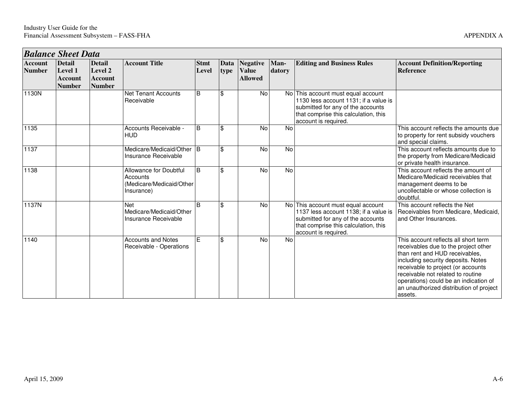|                                 | <b>Balance Sheet Data</b>                                          |                                                             |                                                                              |                      |              |                                                   |                |                                                                                                                                                                                  |                                                                                                                                                                                                                                                                                                                                |  |  |  |
|---------------------------------|--------------------------------------------------------------------|-------------------------------------------------------------|------------------------------------------------------------------------------|----------------------|--------------|---------------------------------------------------|----------------|----------------------------------------------------------------------------------------------------------------------------------------------------------------------------------|--------------------------------------------------------------------------------------------------------------------------------------------------------------------------------------------------------------------------------------------------------------------------------------------------------------------------------|--|--|--|
| <b>Account</b><br><b>Number</b> | <b>Detail</b><br><b>Level 1</b><br><b>Account</b><br><b>Number</b> | <b>Detail</b><br>Level 2<br><b>Account</b><br><b>Number</b> | <b>Account Title</b>                                                         | <b>Stmt</b><br>Level | Data<br>type | <b>Negative</b><br><b>Value</b><br><b>Allowed</b> | Man-<br>datory | <b>Editing and Business Rules</b>                                                                                                                                                | <b>Account Definition/Reporting</b><br><b>Reference</b>                                                                                                                                                                                                                                                                        |  |  |  |
| 1130N                           |                                                                    |                                                             | <b>Net Tenant Accounts</b><br>Receivable                                     | B                    | \$           | No                                                |                | No This account must equal account<br>1130 less account 1131; if a value is<br>submitted for any of the accounts<br>that comprise this calculation, this<br>account is required. |                                                                                                                                                                                                                                                                                                                                |  |  |  |
| 1135                            |                                                                    |                                                             | Accounts Receivable -<br><b>HUD</b>                                          | B                    | \$           | No                                                | No             |                                                                                                                                                                                  | This account reflects the amounts due<br>to property for rent subsidy vouchers<br>and special claims.                                                                                                                                                                                                                          |  |  |  |
| 1137                            |                                                                    |                                                             | Medicare/Medicaid/Other B<br>Insurance Receivable                            |                      | \$           | <b>No</b>                                         | <b>No</b>      |                                                                                                                                                                                  | This account reflects amounts due to<br>the property from Medicare/Medicaid<br>or private health insurance.                                                                                                                                                                                                                    |  |  |  |
| 1138                            |                                                                    |                                                             | Allowance for Doubtful<br>Accounts<br>(Medicare/Medicaid/Other<br>Insurance) | B                    | \$           | No                                                | No             |                                                                                                                                                                                  | This account reflects the amount of<br>Medicare/Medicaid receivables that<br>management deems to be<br>uncollectable or whose collection is<br>doubtful.                                                                                                                                                                       |  |  |  |
| 1137N                           |                                                                    |                                                             | <b>Net</b><br>Medicare/Medicaid/Other<br>Insurance Receivable                | <sub>B</sub>         | \$           | No                                                |                | No This account must equal account<br>1137 less account 1138; if a value is<br>submitted for any of the accounts<br>that comprise this calculation, this<br>account is required. | This account reflects the Net<br>Receivables from Medicare, Medicaid,<br>and Other Insurances.                                                                                                                                                                                                                                 |  |  |  |
| 1140                            |                                                                    |                                                             | <b>Accounts and Notes</b><br>Receivable - Operations                         | E.                   | \$           | No                                                | No             |                                                                                                                                                                                  | This account reflects all short term<br>receivables due to the project other<br>than rent and HUD receivables,<br>including security deposits. Notes<br>receivable to project (or accounts<br>receivable not related to routine<br>operations) could be an indication of<br>an unauthorized distribution of project<br>assets. |  |  |  |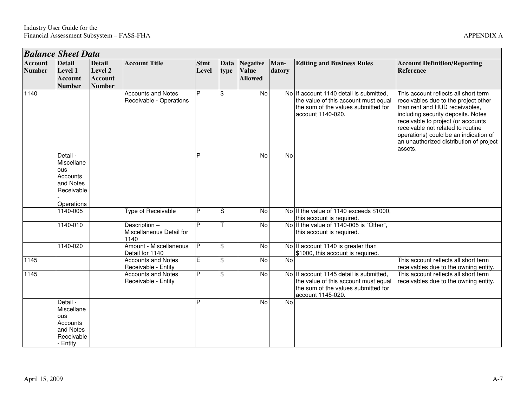|                                 | <b>Balance Sheet Data</b>                                                             |                                                             |                                                      |                      |                     |                                                   |                |                                                                                                                                             |                                                                                                                                                                                                                                                                                                                                |  |  |
|---------------------------------|---------------------------------------------------------------------------------------|-------------------------------------------------------------|------------------------------------------------------|----------------------|---------------------|---------------------------------------------------|----------------|---------------------------------------------------------------------------------------------------------------------------------------------|--------------------------------------------------------------------------------------------------------------------------------------------------------------------------------------------------------------------------------------------------------------------------------------------------------------------------------|--|--|
| <b>Account</b><br><b>Number</b> | <b>Detail</b><br>Level 1<br><b>Account</b><br><b>Number</b>                           | <b>Detail</b><br>Level 2<br><b>Account</b><br><b>Number</b> | <b>Account Title</b>                                 | <b>Stmt</b><br>Level | <b>Data</b><br>type | <b>Negative</b><br><b>Value</b><br><b>Allowed</b> | Man-<br>datory | <b>Editing and Business Rules</b>                                                                                                           | <b>Account Definition/Reporting</b><br><b>Reference</b>                                                                                                                                                                                                                                                                        |  |  |
| 1140                            |                                                                                       |                                                             | <b>Accounts and Notes</b><br>Receivable - Operations | P                    | l \$                | $\overline{N}$                                    |                | No If account 1140 detail is submitted,<br>the value of this account must equal<br>the sum of the values submitted for<br>account 1140-020. | This account reflects all short term<br>receivables due to the project other<br>than rent and HUD receivables,<br>including security deposits. Notes<br>receivable to project (or accounts<br>receivable not related to routine<br>operations) could be an indication of<br>an unauthorized distribution of project<br>assets. |  |  |
|                                 | Detail -<br>Miscellane<br><b>ous</b><br>Accounts<br>and Notes<br>Receivable           |                                                             |                                                      | P                    |                     | $\overline{N}$                                    | $\overline{N}$ |                                                                                                                                             |                                                                                                                                                                                                                                                                                                                                |  |  |
|                                 | Operations<br>$1140 - 005$                                                            |                                                             | Type of Receivable                                   | P                    | S                   | $\overline{N}$                                    |                | No If the value of 1140 exceeds \$1000.                                                                                                     |                                                                                                                                                                                                                                                                                                                                |  |  |
|                                 | 1140-010                                                                              |                                                             | Description-<br>Miscellaneous Detail for<br>1140     | P                    | $\top$              | No                                                |                | this account is required.<br>No If the value of 1140-005 is "Other",<br>this account is required.                                           |                                                                                                                                                                                                                                                                                                                                |  |  |
|                                 | 1140-020                                                                              |                                                             | Amount - Miscellaneous<br>Detail for 1140            | P                    | l\$                 | No                                                |                | No If account 1140 is greater than<br>\$1000, this account is required.                                                                     |                                                                                                                                                                                                                                                                                                                                |  |  |
| 1145                            |                                                                                       |                                                             | <b>Accounts and Notes</b><br>Receivable - Entity     | $\overline{E}$       | \$                  | $\overline{N}$                                    | $\overline{N}$ |                                                                                                                                             | This account reflects all short term<br>receivables due to the owning entity.                                                                                                                                                                                                                                                  |  |  |
| $\sqrt{1145}$                   |                                                                                       |                                                             | <b>Accounts and Notes</b><br>Receivable - Entity     | P                    | $\mathfrak{S}$      | $\overline{N}$                                    |                | No If account 1145 detail is submitted,<br>the value of this account must equal<br>the sum of the values submitted for<br>account 1145-020. | This account reflects all short term<br>receivables due to the owning entity.                                                                                                                                                                                                                                                  |  |  |
|                                 | Detail -<br>Miscellane<br><b>ous</b><br>Accounts<br>and Notes<br>Receivable<br>Entity |                                                             |                                                      | P                    |                     | $\overline{N}$                                    | No             |                                                                                                                                             |                                                                                                                                                                                                                                                                                                                                |  |  |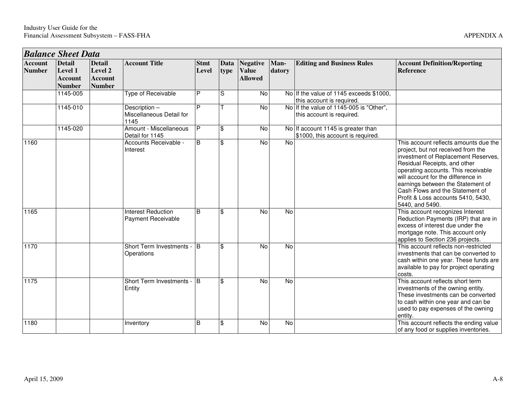*Balance Sheet Data* 

**Detail Level 1 Account Number** 1145-005

1145-010

**Account Number** 

| <b>Data</b> |                          |                                                  |                      |              |                          |                |                                                                         |                                                                                                                                                                                                                                                                                                                                                                                               |  |  |
|-------------|--------------------------|--------------------------------------------------|----------------------|--------------|--------------------------|----------------|-------------------------------------------------------------------------|-----------------------------------------------------------------------------------------------------------------------------------------------------------------------------------------------------------------------------------------------------------------------------------------------------------------------------------------------------------------------------------------------|--|--|
|             | <b>Detail</b><br>Level 2 | <b>Account Title</b>                             | <b>Stmt</b><br>Level | Data<br>type | Negative<br><b>Value</b> | Man-<br>datory | <b>Editing and Business Rules</b>                                       | <b>Account Definition/Reporting</b><br>Reference                                                                                                                                                                                                                                                                                                                                              |  |  |
|             | Account<br><b>Number</b> |                                                  |                      |              | <b>Allowed</b>           |                |                                                                         |                                                                                                                                                                                                                                                                                                                                                                                               |  |  |
|             |                          | Type of Receivable                               | P                    | S            | <b>No</b>                |                | No If the value of 1145 exceeds \$1000.<br>this account is required.    |                                                                                                                                                                                                                                                                                                                                                                                               |  |  |
| 0           |                          | Description-<br>Miscellaneous Detail for<br>1145 | D                    |              | <b>No</b>                |                | No If the value of 1145-005 is "Other",<br>this account is required.    |                                                                                                                                                                                                                                                                                                                                                                                               |  |  |
|             |                          | Amount - Miscellaneous<br>Detail for 1145        | Þ                    | \$           | <b>No</b>                |                | No If account 1145 is greater than<br>\$1000, this account is required. |                                                                                                                                                                                                                                                                                                                                                                                               |  |  |
|             |                          | Accounts Receivable -<br>Interest                | B                    | \$           | <b>No</b>                | <b>No</b>      |                                                                         | This account reflects amounts due the<br>project, but not received from the<br>investment of Replacement Reserves,<br>Residual Receipts, and other<br>operating accounts. This receivable<br>will account for the difference in<br>earnings between the Statement of<br>Cash Flows and the Statement of<br>Profit & Loss accounts 5410, 5430,<br>$F A A \cap \longrightarrow A F A \cap \cap$ |  |  |

|      |          | <u>MISCENANEUUS DELAN IUI</u><br>1145           |              |               |           |           | uns account is required.                                                |                                                                                                                                                                                                                                                                                                                                                                  |
|------|----------|-------------------------------------------------|--------------|---------------|-----------|-----------|-------------------------------------------------------------------------|------------------------------------------------------------------------------------------------------------------------------------------------------------------------------------------------------------------------------------------------------------------------------------------------------------------------------------------------------------------|
|      | 1145-020 | Amount - Miscellaneous<br>Detail for 1145       | P            | \$            | No        |           | No If account 1145 is greater than<br>\$1000, this account is required. |                                                                                                                                                                                                                                                                                                                                                                  |
| 1160 |          | Accounts Receivable -<br>Interest               | <sub>B</sub> | \$            | <b>No</b> | No        |                                                                         | This account reflects amounts due the<br>project, but not received from the<br>investment of Replacement Reserves,<br>Residual Receipts, and other<br>operating accounts. This receivable<br>will account for the difference in<br>earnings between the Statement of<br>Cash Flows and the Statement of<br>Profit & Loss accounts 5410, 5430,<br>5440, and 5490. |
| 1165 |          | <b>Interest Reduction</b><br>Payment Receivable | <sub>B</sub> | $\mathbf{\$}$ | No        | No        |                                                                         | This account recognizes Interest<br>Reduction Payments (IRP) that are in<br>excess of interest due under the<br>mortgage note. This account only<br>applies to Section 236 projects.                                                                                                                                                                             |
| 1170 |          | Short Term Investments -<br>Operations          | l B          | \$            | <b>No</b> | No        |                                                                         | This account reflects non-restricted<br>investments that can be converted to<br>cash within one year. These funds are<br>available to pay for project operating<br>costs.                                                                                                                                                                                        |
| 1175 |          | Short Term Investments -<br>Entity              | <b>B</b>     | $\mathbf{\$}$ | No        | No        |                                                                         | This account reflects short term<br>investments of the owning entity.<br>These investments can be converted<br>to cash within one year and can be<br>used to pay expenses of the owning<br>entity.                                                                                                                                                               |
| 1180 |          | Inventory                                       | B            | \$            | <b>No</b> | <b>No</b> |                                                                         | This account reflects the ending value<br>of any food or supplies inventories.                                                                                                                                                                                                                                                                                   |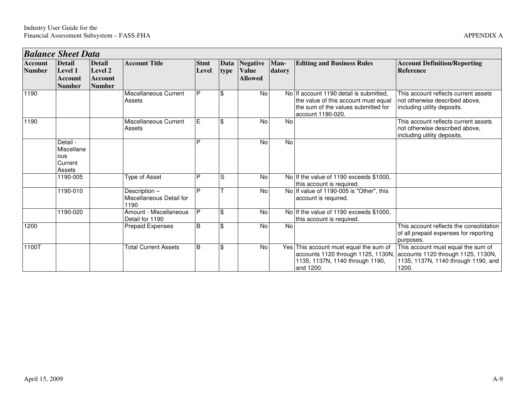|                                 | <b>Balance Sheet Data</b>                            |                                                             |                                                  |                      |                |                                                 |                |                                                                                                                                             |                                                                                                                          |
|---------------------------------|------------------------------------------------------|-------------------------------------------------------------|--------------------------------------------------|----------------------|----------------|-------------------------------------------------|----------------|---------------------------------------------------------------------------------------------------------------------------------------------|--------------------------------------------------------------------------------------------------------------------------|
| <b>Account</b><br><b>Number</b> | <b>Detail</b><br>Level 1<br>Account<br><b>Number</b> | <b>Detail</b><br>Level 2<br><b>Account</b><br><b>Number</b> | <b>Account Title</b>                             | <b>Stmt</b><br>Level | type           | Data Negative<br><b>Value</b><br><b>Allowed</b> | Man-<br>datory | <b>Editing and Business Rules</b>                                                                                                           | <b>Account Definition/Reporting</b><br><b>Reference</b>                                                                  |
| 1190                            |                                                      |                                                             | Miscellaneous Current<br>Assets                  | P                    | $\mathfrak{F}$ | <b>No</b>                                       |                | No If account 1190 detail is submitted,<br>the value of this account must equal<br>the sum of the values submitted for<br>account 1190-020. | This account reflects current assets<br>not otherwise described above,<br>including utility deposits.                    |
| 1190                            |                                                      |                                                             | Miscellaneous Current<br>Assets                  | E                    | $\mathfrak{F}$ | <b>No</b>                                       | <b>No</b>      |                                                                                                                                             | This account reflects current assets<br>not otherwise described above.<br>including utility deposits.                    |
|                                 | Detail -<br>Miscellane<br>ous<br>Current<br>Assets   |                                                             |                                                  | D                    |                | No                                              | No             |                                                                                                                                             |                                                                                                                          |
|                                 | 1190-005                                             |                                                             | Type of Asset                                    | D                    | S              | No                                              |                | No If the value of 1190 exceeds \$1000,<br>this account is required.                                                                        |                                                                                                                          |
|                                 | 1190-010                                             |                                                             | Description-<br>Miscellaneous Detail for<br>1190 | D                    |                | <b>No</b>                                       |                | No If value of 1190-005 is "Other", this<br>account is required.                                                                            |                                                                                                                          |
|                                 | 1190-020                                             |                                                             | Amount - Miscellaneous<br>Detail for 1190        | P                    | $\mathfrak{F}$ | No                                              |                | No If the value of 1190 exceeds \$1000,<br>this account is required.                                                                        |                                                                                                                          |
| 1200                            |                                                      |                                                             | Prepaid Expenses                                 | <sub>B</sub>         | $\mathfrak{F}$ | <b>No</b>                                       | <b>No</b>      |                                                                                                                                             | This account reflects the consolidation<br>of all prepaid expenses for reporting<br>purposes.                            |
| 1100T                           |                                                      |                                                             | <b>Total Current Assets</b>                      | <sub>B</sub>         | $\mathfrak{F}$ | No                                              |                | Yes This account must equal the sum of<br>accounts 1120 through 1125, 1130N,<br>1135, 1137N, 1140 through 1190,<br>and 1200.                | This account must equal the sum of<br>accounts 1120 through 1125, 1130N,<br>1135, 1137N, 1140 through 1190, and<br>1200. |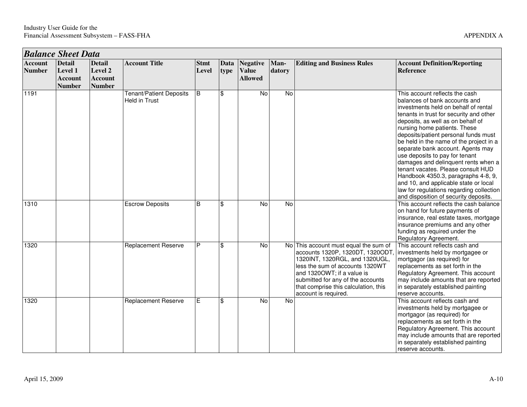|                                 | <b>Balance Sheet Data</b>                                          |                                                             |                                                 |                      |                |                                            |                |                                                                                                                                                                                                                                                                                   |                                                                                                                                                                                                                                                                                                                                                                                                                                                                                                                                                                                                                                     |  |  |  |
|---------------------------------|--------------------------------------------------------------------|-------------------------------------------------------------|-------------------------------------------------|----------------------|----------------|--------------------------------------------|----------------|-----------------------------------------------------------------------------------------------------------------------------------------------------------------------------------------------------------------------------------------------------------------------------------|-------------------------------------------------------------------------------------------------------------------------------------------------------------------------------------------------------------------------------------------------------------------------------------------------------------------------------------------------------------------------------------------------------------------------------------------------------------------------------------------------------------------------------------------------------------------------------------------------------------------------------------|--|--|--|
| <b>Account</b><br><b>Number</b> | <b>Detail</b><br><b>Level 1</b><br><b>Account</b><br><b>Number</b> | <b>Detail</b><br>Level 2<br><b>Account</b><br><b>Number</b> | <b>Account Title</b>                            | <b>Stmt</b><br>Level | Data<br>type   | Negative<br><b>Value</b><br><b>Allowed</b> | Man-<br>datory | <b>Editing and Business Rules</b>                                                                                                                                                                                                                                                 | <b>Account Definition/Reporting</b><br><b>Reference</b>                                                                                                                                                                                                                                                                                                                                                                                                                                                                                                                                                                             |  |  |  |
| 1191                            |                                                                    |                                                             | <b>Tenant/Patient Deposits</b><br>Held in Trust | B                    | $\mathfrak{S}$ | $\overline{N}$                             | $\overline{N}$ |                                                                                                                                                                                                                                                                                   | This account reflects the cash<br>balances of bank accounts and<br>investments held on behalf of rental<br>tenants in trust for security and other<br>deposits, as well as on behalf of<br>nursing home patients. These<br>deposits/patient personal funds must<br>be held in the name of the project in a<br>separate bank account. Agents may<br>use deposits to pay for tenant<br>damages and delinquent rents when a<br>tenant vacates. Please consult HUD<br>Handbook 4350.3, paragraphs 4-8, 9,<br>and 10, and applicable state or local<br>law for regulations regarding collection<br>and disposition of security deposits. |  |  |  |
| 1310                            |                                                                    |                                                             | <b>Escrow Deposits</b>                          | B                    | \$             | No                                         | No             |                                                                                                                                                                                                                                                                                   | This account reflects the cash balance<br>on hand for future payments of<br>insurance, real estate taxes, mortgage<br>insurance premiums and any other<br>funding as required under the<br>Regulatory Agreement.                                                                                                                                                                                                                                                                                                                                                                                                                    |  |  |  |
| 1320                            |                                                                    |                                                             | Replacement Reserve                             | P                    | \$             | No                                         |                | No This account must equal the sum of<br>accounts 1320P, 1320DT, 1320ODT,<br>1320INT, 1320RGL, and 1320UGL,<br>less the sum of accounts 1320WT<br>and 1320OWT; if a value is<br>submitted for any of the accounts<br>that comprise this calculation, this<br>account is required. | This account reflects cash and<br>investments held by mortgagee or<br>mortgagor (as required) for<br>replacements as set forth in the<br>Regulatory Agreement. This account<br>may include amounts that are reported<br>in separately established painting<br>reserve accounts.                                                                                                                                                                                                                                                                                                                                                     |  |  |  |
| 1320                            |                                                                    |                                                             | <b>Replacement Reserve</b>                      | Е                    | \$             | No                                         | <b>No</b>      |                                                                                                                                                                                                                                                                                   | This account reflects cash and<br>investments held by mortgagee or<br>mortgagor (as required) for<br>replacements as set forth in the<br>Regulatory Agreement. This account<br>may include amounts that are reported<br>in separately established painting<br>reserve accounts.                                                                                                                                                                                                                                                                                                                                                     |  |  |  |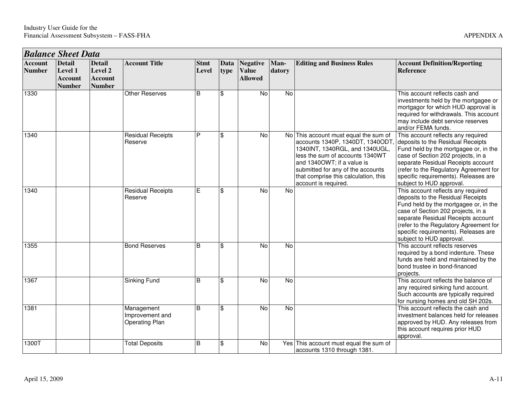|                                 | <b>Balance Sheet Data</b>                            |                                                             |                                                        |                      |              |                                                   |                |                                                                                                                                                                                                                                                                                   |                                                                                                                                                                                                                                                                                                            |  |  |
|---------------------------------|------------------------------------------------------|-------------------------------------------------------------|--------------------------------------------------------|----------------------|--------------|---------------------------------------------------|----------------|-----------------------------------------------------------------------------------------------------------------------------------------------------------------------------------------------------------------------------------------------------------------------------------|------------------------------------------------------------------------------------------------------------------------------------------------------------------------------------------------------------------------------------------------------------------------------------------------------------|--|--|
| <b>Account</b><br><b>Number</b> | <b>Detail</b><br>Level 1<br>Account<br><b>Number</b> | <b>Detail</b><br>Level 2<br><b>Account</b><br><b>Number</b> | <b>Account Title</b>                                   | <b>Stmt</b><br>Level | Data<br>type | <b>Negative</b><br><b>Value</b><br><b>Allowed</b> | Man-<br>datory | <b>Editing and Business Rules</b>                                                                                                                                                                                                                                                 | <b>Account Definition/Reporting</b><br><b>Reference</b>                                                                                                                                                                                                                                                    |  |  |
| 1330                            |                                                      |                                                             | <b>Other Reserves</b>                                  | B                    | \$           | No                                                | No             |                                                                                                                                                                                                                                                                                   | This account reflects cash and<br>investments held by the mortgagee or<br>mortgagor for which HUD approval is<br>required for withdrawals. This account<br>may include debt service reserves<br>and/or FEMA funds.                                                                                         |  |  |
| 1340                            |                                                      |                                                             | <b>Residual Receipts</b><br>Reserve                    | P                    | \$           | $\overline{N}$                                    |                | No This account must equal the sum of<br>accounts 1340P, 1340DT, 1340ODT,<br>1340INT, 1340RGL, and 1340UGL,<br>less the sum of accounts 1340WT<br>and 1340OWT; if a value is<br>submitted for any of the accounts<br>that comprise this calculation, this<br>account is required. | This account reflects any required<br>deposits to the Residual Receipts<br>Fund held by the mortgagee or, in the<br>case of Section 202 projects, in a<br>separate Residual Receipts account<br>(refer to the Regulatory Agreement for<br>specific requirements). Releases are<br>subject to HUD approval. |  |  |
| 1340                            |                                                      |                                                             | <b>Residual Receipts</b><br>Reserve                    | Е                    | \$           | <b>No</b>                                         | No             |                                                                                                                                                                                                                                                                                   | This account reflects any required<br>deposits to the Residual Receipts<br>Fund held by the mortgagee or, in the<br>case of Section 202 projects, in a<br>separate Residual Receipts account<br>(refer to the Regulatory Agreement for<br>specific requirements). Releases are<br>subject to HUD approval. |  |  |
| 1355                            |                                                      |                                                             | <b>Bond Reserves</b>                                   | B                    | \$           | No                                                | No             |                                                                                                                                                                                                                                                                                   | This account reflects reserves<br>required by a bond indenture. These<br>funds are held and maintained by the<br>bond trustee in bond-financed<br>projects.                                                                                                                                                |  |  |
| 1367                            |                                                      |                                                             | Sinking Fund                                           | B                    | \$           | <b>No</b>                                         | No             |                                                                                                                                                                                                                                                                                   | This account reflects the balance of<br>any required sinking fund account.<br>Such accounts are typically required<br>for nursing homes and old SH 202s.                                                                                                                                                   |  |  |
| 1381                            |                                                      |                                                             | Management<br>Improvement and<br><b>Operating Plan</b> | <sub>B</sub>         | \$           | <b>No</b>                                         | <b>No</b>      |                                                                                                                                                                                                                                                                                   | This account reflects the cash and<br>investment balances held for releases<br>approved by HUD. Any releases from<br>this account requires prior HUD<br>approval.                                                                                                                                          |  |  |
| 1300T                           |                                                      |                                                             | <b>Total Deposits</b>                                  | B                    | \$           | No                                                |                | Yes This account must equal the sum of<br>accounts 1310 through 1381.                                                                                                                                                                                                             |                                                                                                                                                                                                                                                                                                            |  |  |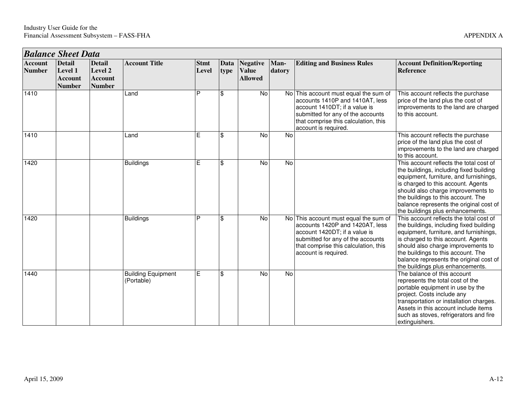|                                 | <b>Balance Sheet Data</b>                                   |                                                             |                                         |                      |              |                                            |                |                                                                                                                                                                                                                |                                                                                                                                                                                                                                                                                                                               |  |  |
|---------------------------------|-------------------------------------------------------------|-------------------------------------------------------------|-----------------------------------------|----------------------|--------------|--------------------------------------------|----------------|----------------------------------------------------------------------------------------------------------------------------------------------------------------------------------------------------------------|-------------------------------------------------------------------------------------------------------------------------------------------------------------------------------------------------------------------------------------------------------------------------------------------------------------------------------|--|--|
| <b>Account</b><br><b>Number</b> | <b>Detail</b><br>Level 1<br><b>Account</b><br><b>Number</b> | <b>Detail</b><br>Level 2<br><b>Account</b><br><b>Number</b> | <b>Account Title</b>                    | <b>Stmt</b><br>Level | Data<br>type | Negative<br><b>Value</b><br><b>Allowed</b> | Man-<br>datory | <b>Editing and Business Rules</b>                                                                                                                                                                              | <b>Account Definition/Reporting</b><br><b>Reference</b>                                                                                                                                                                                                                                                                       |  |  |
| 1410                            |                                                             |                                                             | Land                                    | P                    | \$           | No                                         |                | No This account must equal the sum of<br>accounts 1410P and 1410AT, less<br>account 1410DT; if a value is<br>submitted for any of the accounts<br>that comprise this calculation, this<br>account is required. | This account reflects the purchase<br>price of the land plus the cost of<br>improvements to the land are charged<br>to this account.                                                                                                                                                                                          |  |  |
| 1410                            |                                                             |                                                             | Land                                    | E                    | \$           | No                                         | No             |                                                                                                                                                                                                                | This account reflects the purchase<br>price of the land plus the cost of<br>improvements to the land are charged<br>to this account.                                                                                                                                                                                          |  |  |
| 1420                            |                                                             |                                                             | <b>Buildings</b>                        | E                    | \$           | No                                         | N <sub>o</sub> |                                                                                                                                                                                                                | This account reflects the total cost of<br>the buildings, including fixed building<br>equipment, furniture, and furnishings,<br>is charged to this account. Agents<br>should also charge improvements to<br>the buildings to this account. The<br>balance represents the original cost of<br>the buildings plus enhancements. |  |  |
| 1420                            |                                                             |                                                             | <b>Buildings</b>                        | P                    | \$           | No                                         |                | No This account must equal the sum of<br>accounts 1420P and 1420AT, less<br>account 1420DT; if a value is<br>submitted for any of the accounts<br>that comprise this calculation, this<br>account is required. | This account reflects the total cost of<br>the buildings, including fixed building<br>equipment, furniture, and furnishings,<br>is charged to this account. Agents<br>should also charge improvements to<br>the buildings to this account. The<br>balance represents the original cost of<br>the buildings plus enhancements. |  |  |
| 1440                            |                                                             |                                                             | <b>Building Equipment</b><br>(Portable) | E                    | \$           | No                                         | N <sub>o</sub> |                                                                                                                                                                                                                | The balance of this account<br>represents the total cost of the<br>portable equipment in use by the<br>project. Costs include any<br>transportation or installation charges.<br>Assets in this account include items<br>such as stoves, refrigerators and fire<br>extinguishers.                                              |  |  |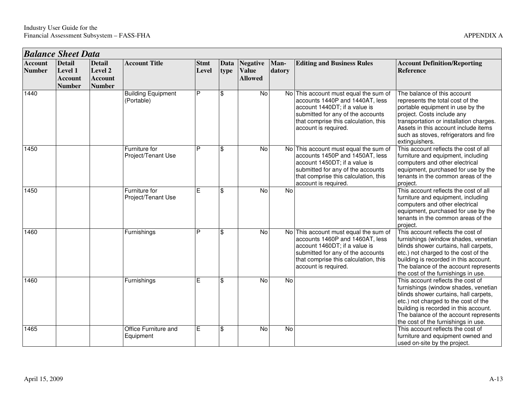|                                 | <b>Balance Sheet Data</b>                            |                                                             |                                         |                      |              |                                                   |                |                                                                                                                                                                                                                |                                                                                                                                                                                                                                                                                     |  |  |
|---------------------------------|------------------------------------------------------|-------------------------------------------------------------|-----------------------------------------|----------------------|--------------|---------------------------------------------------|----------------|----------------------------------------------------------------------------------------------------------------------------------------------------------------------------------------------------------------|-------------------------------------------------------------------------------------------------------------------------------------------------------------------------------------------------------------------------------------------------------------------------------------|--|--|
| <b>Account</b><br><b>Number</b> | <b>Detail</b><br>Level 1<br>Account<br><b>Number</b> | <b>Detail</b><br>Level 2<br><b>Account</b><br><b>Number</b> | <b>Account Title</b>                    | <b>Stmt</b><br>Level | Data<br>type | <b>Negative</b><br><b>Value</b><br><b>Allowed</b> | Man-<br>datory | <b>Editing and Business Rules</b>                                                                                                                                                                              | <b>Account Definition/Reporting</b><br><b>Reference</b>                                                                                                                                                                                                                             |  |  |
| 1440                            |                                                      |                                                             | <b>Building Equipment</b><br>(Portable) | P                    | \$           | No                                                |                | No This account must equal the sum of<br>accounts 1440P and 1440AT, less<br>account 1440DT; if a value is<br>submitted for any of the accounts<br>that comprise this calculation, this<br>account is required. | The balance of this account<br>represents the total cost of the<br>portable equipment in use by the<br>project. Costs include any<br>transportation or installation charges.<br>Assets in this account include items<br>such as stoves, refrigerators and fire<br>extinguishers.    |  |  |
| 1450                            |                                                      |                                                             | Furniture for<br>Project/Tenant Use     | P                    | \$           | No                                                |                | No This account must equal the sum of<br>accounts 1450P and 1450AT, less<br>account 1450DT; if a value is<br>submitted for any of the accounts<br>that comprise this calculation, this<br>account is required. | This account reflects the cost of all<br>furniture and equipment, including<br>computers and other electrical<br>equipment, purchased for use by the<br>tenants in the common areas of the<br>project.                                                                              |  |  |
| 1450                            |                                                      |                                                             | Furniture for<br>Project/Tenant Use     | E                    | \$           | $\overline{N}$                                    | No             |                                                                                                                                                                                                                | This account reflects the cost of all<br>furniture and equipment, including<br>computers and other electrical<br>equipment, purchased for use by the<br>tenants in the common areas of the<br>project.                                                                              |  |  |
| 1460                            |                                                      |                                                             | Furnishings                             | P                    | \$           | No                                                |                | No This account must equal the sum of<br>accounts 1460P and 1460AT, less<br>account 1460DT; if a value is<br>submitted for any of the accounts<br>that comprise this calculation, this<br>account is required. | This account reflects the cost of<br>furnishings (window shades, venetian<br>blinds shower curtains, hall carpets,<br>etc.) not charged to the cost of the<br>building is recorded in this account.<br>The balance of the account represents<br>the cost of the furnishings in use. |  |  |
| 1460                            |                                                      |                                                             | Furnishings                             | E                    | \$           | No                                                | No             |                                                                                                                                                                                                                | This account reflects the cost of<br>furnishings (window shades, venetian<br>blinds shower curtains, hall carpets,<br>etc.) not charged to the cost of the<br>building is recorded in this account.<br>The balance of the account represents<br>the cost of the furnishings in use. |  |  |
| 1465                            |                                                      |                                                             | Office Furniture and<br>Equipment       | E                    | \$           | No                                                | No             |                                                                                                                                                                                                                | This account reflects the cost of<br>furniture and equipment owned and<br>used on-site by the project.                                                                                                                                                                              |  |  |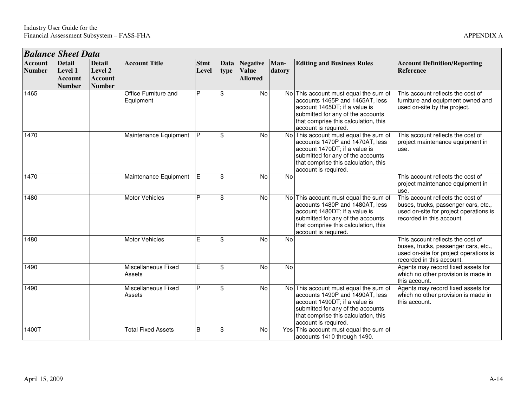|                                 | <b>Balance Sheet Data</b>                                          |                                                             |                                   |                      |                           |                                                   |                |                                                                                                                                                                                                                |                                                                                                                                                  |  |  |
|---------------------------------|--------------------------------------------------------------------|-------------------------------------------------------------|-----------------------------------|----------------------|---------------------------|---------------------------------------------------|----------------|----------------------------------------------------------------------------------------------------------------------------------------------------------------------------------------------------------------|--------------------------------------------------------------------------------------------------------------------------------------------------|--|--|
| <b>Account</b><br><b>Number</b> | <b>Detail</b><br><b>Level 1</b><br><b>Account</b><br><b>Number</b> | <b>Detail</b><br>Level 2<br><b>Account</b><br><b>Number</b> | <b>Account Title</b>              | <b>Stmt</b><br>Level | <b>Data</b><br>type       | <b>Negative</b><br><b>Value</b><br><b>Allowed</b> | Man-<br>datory | <b>Editing and Business Rules</b>                                                                                                                                                                              | <b>Account Definition/Reporting</b><br><b>Reference</b>                                                                                          |  |  |
| 1465                            |                                                                    |                                                             | Office Furniture and<br>Equipment | P                    | \$                        | No                                                |                | No This account must equal the sum of<br>accounts 1465P and 1465AT, less<br>account 1465DT; if a value is<br>submitted for any of the accounts<br>that comprise this calculation, this<br>account is required. | This account reflects the cost of<br>furniture and equipment owned and<br>used on-site by the project.                                           |  |  |
| 1470                            |                                                                    |                                                             | Maintenance Equipment             | P                    | $\mathfrak{S}$            | <b>No</b>                                         | <b>No</b>      | This account must equal the sum of<br>accounts 1470P and 1470AT, less<br>account 1470DT; if a value is<br>submitted for any of the accounts<br>that comprise this calculation, this<br>account is required.    | This account reflects the cost of<br>project maintenance equipment in<br>use.                                                                    |  |  |
| 1470                            |                                                                    |                                                             | Maintenance Equipment             | IE.                  | \$                        | <b>No</b>                                         | <b>No</b>      |                                                                                                                                                                                                                | This account reflects the cost of<br>project maintenance equipment in<br>use.                                                                    |  |  |
| 1480                            |                                                                    |                                                             | Motor Vehicles                    | P                    | $\sqrt[6]{3}$             | No                                                |                | No This account must equal the sum of<br>accounts 1480P and 1480AT, less<br>account 1480DT; if a value is<br>submitted for any of the accounts<br>that comprise this calculation, this<br>account is required. | This account reflects the cost of<br>buses, trucks, passenger cars, etc.,<br>used on-site for project operations is<br>recorded in this account. |  |  |
| 1480                            |                                                                    |                                                             | <b>Motor Vehicles</b>             | E                    | \$                        | $\overline{N}$                                    | $\overline{N}$ |                                                                                                                                                                                                                | This account reflects the cost of<br>buses, trucks, passenger cars, etc.,<br>used on-site for project operations is<br>recorded in this account. |  |  |
| 1490                            |                                                                    |                                                             | Miscellaneous Fixed<br>Assets     | E                    | \$                        | <b>No</b>                                         | No             |                                                                                                                                                                                                                | Agents may record fixed assets for<br>which no other provision is made in<br>this account.                                                       |  |  |
| 1490                            |                                                                    |                                                             | Miscellaneous Fixed<br>Assets     | P                    | $\boldsymbol{\mathsf{S}}$ | No                                                |                | No This account must equal the sum of<br>accounts 1490P and 1490AT, less<br>account 1490DT; if a value is<br>submitted for any of the accounts<br>that comprise this calculation, this<br>account is required. | Agents may record fixed assets for<br>which no other provision is made in<br>this account.                                                       |  |  |
| 1400T                           |                                                                    |                                                             | <b>Total Fixed Assets</b>         | B                    | \$                        | <b>No</b>                                         |                | Yes This account must equal the sum of<br>accounts 1410 through 1490.                                                                                                                                          |                                                                                                                                                  |  |  |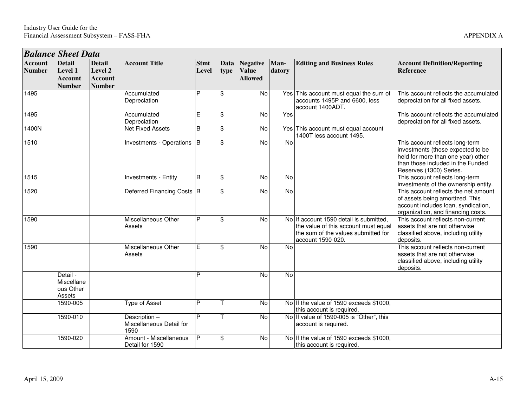| type | Data   Negative   Man-<br><b>Value</b><br><b>Allowed</b> | datory | <b>Editing and Business Rules</b>      | <b>Account Definition/Reporting</b><br><b>Reference</b> |
|------|----------------------------------------------------------|--------|----------------------------------------|---------------------------------------------------------|
| \$   | No                                                       |        | Yes This account must equal the sum of | This account reflects the accumulated                   |

| <b>Balance Sheet Data</b>       |                                                             |                                                             |                                                  |                      |              |                                                   |                |                                                                                                                                             |                                                                                                                                                                            |  |  |
|---------------------------------|-------------------------------------------------------------|-------------------------------------------------------------|--------------------------------------------------|----------------------|--------------|---------------------------------------------------|----------------|---------------------------------------------------------------------------------------------------------------------------------------------|----------------------------------------------------------------------------------------------------------------------------------------------------------------------------|--|--|
| <b>Account</b><br><b>Number</b> | <b>Detail</b><br>Level 1<br><b>Account</b><br><b>Number</b> | <b>Detail</b><br>Level 2<br><b>Account</b><br><b>Number</b> | <b>Account Title</b>                             | <b>Stmt</b><br>Level | Data<br>type | <b>Negative</b><br><b>Value</b><br><b>Allowed</b> | Man-<br>datory | <b>Editing and Business Rules</b>                                                                                                           | <b>Account Definition/Reporting</b><br><b>Reference</b>                                                                                                                    |  |  |
| 1495                            |                                                             |                                                             | Accumulated<br>Depreciation                      | P                    | \$           | $\overline{N}$                                    |                | Yes This account must equal the sum of<br>accounts 1495P and 6600, less<br>account 1400ADT.                                                 | This account reflects the accumulated<br>depreciation for all fixed assets.                                                                                                |  |  |
| 1495                            |                                                             |                                                             | Accumulated<br>Depreciation                      | E.                   | \$           | No                                                | Yes            |                                                                                                                                             | This account reflects the accumulated<br>depreciation for all fixed assets.                                                                                                |  |  |
| 1400N                           |                                                             |                                                             | <b>Net Fixed Assets</b>                          | B                    | \$           | No                                                |                | Yes This account must equal account<br>1400T less account 1495.                                                                             |                                                                                                                                                                            |  |  |
| 1510                            |                                                             |                                                             | Investments - Operations B                       |                      | \$           | No                                                | No             |                                                                                                                                             | This account reflects long-term<br>investments (those expected to be<br>held for more than one year) other<br>than those included in the Funded<br>Reserves (1300) Series. |  |  |
| $\frac{1}{1515}$                |                                                             |                                                             | Investments - Entity                             | B                    | \$           | <b>No</b>                                         | <b>No</b>      |                                                                                                                                             | This account reflects long-term<br>investments of the ownership entity.                                                                                                    |  |  |
| 1520                            |                                                             |                                                             | Deferred Financing Costs B                       |                      | \$           | $\overline{N}$                                    | $\overline{N}$ |                                                                                                                                             | This account reflects the net amount<br>of assets being amortized. This<br>account includes loan, syndication,<br>organization, and financing costs.                       |  |  |
| 1590                            |                                                             |                                                             | Miscellaneous Other<br>Assets                    | P                    | \$           | No                                                |                | No If account 1590 detail is submitted,<br>the value of this account must equal<br>the sum of the values submitted for<br>account 1590-020. | This account reflects non-current<br>assets that are not otherwise<br>classified above, including utility<br>deposits.                                                     |  |  |
| 1590                            |                                                             |                                                             | Miscellaneous Other<br>Assets                    | E                    | \$           | <b>No</b>                                         | <b>No</b>      |                                                                                                                                             | This account reflects non-current<br>assets that are not otherwise<br>classified above, including utility<br>deposits.                                                     |  |  |
|                                 | Detail -<br>Miscellane<br>ous Other<br>Assets               |                                                             |                                                  | P                    |              | <b>No</b>                                         | $\overline{N}$ |                                                                                                                                             |                                                                                                                                                                            |  |  |
|                                 | 1590-005                                                    |                                                             | <b>Type of Asset</b>                             | P                    |              | $\overline{N}$                                    |                | No If the value of 1590 exceeds \$1000,<br>this account is required                                                                         |                                                                                                                                                                            |  |  |
|                                 | 1590-010                                                    |                                                             | Description-<br>Miscellaneous Detail for<br>1590 | P                    |              | $\overline{N}$                                    |                | No If value of 1590-005 is "Other", this<br>account is required.                                                                            |                                                                                                                                                                            |  |  |
|                                 | 1590-020                                                    |                                                             | Amount - Miscellaneous<br>Detail for 1590        | P                    | \$           | <b>No</b>                                         |                | No If the value of 1590 exceeds \$1000.<br>this account is required.                                                                        |                                                                                                                                                                            |  |  |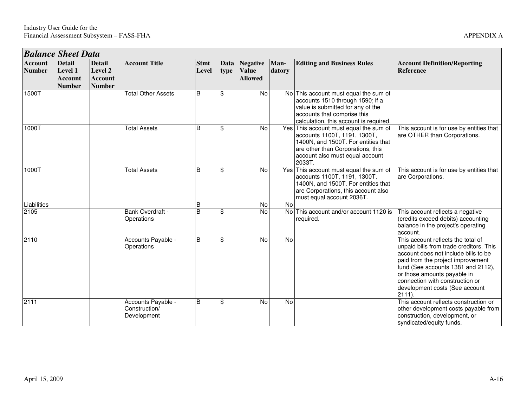| <b>Balance Sheet Data</b>       |                                                             |                                                             |                                                    |                      |              |                                                   |                |                                                                                                                                                                                                 |                                                                                                                                                                                                                                                                                                                   |  |  |  |
|---------------------------------|-------------------------------------------------------------|-------------------------------------------------------------|----------------------------------------------------|----------------------|--------------|---------------------------------------------------|----------------|-------------------------------------------------------------------------------------------------------------------------------------------------------------------------------------------------|-------------------------------------------------------------------------------------------------------------------------------------------------------------------------------------------------------------------------------------------------------------------------------------------------------------------|--|--|--|
| <b>Account</b><br><b>Number</b> | <b>Detail</b><br>Level 1<br><b>Account</b><br><b>Number</b> | <b>Detail</b><br>Level 2<br><b>Account</b><br><b>Number</b> | <b>Account Title</b>                               | <b>Stmt</b><br>Level | Data<br>type | <b>Negative</b><br><b>Value</b><br><b>Allowed</b> | Man-<br>datory | <b>Editing and Business Rules</b>                                                                                                                                                               | <b>Account Definition/Reporting</b><br><b>Reference</b>                                                                                                                                                                                                                                                           |  |  |  |
| 1500T                           |                                                             |                                                             | <b>Total Other Assets</b>                          | B                    | \$           | No                                                |                | No This account must equal the sum of<br>accounts 1510 through 1590; if a<br>value is submitted for any of the<br>accounts that comprise this<br>calculation, this account is required.         |                                                                                                                                                                                                                                                                                                                   |  |  |  |
| 1000T                           |                                                             |                                                             | <b>Total Assets</b>                                | B                    | \$           | No                                                |                | Yes This account must equal the sum of<br>accounts 1100T, 1191, 1300T,<br>1400N, and 1500T. For entities that<br>are other than Corporations, this<br>account also must equal account<br>2033T. | This account is for use by entities that<br>are OTHER than Corporations.                                                                                                                                                                                                                                          |  |  |  |
| 1000T                           |                                                             |                                                             | <b>Total Assets</b>                                | B                    | \$           | No                                                |                | Yes This account must equal the sum of<br>accounts 1100T, 1191, 1300T,<br>1400N, and 1500T. For entities that<br>are Corporations, this account also<br>must equal account 2036T.               | This account is for use by entities that<br>are Corporations.                                                                                                                                                                                                                                                     |  |  |  |
| Liabilities                     |                                                             |                                                             |                                                    | <sub>B</sub>         |              | No                                                | No             |                                                                                                                                                                                                 |                                                                                                                                                                                                                                                                                                                   |  |  |  |
| 2105                            |                                                             |                                                             | Bank Overdraft -<br>Operations                     | B                    | \$           | No                                                |                | No This account and/or account 1120 is<br>required.                                                                                                                                             | This account reflects a negative<br>(credits exceed debits) accounting<br>balance in the project's operating<br>account.                                                                                                                                                                                          |  |  |  |
| 2110                            |                                                             |                                                             | Accounts Payable -<br>Operations                   | B                    | \$           | <b>No</b>                                         | No             |                                                                                                                                                                                                 | This account reflects the total of<br>unpaid bills from trade creditors. This<br>account does not include bills to be<br>paid from the project improvement<br>fund (See accounts 1381 and 2112),<br>or those amounts payable in<br>connection with construction or<br>development costs (See account<br>$2111$ ). |  |  |  |
| 2111                            |                                                             |                                                             | Accounts Payable -<br>Construction/<br>Development | B                    | \$           | <b>No</b>                                         | No             |                                                                                                                                                                                                 | This account reflects construction or<br>other development costs payable from<br>construction, development, or<br>syndicated/equity funds.                                                                                                                                                                        |  |  |  |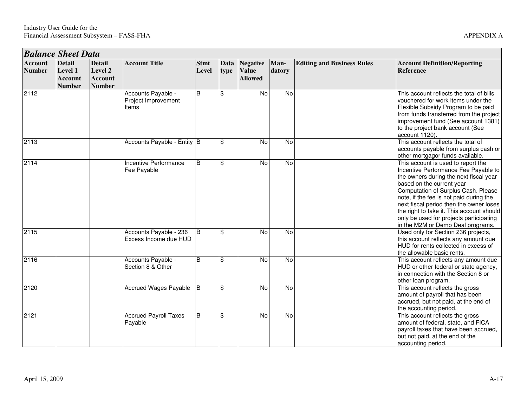|                                 | <b>Balance Sheet Data</b>                                   |                                                             |                                                    |                      |                |                                                   |                |                                   |                                                                                                                                                                                                                                                                                                                                                                                                             |  |  |  |
|---------------------------------|-------------------------------------------------------------|-------------------------------------------------------------|----------------------------------------------------|----------------------|----------------|---------------------------------------------------|----------------|-----------------------------------|-------------------------------------------------------------------------------------------------------------------------------------------------------------------------------------------------------------------------------------------------------------------------------------------------------------------------------------------------------------------------------------------------------------|--|--|--|
| <b>Account</b><br><b>Number</b> | <b>Detail</b><br>Level 1<br><b>Account</b><br><b>Number</b> | <b>Detail</b><br>Level 2<br><b>Account</b><br><b>Number</b> | <b>Account Title</b>                               | <b>Stmt</b><br>Level | Data<br>type   | <b>Negative</b><br><b>Value</b><br><b>Allowed</b> | Man-<br>datory | <b>Editing and Business Rules</b> | <b>Account Definition/Reporting</b><br><b>Reference</b>                                                                                                                                                                                                                                                                                                                                                     |  |  |  |
| 2112                            |                                                             |                                                             | Accounts Payable -<br>Project Improvement<br>ltems | B                    | \$             | $\overline{N}$                                    | $\overline{N}$ |                                   | This account reflects the total of bills<br>vouchered for work items under the<br>Flexible Subsidy Program to be paid<br>from funds transferred from the project<br>improvement fund (See account 1381)<br>to the project bank account (See<br>account 1120).                                                                                                                                               |  |  |  |
| 2113                            |                                                             |                                                             | Accounts Payable - Entity B                        |                      | \$             | No                                                | No             |                                   | This account reflects the total of<br>accounts payable from surplus cash or<br>other mortgagor funds available.                                                                                                                                                                                                                                                                                             |  |  |  |
| 2114                            |                                                             |                                                             | Incentive Performance<br>Fee Payable               | B                    | \$             | No                                                | $\overline{N}$ |                                   | This account is used to report the<br>Incentive Performance Fee Payable to<br>the owners during the next fiscal year<br>based on the current year<br>Computation of Surplus Cash. Please<br>note, if the fee is not paid during the<br>next fiscal period then the owner loses<br>the right to take it. This account should<br>only be used for projects participating<br>in the M2M or Demo Deal programs. |  |  |  |
| 2115                            |                                                             |                                                             | Accounts Payable - 236<br>Excess Income due HUD    | $\overline{B}$       | $\mathbf{\$}$  | $\overline{N}$                                    | $\overline{N}$ |                                   | Used only for Section 236 projects,<br>this account reflects any amount due<br>HUD for rents collected in excess of<br>the allowable basic rents.                                                                                                                                                                                                                                                           |  |  |  |
| 2116                            |                                                             |                                                             | Accounts Payable -<br>Section 8 & Other            | B                    | $\mathfrak{S}$ | $\overline{N}$                                    | <b>No</b>      |                                   | This account reflects any amount due<br>HUD or other federal or state agency,<br>in connection with the Section 8 or<br>other loan program.                                                                                                                                                                                                                                                                 |  |  |  |
| 2120                            |                                                             |                                                             | <b>Accrued Wages Payable</b>                       | <b>B</b>             | $\mathfrak{S}$ | No                                                | No             |                                   | This account reflects the gross<br>amount of payroll that has been<br>accrued, but not paid, at the end of<br>the accounting period.                                                                                                                                                                                                                                                                        |  |  |  |
| 2121                            |                                                             |                                                             | <b>Accrued Payroll Taxes</b><br>Payable            | B                    | $\mathbf{\$}$  | $\overline{N}$                                    | No             |                                   | This account reflects the gross<br>amount of federal, state, and FICA<br>payroll taxes that have been accrued,<br>but not paid, at the end of the<br>accounting period.                                                                                                                                                                                                                                     |  |  |  |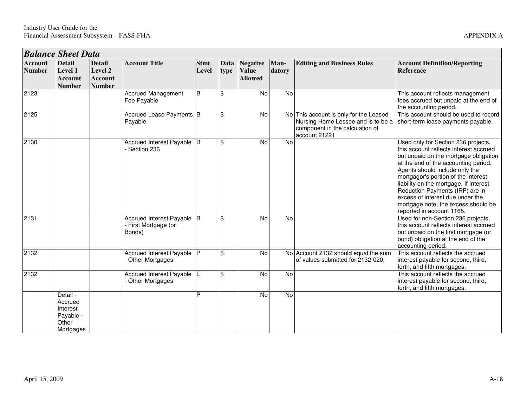| <b>Balance Sheet Data</b> |                                                                    |                                                             |                                                              |                      |                |                                            |                |                                                                                                                                  |                                                                                                                                                                                                                                                                                                                                                                                                                              |  |  |
|---------------------------|--------------------------------------------------------------------|-------------------------------------------------------------|--------------------------------------------------------------|----------------------|----------------|--------------------------------------------|----------------|----------------------------------------------------------------------------------------------------------------------------------|------------------------------------------------------------------------------------------------------------------------------------------------------------------------------------------------------------------------------------------------------------------------------------------------------------------------------------------------------------------------------------------------------------------------------|--|--|
| Account<br><b>Number</b>  | <b>Detail</b><br>Level 1<br><b>Account</b><br><b>Number</b>        | <b>Detail</b><br>Level 2<br><b>Account</b><br><b>Number</b> | <b>Account Title</b>                                         | <b>Stmt</b><br>Level | Data<br>type   | Negative<br><b>Value</b><br><b>Allowed</b> | Man-<br>datory | <b>Editing and Business Rules</b>                                                                                                | <b>Account Definition/Reporting</b><br><b>Reference</b>                                                                                                                                                                                                                                                                                                                                                                      |  |  |
| 2123                      |                                                                    |                                                             | <b>Accrued Management</b><br>Fee Payable                     | B                    | \$             | No                                         | $\overline{N}$ |                                                                                                                                  | This account reflects management<br>fees accrued but unpaid at the end of<br>the accounting period.                                                                                                                                                                                                                                                                                                                          |  |  |
| 2125                      |                                                                    |                                                             | Accrued Lease Payments   B<br>Payable                        |                      | $\mathfrak{L}$ | $\overline{N}$                             |                | No This account is only for the Leased<br>Nursing Home Lessee and is to be a<br>component in the calculation of<br>account 2122T | This account should be used to record<br>short-term lease payments payable.                                                                                                                                                                                                                                                                                                                                                  |  |  |
| 2130                      |                                                                    |                                                             | Accrued Interest Payable B<br>Section 236                    |                      | <b>S</b>       | $\overline{N}$                             | $\overline{N}$ |                                                                                                                                  | Used only for Section 236 projects,<br>this account reflects interest accrued<br>but unpaid on the mortgage obligation<br>at the end of the accounting period.<br>Agents should include only the<br>mortgagor's portion of the interest<br>liability on the mortgage. If Interest<br>Reduction Payments (IRP) are in<br>excess of interest due under the<br>mortgage note, the excess should be<br>reported in account 1165. |  |  |
| 2131                      |                                                                    |                                                             | Accrued Interest Payable B<br>- First Mortgage (or<br>Bonds) |                      | <b>S</b>       | $\overline{N}$                             | $\overline{N}$ |                                                                                                                                  | Used for non-Section 236 projects,<br>this account reflects interest accrued<br>but unpaid on the first mortgage (or<br>bond) obligation at the end of the<br>accounting period.                                                                                                                                                                                                                                             |  |  |
| 2132                      |                                                                    |                                                             | Accrued Interest Payable P<br><b>Other Mortgages</b>         |                      | $\mathfrak{S}$ | No                                         |                | No Account 2132 should equal the sum<br>of values submitted for 2132-020.                                                        | This account reflects the accrued<br>interest payable for second, third,<br>forth, and fifth mortgages.                                                                                                                                                                                                                                                                                                                      |  |  |
| 2132                      |                                                                    |                                                             | Accrued Interest Payable E<br><b>Other Mortgages</b>         |                      | $\mathfrak{S}$ | No                                         | No             |                                                                                                                                  | This account reflects the accrued<br>interest payable for second, third,<br>forth, and fifth mortgages.                                                                                                                                                                                                                                                                                                                      |  |  |
|                           | Detail -<br>Accrued<br>Interest<br>Payable -<br>Other<br>Mortgages |                                                             |                                                              | P                    |                | $\overline{N}$                             | $\overline{N}$ |                                                                                                                                  |                                                                                                                                                                                                                                                                                                                                                                                                                              |  |  |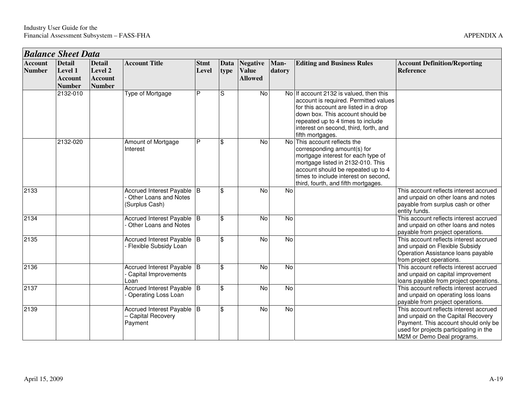|                                 | <b>Balance Sheet Data</b>                                   |                                                             |                                                                       |                      |                         |                                                   |                |                                                                                                                                                                                                                                                                 |                                                                                                                                                                                              |  |  |  |  |
|---------------------------------|-------------------------------------------------------------|-------------------------------------------------------------|-----------------------------------------------------------------------|----------------------|-------------------------|---------------------------------------------------|----------------|-----------------------------------------------------------------------------------------------------------------------------------------------------------------------------------------------------------------------------------------------------------------|----------------------------------------------------------------------------------------------------------------------------------------------------------------------------------------------|--|--|--|--|
| <b>Account</b><br><b>Number</b> | <b>Detail</b><br>Level 1<br><b>Account</b><br><b>Number</b> | <b>Detail</b><br>Level 2<br><b>Account</b><br><b>Number</b> | <b>Account Title</b>                                                  | <b>Stmt</b><br>Level | Data<br>type            | <b>Negative</b><br><b>Value</b><br><b>Allowed</b> | Man-<br>datory | <b>Editing and Business Rules</b>                                                                                                                                                                                                                               | <b>Account Definition/Reporting</b><br>Reference                                                                                                                                             |  |  |  |  |
|                                 | 2132-010                                                    |                                                             | <b>Type of Mortgage</b>                                               | P                    | S                       | $\overline{N}$                                    |                | No If account 2132 is valued, then this<br>account is required. Permitted values<br>for this account are listed in a drop<br>down box. This account should be<br>repeated up to 4 times to include<br>interest on second, third, forth, and<br>fifth mortgages. |                                                                                                                                                                                              |  |  |  |  |
|                                 | 2132-020                                                    |                                                             | Amount of Mortgage<br>Interest                                        | P                    | \$                      | No                                                | No l           | This account reflects the<br>corresponding amount(s) for<br>mortgage interest for each type of<br>mortgage listed in 2132-010. This<br>account should be repeated up to 4<br>times to include interest on second,<br>third, fourth, and fifth mortgages.        |                                                                                                                                                                                              |  |  |  |  |
| 2133                            |                                                             |                                                             | Accrued Interest Payable B<br>Other Loans and Notes<br>(Surplus Cash) |                      | \$                      | No                                                | No             |                                                                                                                                                                                                                                                                 | This account reflects interest accrued<br>and unpaid on other loans and notes<br>payable from surplus cash or other<br>entity funds.                                                         |  |  |  |  |
| 2134                            |                                                             |                                                             | Accrued Interest Payable B<br>Other Loans and Notes                   |                      | \$                      | No                                                | $\overline{N}$ |                                                                                                                                                                                                                                                                 | This account reflects interest accrued<br>and unpaid on other loans and notes<br>payable from project operations.                                                                            |  |  |  |  |
| 2135                            |                                                             |                                                             | Accrued Interest Payable B<br>Flexible Subsidy Loan                   |                      | \$                      | No                                                | <b>No</b>      |                                                                                                                                                                                                                                                                 | This account reflects interest accrued<br>and unpaid on Flexible Subsidy<br>Operation Assistance loans payable<br>from project operations.                                                   |  |  |  |  |
| 2136                            |                                                             |                                                             | Accrued Interest Payable B<br>Capital Improvements<br>Loan            |                      | \$                      | No                                                | N <sub>o</sub> |                                                                                                                                                                                                                                                                 | This account reflects interest accrued<br>and unpaid on capital improvement<br>loans payable from project operations.                                                                        |  |  |  |  |
| 2137                            |                                                             |                                                             | Accrued Interest Payable B<br>Operating Loss Loan                     |                      | \$                      | No                                                | $\overline{N}$ |                                                                                                                                                                                                                                                                 | This account reflects interest accrued<br>and unpaid on operating loss loans<br>payable from project operations.                                                                             |  |  |  |  |
| 2139                            |                                                             |                                                             | Accrued Interest Payable B<br>- Capital Recovery<br>Payment           |                      | $\overline{\mathbf{s}}$ | $\overline{N}$                                    | $\overline{N}$ |                                                                                                                                                                                                                                                                 | This account reflects interest accrued<br>and unpaid on the Capital Recovery<br>Payment. This account should only be<br>used for projects participating in the<br>M2M or Demo Deal programs. |  |  |  |  |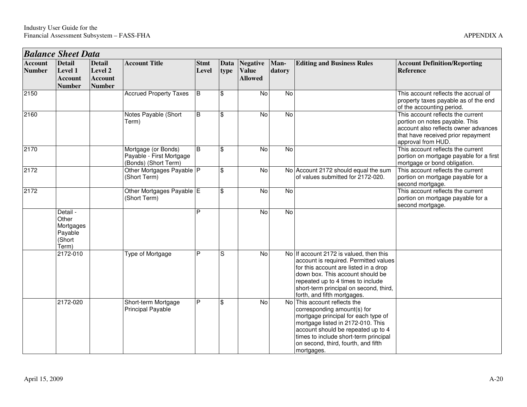|                                 | <b>Balance Sheet Data</b>                                    |                                                             |                                                                         |                             |              |                                                   |                |                                                                                                                                                                                                                                                                             |                                                                                                                                                                         |
|---------------------------------|--------------------------------------------------------------|-------------------------------------------------------------|-------------------------------------------------------------------------|-----------------------------|--------------|---------------------------------------------------|----------------|-----------------------------------------------------------------------------------------------------------------------------------------------------------------------------------------------------------------------------------------------------------------------------|-------------------------------------------------------------------------------------------------------------------------------------------------------------------------|
| <b>Account</b><br><b>Number</b> | <b>Detail</b><br>Level 1<br><b>Account</b><br><b>Number</b>  | <b>Detail</b><br>Level 2<br><b>Account</b><br><b>Number</b> | <b>Account Title</b>                                                    | <b>Stmt</b><br><b>Level</b> | Data<br>type | <b>Negative</b><br><b>Value</b><br><b>Allowed</b> | Man-<br>datory | <b>Editing and Business Rules</b>                                                                                                                                                                                                                                           | <b>Account Definition/Reporting</b><br><b>Reference</b>                                                                                                                 |
| 2150                            |                                                              |                                                             | <b>Accrued Property Taxes</b>                                           | $\overline{B}$              | \$           | $\overline{N}$                                    | $\overline{N}$ |                                                                                                                                                                                                                                                                             | This account reflects the accrual of<br>property taxes payable as of the end<br>of the accounting period.                                                               |
| 2160                            |                                                              |                                                             | Notes Payable (Short<br>Term)                                           | B                           | \$           | N <sub>o</sub>                                    | $\overline{N}$ |                                                                                                                                                                                                                                                                             | This account reflects the current<br>portion on notes payable. This<br>account also reflects owner advances<br>that have received prior repayment<br>approval from HUD. |
| 2170                            |                                                              |                                                             | Mortgage (or Bonds)<br>Payable - First Mortgage<br>(Bonds) (Short Term) | $\overline{B}$              | \$           | No                                                | $\overline{N}$ |                                                                                                                                                                                                                                                                             | This account reflects the current<br>portion on mortgage payable for a first<br>mortgage or bond obligation.                                                            |
| 2172                            |                                                              |                                                             | Other Mortgages Payable P<br>(Short Term)                               |                             | \$           | No                                                |                | No Account 2172 should equal the sum<br>of values submitted for 2172-020.                                                                                                                                                                                                   | This account reflects the current<br>portion on mortgage payable for a<br>second mortgage.                                                                              |
| 2172                            |                                                              |                                                             | Other Mortgages Payable E<br>(Short Term)                               |                             | \$           | $\overline{N}$                                    | $\overline{N}$ |                                                                                                                                                                                                                                                                             | This account reflects the current<br>portion on mortgage payable for a<br>second mortgage.                                                                              |
|                                 | Detail -<br>Other<br>Mortgages<br>Payable<br>(Short<br>Term) |                                                             |                                                                         | P                           |              | No                                                | No             |                                                                                                                                                                                                                                                                             |                                                                                                                                                                         |
|                                 | 2172-010                                                     |                                                             | <b>Type of Mortgage</b>                                                 | P                           | S            | No                                                |                | No If account 2172 is valued, then this<br>account is required. Permitted values<br>for this account are listed in a drop<br>down box. This account should be<br>repeated up to 4 times to include<br>short-term principal on second, third,<br>forth, and fifth mortgages. |                                                                                                                                                                         |
|                                 | 2172-020                                                     |                                                             | Short-term Mortgage<br><b>Principal Payable</b>                         | P                           | \$           | No                                                | N <sub>o</sub> | This account reflects the<br>corresponding amount(s) for<br>mortgage principal for each type of<br>mortgage listed in 2172-010. This<br>account should be repeated up to 4<br>times to include short-term principal<br>on second, third, fourth, and fifth<br>mortgages.    |                                                                                                                                                                         |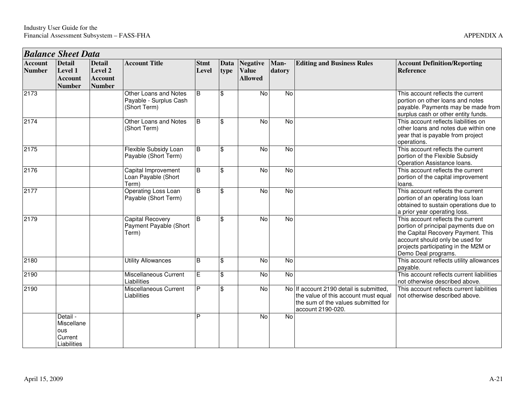|                                 | <b>Balance Sheet Data</b>                                   |                                                             |                                                                 |                      |                |                                                   |                |                                                                                                                                             |                                                                                                                                                                                                                   |  |  |  |  |
|---------------------------------|-------------------------------------------------------------|-------------------------------------------------------------|-----------------------------------------------------------------|----------------------|----------------|---------------------------------------------------|----------------|---------------------------------------------------------------------------------------------------------------------------------------------|-------------------------------------------------------------------------------------------------------------------------------------------------------------------------------------------------------------------|--|--|--|--|
| <b>Account</b><br><b>Number</b> | <b>Detail</b><br>Level 1<br><b>Account</b><br><b>Number</b> | <b>Detail</b><br>Level 2<br><b>Account</b><br><b>Number</b> | <b>Account Title</b>                                            | <b>Stmt</b><br>Level | Data<br>type   | <b>Negative</b><br><b>Value</b><br><b>Allowed</b> | Man-<br>datory | <b>Editing and Business Rules</b>                                                                                                           | <b>Account Definition/Reporting</b><br>Reference                                                                                                                                                                  |  |  |  |  |
| 2173                            |                                                             |                                                             | Other Loans and Notes<br>Payable - Surplus Cash<br>(Short Term) | B                    | $\mathfrak{S}$ | No                                                | No             |                                                                                                                                             | This account reflects the current<br>portion on other loans and notes<br>payable. Payments may be made from<br>surplus cash or other entity funds.                                                                |  |  |  |  |
| 2174                            |                                                             |                                                             | Other Loans and Notes<br>(Short Term)                           | B                    | $\mathfrak{S}$ | <b>No</b>                                         | No             |                                                                                                                                             | This account reflects liabilities on<br>other loans and notes due within one<br>year that is payable from project<br>operations.                                                                                  |  |  |  |  |
| 2175                            |                                                             |                                                             | Flexible Subsidy Loan<br>Payable (Short Term)                   | B                    | $\mathbf{\$}$  | <b>No</b>                                         | $\overline{N}$ |                                                                                                                                             | This account reflects the current<br>portion of the Flexible Subsidy<br>Operation Assistance loans.                                                                                                               |  |  |  |  |
| 2176                            |                                                             |                                                             | Capital Improvement<br>Loan Payable (Short<br>Term)             | B                    | $\mathfrak{S}$ | <b>No</b>                                         | <b>No</b>      |                                                                                                                                             | This account reflects the current<br>portion of the capital improvement<br>loans.                                                                                                                                 |  |  |  |  |
| 2177                            |                                                             |                                                             | Operating Loss Loan<br>Payable (Short Term)                     | B                    | $\mathfrak{S}$ | <b>No</b>                                         | <b>No</b>      |                                                                                                                                             | This account reflects the current<br>portion of an operating loss loan<br>obtained to sustain operations due to<br>a prior year operating loss.                                                                   |  |  |  |  |
| 2179                            |                                                             |                                                             | Capital Recovery<br>Payment Payable (Short<br>Term)             | B                    | $\mathbf{\$}$  | N <sub>o</sub>                                    | $\overline{N}$ |                                                                                                                                             | This account reflects the current<br>portion of principal payments due on<br>the Capital Recovery Payment. This<br>account should only be used for<br>projects participating in the M2M or<br>Demo Deal programs. |  |  |  |  |
| 2180                            |                                                             |                                                             | <b>Utility Allowances</b>                                       | $\overline{B}$       | $\mathfrak{S}$ | $\overline{N}$                                    | $\overline{N}$ |                                                                                                                                             | This account reflects utility allowances<br>payable.                                                                                                                                                              |  |  |  |  |
| 2190                            |                                                             |                                                             | Miscellaneous Current<br>Liabilities                            | E                    | $\mathfrak{S}$ | $\overline{N}$                                    | $\overline{N}$ |                                                                                                                                             | This account reflects current liabilities<br>not otherwise described above.                                                                                                                                       |  |  |  |  |
| 2190                            |                                                             |                                                             | Miscellaneous Current<br>Liabilities                            | P                    | <b>S</b>       | No                                                |                | No If account 2190 detail is submitted,<br>the value of this account must equal<br>the sum of the values submitted for<br>account 2190-020. | This account reflects current liabilities<br>not otherwise described above.                                                                                                                                       |  |  |  |  |
|                                 | Detail -<br>Miscellane<br>ous<br>Current<br>Liabilities     |                                                             |                                                                 | P                    |                | <b>No</b>                                         | <b>No</b>      |                                                                                                                                             |                                                                                                                                                                                                                   |  |  |  |  |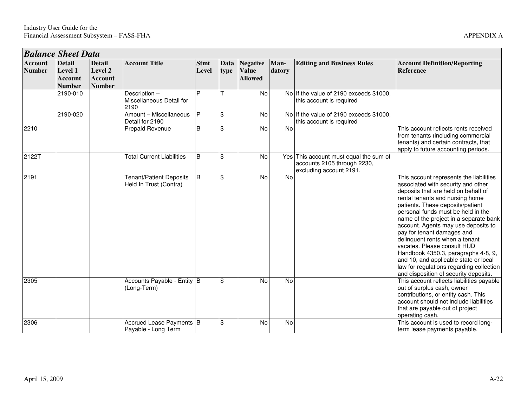(Long-Term)

Payable - Long Term

Accrued Lease Payments B

2210

2122T

2191

2305

2306

|                                 | <b>Balance Sheet Data</b>                                   |                                                             |                                                          |                      |              |                                                   |                |                                                                                                  |                                                                                                                                                                                                                                                                                                                                                                                                                                                                                                                                                                                        |
|---------------------------------|-------------------------------------------------------------|-------------------------------------------------------------|----------------------------------------------------------|----------------------|--------------|---------------------------------------------------|----------------|--------------------------------------------------------------------------------------------------|----------------------------------------------------------------------------------------------------------------------------------------------------------------------------------------------------------------------------------------------------------------------------------------------------------------------------------------------------------------------------------------------------------------------------------------------------------------------------------------------------------------------------------------------------------------------------------------|
| <b>Account</b><br><b>Number</b> | <b>Detail</b><br>Level 1<br><b>Account</b><br><b>Number</b> | <b>Detail</b><br>Level 2<br><b>Account</b><br><b>Number</b> | <b>Account Title</b>                                     | <b>Stmt</b><br>Level | Data<br>type | <b>Negative</b><br><b>Value</b><br><b>Allowed</b> | Man-<br>datory | <b>Editing and Business Rules</b>                                                                | <b>Account Definition/Reporting</b><br><b>Reference</b>                                                                                                                                                                                                                                                                                                                                                                                                                                                                                                                                |
|                                 | 2190-010                                                    |                                                             | Description-<br>Miscellaneous Detail for<br>2190         | P                    |              | No                                                |                | No If the value of 2190 exceeds \$1000.<br>this account is required                              |                                                                                                                                                                                                                                                                                                                                                                                                                                                                                                                                                                                        |
|                                 | 2190-020                                                    |                                                             | Amount - Miscellaneous<br>Detail for 2190                | IP.                  | \$           | No                                                |                | No If the value of 2190 exceeds \$1000.<br>this account is required                              |                                                                                                                                                                                                                                                                                                                                                                                                                                                                                                                                                                                        |
| 2210                            |                                                             |                                                             | Prepaid Revenue                                          | B                    | \$           | No                                                | No             |                                                                                                  | This account reflects rents received<br>from tenants (including commercial<br>tenants) and certain contracts, that<br>apply to future accounting periods.                                                                                                                                                                                                                                                                                                                                                                                                                              |
| 2122T                           |                                                             |                                                             | <b>Total Current Liabilities</b>                         | B                    | \$           | No                                                |                | Yes This account must equal the sum of<br>accounts 2105 through 2230,<br>excluding account 2191. |                                                                                                                                                                                                                                                                                                                                                                                                                                                                                                                                                                                        |
| 2191                            |                                                             |                                                             | <b>Tenant/Patient Deposits</b><br>Held In Trust (Contra) | <b>B</b>             | \$           | No                                                | No             |                                                                                                  | This account represents the liabilities<br>associated with security and other<br>deposits that are held on behalf of<br>rental tenants and nursing home<br>patients. These deposits/patient<br>personal funds must be held in the<br>name of the project in a separate bank<br>account. Agents may use deposits to<br>pay for tenant damages and<br>delinquent rents when a tenant<br>vacates. Please consult HUD<br>Handbook 4350.3, paragraphs 4-8, 9,<br>and 10, and applicable state or local<br>law for regulations regarding collection<br>and disposition of security deposits. |
| 2305                            |                                                             |                                                             | Accounts Payable - Entity B                              |                      | \$           | No                                                | <b>No</b>      |                                                                                                  | This account reflects liabilities payable                                                                                                                                                                                                                                                                                                                                                                                                                                                                                                                                              |

out of surplus cash, owner

term lease payments payable.

operating cash.

B  $\begin{array}{|c|c|c|c|c|}\n\hline\n\end{array}$  No  $\begin{array}{|c|c|c|c|}\n\hline\n\end{array}$  No  $\begin{array}{|c|c|c|}\n\hline\n\end{array}$  This account is used to record long-

 contributions, or entity cash. This account should not include liabilities that are payable out of project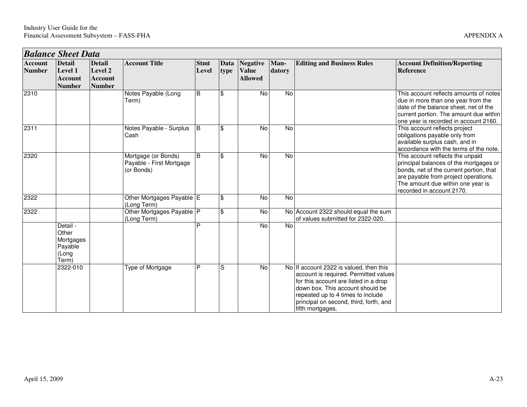|                                 | <b>Balance Sheet Data</b>                                   |                                                             |                                                               |                      |                         |                                                   |                |                                                                                                                                                                                                                                                                  |                                                                                                                                                                                                                                 |  |  |  |
|---------------------------------|-------------------------------------------------------------|-------------------------------------------------------------|---------------------------------------------------------------|----------------------|-------------------------|---------------------------------------------------|----------------|------------------------------------------------------------------------------------------------------------------------------------------------------------------------------------------------------------------------------------------------------------------|---------------------------------------------------------------------------------------------------------------------------------------------------------------------------------------------------------------------------------|--|--|--|
| <b>Account</b><br><b>Number</b> | <b>Detail</b><br>Level 1<br><b>Account</b><br><b>Number</b> | <b>Detail</b><br>Level 2<br><b>Account</b><br><b>Number</b> | <b>Account Title</b>                                          | <b>Stmt</b><br>Level | Data<br>type            | <b>Negative</b><br><b>Value</b><br><b>Allowed</b> | Man-<br>datory | <b>Editing and Business Rules</b>                                                                                                                                                                                                                                | <b>Account Definition/Reporting</b><br>Reference                                                                                                                                                                                |  |  |  |
| 2310                            |                                                             |                                                             | Notes Payable (Long<br>Term)                                  | B                    | \$                      | No                                                | No             |                                                                                                                                                                                                                                                                  | This account reflects amounts of notes<br>due in more than one year from the<br>date of the balance sheet, net of the<br>current portion. The amount due within<br>one year is recorded in account 2160.                        |  |  |  |
| 2311                            |                                                             |                                                             | Notes Payable - Surplus<br>Cash                               | B                    | \$                      | No                                                | No             |                                                                                                                                                                                                                                                                  | This account reflects project<br>obligations payable only from<br>available surplus cash, and in<br>accordance with the terms of the note.                                                                                      |  |  |  |
| 2320                            |                                                             |                                                             | Mortgage (or Bonds)<br>Payable - First Mortgage<br>(or Bonds) | <sub>B</sub>         | \$                      | No                                                | No             |                                                                                                                                                                                                                                                                  | This account reflects the unpaid<br>principal balances of the mortgages or<br>bonds, net of the current portion, that<br>are payable from project operations.<br>The amount due within one year is<br>recorded in account 2170. |  |  |  |
| 2322                            |                                                             |                                                             | Other Mortgages Payable E<br>(Long Term)                      |                      | \$                      | No                                                | No             |                                                                                                                                                                                                                                                                  |                                                                                                                                                                                                                                 |  |  |  |
| 2322                            |                                                             |                                                             | Other Mortgages Payable P<br>(Long Term)                      |                      | $\overline{\mathbf{e}}$ | No                                                |                | No Account 2322 should equal the sum<br>of values submitted for 2322-020.                                                                                                                                                                                        |                                                                                                                                                                                                                                 |  |  |  |
|                                 | Detail -<br>Other<br>Mortgages<br>Payable<br>(Long<br>Term) |                                                             |                                                               | P                    |                         | <b>No</b>                                         | <b>No</b>      |                                                                                                                                                                                                                                                                  |                                                                                                                                                                                                                                 |  |  |  |
|                                 | 2322-010                                                    |                                                             | Type of Mortgage                                              | P                    | S                       | No                                                |                | No If account 2322 is valued, then this<br>account is required. Permitted values<br>for this account are listed in a drop<br>down box. This account should be<br>repeated up to 4 times to include<br>principal on second, third, forth, and<br>fifth mortgages. |                                                                                                                                                                                                                                 |  |  |  |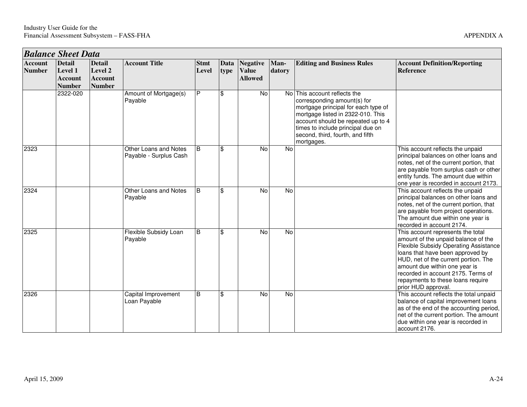|                                 | <b>Balance Sheet Data</b>                                          |                                                             |                                                 |                      |              |                                                   |                |                                                                                                                                                                                                                                                                      |                                                                                                                                                                                                                                                                                                                                  |  |  |  |  |
|---------------------------------|--------------------------------------------------------------------|-------------------------------------------------------------|-------------------------------------------------|----------------------|--------------|---------------------------------------------------|----------------|----------------------------------------------------------------------------------------------------------------------------------------------------------------------------------------------------------------------------------------------------------------------|----------------------------------------------------------------------------------------------------------------------------------------------------------------------------------------------------------------------------------------------------------------------------------------------------------------------------------|--|--|--|--|
| <b>Account</b><br><b>Number</b> | <b>Detail</b><br><b>Level 1</b><br><b>Account</b><br><b>Number</b> | <b>Detail</b><br>Level 2<br><b>Account</b><br><b>Number</b> | <b>Account Title</b>                            | <b>Stmt</b><br>Level | Data<br>type | <b>Negative</b><br><b>Value</b><br><b>Allowed</b> | Man-<br>datory | <b>Editing and Business Rules</b>                                                                                                                                                                                                                                    | <b>Account Definition/Reporting</b><br><b>Reference</b>                                                                                                                                                                                                                                                                          |  |  |  |  |
|                                 | 2322-020                                                           |                                                             | Amount of Mortgage(s)<br>Payable                | P                    | \$           | No                                                |                | No This account reflects the<br>corresponding amount(s) for<br>mortgage principal for each type of<br>mortgage listed in 2322-010. This<br>account should be repeated up to 4<br>times to include principal due on<br>second, third, fourth, and fifth<br>mortgages. |                                                                                                                                                                                                                                                                                                                                  |  |  |  |  |
| 2323                            |                                                                    |                                                             | Other Loans and Notes<br>Payable - Surplus Cash | B                    | \$           | <b>No</b>                                         | <b>No</b>      |                                                                                                                                                                                                                                                                      | This account reflects the unpaid<br>principal balances on other loans and<br>notes, net of the current portion, that<br>are payable from surplus cash or other<br>entity funds. The amount due within<br>one year is recorded in account 2173.                                                                                   |  |  |  |  |
| 2324                            |                                                                    |                                                             | Other Loans and Notes<br>Payable                | <b>B</b>             | \$           | <b>No</b>                                         | <b>No</b>      |                                                                                                                                                                                                                                                                      | This account reflects the unpaid<br>principal balances on other loans and<br>notes, net of the current portion, that<br>are payable from project operations.<br>The amount due within one year is<br>recorded in account 2174.                                                                                                   |  |  |  |  |
| 2325                            |                                                                    |                                                             | Flexible Subsidy Loan<br>Payable                | B                    | \$           | <b>No</b>                                         | <b>No</b>      |                                                                                                                                                                                                                                                                      | This account represents the total<br>amount of the unpaid balance of the<br>Flexible Subsidy Operating Assistance<br>loans that have been approved by<br>HUD, net of the current portion. The<br>amount due within one year is<br>recorded in account 2175. Terms of<br>repayments to these loans require<br>prior HUD approval. |  |  |  |  |
| 2326                            |                                                                    |                                                             | Capital Improvement<br>Loan Payable             | $\overline{B}$       | \$           | <b>No</b>                                         | <b>No</b>      |                                                                                                                                                                                                                                                                      | This account reflects the total unpaid<br>balance of capital improvement loans<br>as of the end of the accounting period,<br>net of the current portion. The amount<br>due within one year is recorded in<br>account 2176.                                                                                                       |  |  |  |  |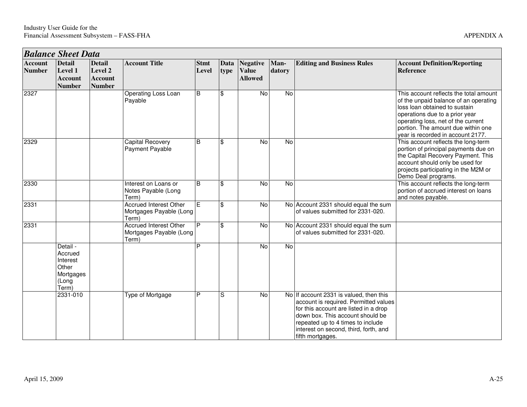| <b>Balance Sheet Data</b>       |                                                                         |                                                             |                                                                   |                      |                     |                                                   |                |                                                                                                                                                                                                                                                                 |                                                                                                                                                                                                                                                                     |  |  |
|---------------------------------|-------------------------------------------------------------------------|-------------------------------------------------------------|-------------------------------------------------------------------|----------------------|---------------------|---------------------------------------------------|----------------|-----------------------------------------------------------------------------------------------------------------------------------------------------------------------------------------------------------------------------------------------------------------|---------------------------------------------------------------------------------------------------------------------------------------------------------------------------------------------------------------------------------------------------------------------|--|--|
| <b>Account</b><br><b>Number</b> | <b>Detail</b><br>Level 1<br><b>Account</b><br><b>Number</b>             | <b>Detail</b><br>Level 2<br><b>Account</b><br><b>Number</b> | <b>Account Title</b>                                              | <b>Stmt</b><br>Level | <b>Data</b><br>type | <b>Negative</b><br><b>Value</b><br><b>Allowed</b> | Man-<br>datory | <b>Editing and Business Rules</b>                                                                                                                                                                                                                               | <b>Account Definition/Reporting</b><br><b>Reference</b>                                                                                                                                                                                                             |  |  |
| 2327                            |                                                                         |                                                             | Operating Loss Loan<br>Payable                                    | B                    | \$                  | <b>No</b>                                         | <b>No</b>      |                                                                                                                                                                                                                                                                 | This account reflects the total amount<br>of the unpaid balance of an operating<br>loss loan obtained to sustain<br>operations due to a prior year<br>operating loss, net of the current<br>portion. The amount due within one<br>year is recorded in account 2177. |  |  |
| 2329                            |                                                                         |                                                             | <b>Capital Recovery</b><br>Payment Payable                        | B                    | \$                  | <b>No</b>                                         | No             |                                                                                                                                                                                                                                                                 | This account reflects the long-term<br>portion of principal payments due on<br>the Capital Recovery Payment. This<br>account should only be used for<br>projects participating in the M2M or<br>Demo Deal programs.                                                 |  |  |
| 2330                            |                                                                         |                                                             | Interest on Loans or<br>Notes Payable (Long<br>Term)              | B                    | \$                  | $\overline{N}$                                    | <b>No</b>      |                                                                                                                                                                                                                                                                 | This account reflects the long-term<br>portion of accrued interest on loans<br>and notes payable.                                                                                                                                                                   |  |  |
| 2331                            |                                                                         |                                                             | <b>Accrued Interest Other</b><br>Mortgages Payable (Long<br>Term) | E                    | \$                  | $\overline{N}$                                    |                | No Account 2331 should equal the sum<br>of values submitted for 2331-020.                                                                                                                                                                                       |                                                                                                                                                                                                                                                                     |  |  |
| 2331                            |                                                                         |                                                             | <b>Accrued Interest Other</b><br>Mortgages Payable (Long<br>Term) | P                    | \$                  | No                                                |                | No Account 2331 should equal the sum<br>of values submitted for 2331-020.                                                                                                                                                                                       |                                                                                                                                                                                                                                                                     |  |  |
|                                 | Detail -<br>Accrued<br>Interest<br>Other<br>Mortgages<br>(Long<br>Term) |                                                             |                                                                   | P                    |                     | $\overline{N}$                                    | $\overline{N}$ |                                                                                                                                                                                                                                                                 |                                                                                                                                                                                                                                                                     |  |  |
|                                 | 2331-010                                                                |                                                             | Type of Mortgage                                                  | P                    | S                   | No                                                |                | No If account 2331 is valued, then this<br>account is required. Permitted values<br>for this account are listed in a drop<br>down box. This account should be<br>repeated up to 4 times to include<br>interest on second, third, forth, and<br>fifth mortgages. |                                                                                                                                                                                                                                                                     |  |  |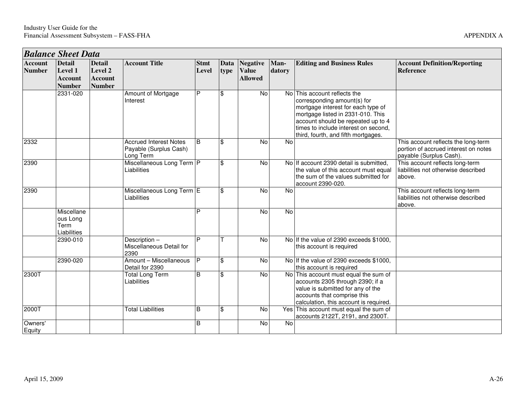|                                 | <b>Balance Sheet Data</b>                                   |                                                             |                                                                      |                      |                         |                                                   |                |                                                                                                                                                                                                                                                             |                                                                                                        |  |  |  |
|---------------------------------|-------------------------------------------------------------|-------------------------------------------------------------|----------------------------------------------------------------------|----------------------|-------------------------|---------------------------------------------------|----------------|-------------------------------------------------------------------------------------------------------------------------------------------------------------------------------------------------------------------------------------------------------------|--------------------------------------------------------------------------------------------------------|--|--|--|
| <b>Account</b><br><b>Number</b> | <b>Detail</b><br>Level 1<br><b>Account</b><br><b>Number</b> | <b>Detail</b><br>Level 2<br><b>Account</b><br><b>Number</b> | <b>Account Title</b>                                                 | <b>Stmt</b><br>Level | <b>Data</b><br>type     | <b>Negative</b><br><b>Value</b><br><b>Allowed</b> | Man-<br>datory | <b>Editing and Business Rules</b>                                                                                                                                                                                                                           | <b>Account Definition/Reporting</b><br><b>Reference</b>                                                |  |  |  |
|                                 | 2331-020                                                    |                                                             | Amount of Mortgage<br>Interest                                       | P                    | \$                      | <b>No</b>                                         |                | No This account reflects the<br>corresponding amount(s) for<br>mortgage interest for each type of<br>mortgage listed in 2331-010. This<br>account should be repeated up to 4<br>times to include interest on second,<br>third, fourth, and fifth mortgages. |                                                                                                        |  |  |  |
| 2332                            |                                                             |                                                             | <b>Accrued Interest Notes</b><br>Payable (Surplus Cash)<br>Long Term | <sub>B</sub>         | \$                      | <b>No</b>                                         | <b>No</b>      |                                                                                                                                                                                                                                                             | This account reflects the long-term<br>portion of accrued interest on notes<br>payable (Surplus Cash). |  |  |  |
| 2390                            |                                                             |                                                             | Miscellaneous Long Term P<br>Liabilities                             |                      | \$                      | <b>No</b>                                         |                | No If account 2390 detail is submitted.<br>the value of this account must equal<br>the sum of the values submitted for<br>account 2390-020.                                                                                                                 | This account reflects long-term<br>liabilities not otherwise described<br>above.                       |  |  |  |
| 2390                            |                                                             |                                                             | Miscellaneous Long Term E<br>Liabilities                             |                      | $\overline{\mathbf{s}}$ | <b>No</b>                                         | <b>No</b>      |                                                                                                                                                                                                                                                             | This account reflects long-term<br>liabilities not otherwise described<br>above.                       |  |  |  |
|                                 | Miscellane<br>ous Long<br>Term<br>Liabilities               |                                                             |                                                                      | Þ                    |                         | <b>No</b>                                         | <b>No</b>      |                                                                                                                                                                                                                                                             |                                                                                                        |  |  |  |
|                                 | 2390-010                                                    |                                                             | Description-<br>Miscellaneous Detail for<br>2390                     | P                    |                         | <b>No</b>                                         |                | No If the value of 2390 exceeds \$1000.<br>this account is required                                                                                                                                                                                         |                                                                                                        |  |  |  |
|                                 | 2390-020                                                    |                                                             | Amount - Miscellaneous<br>Detail for 2390                            | $\overline{P}$       | $\overline{\mathbf{e}}$ | $\overline{N}$                                    |                | No If the value of 2390 exceeds \$1000,<br>this account is required                                                                                                                                                                                         |                                                                                                        |  |  |  |
| 2300T                           |                                                             |                                                             | <b>Total Long Term</b><br>Liabilities                                | B                    | \$                      | No                                                |                | No This account must equal the sum of<br>accounts 2305 through 2390; if a<br>value is submitted for any of the<br>accounts that comprise this<br>calculation, this account is required.                                                                     |                                                                                                        |  |  |  |
| 2000T                           |                                                             |                                                             | <b>Total Liabilities</b>                                             | B                    | \$                      | No                                                |                | Yes This account must equal the sum of<br>accounts 2122T, 2191, and 2300T.                                                                                                                                                                                  |                                                                                                        |  |  |  |
| Owners'<br>Equity               |                                                             |                                                             |                                                                      | B                    |                         | No                                                | <b>No</b>      |                                                                                                                                                                                                                                                             |                                                                                                        |  |  |  |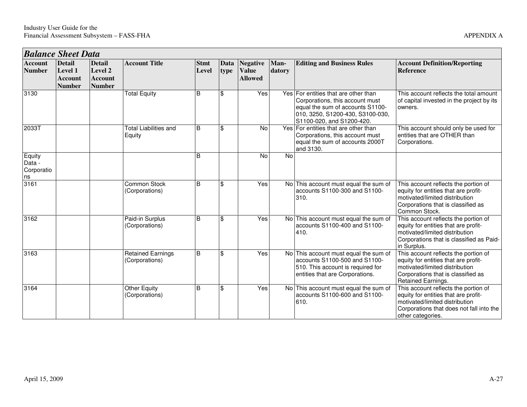| <b>Balance Sheet Data</b>            |                                                             |                                                             |                                            |                      |              |                                                   |                |                                                                                                                                                                              |                                                                                                                                                                                 |
|--------------------------------------|-------------------------------------------------------------|-------------------------------------------------------------|--------------------------------------------|----------------------|--------------|---------------------------------------------------|----------------|------------------------------------------------------------------------------------------------------------------------------------------------------------------------------|---------------------------------------------------------------------------------------------------------------------------------------------------------------------------------|
| <b>Account</b><br><b>Number</b>      | <b>Detail</b><br>Level 1<br><b>Account</b><br><b>Number</b> | <b>Detail</b><br>Level 2<br><b>Account</b><br><b>Number</b> | <b>Account Title</b>                       | <b>Stmt</b><br>Level | Data<br>type | <b>Negative</b><br><b>Value</b><br><b>Allowed</b> | Man-<br>datory | <b>Editing and Business Rules</b>                                                                                                                                            | <b>Account Definition/Reporting</b><br><b>Reference</b>                                                                                                                         |
| 3130                                 |                                                             |                                                             | <b>Total Equity</b>                        | B                    | \$           | Yes                                               |                | Yes For entities that are other than<br>Corporations, this account must<br>equal the sum of accounts S1100-<br>010, 3250, S1200-430, S3100-030,<br>S1100-020, and S1200-420. | This account reflects the total amount<br>of capital invested in the project by its<br>owners.                                                                                  |
| 2033T                                |                                                             |                                                             | <b>Total Liabilities and</b><br>Equity     | B                    | \$           | <b>No</b>                                         |                | Yes For entities that are other than<br>Corporations, this account must<br>equal the sum of accounts 2000T<br>and 3130.                                                      | This account should only be used for<br>entities that are OTHER than<br>Corporations.                                                                                           |
| Equity<br>Data -<br>Corporatio<br>ns |                                                             |                                                             |                                            | B                    |              | No                                                | <b>No</b>      |                                                                                                                                                                              |                                                                                                                                                                                 |
| 3161                                 |                                                             |                                                             | Common Stock<br>(Corporations)             | B                    | \$           | Yes                                               |                | No This account must equal the sum of<br>accounts S1100-300 and S1100-<br>310.                                                                                               | This account reflects the portion of<br>equity for entities that are profit-<br>motivated/limited distribution<br>Corporations that is classified as<br>Common Stock.           |
| 3162                                 |                                                             |                                                             | Paid-in Surplus<br>(Corporations)          | B                    | \$           | Yes                                               |                | No This account must equal the sum of<br>accounts S1100-400 and S1100-<br>410.                                                                                               | This account reflects the portion of<br>equity for entities that are profit-<br>motivated/limited distribution<br>Corporations that is classified as Paid-<br>in Surplus.       |
| 3163                                 |                                                             |                                                             | <b>Retained Earnings</b><br>(Corporations) | B                    | \$           | Yes                                               |                | No This account must equal the sum of<br>accounts S1100-500 and S1100-<br>510. This account is required for<br>entities that are Corporations.                               | This account reflects the portion of<br>equity for entities that are profit-<br>motivated/limited distribution<br>Corporations that is classified as<br>Retained Earnings.      |
| 3164                                 |                                                             |                                                             | <b>Other Equity</b><br>(Corporations)      | B                    | \$           | Yes                                               |                | No This account must equal the sum of<br>accounts S1100-600 and S1100-<br>610.                                                                                               | This account reflects the portion of<br>equity for entities that are profit-<br>motivated/limited distribution<br>Corporations that does not fall into the<br>other categories. |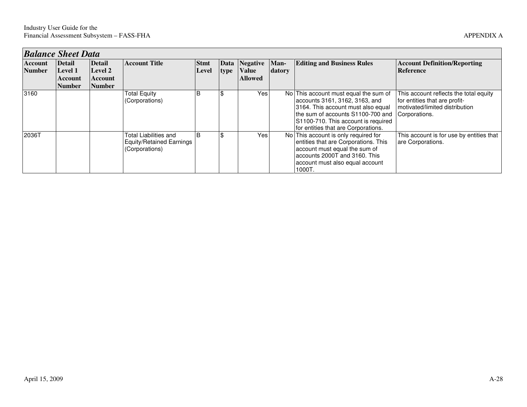| <b>Balance Sheet Data</b> |               |                |                                                                            |              |      |                |        |                                                                                                                                                                                                                                  |                                                                                                                            |  |  |  |
|---------------------------|---------------|----------------|----------------------------------------------------------------------------|--------------|------|----------------|--------|----------------------------------------------------------------------------------------------------------------------------------------------------------------------------------------------------------------------------------|----------------------------------------------------------------------------------------------------------------------------|--|--|--|
| <b>Account</b>            | <b>Detail</b> | <b>Detail</b>  | <b>Account Title</b>                                                       | <b>Stmt</b>  |      | Data Negative  | Man-   | <b>Editing and Business Rules</b>                                                                                                                                                                                                | <b>Account Definition/Reporting</b>                                                                                        |  |  |  |
| <b>Number</b>             | Level 1       | Level 2        |                                                                            | Level        | type | <b>Value</b>   | datory |                                                                                                                                                                                                                                  | Reference                                                                                                                  |  |  |  |
|                           | Account       | <b>Account</b> |                                                                            |              |      | <b>Allowed</b> |        |                                                                                                                                                                                                                                  |                                                                                                                            |  |  |  |
|                           | <b>Number</b> | <b>Number</b>  |                                                                            |              |      |                |        |                                                                                                                                                                                                                                  |                                                                                                                            |  |  |  |
| 3160                      |               |                | <b>Total Equity</b><br>(Corporations)                                      | B            |      | Yes            |        | No This account must equal the sum of<br>accounts 3161, 3162, 3163, and<br>3164. This account must also equal<br>the sum of accounts S1100-700 and<br>S1100-710. This account is required<br>for entities that are Corporations. | This account reflects the total equity<br>for entities that are profit-<br>motivated/limited distribution<br>Corporations. |  |  |  |
| 2036T                     |               |                | Total Liabilities and<br><b>Equity/Retained Earnings</b><br>(Corporations) | <sup>B</sup> |      | Yes            |        | No This account is only required for<br>entities that are Corporations. This<br>account must equal the sum of<br>accounts 2000T and 3160. This<br>account must also equal account<br>1000T.                                      | This account is for use by entities that<br>are Corporations.                                                              |  |  |  |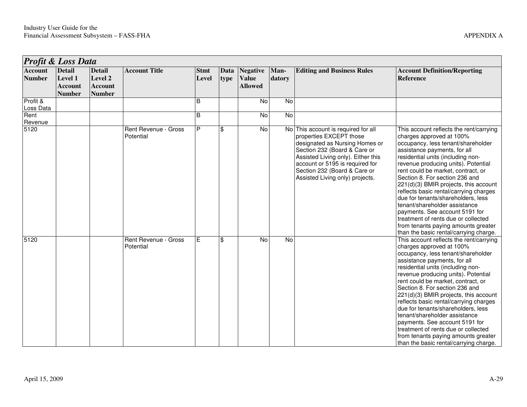|                                 | Profit & Loss Data                                          |                                                             |                                   |                      |              |                                                   |                |                                                                                                                                                                                                                                                                              |                                                                                                                                                                                                                                                                                                                                                                                                                                                                                                                                                                                                                   |  |  |  |
|---------------------------------|-------------------------------------------------------------|-------------------------------------------------------------|-----------------------------------|----------------------|--------------|---------------------------------------------------|----------------|------------------------------------------------------------------------------------------------------------------------------------------------------------------------------------------------------------------------------------------------------------------------------|-------------------------------------------------------------------------------------------------------------------------------------------------------------------------------------------------------------------------------------------------------------------------------------------------------------------------------------------------------------------------------------------------------------------------------------------------------------------------------------------------------------------------------------------------------------------------------------------------------------------|--|--|--|
| <b>Account</b><br><b>Number</b> | <b>Detail</b><br>Level 1<br><b>Account</b><br><b>Number</b> | <b>Detail</b><br>Level 2<br><b>Account</b><br><b>Number</b> | <b>Account Title</b>              | <b>Stmt</b><br>Level | Data<br>type | <b>Negative</b><br><b>Value</b><br><b>Allowed</b> | Man-<br>datory | <b>Editing and Business Rules</b>                                                                                                                                                                                                                                            | <b>Account Definition/Reporting</b><br><b>Reference</b>                                                                                                                                                                                                                                                                                                                                                                                                                                                                                                                                                           |  |  |  |
| Profit &<br>Loss Data           |                                                             |                                                             |                                   | B                    |              | No                                                | No             |                                                                                                                                                                                                                                                                              |                                                                                                                                                                                                                                                                                                                                                                                                                                                                                                                                                                                                                   |  |  |  |
| Rent<br>Revenue                 |                                                             |                                                             |                                   | B                    |              | No                                                | No             |                                                                                                                                                                                                                                                                              |                                                                                                                                                                                                                                                                                                                                                                                                                                                                                                                                                                                                                   |  |  |  |
| 5120                            |                                                             |                                                             | Rent Revenue - Gross<br>Potential | P                    | \$           | No                                                |                | No This account is required for all<br>properties EXCEPT those<br>designated as Nursing Homes or<br>Section 232 (Board & Care or<br>Assisted Living only). Either this<br>account or 5195 is required for<br>Section 232 (Board & Care or<br>Assisted Living only) projects. | This account reflects the rent/carrying<br>charges approved at 100%<br>occupancy, less tenant/shareholder<br>assistance payments, for all<br>residential units (including non-<br>revenue producing units). Potential<br>rent could be market, contract, or<br>Section 8. For section 236 and<br>221(d)(3) BMIR projects, this account<br>reflects basic rental/carrying charges<br>due for tenants/shareholders, less<br>tenant/shareholder assistance<br>payments. See account 5191 for<br>treatment of rents due or collected<br>from tenants paying amounts greater<br>than the basic rental/carrying charge. |  |  |  |
| 5120                            |                                                             |                                                             | Rent Revenue - Gross<br>Potential | Е                    | \$           | No                                                | N <sub>o</sub> |                                                                                                                                                                                                                                                                              | This account reflects the rent/carrying<br>charges approved at 100%<br>occupancy, less tenant/shareholder<br>assistance payments, for all<br>residential units (including non-<br>revenue producing units). Potential<br>rent could be market, contract, or<br>Section 8. For section 236 and<br>221(d)(3) BMIR projects, this account<br>reflects basic rental/carrying charges<br>due for tenants/shareholders, less<br>tenant/shareholder assistance<br>payments. See account 5191 for<br>treatment of rents due or collected<br>from tenants paying amounts greater<br>than the basic rental/carrying charge. |  |  |  |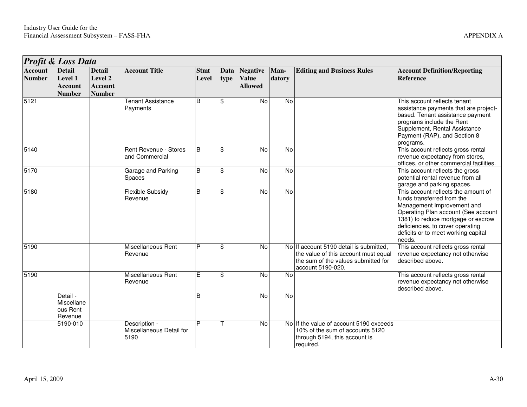|                                 | <b>Profit &amp; Loss Data</b>                               |                                                             |                                                   |                      |              |                                                   |                |                                                                                                                                             |                                                                                                                                                                                                                                                                   |
|---------------------------------|-------------------------------------------------------------|-------------------------------------------------------------|---------------------------------------------------|----------------------|--------------|---------------------------------------------------|----------------|---------------------------------------------------------------------------------------------------------------------------------------------|-------------------------------------------------------------------------------------------------------------------------------------------------------------------------------------------------------------------------------------------------------------------|
| <b>Account</b><br><b>Number</b> | <b>Detail</b><br>Level 1<br><b>Account</b><br><b>Number</b> | <b>Detail</b><br>Level 2<br><b>Account</b><br><b>Number</b> | <b>Account Title</b>                              | <b>Stmt</b><br>Level | Data<br>type | <b>Negative</b><br><b>Value</b><br><b>Allowed</b> | Man-<br>datory | <b>Editing and Business Rules</b>                                                                                                           | <b>Account Definition/Reporting</b><br><b>Reference</b>                                                                                                                                                                                                           |
| 5121                            |                                                             |                                                             | <b>Tenant Assistance</b><br>Payments              | B                    | \$           | $\overline{N}$                                    | $\overline{N}$ |                                                                                                                                             | This account reflects tenant<br>assistance payments that are project-<br>based. Tenant assistance payment<br>programs include the Rent<br>Supplement, Rental Assistance<br>Payment (RAP), and Section 8<br>programs.                                              |
| 5140                            |                                                             |                                                             | Rent Revenue - Stores<br>and Commercial           | B                    | \$           | No                                                | $\overline{N}$ |                                                                                                                                             | This account reflects gross rental<br>revenue expectancy from stores,<br>offices, or other commercial facilities.                                                                                                                                                 |
| 5170                            |                                                             |                                                             | Garage and Parking<br><b>Spaces</b>               | <sub>B</sub>         | \$           | No                                                | No             |                                                                                                                                             | This account reflects the gross<br>potential rental revenue from all<br>garage and parking spaces.                                                                                                                                                                |
| 5180                            |                                                             |                                                             | <b>Flexible Subsidy</b><br>Revenue                | B                    | \$           | No                                                | $\overline{N}$ |                                                                                                                                             | This account reflects the amount of<br>funds transferred from the<br>Management Improvement and<br>Operating Plan account (See account<br>1381) to reduce mortgage or escrow<br>deficiencies, to cover operating<br>deficits or to meet working capital<br>needs. |
| 5190                            |                                                             |                                                             | Miscellaneous Rent<br>Revenue                     | P                    | \$           | No                                                |                | No If account 5190 detail is submitted,<br>the value of this account must equal<br>the sum of the values submitted for<br>account 5190-020. | This account reflects gross rental<br>revenue expectancy not otherwise<br>described above.                                                                                                                                                                        |
| 5190                            |                                                             |                                                             | Miscellaneous Rent<br>Revenue                     | Е                    | \$           | <b>No</b>                                         | No             |                                                                                                                                             | This account reflects gross rental<br>revenue expectancy not otherwise<br>described above.                                                                                                                                                                        |
|                                 | Detail -<br>Miscellane<br>ous Rent<br>Revenue               |                                                             |                                                   | B                    |              | No                                                | <b>No</b>      |                                                                                                                                             |                                                                                                                                                                                                                                                                   |
|                                 | 5190-010                                                    |                                                             | Description -<br>Miscellaneous Detail for<br>5190 | D                    |              | No                                                |                | No If the value of account 5190 exceeds<br>10% of the sum of accounts 5120<br>through 5194, this account is<br>required.                    |                                                                                                                                                                                                                                                                   |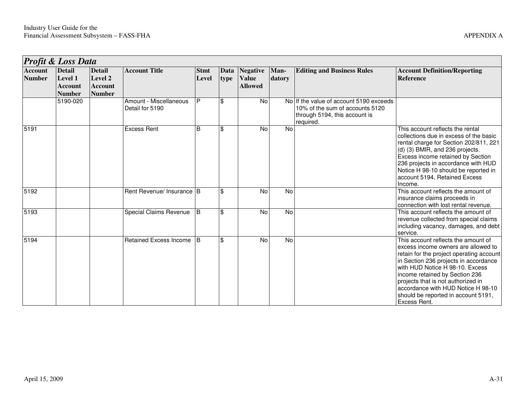|                                 | <b>Profit &amp; Loss Data</b>                               |                                                             |                                           |                      |              |                                            |                |                                                                                                                          |                                                                                                                                                                                                                                                                                                                                                                         |  |  |  |  |
|---------------------------------|-------------------------------------------------------------|-------------------------------------------------------------|-------------------------------------------|----------------------|--------------|--------------------------------------------|----------------|--------------------------------------------------------------------------------------------------------------------------|-------------------------------------------------------------------------------------------------------------------------------------------------------------------------------------------------------------------------------------------------------------------------------------------------------------------------------------------------------------------------|--|--|--|--|
| <b>Account</b><br><b>Number</b> | <b>Detail</b><br>Level 1<br><b>Account</b><br><b>Number</b> | <b>Detail</b><br>Level 2<br><b>Account</b><br><b>Number</b> | <b>Account Title</b>                      | <b>Stmt</b><br>Level | Data<br>type | Negative<br><b>Value</b><br><b>Allowed</b> | Man-<br>datory | <b>Editing and Business Rules</b>                                                                                        | <b>Account Definition/Reporting</b><br>Reference                                                                                                                                                                                                                                                                                                                        |  |  |  |  |
|                                 | 5190-020                                                    |                                                             | Amount - Miscellaneous<br>Detail for 5190 | P                    | \$           | No                                         |                | No If the value of account 5190 exceeds<br>10% of the sum of accounts 5120<br>through 5194, this account is<br>required. |                                                                                                                                                                                                                                                                                                                                                                         |  |  |  |  |
| 5191                            |                                                             |                                                             | <b>Excess Rent</b>                        | B                    | \$           | No                                         | <b>No</b>      |                                                                                                                          | This account reflects the rental<br>collections due in excess of the basic<br>rental charge for Section 202/811, 221<br>(d) (3) BMIR, and 236 projects.<br>Excess income retained by Section<br>236 projects in accordance with HUD<br>Notice H 98-10 should be reported in<br>account 5194, Retained Excess<br>Income.                                                 |  |  |  |  |
| 5192                            |                                                             |                                                             | Rent Revenue/ Insurance B                 |                      | \$           | <b>No</b>                                  | No             |                                                                                                                          | This account reflects the amount of<br>insurance claims proceeds in<br>connection with lost rental revenue.                                                                                                                                                                                                                                                             |  |  |  |  |
| 5193                            |                                                             |                                                             | Special Claims Revenue                    | B                    | \$           | No                                         | <b>No</b>      |                                                                                                                          | This account reflects the amount of<br>revenue collected from special claims<br>including vacancy, damages, and debt<br>service.                                                                                                                                                                                                                                        |  |  |  |  |
| 5194                            |                                                             |                                                             | <b>Retained Excess Income</b>             | IB.                  | \$           | No                                         | N <sub>o</sub> |                                                                                                                          | This account reflects the amount of<br>excess income owners are allowed to<br>retain for the project operating account<br>in Section 236 projects in accordance<br>with HUD Notice H 98-10. Excess<br>income retained by Section 236<br>projects that is not authorized in<br>accordance with HUD Notice H 98-10<br>should be reported in account 5191,<br>Excess Rent. |  |  |  |  |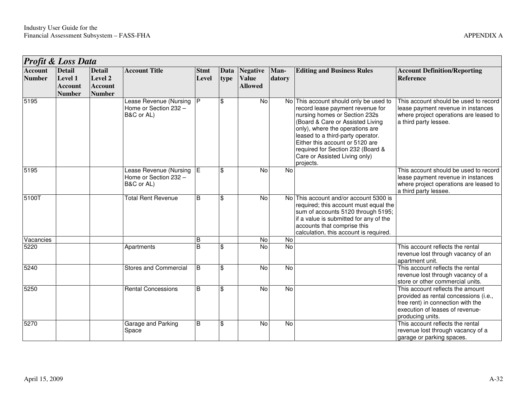|                                 | Profit & Loss Data                                                 |                                                             |                                                               |                      |              |                                                   |                |                                                                                                                                                                                                                                                                                                                                               |                                                                                                                                                                       |
|---------------------------------|--------------------------------------------------------------------|-------------------------------------------------------------|---------------------------------------------------------------|----------------------|--------------|---------------------------------------------------|----------------|-----------------------------------------------------------------------------------------------------------------------------------------------------------------------------------------------------------------------------------------------------------------------------------------------------------------------------------------------|-----------------------------------------------------------------------------------------------------------------------------------------------------------------------|
| <b>Account</b><br><b>Number</b> | <b>Detail</b><br><b>Level 1</b><br><b>Account</b><br><b>Number</b> | <b>Detail</b><br>Level 2<br><b>Account</b><br><b>Number</b> | <b>Account Title</b>                                          | <b>Stmt</b><br>Level | Data<br>type | <b>Negative</b><br><b>Value</b><br><b>Allowed</b> | Man-<br>datory | <b>Editing and Business Rules</b>                                                                                                                                                                                                                                                                                                             | <b>Account Definition/Reporting</b><br>Reference                                                                                                                      |
| 5195                            |                                                                    |                                                             | Lease Revenue (Nursing<br>Home or Section 232 -<br>B&C or AL) | IP.                  | \$           | <b>No</b>                                         |                | No This account should only be used to<br>record lease payment revenue for<br>nursing homes or Section 232s<br>(Board & Care or Assisted Living<br>only), where the operations are<br>leased to a third-party operator.<br>Either this account or 5120 are<br>required for Section 232 (Board &<br>Care or Assisted Living only)<br>projects. | This account should be used to record<br>lease payment revenue in instances<br>where project operations are leased to<br>a third party lessee.                        |
| 5195                            |                                                                    |                                                             | Lease Revenue (Nursing<br>Home or Section 232 -<br>B&C or AL) | E                    | \$           | No                                                | No             |                                                                                                                                                                                                                                                                                                                                               | This account should be used to record<br>lease payment revenue in instances<br>where project operations are leased to<br>a third party lessee.                        |
| 5100T                           |                                                                    |                                                             | <b>Total Rent Revenue</b>                                     | B                    | \$           | No                                                |                | No This account and/or account 5300 is<br>required; this account must equal the<br>sum of accounts 5120 through 5195;<br>if a value is submitted for any of the<br>accounts that comprise this<br>calculation, this account is required.                                                                                                      |                                                                                                                                                                       |
| Vacancies                       |                                                                    |                                                             |                                                               | B                    |              | No                                                | No             |                                                                                                                                                                                                                                                                                                                                               |                                                                                                                                                                       |
| 5220                            |                                                                    |                                                             | Apartments                                                    | B                    | \$           | No                                                | <b>No</b>      |                                                                                                                                                                                                                                                                                                                                               | This account reflects the rental<br>revenue lost through vacancy of an<br>apartment unit.                                                                             |
| $\frac{1}{2240}$                |                                                                    |                                                             | <b>Stores and Commercial</b>                                  | B                    | \$           | No                                                | <b>No</b>      |                                                                                                                                                                                                                                                                                                                                               | This account reflects the rental<br>revenue lost through vacancy of a<br>store or other commercial units.                                                             |
| 5250                            |                                                                    |                                                             | <b>Rental Concessions</b>                                     | B                    | \$           | <b>No</b>                                         | <b>No</b>      |                                                                                                                                                                                                                                                                                                                                               | This account reflects the amount<br>provided as rental concessions (i.e.,<br>free rent) in connection with the<br>execution of leases of revenue-<br>producing units. |
| 5270                            |                                                                    |                                                             | Garage and Parking<br>Space                                   | B                    | \$           | No                                                | No             |                                                                                                                                                                                                                                                                                                                                               | This account reflects the rental<br>revenue lost through vacancy of a<br>garage or parking spaces.                                                                    |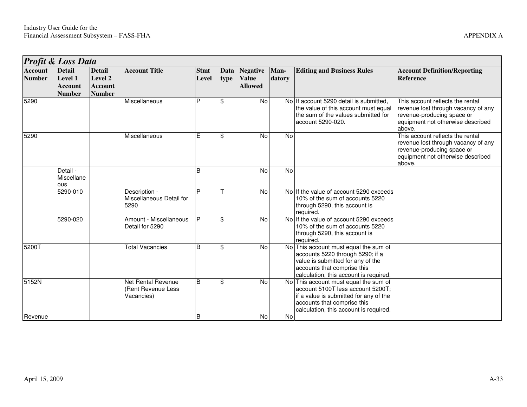|                                 | <b>Profit &amp; Loss Data</b>                               |                                                             |                                                        |                      |              |                                                   |                |                                                                                                                                                                                            |                                                                                                                                                      |  |  |  |  |
|---------------------------------|-------------------------------------------------------------|-------------------------------------------------------------|--------------------------------------------------------|----------------------|--------------|---------------------------------------------------|----------------|--------------------------------------------------------------------------------------------------------------------------------------------------------------------------------------------|------------------------------------------------------------------------------------------------------------------------------------------------------|--|--|--|--|
| <b>Account</b><br><b>Number</b> | <b>Detail</b><br>Level 1<br><b>Account</b><br><b>Number</b> | <b>Detail</b><br>Level 2<br><b>Account</b><br><b>Number</b> | <b>Account Title</b>                                   | <b>Stmt</b><br>Level | Data<br>type | <b>Negative</b><br><b>Value</b><br><b>Allowed</b> | Man-<br>datory | <b>Editing and Business Rules</b>                                                                                                                                                          | <b>Account Definition/Reporting</b><br>Reference                                                                                                     |  |  |  |  |
| 5290                            |                                                             |                                                             | Miscellaneous                                          | P                    | \$           | <b>No</b>                                         |                | No If account 5290 detail is submitted,<br>the value of this account must equal<br>the sum of the values submitted for<br>account 5290-020.                                                | This account reflects the rental<br>revenue lost through vacancy of any<br>revenue-producing space or<br>equipment not otherwise described<br>above. |  |  |  |  |
| 5290                            |                                                             |                                                             | Miscellaneous                                          | E                    | \$           | No                                                | No             |                                                                                                                                                                                            | This account reflects the rental<br>revenue lost through vacancy of any<br>revenue-producing space or<br>equipment not otherwise described<br>above. |  |  |  |  |
|                                 | Detail -<br>Miscellane<br>ous                               |                                                             |                                                        | B                    |              | <b>No</b>                                         | No             |                                                                                                                                                                                            |                                                                                                                                                      |  |  |  |  |
|                                 | $5290 - 010$                                                |                                                             | Description -<br>Miscellaneous Detail for<br>5290      | P                    |              | No                                                |                | No If the value of account 5290 exceeds<br>10% of the sum of accounts 5220<br>through 5290, this account is<br>required.                                                                   |                                                                                                                                                      |  |  |  |  |
|                                 | 5290-020                                                    |                                                             | Amount - Miscellaneous<br>Detail for 5290              | P                    | \$           | No                                                |                | No If the value of account 5290 exceeds<br>10% of the sum of accounts 5220<br>through 5290, this account is<br>required.                                                                   |                                                                                                                                                      |  |  |  |  |
| 5200T                           |                                                             |                                                             | <b>Total Vacancies</b>                                 | B                    | \$           | <b>No</b>                                         | No l           | This account must equal the sum of<br>accounts 5220 through 5290; if a<br>value is submitted for any of the<br>accounts that comprise this<br>calculation, this account is required.       |                                                                                                                                                      |  |  |  |  |
| 5152N                           |                                                             |                                                             | Net Rental Revenue<br>(Rent Revenue Less<br>Vacancies) | B                    | \$           | <b>No</b>                                         | No!            | This account must equal the sum of<br>account 5100T less account 5200T;<br>if a value is submitted for any of the<br>accounts that comprise this<br>calculation, this account is required. |                                                                                                                                                      |  |  |  |  |
| Revenue                         |                                                             |                                                             |                                                        | B                    |              | <b>No</b>                                         | No             |                                                                                                                                                                                            |                                                                                                                                                      |  |  |  |  |

٦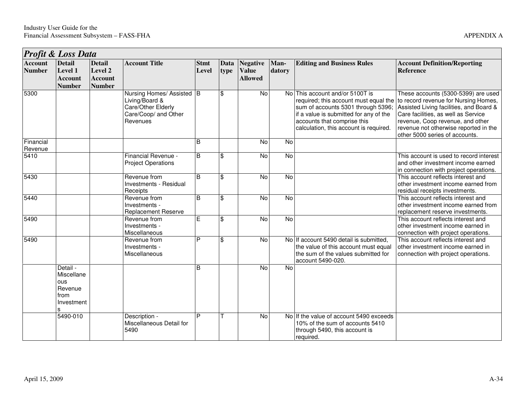| <b>Profit &amp; Loss Data</b>   |                                                                |                                                             |                                                                                                       |                      |                          |                                                   |                |                                                                                                                                                                                                                                   |                                                                                                                                                                                                                                                                              |  |  |
|---------------------------------|----------------------------------------------------------------|-------------------------------------------------------------|-------------------------------------------------------------------------------------------------------|----------------------|--------------------------|---------------------------------------------------|----------------|-----------------------------------------------------------------------------------------------------------------------------------------------------------------------------------------------------------------------------------|------------------------------------------------------------------------------------------------------------------------------------------------------------------------------------------------------------------------------------------------------------------------------|--|--|
| <b>Account</b><br><b>Number</b> | <b>Detail</b><br>Level 1<br><b>Account</b><br><b>Number</b>    | <b>Detail</b><br>Level 2<br><b>Account</b><br><b>Number</b> | <b>Account Title</b>                                                                                  | <b>Stmt</b><br>Level | Data<br>type             | <b>Negative</b><br><b>Value</b><br><b>Allowed</b> | Man-<br>datory | <b>Editing and Business Rules</b>                                                                                                                                                                                                 | <b>Account Definition/Reporting</b><br><b>Reference</b>                                                                                                                                                                                                                      |  |  |
| 5300                            |                                                                |                                                             | Nursing Homes/ Assisted B<br>Living/Board &<br>Care/Other Elderly<br>Care/Coop/ and Other<br>Revenues |                      | \$                       | <b>No</b>                                         |                | No This account and/or 5100T is<br>required; this account must equal the<br>sum of accounts 5301 through 5396;<br>if a value is submitted for any of the<br>accounts that comprise this<br>calculation, this account is required. | These accounts (5300-5399) are used<br>to record revenue for Nursing Homes,<br>Assisted Living facilities, and Board &<br>Care facilities, as well as Service<br>revenue, Coop revenue, and other<br>revenue not otherwise reported in the<br>other 5000 series of accounts. |  |  |
| Financial<br>Revenue            |                                                                |                                                             |                                                                                                       | B                    |                          | No                                                | $\overline{N}$ |                                                                                                                                                                                                                                   |                                                                                                                                                                                                                                                                              |  |  |
| 5410                            |                                                                |                                                             | Financial Revenue -<br><b>Project Operations</b>                                                      | B                    | \$                       | No                                                | $\overline{N}$ |                                                                                                                                                                                                                                   | This account is used to record interest<br>and other investment income earned<br>in connection with project operations.                                                                                                                                                      |  |  |
| 5430                            |                                                                |                                                             | Revenue from<br>Investments - Residual<br>Receipts                                                    | $\overline{B}$       | $\overline{\mathcal{S}}$ | $\overline{N}$                                    | <b>No</b>      |                                                                                                                                                                                                                                   | This account reflects interest and<br>other investment income earned from<br>residual receipts investments.                                                                                                                                                                  |  |  |
| 5440                            |                                                                |                                                             | Revenue from<br>Investments -<br><b>Replacement Reserve</b>                                           | <sub>B</sub>         | \$                       | $\overline{N}$                                    | $\overline{N}$ |                                                                                                                                                                                                                                   | This account reflects interest and<br>other investment income earned from<br>replacement reserve investments.                                                                                                                                                                |  |  |
| 5490                            |                                                                |                                                             | Revenue from<br>Investments -<br>Miscellaneous                                                        | Е                    | \$                       | No                                                | $\overline{N}$ |                                                                                                                                                                                                                                   | This account reflects interest and<br>other investment income earned in<br>connection with project operations.                                                                                                                                                               |  |  |
| 5490                            |                                                                |                                                             | Revenue from<br>Investments -<br>Miscellaneous                                                        | P                    | \$                       | <b>No</b>                                         |                | No If account 5490 detail is submitted,<br>the value of this account must equal<br>the sum of the values submitted for<br>account 5490-020.                                                                                       | This account reflects interest and<br>other investment income earned in<br>connection with project operations.                                                                                                                                                               |  |  |
|                                 | Detail -<br>Miscellane<br>ous<br>Revenue<br>from<br>Investment |                                                             |                                                                                                       | B                    |                          | $\overline{N}$                                    | $\overline{N}$ |                                                                                                                                                                                                                                   |                                                                                                                                                                                                                                                                              |  |  |
|                                 | 5490-010                                                       |                                                             | Description -<br>Miscellaneous Detail for<br>5490                                                     | P                    |                          | $\overline{N}$                                    |                | No If the value of account 5490 exceeds<br>10% of the sum of accounts 5410<br>through 5490, this account is<br>required.                                                                                                          |                                                                                                                                                                                                                                                                              |  |  |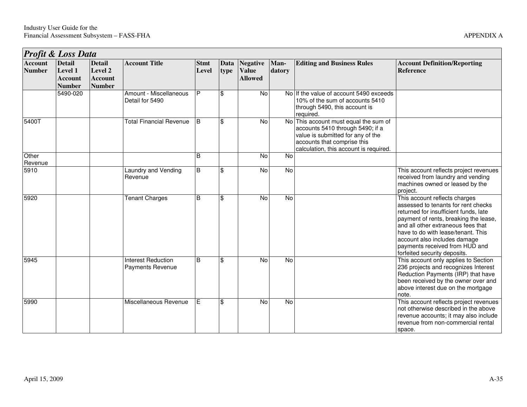|                                 | Profit & Loss Data                                          |                                                             |                                                      |                      |              |                                            |                |                                                                                                                                                                                      |                                                                                                                                                                                                                                                                                                                                      |  |  |  |  |
|---------------------------------|-------------------------------------------------------------|-------------------------------------------------------------|------------------------------------------------------|----------------------|--------------|--------------------------------------------|----------------|--------------------------------------------------------------------------------------------------------------------------------------------------------------------------------------|--------------------------------------------------------------------------------------------------------------------------------------------------------------------------------------------------------------------------------------------------------------------------------------------------------------------------------------|--|--|--|--|
| <b>Account</b><br><b>Number</b> | <b>Detail</b><br>Level 1<br><b>Account</b><br><b>Number</b> | <b>Detail</b><br>Level 2<br><b>Account</b><br><b>Number</b> | <b>Account Title</b>                                 | <b>Stmt</b><br>Level | Data<br>type | Negative<br><b>Value</b><br><b>Allowed</b> | Man-<br>datory | <b>Editing and Business Rules</b>                                                                                                                                                    | <b>Account Definition/Reporting</b><br><b>Reference</b>                                                                                                                                                                                                                                                                              |  |  |  |  |
|                                 | 5490-020                                                    |                                                             | Amount - Miscellaneous<br>Detail for 5490            | P                    | \$           | No                                         |                | No If the value of account 5490 exceeds<br>10% of the sum of accounts 5410<br>through 5490, this account is<br>required.                                                             |                                                                                                                                                                                                                                                                                                                                      |  |  |  |  |
| 5400T                           |                                                             |                                                             | <b>Total Financial Revenue</b>                       | l B                  | <b>S</b>     | $\overline{N}$                             | <b>No</b>      | This account must equal the sum of<br>accounts 5410 through 5490; if a<br>value is submitted for any of the<br>accounts that comprise this<br>calculation, this account is required. |                                                                                                                                                                                                                                                                                                                                      |  |  |  |  |
| Other<br>Revenue                |                                                             |                                                             |                                                      | B                    |              | No                                         | No             |                                                                                                                                                                                      |                                                                                                                                                                                                                                                                                                                                      |  |  |  |  |
| 5910                            |                                                             |                                                             | Laundry and Vending<br>Revenue                       | $\mathsf B$          | \$           | No                                         | No             |                                                                                                                                                                                      | This account reflects project revenues<br>received from laundry and vending<br>machines owned or leased by the<br>project.                                                                                                                                                                                                           |  |  |  |  |
| 5920                            |                                                             |                                                             | <b>Tenant Charges</b>                                | B                    | \$           | No                                         | No             |                                                                                                                                                                                      | This account reflects charges<br>assessed to tenants for rent checks<br>returned for insufficient funds, late<br>payment of rents, breaking the lease,<br>and all other extraneous fees that<br>have to do with lease/tenant. This<br>account also includes damage<br>payments received from HUD and<br>forfeited security deposits. |  |  |  |  |
| 5945                            |                                                             |                                                             | <b>Interest Reduction</b><br><b>Payments Revenue</b> | B                    | \$           | No                                         | No             |                                                                                                                                                                                      | This account only applies to Section<br>236 projects and recognizes Interest<br>Reduction Payments (IRP) that have<br>been received by the owner over and<br>above interest due on the mortgage<br>note.                                                                                                                             |  |  |  |  |
| 5990                            |                                                             |                                                             | Miscellaneous Revenue                                | E                    | \$           | No                                         | <b>No</b>      |                                                                                                                                                                                      | This account reflects project revenues<br>not otherwise described in the above<br>revenue accounts; it may also include<br>revenue from non-commercial rental<br>space.                                                                                                                                                              |  |  |  |  |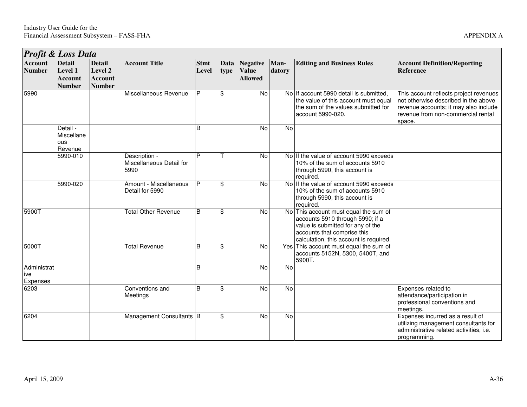|                                 | Profit & Loss Data                                          |                                                             |                                                   |                      |              |                                                   |                |                                                                                                                                                                                         |                                                                                                                                                                         |  |  |  |
|---------------------------------|-------------------------------------------------------------|-------------------------------------------------------------|---------------------------------------------------|----------------------|--------------|---------------------------------------------------|----------------|-----------------------------------------------------------------------------------------------------------------------------------------------------------------------------------------|-------------------------------------------------------------------------------------------------------------------------------------------------------------------------|--|--|--|
| <b>Account</b><br><b>Number</b> | <b>Detail</b><br>Level 1<br><b>Account</b><br><b>Number</b> | <b>Detail</b><br>Level 2<br><b>Account</b><br><b>Number</b> | <b>Account Title</b>                              | <b>Stmt</b><br>Level | Data<br>type | <b>Negative</b><br><b>Value</b><br><b>Allowed</b> | Man-<br>datory | <b>Editing and Business Rules</b>                                                                                                                                                       | <b>Account Definition/Reporting</b><br><b>Reference</b>                                                                                                                 |  |  |  |
| 5990                            |                                                             |                                                             | Miscellaneous Revenue                             | P                    | \$           | No                                                |                | No If account 5990 detail is submitted,<br>the value of this account must equal<br>the sum of the values submitted for<br>account 5990-020.                                             | This account reflects project revenues<br>not otherwise described in the above<br>revenue accounts; it may also include<br>revenue from non-commercial rental<br>space. |  |  |  |
|                                 | Detail -<br>Miscellane<br>ous<br>Revenue                    |                                                             |                                                   | B                    |              | <b>No</b>                                         | <b>No</b>      |                                                                                                                                                                                         |                                                                                                                                                                         |  |  |  |
|                                 | 5990-010                                                    |                                                             | Description -<br>Miscellaneous Detail for<br>5990 | P                    |              | <b>No</b>                                         |                | No If the value of account 5990 exceeds<br>10% of the sum of accounts 5910<br>through 5990, this account is<br>required.                                                                |                                                                                                                                                                         |  |  |  |
|                                 | 5990-020                                                    |                                                             | Amount - Miscellaneous<br>Detail for 5990         | P                    | \$           | $\overline{N}$                                    |                | No If the value of account 5990 exceeds<br>10% of the sum of accounts 5910<br>through 5990, this account is<br>required.                                                                |                                                                                                                                                                         |  |  |  |
| 5900T                           |                                                             |                                                             | <b>Total Other Revenue</b>                        | B                    | \$           | No                                                |                | No This account must equal the sum of<br>accounts 5910 through 5990; if a<br>value is submitted for any of the<br>accounts that comprise this<br>calculation, this account is required. |                                                                                                                                                                         |  |  |  |
| 5000T                           |                                                             |                                                             | <b>Total Revenue</b>                              | B                    | \$           | $\overline{N}$                                    |                | Yes This account must equal the sum of<br>accounts 5152N, 5300, 5400T, and<br>5900T.                                                                                                    |                                                                                                                                                                         |  |  |  |
| Administrat<br>ive<br>Expenses  |                                                             |                                                             |                                                   | B                    |              | No                                                | No             |                                                                                                                                                                                         |                                                                                                                                                                         |  |  |  |
| 6203                            |                                                             |                                                             | Conventions and<br>Meetings                       | B                    | \$           | $\overline{N}$                                    | No             |                                                                                                                                                                                         | Expenses related to<br>attendance/participation in<br>professional conventions and<br>meetings.                                                                         |  |  |  |
| 6204                            |                                                             |                                                             | Management Consultants B                          |                      | \$           | $\overline{N}$                                    | $\overline{N}$ |                                                                                                                                                                                         | Expenses incurred as a result of<br>utilizing management consultants for<br>administrative related activities, i.e.<br>programming.                                     |  |  |  |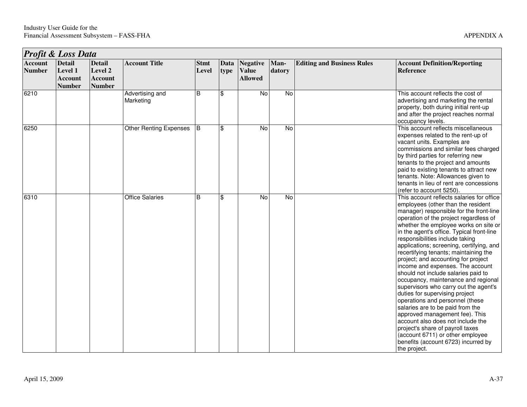|                                 | <b>Profit &amp; Loss Data</b>                               |                                                             |                               |                      |              |                                                   |                |                                   |                                                                                                                                                                                                                                                                                                                                                                                                                                                                                                                                                                                                                                                                                                                                                                                                                                                                                                     |  |  |
|---------------------------------|-------------------------------------------------------------|-------------------------------------------------------------|-------------------------------|----------------------|--------------|---------------------------------------------------|----------------|-----------------------------------|-----------------------------------------------------------------------------------------------------------------------------------------------------------------------------------------------------------------------------------------------------------------------------------------------------------------------------------------------------------------------------------------------------------------------------------------------------------------------------------------------------------------------------------------------------------------------------------------------------------------------------------------------------------------------------------------------------------------------------------------------------------------------------------------------------------------------------------------------------------------------------------------------------|--|--|
| <b>Account</b><br><b>Number</b> | <b>Detail</b><br>Level 1<br><b>Account</b><br><b>Number</b> | <b>Detail</b><br>Level 2<br><b>Account</b><br><b>Number</b> | <b>Account Title</b>          | <b>Stmt</b><br>Level | Data<br>type | <b>Negative</b><br><b>Value</b><br><b>Allowed</b> | Man-<br>datory | <b>Editing and Business Rules</b> | <b>Account Definition/Reporting</b><br><b>Reference</b>                                                                                                                                                                                                                                                                                                                                                                                                                                                                                                                                                                                                                                                                                                                                                                                                                                             |  |  |
| 6210                            |                                                             |                                                             | Advertising and<br>Marketing  | $\overline{B}$       | \$           | $\overline{N}$                                    | N <sub>o</sub> |                                   | This account reflects the cost of<br>advertising and marketing the rental<br>property, both during initial rent-up<br>and after the project reaches normal<br>occupancy levels.                                                                                                                                                                                                                                                                                                                                                                                                                                                                                                                                                                                                                                                                                                                     |  |  |
| 6250                            |                                                             |                                                             | <b>Other Renting Expenses</b> | ΙB.                  | \$           | No                                                | $\overline{N}$ |                                   | This account reflects miscellaneous<br>expenses related to the rent-up of<br>vacant units. Examples are<br>commissions and similar fees charged<br>by third parties for referring new<br>tenants to the project and amounts<br>paid to existing tenants to attract new<br>tenants. Note: Allowances given to<br>tenants in lieu of rent are concessions<br>(refer to account 5250).                                                                                                                                                                                                                                                                                                                                                                                                                                                                                                                 |  |  |
| 6310                            |                                                             |                                                             | <b>Office Salaries</b>        | B                    | \$           | No                                                | $\overline{N}$ |                                   | This account reflects salaries for office<br>employees (other than the resident<br>manager) responsible for the front-line<br>operation of the project regardless of<br>whether the employee works on site or<br>in the agent's office. Typical front-line<br>responsibilities include taking<br>applications; screening, certifying, and<br>recertifying tenants; maintaining the<br>project; and accounting for project<br>income and expenses. The account<br>should not include salaries paid to<br>occupancy, maintenance and regional<br>supervisors who carry out the agent's<br>duties for supervising project<br>operations and personnel (these<br>salaries are to be paid from the<br>approved management fee). This<br>account also does not include the<br>project's share of payroll taxes<br>(account 6711) or other employee<br>benefits (account 6723) incurred by<br>the project. |  |  |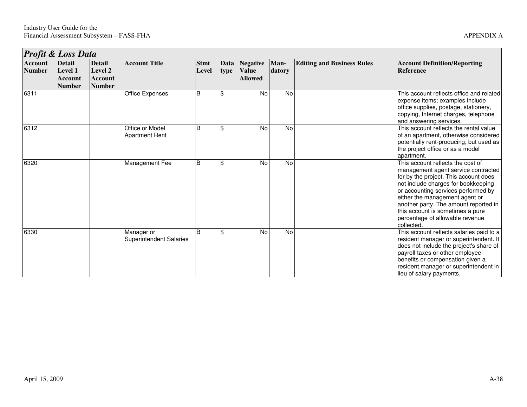|                                 | Profit & Loss Data                                          |                                                             |                                              |                      |                |                                            |                |                                   |                                                                                                                                                                                                                                                                                                                                                                 |  |  |  |
|---------------------------------|-------------------------------------------------------------|-------------------------------------------------------------|----------------------------------------------|----------------------|----------------|--------------------------------------------|----------------|-----------------------------------|-----------------------------------------------------------------------------------------------------------------------------------------------------------------------------------------------------------------------------------------------------------------------------------------------------------------------------------------------------------------|--|--|--|
| <b>Account</b><br><b>Number</b> | <b>Detail</b><br>Level 1<br><b>Account</b><br><b>Number</b> | <b>Detail</b><br>Level 2<br><b>Account</b><br><b>Number</b> | <b>Account Title</b>                         | <b>Stmt</b><br>Level | Data<br>type   | Negative<br><b>Value</b><br><b>Allowed</b> | Man-<br>datory | <b>Editing and Business Rules</b> | <b>Account Definition/Reporting</b><br>Reference                                                                                                                                                                                                                                                                                                                |  |  |  |
| 6311                            |                                                             |                                                             | <b>Office Expenses</b>                       | B                    | $\mathfrak{S}$ | No                                         | No             |                                   | This account reflects office and related<br>expense items; examples include<br>office supplies, postage, stationery,<br>copying, Internet charges, telephone<br>and answering services.                                                                                                                                                                         |  |  |  |
| 6312                            |                                                             |                                                             | Office or Model<br><b>Apartment Rent</b>     | B                    | \$             | No                                         | No             |                                   | This account reflects the rental value<br>of an apartment, otherwise considered<br>potentially rent-producing, but used as<br>the project office or as a model<br>apartment.                                                                                                                                                                                    |  |  |  |
| 6320                            |                                                             |                                                             | Management Fee                               | B                    | \$             | <b>No</b>                                  | <b>No</b>      |                                   | This account reflects the cost of<br>management agent service contracted<br>for by the project. This account does<br>not include charges for bookkeeping<br>or accounting services performed by<br>either the management agent or<br>another party. The amount reported in<br>this account is sometimes a pure<br>percentage of allowable revenue<br>collected. |  |  |  |
| 6330                            |                                                             |                                                             | Manager or<br><b>Superintendent Salaries</b> | B                    | \$             | <b>No</b>                                  | No             |                                   | This account reflects salaries paid to a<br>resident manager or superintendent. It<br>does not include the project's share of<br>payroll taxes or other employee<br>benefits or compensation given a<br>resident manager or superintendent in<br>lieu of salary payments.                                                                                       |  |  |  |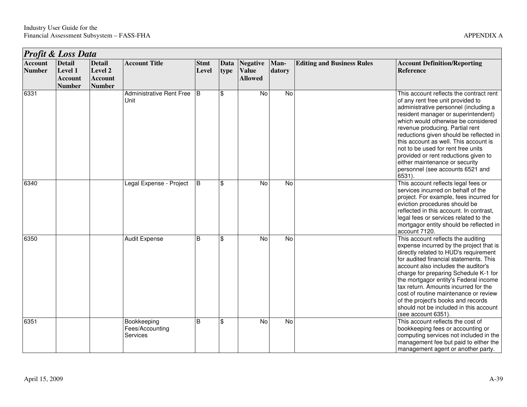|                                 | <b>Profit &amp; Loss Data</b>                               |                                                             |                                            |                      |                    |                                                   |                |                                   |                                                                                                                                                                                                                                                                                                                                                                                                                                                                                             |
|---------------------------------|-------------------------------------------------------------|-------------------------------------------------------------|--------------------------------------------|----------------------|--------------------|---------------------------------------------------|----------------|-----------------------------------|---------------------------------------------------------------------------------------------------------------------------------------------------------------------------------------------------------------------------------------------------------------------------------------------------------------------------------------------------------------------------------------------------------------------------------------------------------------------------------------------|
| <b>Account</b><br><b>Number</b> | <b>Detail</b><br>Level 1<br><b>Account</b><br><b>Number</b> | <b>Detail</b><br>Level 2<br><b>Account</b><br><b>Number</b> | <b>Account Title</b>                       | <b>Stmt</b><br>Level | Data<br>type       | <b>Negative</b><br><b>Value</b><br><b>Allowed</b> | Man-<br>datory | <b>Editing and Business Rules</b> | <b>Account Definition/Reporting</b><br><b>Reference</b>                                                                                                                                                                                                                                                                                                                                                                                                                                     |
| 6331                            |                                                             |                                                             | <b>Administrative Rent Free</b><br>Unit    | $\overline{B}$       | <b>S</b>           | $\overline{N}$                                    | $\overline{N}$ |                                   | This account reflects the contract rent<br>of any rent free unit provided to<br>administrative personnel (including a<br>resident manager or superintendent)<br>which would otherwise be considered<br>revenue producing. Partial rent<br>reductions given should be reflected in<br>this account as well. This account is<br>not to be used for rent free units<br>provided or rent reductions given to<br>either maintenance or security<br>personnel (see accounts 6521 and<br>$6531$ ). |
| 6340                            |                                                             |                                                             | Legal Expense - Project                    | B                    | \$                 | No                                                | No             |                                   | This account reflects legal fees or<br>services incurred on behalf of the<br>project. For example, fees incurred for<br>eviction procedures should be<br>reflected in this account. In contrast,<br>legal fees or services related to the<br>mortgagor entity should be reflected in<br>account 7120.                                                                                                                                                                                       |
| 6350                            |                                                             |                                                             | <b>Audit Expense</b>                       | B                    | $\mathbf{\hat{s}}$ | $\overline{N}$                                    | <b>No</b>      |                                   | This account reflects the auditing<br>expense incurred by the project that is<br>directly related to HUD's requirement<br>for audited financial statements. This<br>account also includes the auditor's<br>charge for preparing Schedule K-1 for<br>the mortgagor entity's Federal income<br>tax return. Amounts incurred for the<br>cost of routine maintenance or review<br>of the project's books and records<br>should not be included in this account<br>(see account 6351)            |
| 6351                            |                                                             |                                                             | Bookkeeping<br>Fees/Accounting<br>Services | B                    | \$                 | No                                                | No             |                                   | This account reflects the cost of<br>bookkeeping fees or accounting or<br>computing services not included in the<br>management fee but paid to either the<br>management agent or another party.                                                                                                                                                                                                                                                                                             |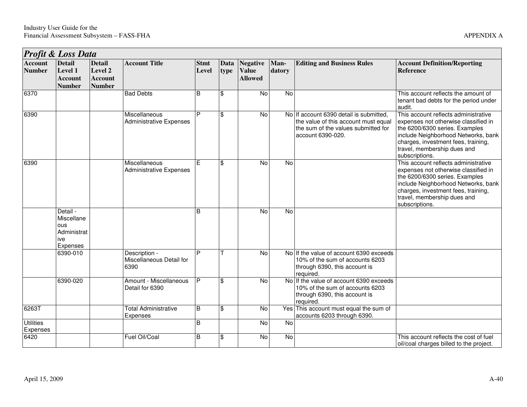|                                 | Profit & Loss Data                                                     |                                                             |                                                   |                      |              |                                                   |                |                                                                                                                                             |                                                                                                                                                                                                                                               |  |  |  |
|---------------------------------|------------------------------------------------------------------------|-------------------------------------------------------------|---------------------------------------------------|----------------------|--------------|---------------------------------------------------|----------------|---------------------------------------------------------------------------------------------------------------------------------------------|-----------------------------------------------------------------------------------------------------------------------------------------------------------------------------------------------------------------------------------------------|--|--|--|
| <b>Account</b><br><b>Number</b> | <b>Detail</b><br>Level 1<br><b>Account</b><br><b>Number</b>            | <b>Detail</b><br>Level 2<br><b>Account</b><br><b>Number</b> | <b>Account Title</b>                              | <b>Stmt</b><br>Level | Data<br>type | <b>Negative</b><br><b>Value</b><br><b>Allowed</b> | Man-<br>datory | <b>Editing and Business Rules</b>                                                                                                           | <b>Account Definition/Reporting</b><br>Reference                                                                                                                                                                                              |  |  |  |
| 6370                            |                                                                        |                                                             | <b>Bad Debts</b>                                  | B                    | \$           | No                                                | No             |                                                                                                                                             | This account reflects the amount of<br>tenant bad debts for the period under<br>audit.                                                                                                                                                        |  |  |  |
| 6390                            |                                                                        |                                                             | Miscellaneous<br><b>Administrative Expenses</b>   | P                    | \$           | No                                                |                | No If account 6390 detail is submitted,<br>the value of this account must equal<br>the sum of the values submitted for<br>account 6390-020. | This account reflects administrative<br>expenses not otherwise classified in<br>the 6200/6300 series. Examples<br>include Neighborhood Networks, bank<br>charges, investment fees, training,<br>travel, membership dues and<br>subscriptions. |  |  |  |
| 6390                            |                                                                        |                                                             | Miscellaneous<br><b>Administrative Expenses</b>   | F                    | \$           | No                                                | $\overline{N}$ |                                                                                                                                             | This account reflects administrative<br>expenses not otherwise classified in<br>the 6200/6300 series. Examples<br>include Neighborhood Networks, bank<br>charges, investment fees, training,<br>travel, membership dues and<br>subscriptions. |  |  |  |
|                                 | Detail -<br>Miscellane<br><b>ous</b><br>Administrat<br>ive<br>Expenses |                                                             |                                                   | B                    |              | $\overline{N}$                                    | <b>No</b>      |                                                                                                                                             |                                                                                                                                                                                                                                               |  |  |  |
|                                 | 6390-010                                                               |                                                             | Description -<br>Miscellaneous Detail for<br>6390 | P                    |              | No                                                |                | No If the value of account 6390 exceeds<br>10% of the sum of accounts 6203<br>through 6390, this account is<br>required.                    |                                                                                                                                                                                                                                               |  |  |  |
|                                 | 6390-020                                                               |                                                             | Amount - Miscellaneous<br>Detail for 6390         | P                    | \$           | No                                                |                | No If the value of account 6390 exceeds<br>10% of the sum of accounts 6203<br>through 6390, this account is<br>required.                    |                                                                                                                                                                                                                                               |  |  |  |
| 6263T                           |                                                                        |                                                             | <b>Total Administrative</b><br><b>Expenses</b>    | B                    | \$           | No                                                |                | Yes This account must equal the sum of<br>accounts 6203 through 6390.                                                                       |                                                                                                                                                                                                                                               |  |  |  |
| <b>Utilities</b><br>Expenses    |                                                                        |                                                             |                                                   | B                    |              | $\overline{N}$                                    | $\overline{N}$ |                                                                                                                                             |                                                                                                                                                                                                                                               |  |  |  |
| 6420                            |                                                                        |                                                             | Fuel Oil/Coal                                     | B                    | \$           | No                                                | No             |                                                                                                                                             | This account reflects the cost of fuel<br>oil/coal charges billed to the project.                                                                                                                                                             |  |  |  |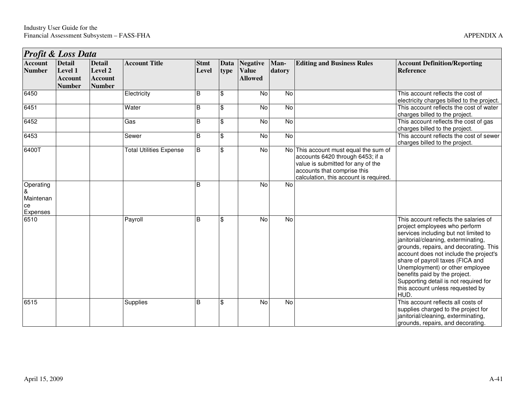|                                               | <b>Profit &amp; Loss Data</b>                               |                                                             |                                |                      |              |                                                   |                |                                                                                                                                                                                         |                                                                                                                                                                                                                                                                                                                                                                                                                                         |  |  |  |
|-----------------------------------------------|-------------------------------------------------------------|-------------------------------------------------------------|--------------------------------|----------------------|--------------|---------------------------------------------------|----------------|-----------------------------------------------------------------------------------------------------------------------------------------------------------------------------------------|-----------------------------------------------------------------------------------------------------------------------------------------------------------------------------------------------------------------------------------------------------------------------------------------------------------------------------------------------------------------------------------------------------------------------------------------|--|--|--|
| <b>Account</b><br><b>Number</b>               | <b>Detail</b><br>Level 1<br><b>Account</b><br><b>Number</b> | <b>Detail</b><br>Level 2<br><b>Account</b><br><b>Number</b> | <b>Account Title</b>           | <b>Stmt</b><br>Level | Data<br>type | <b>Negative</b><br><b>Value</b><br><b>Allowed</b> | Man-<br>datory | <b>Editing and Business Rules</b>                                                                                                                                                       | <b>Account Definition/Reporting</b><br><b>Reference</b>                                                                                                                                                                                                                                                                                                                                                                                 |  |  |  |
| 6450                                          |                                                             |                                                             | Electricity                    | B                    | \$           | $\overline{N}$                                    | No             |                                                                                                                                                                                         | This account reflects the cost of<br>electricity charges billed to the project.                                                                                                                                                                                                                                                                                                                                                         |  |  |  |
| 6451                                          |                                                             |                                                             | Water                          | B                    | \$           | No                                                | No             |                                                                                                                                                                                         | This account reflects the cost of water<br>charges billed to the project.                                                                                                                                                                                                                                                                                                                                                               |  |  |  |
| 6452                                          |                                                             |                                                             | Gas                            | B                    | \$           | No                                                | No             |                                                                                                                                                                                         | This account reflects the cost of gas<br>charges billed to the project.                                                                                                                                                                                                                                                                                                                                                                 |  |  |  |
| 6453                                          |                                                             |                                                             | Sewer                          | B                    | \$           | No                                                | No             |                                                                                                                                                                                         | This account reflects the cost of sewer<br>charges billed to the project.                                                                                                                                                                                                                                                                                                                                                               |  |  |  |
| 6400T                                         |                                                             |                                                             | <b>Total Utilities Expense</b> | E                    | \$           | $\overline{N}$                                    |                | No This account must equal the sum of<br>accounts 6420 through 6453; if a<br>value is submitted for any of the<br>accounts that comprise this<br>calculation, this account is required. |                                                                                                                                                                                                                                                                                                                                                                                                                                         |  |  |  |
| Operating<br>&<br>Maintenan<br>ce<br>Expenses |                                                             |                                                             |                                | B                    |              | <b>No</b>                                         | <b>No</b>      |                                                                                                                                                                                         |                                                                                                                                                                                                                                                                                                                                                                                                                                         |  |  |  |
| 6510                                          |                                                             |                                                             | Payroll                        | B                    | \$           | No                                                | <b>No</b>      |                                                                                                                                                                                         | This account reflects the salaries of<br>project employees who perform<br>services including but not limited to<br>janitorial/cleaning, exterminating,<br>grounds, repairs, and decorating. This<br>account does not include the project's<br>share of payroll taxes (FICA and<br>Unemployment) or other employee<br>benefits paid by the project.<br>Supporting detail is not required for<br>this account unless requested by<br>HUD. |  |  |  |
| 6515                                          |                                                             |                                                             | Supplies                       | B                    | \$           | $\overline{N}$                                    | $\overline{N}$ |                                                                                                                                                                                         | This account reflects all costs of<br>supplies charged to the project for<br>janitorial/cleaning, exterminating,<br>grounds, repairs, and decorating.                                                                                                                                                                                                                                                                                   |  |  |  |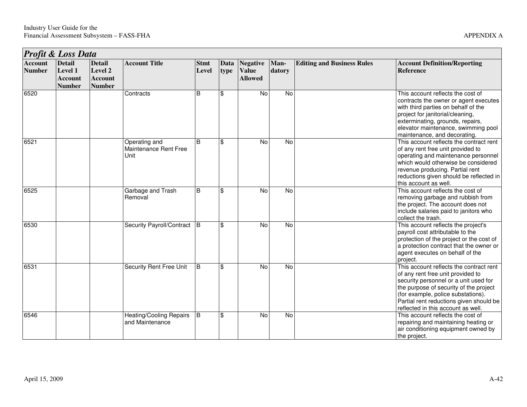| Profit & Loss Data              |                                                             |                                                             |                                                   |                      |              |                                                   |                |                                   |                                                                                                                                                                                                                                                                                        |  |  |
|---------------------------------|-------------------------------------------------------------|-------------------------------------------------------------|---------------------------------------------------|----------------------|--------------|---------------------------------------------------|----------------|-----------------------------------|----------------------------------------------------------------------------------------------------------------------------------------------------------------------------------------------------------------------------------------------------------------------------------------|--|--|
| <b>Account</b><br><b>Number</b> | <b>Detail</b><br>Level 1<br><b>Account</b><br><b>Number</b> | <b>Detail</b><br>Level 2<br><b>Account</b><br><b>Number</b> | <b>Account Title</b>                              | <b>Stmt</b><br>Level | Data<br>type | <b>Negative</b><br><b>Value</b><br><b>Allowed</b> | Man-<br>datory | <b>Editing and Business Rules</b> | <b>Account Definition/Reporting</b><br><b>Reference</b>                                                                                                                                                                                                                                |  |  |
| 6520                            |                                                             |                                                             | Contracts                                         | B                    | \$           | <b>No</b>                                         | $\overline{N}$ |                                   | This account reflects the cost of<br>contracts the owner or agent executes<br>with third parties on behalf of the<br>project for janitorial/cleaning,<br>exterminating, grounds, repairs,<br>elevator maintenance, swimming pool<br>maintenance, and decorating.                       |  |  |
| 6521                            |                                                             |                                                             | Operating and<br>Maintenance Rent Free<br>Unit    | B                    | \$           | <b>No</b>                                         | No             |                                   | This account reflects the contract rent<br>of any rent free unit provided to<br>operating and maintenance personnel<br>which would otherwise be considered<br>revenue producing. Partial rent<br>reductions given should be reflected in<br>this account as well.                      |  |  |
| 6525                            |                                                             |                                                             | Garbage and Trash<br>Removal                      | B                    | \$           | <b>No</b>                                         | No             |                                   | This account reflects the cost of<br>removing garbage and rubbish from<br>the project. The account does not<br>include salaries paid to janitors who<br>collect the trash.                                                                                                             |  |  |
| 6530                            |                                                             |                                                             | Security Payroll/Contract                         | $\overline{B}$       | \$           | <b>No</b>                                         | <b>No</b>      |                                   | This account reflects the project's<br>payroll cost attributable to the<br>protection of the project or the cost of<br>a protection contract that the owner or<br>agent executes on behalf of the<br>project.                                                                          |  |  |
| 6531                            |                                                             |                                                             | Security Rent Free Unit                           | B                    | \$           | No                                                | No             |                                   | This account reflects the contract rent<br>of any rent free unit provided to<br>security personnel or a unit used for<br>the purpose of security of the project<br>(for example, police substations).<br>Partial rent reductions given should be<br>reflected in this account as well. |  |  |
| 6546                            |                                                             |                                                             | <b>Heating/Cooling Repairs</b><br>and Maintenance | E                    | \$           | $\overline{N}$                                    | $\overline{N}$ |                                   | This account reflects the cost of<br>repairing and maintaining heating or<br>air conditioning equipment owned by<br>the project.                                                                                                                                                       |  |  |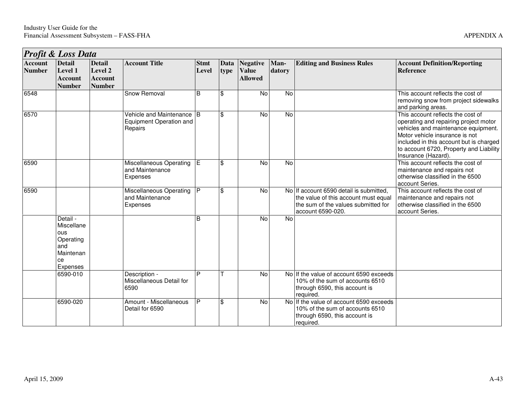|                                 | <b>Profit &amp; Loss Data</b>                                                    |                                                             |                                                                 |                      |                    |                                                   |                |                                                                                                                                             |                                                                                                                                                                                                                                                                  |  |  |  |
|---------------------------------|----------------------------------------------------------------------------------|-------------------------------------------------------------|-----------------------------------------------------------------|----------------------|--------------------|---------------------------------------------------|----------------|---------------------------------------------------------------------------------------------------------------------------------------------|------------------------------------------------------------------------------------------------------------------------------------------------------------------------------------------------------------------------------------------------------------------|--|--|--|
| <b>Account</b><br><b>Number</b> | <b>Detail</b><br>Level 1<br><b>Account</b><br><b>Number</b>                      | <b>Detail</b><br>Level 2<br><b>Account</b><br><b>Number</b> | <b>Account Title</b>                                            | <b>Stmt</b><br>Level | Data<br>type       | <b>Negative</b><br><b>Value</b><br><b>Allowed</b> | Man-<br>datory | <b>Editing and Business Rules</b>                                                                                                           | <b>Account Definition/Reporting</b><br><b>Reference</b>                                                                                                                                                                                                          |  |  |  |
| 6548                            |                                                                                  |                                                             | <b>Snow Removal</b>                                             | B                    | \$                 | No                                                | No             |                                                                                                                                             | This account reflects the cost of<br>removing snow from project sidewalks<br>and parking areas.                                                                                                                                                                  |  |  |  |
| 6570                            |                                                                                  |                                                             | Vehicle and Maintenance B<br>Equipment Operation and<br>Repairs |                      | $\mathfrak{S}$     | No                                                | No             |                                                                                                                                             | This account reflects the cost of<br>operating and repairing project motor<br>vehicles and maintenance equipment.<br>Motor vehicle insurance is not<br>included in this account but is charged<br>to account 6720, Property and Liability<br>Insurance (Hazard). |  |  |  |
| 6590                            |                                                                                  |                                                             | Miscellaneous Operating<br>and Maintenance<br>Expenses          | ĪΕ                   | $\mathbf{\hat{s}}$ | $\overline{N}$                                    | $\overline{N}$ |                                                                                                                                             | This account reflects the cost of<br>maintenance and repairs not<br>otherwise classified in the 6500<br>account Series.                                                                                                                                          |  |  |  |
| 6590                            |                                                                                  |                                                             | Miscellaneous Operating<br>and Maintenance<br>Expenses          | $\mathsf{P}$         | ۱\$                | No                                                |                | No If account 6590 detail is submitted,<br>the value of this account must equal<br>the sum of the values submitted for<br>account 6590-020. | This account reflects the cost of<br>maintenance and repairs not<br>otherwise classified in the 6500<br>account Series.                                                                                                                                          |  |  |  |
|                                 | Detail -<br>Miscellane<br>ous<br>Operating<br>and<br>Maintenan<br>ce<br>Expenses |                                                             |                                                                 | B                    |                    | N <sub>o</sub>                                    | $\overline{N}$ |                                                                                                                                             |                                                                                                                                                                                                                                                                  |  |  |  |
|                                 | 6590-010                                                                         |                                                             | Description -<br>Miscellaneous Detail for<br>6590               | P                    |                    | $\overline{N}$                                    |                | No If the value of account 6590 exceeds<br>10% of the sum of accounts 6510<br>through 6590, this account is<br>required.                    |                                                                                                                                                                                                                                                                  |  |  |  |
|                                 | 6590-020                                                                         |                                                             | Amount - Miscellaneous<br>Detail for 6590                       | P                    | ھ ا                | No                                                |                | No If the value of account 6590 exceeds<br>10% of the sum of accounts 6510<br>through 6590, this account is<br>required.                    |                                                                                                                                                                                                                                                                  |  |  |  |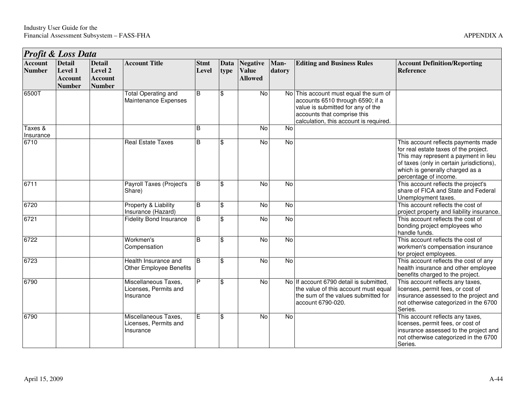|                                 | Profit & Loss Data                                          |                                                             |                                                            |                      |                         |                                                   |                |                                                                                                                                                                                         |                                                                                                                                                                                                                               |  |  |  |
|---------------------------------|-------------------------------------------------------------|-------------------------------------------------------------|------------------------------------------------------------|----------------------|-------------------------|---------------------------------------------------|----------------|-----------------------------------------------------------------------------------------------------------------------------------------------------------------------------------------|-------------------------------------------------------------------------------------------------------------------------------------------------------------------------------------------------------------------------------|--|--|--|
| <b>Account</b><br><b>Number</b> | <b>Detail</b><br>Level 1<br><b>Account</b><br><b>Number</b> | <b>Detail</b><br>Level 2<br><b>Account</b><br><b>Number</b> | <b>Account Title</b>                                       | <b>Stmt</b><br>Level | <b>Data</b><br>type     | <b>Negative</b><br><b>Value</b><br><b>Allowed</b> | Man-<br>datory | <b>Editing and Business Rules</b>                                                                                                                                                       | <b>Account Definition/Reporting</b><br><b>Reference</b>                                                                                                                                                                       |  |  |  |
| 6500T                           |                                                             |                                                             | <b>Total Operating and</b><br>Maintenance Expenses         | B                    | \$                      | No                                                |                | No This account must equal the sum of<br>accounts 6510 through 6590; if a<br>value is submitted for any of the<br>accounts that comprise this<br>calculation, this account is required. |                                                                                                                                                                                                                               |  |  |  |
| Taxes &<br>Insurance            |                                                             |                                                             |                                                            | B                    |                         | No                                                | No             |                                                                                                                                                                                         |                                                                                                                                                                                                                               |  |  |  |
| 6710                            |                                                             |                                                             | <b>Real Estate Taxes</b>                                   | B                    | \$                      | No                                                | No             |                                                                                                                                                                                         | This account reflects payments made<br>for real estate taxes of the project.<br>This may represent a payment in lieu<br>of taxes (only in certain jurisdictions),<br>which is generally charged as a<br>percentage of income. |  |  |  |
| 6711                            |                                                             |                                                             | <b>Payroll Taxes (Project's</b><br>Share)                  | B                    | \$                      | No                                                | No             |                                                                                                                                                                                         | This account reflects the project's<br>share of FICA and State and Federal<br>Unemployment taxes.                                                                                                                             |  |  |  |
| 6720                            |                                                             |                                                             | Property & Liability<br>Insurance (Hazard)                 | B                    | \$                      | No                                                | No             |                                                                                                                                                                                         | This account reflects the cost of<br>project property and liability insurance.                                                                                                                                                |  |  |  |
| 6721                            |                                                             |                                                             | <b>Fidelity Bond Insurance</b>                             | $\overline{B}$       | \$                      | No                                                | $\overline{N}$ |                                                                                                                                                                                         | This account reflects the cost of<br>bonding project employees who<br>handle funds.                                                                                                                                           |  |  |  |
| 6722                            |                                                             |                                                             | Workmen's<br>Compensation                                  | <sub>B</sub>         | \$                      | No                                                | No             |                                                                                                                                                                                         | This account reflects the cost of<br>workmen's compensation insurance<br>for project employees.                                                                                                                               |  |  |  |
| 6723                            |                                                             |                                                             | Health Insurance and<br><b>Other Employee Benefits</b>     | <sub>B</sub>         | $\overline{\mathbf{s}}$ | $\overline{N}$                                    | $\overline{N}$ |                                                                                                                                                                                         | This account reflects the cost of any<br>health insurance and other employee<br>benefits charged to the project.                                                                                                              |  |  |  |
| 6790                            |                                                             |                                                             | Miscellaneous Taxes,<br>Licenses, Permits and<br>Insurance | P                    | $\mathfrak{S}$          | $\overline{N}$                                    |                | No If account 6790 detail is submitted,<br>the value of this account must equal<br>the sum of the values submitted for<br>account 6790-020.                                             | This account reflects any taxes,<br>licenses, permit fees, or cost of<br>insurance assessed to the project and<br>not otherwise categorized in the 6700<br>Series.                                                            |  |  |  |
| 6790                            |                                                             |                                                             | Miscellaneous Taxes,<br>Licenses, Permits and<br>Insurance | Е                    | \$                      | No                                                | No             |                                                                                                                                                                                         | This account reflects any taxes,<br>licenses, permit fees, or cost of<br>insurance assessed to the project and<br>not otherwise categorized in the 6700<br>Series.                                                            |  |  |  |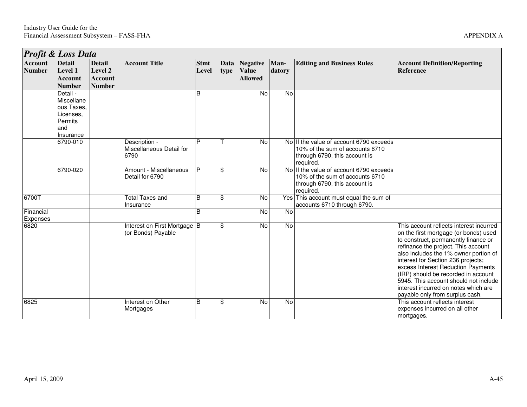|                                 | <b>Profit &amp; Loss Data</b>                                                    |                                                             |                                                    |                      |                |                                                   |                |                                                                                                                          |                                                                                                                                                                                                                                                                                                                                                                                                                                                 |  |  |  |
|---------------------------------|----------------------------------------------------------------------------------|-------------------------------------------------------------|----------------------------------------------------|----------------------|----------------|---------------------------------------------------|----------------|--------------------------------------------------------------------------------------------------------------------------|-------------------------------------------------------------------------------------------------------------------------------------------------------------------------------------------------------------------------------------------------------------------------------------------------------------------------------------------------------------------------------------------------------------------------------------------------|--|--|--|
| <b>Account</b><br><b>Number</b> | <b>Detail</b><br>Level 1<br><b>Account</b><br><b>Number</b>                      | <b>Detail</b><br>Level 2<br><b>Account</b><br><b>Number</b> | <b>Account Title</b>                               | <b>Stmt</b><br>Level | Data<br>type   | <b>Negative</b><br><b>Value</b><br><b>Allowed</b> | Man-<br>datory | <b>Editing and Business Rules</b>                                                                                        | <b>Account Definition/Reporting</b><br><b>Reference</b>                                                                                                                                                                                                                                                                                                                                                                                         |  |  |  |
|                                 | Detail -<br>Miscellane<br>ous Taxes,<br>Licenses,<br>Permits<br>and<br>Insurance |                                                             |                                                    | B                    |                | No                                                | $\overline{N}$ |                                                                                                                          |                                                                                                                                                                                                                                                                                                                                                                                                                                                 |  |  |  |
|                                 | 6790-010                                                                         |                                                             | Description -<br>Miscellaneous Detail for<br>6790  | D                    |                | No                                                |                | No If the value of account 6790 exceeds<br>10% of the sum of accounts 6710<br>through 6790, this account is<br>required. |                                                                                                                                                                                                                                                                                                                                                                                                                                                 |  |  |  |
|                                 | 6790-020                                                                         |                                                             | Amount - Miscellaneous<br>Detail for 6790          | P                    | $\mathfrak{L}$ | <b>No</b>                                         |                | No If the value of account 6790 exceeds<br>10% of the sum of accounts 6710<br>through 6790, this account is<br>required. |                                                                                                                                                                                                                                                                                                                                                                                                                                                 |  |  |  |
| 6700T                           |                                                                                  |                                                             | <b>Total Taxes and</b><br>Insurance                | B                    | \$             | No                                                | Yes            | This account must equal the sum of<br>accounts 6710 through 6790.                                                        |                                                                                                                                                                                                                                                                                                                                                                                                                                                 |  |  |  |
| Financial<br>Expenses           |                                                                                  |                                                             |                                                    | <sub>B</sub>         |                | No                                                | $\overline{N}$ |                                                                                                                          |                                                                                                                                                                                                                                                                                                                                                                                                                                                 |  |  |  |
| 6820                            |                                                                                  |                                                             | Interest on First Mortgage B<br>(or Bonds) Payable |                      | $\mathfrak{S}$ | No                                                | $\overline{N}$ |                                                                                                                          | This account reflects interest incurred<br>on the first mortgage (or bonds) used<br>to construct, permanently finance or<br>refinance the project. This account<br>also includes the 1% owner portion of<br>interest for Section 236 projects;<br>excess Interest Reduction Payments<br>(IRP) should be recorded in account<br>5945. This account should not include<br>interest incurred on notes which are<br>payable only from surplus cash. |  |  |  |
| 6825                            |                                                                                  |                                                             | Interest on Other<br>Mortgages                     | B                    | $\mathfrak{S}$ | <b>No</b>                                         | No             |                                                                                                                          | This account reflects interest<br>expenses incurred on all other<br>mortgages.                                                                                                                                                                                                                                                                                                                                                                  |  |  |  |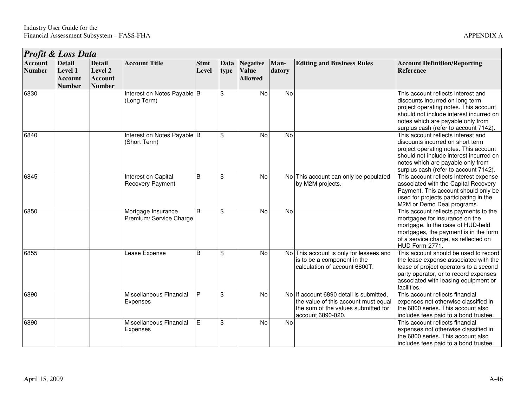| <b>Profit &amp; Loss Data</b>   |                                                             |                                                             |                                                |                      |              |                                                   |                |                                                                                                                                             |                                                                                                                                                                                                                                          |  |  |
|---------------------------------|-------------------------------------------------------------|-------------------------------------------------------------|------------------------------------------------|----------------------|--------------|---------------------------------------------------|----------------|---------------------------------------------------------------------------------------------------------------------------------------------|------------------------------------------------------------------------------------------------------------------------------------------------------------------------------------------------------------------------------------------|--|--|
| <b>Account</b><br><b>Number</b> | <b>Detail</b><br>Level 1<br><b>Account</b><br><b>Number</b> | <b>Detail</b><br>Level 2<br><b>Account</b><br><b>Number</b> | <b>Account Title</b>                           | <b>Stmt</b><br>Level | Data<br>type | <b>Negative</b><br><b>Value</b><br><b>Allowed</b> | Man-<br>datory | <b>Editing and Business Rules</b>                                                                                                           | <b>Account Definition/Reporting</b><br>Reference                                                                                                                                                                                         |  |  |
| 6830                            |                                                             |                                                             | Interest on Notes Payable B<br>(Long Term)     |                      | \$           | No                                                | $\overline{N}$ |                                                                                                                                             | This account reflects interest and<br>discounts incurred on long term<br>project operating notes. This account<br>should not include interest incurred on<br>notes which are payable only from<br>surplus cash (refer to account 7142).  |  |  |
| 6840                            |                                                             |                                                             | Interest on Notes Payable B<br>(Short Term)    |                      | \$           | No                                                | <b>No</b>      |                                                                                                                                             | This account reflects interest and<br>discounts incurred on short term<br>project operating notes. This account<br>should not include interest incurred on<br>notes which are payable only from<br>surplus cash (refer to account 7142). |  |  |
| 6845                            |                                                             |                                                             | Interest on Capital<br><b>Recovery Payment</b> | B                    | \$           | No                                                |                | No This account can only be populated<br>by M2M projects.                                                                                   | This account reflects interest expense<br>associated with the Capital Recovery<br>Payment. This account should only be<br>used for projects participating in the<br>M2M or Demo Deal programs.                                           |  |  |
| 6850                            |                                                             |                                                             | Mortgage Insurance<br>Premium/ Service Charge  | B                    | \$           | No                                                | $\overline{N}$ |                                                                                                                                             | This account reflects payments to the<br>mortgagee for insurance on the<br>mortgage. In the case of HUD-held<br>mortgages, the payment is in the form<br>of a service charge, as reflected on<br>HUD Form-2771.                          |  |  |
| 6855                            |                                                             |                                                             | Lease Expense                                  | B                    | \$           | No                                                |                | No This account is only for lessees and<br>is to be a component in the<br>calculation of account 6800T.                                     | This account should be used to record<br>the lease expense associated with the<br>lease of project operators to a second<br>party operator, or to record expenses<br>associated with leasing equipment or<br>facilities.                 |  |  |
| 6890                            |                                                             |                                                             | Miscellaneous Financial<br>Expenses            | P                    | \$           | No                                                |                | No If account 6890 detail is submitted,<br>the value of this account must equal<br>the sum of the values submitted for<br>account 6890-020. | This account reflects financial<br>expenses not otherwise classified in<br>the 6800 series. This account also<br>includes fees paid to a bond trustee.                                                                                   |  |  |
| 6890                            |                                                             |                                                             | Miscellaneous Financial<br>Expenses            | $\overline{E}$       | \$           | No                                                | No             |                                                                                                                                             | This account reflects financial<br>expenses not otherwise classified in<br>the 6800 series. This account also<br>includes fees paid to a bond trustee.                                                                                   |  |  |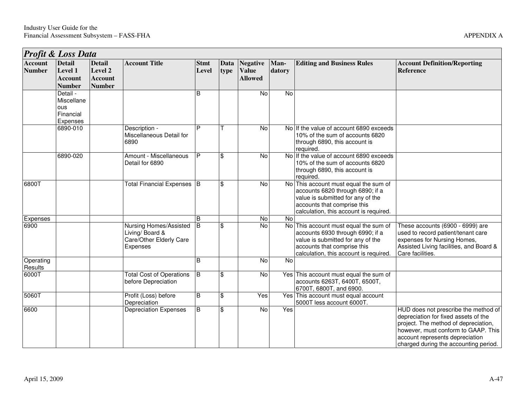| Profit & Loss Data              |                                                               |                                                             |                                                                                  |                      |                           |                                                   |                |                                                                                                                                                                                         |                                                                                                                                                                                                                                         |  |  |
|---------------------------------|---------------------------------------------------------------|-------------------------------------------------------------|----------------------------------------------------------------------------------|----------------------|---------------------------|---------------------------------------------------|----------------|-----------------------------------------------------------------------------------------------------------------------------------------------------------------------------------------|-----------------------------------------------------------------------------------------------------------------------------------------------------------------------------------------------------------------------------------------|--|--|
| <b>Account</b><br><b>Number</b> | <b>Detail</b><br>Level 1<br><b>Account</b><br><b>Number</b>   | <b>Detail</b><br>Level 2<br><b>Account</b><br><b>Number</b> | <b>Account Title</b>                                                             | <b>Stmt</b><br>Level | Data<br>type              | <b>Negative</b><br><b>Value</b><br><b>Allowed</b> | Man-<br>datory | <b>Editing and Business Rules</b>                                                                                                                                                       | <b>Account Definition/Reporting</b><br><b>Reference</b>                                                                                                                                                                                 |  |  |
|                                 | Detail -<br>Miscellane<br><b>ous</b><br>Financial<br>Expenses |                                                             |                                                                                  | B                    |                           | No                                                | <b>No</b>      |                                                                                                                                                                                         |                                                                                                                                                                                                                                         |  |  |
|                                 | 6890-010                                                      |                                                             | Description -<br>Miscellaneous Detail for<br>6890                                | Þ                    |                           | <b>No</b>                                         |                | No If the value of account 6890 exceeds<br>10% of the sum of accounts 6820<br>through 6890, this account is<br>required.                                                                |                                                                                                                                                                                                                                         |  |  |
|                                 | 6890-020                                                      |                                                             | Amount - Miscellaneous<br>Detail for 6890                                        | P                    | $\mathfrak{S}$            | $\overline{N}$                                    |                | No If the value of account 6890 exceeds<br>10% of the sum of accounts 6820<br>through 6890, this account is<br>required.                                                                |                                                                                                                                                                                                                                         |  |  |
| 6800T                           |                                                               |                                                             | Total Financial Expenses B                                                       |                      | $\mathfrak{S}$            | $\overline{N}$                                    |                | No This account must equal the sum of<br>accounts 6820 through 6890; if a<br>value is submitted for any of the<br>accounts that comprise this<br>calculation, this account is required. |                                                                                                                                                                                                                                         |  |  |
| Expenses                        |                                                               |                                                             |                                                                                  | B                    |                           | $\overline{N}$                                    | $\overline{N}$ |                                                                                                                                                                                         |                                                                                                                                                                                                                                         |  |  |
| 6900                            |                                                               |                                                             | Nursing Homes/Assisted<br>Living/ Board &<br>Care/Other Elderly Care<br>Expenses | l B                  | \$                        | <b>No</b>                                         | No             | This account must equal the sum of<br>accounts 6930 through 6990; if a<br>value is submitted for any of the<br>accounts that comprise this<br>calculation, this account is required.    | These accounts (6900 - 6999) are<br>used to record patient/tenant care<br>expenses for Nursing Homes,<br>Assisted Living facilities, and Board &<br>Care facilities.                                                                    |  |  |
| Operating<br>Results            |                                                               |                                                             |                                                                                  | <sub>B</sub>         |                           | $\overline{N}$                                    | $\overline{N}$ |                                                                                                                                                                                         |                                                                                                                                                                                                                                         |  |  |
| 6000T                           |                                                               |                                                             | <b>Total Cost of Operations</b><br>before Depreciation                           | $\overline{B}$       | $\mathbf{\hat{S}}$        | $\overline{N}$                                    |                | Yes This account must equal the sum of<br>accounts 6263T, 6400T, 6500T,<br>6700T, 6800T, and 6900.                                                                                      |                                                                                                                                                                                                                                         |  |  |
| 5060T                           |                                                               |                                                             | Profit (Loss) before<br>Depreciation                                             | $\overline{B}$       | $\boldsymbol{\mathsf{S}}$ | Yes                                               |                | Yes This account must equal account<br>5000T less account 6000T.                                                                                                                        |                                                                                                                                                                                                                                         |  |  |
| 6600                            |                                                               |                                                             | <b>Depreciation Expenses</b>                                                     | B                    | $\mathfrak{s}$            | No                                                | Yes            |                                                                                                                                                                                         | HUD does not prescribe the method of<br>depreciation for fixed assets of the<br>project. The method of depreciation,<br>however, must conform to GAAP. This<br>account represents depreciation<br>charged during the accounting period. |  |  |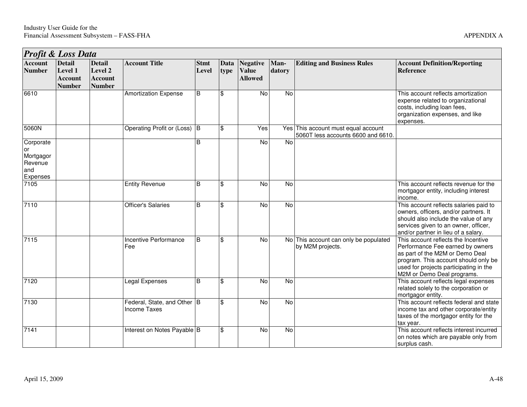| Profit & Loss Data                                         |                                                             |                                                             |                                                    |                      |              |                                                   |                |                                                                           |                                                                                                                                                                                                                            |  |  |  |
|------------------------------------------------------------|-------------------------------------------------------------|-------------------------------------------------------------|----------------------------------------------------|----------------------|--------------|---------------------------------------------------|----------------|---------------------------------------------------------------------------|----------------------------------------------------------------------------------------------------------------------------------------------------------------------------------------------------------------------------|--|--|--|
| <b>Account</b><br><b>Number</b>                            | <b>Detail</b><br>Level 1<br><b>Account</b><br><b>Number</b> | <b>Detail</b><br>Level 2<br><b>Account</b><br><b>Number</b> | <b>Account Title</b>                               | <b>Stmt</b><br>Level | Data<br>type | <b>Negative</b><br><b>Value</b><br><b>Allowed</b> | Man-<br>datory | <b>Editing and Business Rules</b>                                         | <b>Account Definition/Reporting</b><br><b>Reference</b>                                                                                                                                                                    |  |  |  |
| 6610                                                       |                                                             |                                                             | Amortization Expense                               | B                    | \$           | No                                                | No             |                                                                           | This account reflects amortization<br>expense related to organizational<br>costs, including loan fees,<br>organization expenses, and like<br>expenses.                                                                     |  |  |  |
| 5060N                                                      |                                                             |                                                             | Operating Profit or (Loss) B                       |                      | \$           | Yes                                               |                | Yes This account must equal account<br>5060T less accounts 6600 and 6610. |                                                                                                                                                                                                                            |  |  |  |
| Corporate<br>or<br>Mortgagor<br>Revenue<br>and<br>Expenses |                                                             |                                                             |                                                    | B                    |              | No                                                | No             |                                                                           |                                                                                                                                                                                                                            |  |  |  |
| 7105                                                       |                                                             |                                                             | <b>Entity Revenue</b>                              | B                    | \$           | No                                                | No             |                                                                           | This account reflects revenue for the<br>mortgagor entity, including interest<br>income.                                                                                                                                   |  |  |  |
| 7110                                                       |                                                             |                                                             | <b>Officer's Salaries</b>                          | B                    | \$           | No                                                | No             |                                                                           | This account reflects salaries paid to<br>owners, officers, and/or partners. It<br>should also include the value of any<br>services given to an owner, officer,<br>and/or partner in lieu of a salary.                     |  |  |  |
| 7115                                                       |                                                             |                                                             | Incentive Performance<br>Fee                       | B                    | \$           | No                                                |                | No This account can only be populated<br>by M2M projects.                 | This account reflects the Incentive<br>Performance Fee earned by owners<br>as part of the M2M or Demo Deal<br>program. This account should only be<br>used for projects participating in the<br>M2M or Demo Deal programs. |  |  |  |
| 7120                                                       |                                                             |                                                             | Legal Expenses                                     | B                    | \$           | No                                                | No             |                                                                           | This account reflects legal expenses<br>related solely to the corporation or<br>mortgagor entity.                                                                                                                          |  |  |  |
| 7130                                                       |                                                             |                                                             | Federal, State, and Other B<br><b>Income Taxes</b> |                      | \$           | No                                                | No             |                                                                           | This account reflects federal and state<br>income tax and other corporate/entity<br>taxes of the mortgagor entity for the<br>tax year.                                                                                     |  |  |  |
| 7141                                                       |                                                             |                                                             | Interest on Notes Payable B                        |                      | \$           | No                                                | No             |                                                                           | This account reflects interest incurred<br>on notes which are payable only from<br>surplus cash.                                                                                                                           |  |  |  |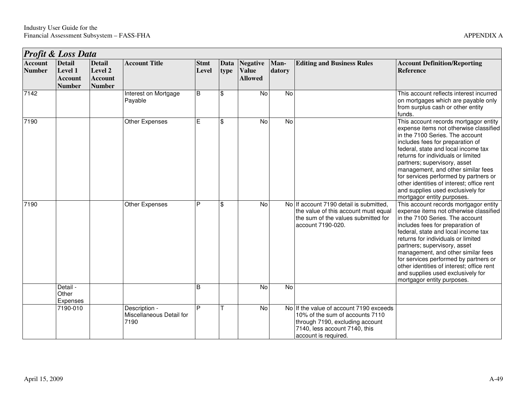|                                 | Profit & Loss Data                                          |                                                             |                                                   |                      |              |                                            |                |                                                                                                                                                                        |                                                                                                                                                                                                                                                                                                                                                                                                                                                                    |  |  |
|---------------------------------|-------------------------------------------------------------|-------------------------------------------------------------|---------------------------------------------------|----------------------|--------------|--------------------------------------------|----------------|------------------------------------------------------------------------------------------------------------------------------------------------------------------------|--------------------------------------------------------------------------------------------------------------------------------------------------------------------------------------------------------------------------------------------------------------------------------------------------------------------------------------------------------------------------------------------------------------------------------------------------------------------|--|--|
| <b>Account</b><br><b>Number</b> | <b>Detail</b><br>Level 1<br><b>Account</b><br><b>Number</b> | <b>Detail</b><br>Level 2<br><b>Account</b><br><b>Number</b> | <b>Account Title</b>                              | <b>Stmt</b><br>Level | Data<br>type | Negative<br><b>Value</b><br><b>Allowed</b> | Man-<br>datory | <b>Editing and Business Rules</b>                                                                                                                                      | <b>Account Definition/Reporting</b><br><b>Reference</b>                                                                                                                                                                                                                                                                                                                                                                                                            |  |  |
| 7142                            |                                                             |                                                             | Interest on Mortgage<br>Payable                   | B                    | \$           | No                                         | No             |                                                                                                                                                                        | This account reflects interest incurred<br>on mortgages which are payable only<br>from surplus cash or other entity<br>funds.                                                                                                                                                                                                                                                                                                                                      |  |  |
| 7190                            |                                                             |                                                             | Other Expenses                                    | Е                    | \$           | No                                         | $\overline{N}$ |                                                                                                                                                                        | This account records mortgagor entity<br>expense items not otherwise classified<br>in the 7100 Series. The account<br>includes fees for preparation of<br>federal, state and local income tax<br>returns for individuals or limited<br>partners; supervisory, asset<br>management, and other similar fees<br>for services performed by partners or<br>other identities of interest; office rent<br>and supplies used exclusively for<br>mortgagor entity purposes. |  |  |
| 7190                            |                                                             |                                                             | Other Expenses                                    | P                    | \$           | No                                         |                | No If account 7190 detail is submitted,<br>the value of this account must equal<br>the sum of the values submitted for<br>account 7190-020.                            | This account records mortgagor entity<br>expense items not otherwise classified<br>in the 7100 Series. The account<br>includes fees for preparation of<br>federal, state and local income tax<br>returns for individuals or limited<br>partners; supervisory, asset<br>management, and other similar fees<br>for services performed by partners or<br>other identities of interest; office rent<br>and supplies used exclusively for<br>mortgagor entity purposes. |  |  |
|                                 | Detail -<br>Other<br>Expenses                               |                                                             |                                                   | B                    |              | No                                         | $\overline{N}$ |                                                                                                                                                                        |                                                                                                                                                                                                                                                                                                                                                                                                                                                                    |  |  |
|                                 | 7190-010                                                    |                                                             | Description -<br>Miscellaneous Detail for<br>7190 | P                    |              | No                                         |                | No If the value of account 7190 exceeds<br>10% of the sum of accounts 7110<br>through 7190, excluding account<br>7140, less account 7140, this<br>account is required. |                                                                                                                                                                                                                                                                                                                                                                                                                                                                    |  |  |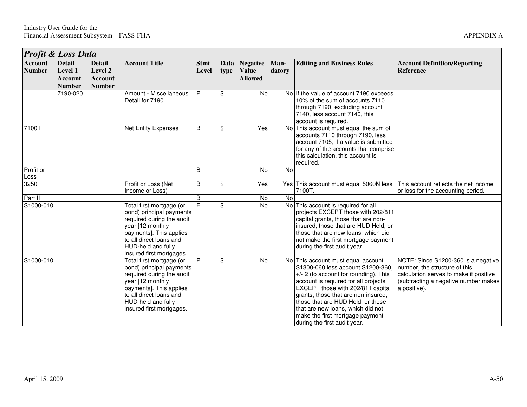|                                 | <b>Profit &amp; Loss Data</b>                               |                                                             |                                                                                                                                                                                                               |                      |              |                                                   |                |                                                                                                                                                                                                                                                                                                                                                                                     |                                                                                                                                                                        |  |
|---------------------------------|-------------------------------------------------------------|-------------------------------------------------------------|---------------------------------------------------------------------------------------------------------------------------------------------------------------------------------------------------------------|----------------------|--------------|---------------------------------------------------|----------------|-------------------------------------------------------------------------------------------------------------------------------------------------------------------------------------------------------------------------------------------------------------------------------------------------------------------------------------------------------------------------------------|------------------------------------------------------------------------------------------------------------------------------------------------------------------------|--|
| <b>Account</b><br><b>Number</b> | <b>Detail</b><br>Level 1<br><b>Account</b><br><b>Number</b> | <b>Detail</b><br>Level 2<br><b>Account</b><br><b>Number</b> | <b>Account Title</b>                                                                                                                                                                                          | <b>Stmt</b><br>Level | Data<br>type | <b>Negative</b><br><b>Value</b><br><b>Allowed</b> | Man-<br>datory | <b>Editing and Business Rules</b>                                                                                                                                                                                                                                                                                                                                                   | <b>Account Definition/Reporting</b><br><b>Reference</b>                                                                                                                |  |
|                                 | 7190-020                                                    |                                                             | Amount - Miscellaneous<br>Detail for 7190                                                                                                                                                                     | P                    | \$           | No                                                |                | No If the value of account 7190 exceeds<br>10% of the sum of accounts 7110<br>through 7190, excluding account<br>7140, less account 7140, this<br>account is required.                                                                                                                                                                                                              |                                                                                                                                                                        |  |
| 7100T                           |                                                             |                                                             | <b>Net Entity Expenses</b>                                                                                                                                                                                    | B                    | \$           | Yes                                               |                | No This account must equal the sum of<br>accounts 7110 through 7190, less<br>account 7105; if a value is submitted<br>for any of the accounts that comprise<br>this calculation, this account is<br>required.                                                                                                                                                                       |                                                                                                                                                                        |  |
| Profit or<br>Loss               |                                                             |                                                             |                                                                                                                                                                                                               | B                    |              | No                                                | No             |                                                                                                                                                                                                                                                                                                                                                                                     |                                                                                                                                                                        |  |
| 3250                            |                                                             |                                                             | Profit or Loss (Net<br>Income or Loss)                                                                                                                                                                        | B                    | \$           | Yes                                               |                | Yes This account must equal 5060N less<br>7100T.                                                                                                                                                                                                                                                                                                                                    | This account reflects the net income<br>or loss for the accounting period.                                                                                             |  |
| Part II                         |                                                             |                                                             |                                                                                                                                                                                                               | $\sf B$              |              | No                                                | No             |                                                                                                                                                                                                                                                                                                                                                                                     |                                                                                                                                                                        |  |
| S1000-010                       |                                                             |                                                             | Total first mortgage (or<br>bond) principal payments<br>required during the audit<br>year [12 monthly<br>payments]. This applies<br>to all direct loans and<br>HUD-held and fully<br>insured first mortgages. | E                    | \$           | <b>No</b>                                         |                | No This account is required for all<br>projects EXCEPT those with 202/811<br>capital grants, those that are non-<br>insured, those that are HUD Held, or<br>those that are new loans, which did<br>not make the first mortgage payment<br>during the first audit year.                                                                                                              |                                                                                                                                                                        |  |
| S1000-010                       |                                                             |                                                             | Total first mortgage (or<br>bond) principal payments<br>required during the audit<br>year [12 monthly<br>payments]. This applies<br>to all direct loans and<br>HUD-held and fully<br>insured first mortgages. | P                    | \$           | No                                                |                | No This account must equal account<br>S1300-060 less account S1200-360,<br>$+/- 2$ (to account for rounding). This<br>account is required for all projects<br>EXCEPT those with 202/811 capital<br>grants, those that are non-insured,<br>those that are HUD Held, or those<br>that are new loans, which did not<br>make the first mortgage payment<br>during the first audit year. | NOTE: Since S1200-360 is a negative<br>number, the structure of this<br>calculation serves to make it positive<br>(subtracting a negative number makes<br>a positive). |  |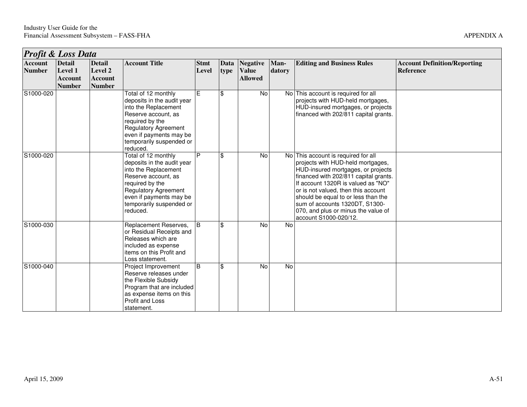| <b>Profit &amp; Loss Data</b>   |                                                             |                                                             |                                                                                                                                                                                                                       |                      |              |                                                   |                |                                                                                                                                                                                                                                                                                                                                                                               |                                                         |
|---------------------------------|-------------------------------------------------------------|-------------------------------------------------------------|-----------------------------------------------------------------------------------------------------------------------------------------------------------------------------------------------------------------------|----------------------|--------------|---------------------------------------------------|----------------|-------------------------------------------------------------------------------------------------------------------------------------------------------------------------------------------------------------------------------------------------------------------------------------------------------------------------------------------------------------------------------|---------------------------------------------------------|
| <b>Account</b><br><b>Number</b> | <b>Detail</b><br>Level 1<br><b>Account</b><br><b>Number</b> | <b>Detail</b><br>Level 2<br><b>Account</b><br><b>Number</b> | <b>Account Title</b>                                                                                                                                                                                                  | <b>Stmt</b><br>Level | Data<br>type | <b>Negative</b><br><b>Value</b><br><b>Allowed</b> | Man-<br>datory | <b>Editing and Business Rules</b>                                                                                                                                                                                                                                                                                                                                             | <b>Account Definition/Reporting</b><br><b>Reference</b> |
| S1000-020                       |                                                             |                                                             | Total of 12 monthly<br>deposits in the audit year<br>into the Replacement<br>Reserve account, as<br>required by the<br><b>Regulatory Agreement</b><br>even if payments may be<br>temporarily suspended or<br>reduced. | Έ                    | \$           | No                                                |                | No This account is required for all<br>projects with HUD-held mortgages,<br>HUD-insured mortgages, or projects<br>financed with 202/811 capital grants.                                                                                                                                                                                                                       |                                                         |
| S1000-020                       |                                                             |                                                             | Total of 12 monthly<br>deposits in the audit year<br>into the Replacement<br>Reserve account, as<br>required by the<br><b>Regulatory Agreement</b><br>even if payments may be<br>temporarily suspended or<br>reduced. | $\overline{P}$       | \$           | No                                                |                | No This account is required for all<br>projects with HUD-held mortgages,<br>HUD-insured mortgages, or projects<br>financed with 202/811 capital grants.<br>If account 1320R is valued as "NO"<br>or is not valued, then this account<br>should be equal to or less than the<br>sum of accounts 1320DT, S1300-<br>070, and plus or minus the value of<br>account S1000-020/12. |                                                         |
| S1000-030                       |                                                             |                                                             | Replacement Reserves,<br>or Residual Receipts and<br>Releases which are<br>included as expense<br>items on this Profit and<br>Loss statement.                                                                         | $\overline{B}$       | \$           | No                                                | <b>No</b>      |                                                                                                                                                                                                                                                                                                                                                                               |                                                         |
| S1000-040                       |                                                             |                                                             | Project Improvement<br>Reserve releases under<br>the Flexible Subsidy<br>Program that are included<br>as expense items on this<br>Profit and Loss<br>statement.                                                       | B                    | \$           | No                                                | No             |                                                                                                                                                                                                                                                                                                                                                                               |                                                         |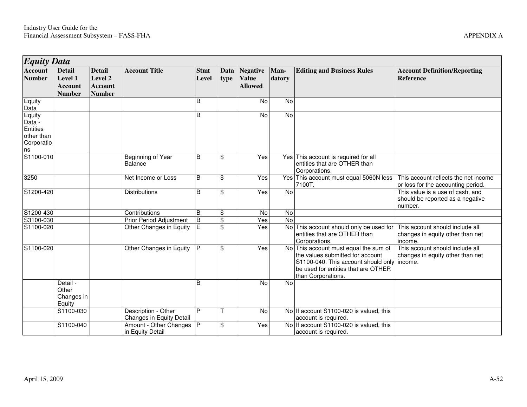| <i><b>Equity Data</b></i>                                             |                                                             |                                                             |                                                 |                      |                         |                                                   |                |                                                                                                                                                                            |                                                                                 |
|-----------------------------------------------------------------------|-------------------------------------------------------------|-------------------------------------------------------------|-------------------------------------------------|----------------------|-------------------------|---------------------------------------------------|----------------|----------------------------------------------------------------------------------------------------------------------------------------------------------------------------|---------------------------------------------------------------------------------|
| <b>Account</b><br><b>Number</b>                                       | <b>Detail</b><br>Level 1<br><b>Account</b><br><b>Number</b> | <b>Detail</b><br>Level 2<br><b>Account</b><br><b>Number</b> | <b>Account Title</b>                            | <b>Stmt</b><br>Level | Data<br>type            | <b>Negative</b><br><b>Value</b><br><b>Allowed</b> | Man-<br>datory | <b>Editing and Business Rules</b>                                                                                                                                          | <b>Account Definition/Reporting</b><br><b>Reference</b>                         |
| Equity<br>Data                                                        |                                                             |                                                             |                                                 | B                    |                         | No                                                | N <sub>o</sub> |                                                                                                                                                                            |                                                                                 |
| Equity<br>Data -<br><b>Entities</b><br>other than<br>Corporatio<br>ns |                                                             |                                                             |                                                 | B                    |                         | <b>No</b>                                         | No             |                                                                                                                                                                            |                                                                                 |
| S1100-010                                                             |                                                             |                                                             | Beginning of Year<br>Balance                    | $\overline{B}$       | \$                      | Yes                                               |                | Yes This account is required for all<br>entities that are OTHER than<br>Corporations.                                                                                      |                                                                                 |
| 3250                                                                  |                                                             |                                                             | Net Income or Loss                              | B                    | \$                      | Yes                                               |                | Yes This account must equal 5060N less<br>7100T.                                                                                                                           | This account reflects the net income<br>or loss for the accounting period.      |
| S1200-420                                                             |                                                             |                                                             | <b>Distributions</b>                            | B                    | \$                      | Yes                                               | N <sub>o</sub> |                                                                                                                                                                            | This value is a use of cash, and<br>should be reported as a negative<br>number. |
| S1200-430                                                             |                                                             |                                                             | Contributions                                   | B                    | \$                      | No                                                | No             |                                                                                                                                                                            |                                                                                 |
| S3100-030                                                             |                                                             |                                                             | <b>Prior Period Adjustment</b>                  | $\overline{B}$       | $\overline{\mathbf{S}}$ | Yes                                               | <b>No</b>      |                                                                                                                                                                            |                                                                                 |
| S1100-020                                                             |                                                             |                                                             | Other Changes in Equity                         | $\mathsf E$          | \$                      | Yes                                               | No             | This account should only be used for<br>entities that are OTHER than<br>Corporations.                                                                                      | This account should include all<br>changes in equity other than net<br>income.  |
| S1100-020                                                             |                                                             |                                                             | Other Changes in Equity                         | P                    | \$                      | Yes                                               | <b>No</b>      | This account must equal the sum of<br>the values submitted for account<br>S1100-040. This account should only<br>be used for entities that are OTHER<br>than Corporations. | This account should include all<br>changes in equity other than net<br>income.  |
|                                                                       | Detail -<br>Other<br>Changes in<br>Equity                   |                                                             |                                                 | B                    |                         | $\overline{N}$                                    | No             |                                                                                                                                                                            |                                                                                 |
|                                                                       | S1100-030                                                   |                                                             | Description - Other<br>Changes in Equity Detail | P                    |                         | No                                                |                | No If account S1100-020 is valued, this<br>account is required.                                                                                                            |                                                                                 |
|                                                                       | S1100-040                                                   |                                                             | Amount - Other Changes   P<br>in Equity Detail  |                      | \$                      | Yes                                               |                | No If account S1100-020 is valued, this<br>account is required.                                                                                                            |                                                                                 |

٦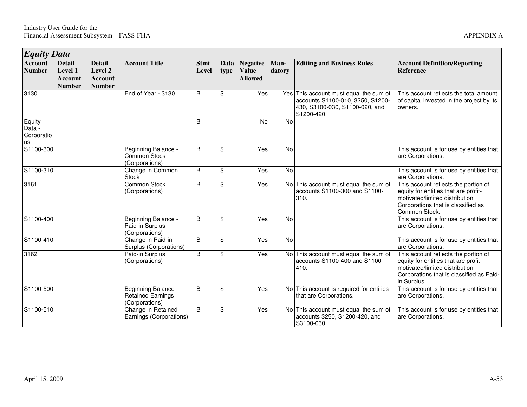| <b>Equity Data</b>                   |                                                             |                                                             |                                                                   |                      |                           |                                                   |                |                                                                                                                            |                                                                                                                                                                           |
|--------------------------------------|-------------------------------------------------------------|-------------------------------------------------------------|-------------------------------------------------------------------|----------------------|---------------------------|---------------------------------------------------|----------------|----------------------------------------------------------------------------------------------------------------------------|---------------------------------------------------------------------------------------------------------------------------------------------------------------------------|
| <b>Account</b><br><b>Number</b>      | <b>Detail</b><br>Level 1<br><b>Account</b><br><b>Number</b> | <b>Detail</b><br>Level 2<br><b>Account</b><br><b>Number</b> | <b>Account Title</b>                                              | <b>Stmt</b><br>Level | Data<br>type              | <b>Negative</b><br><b>Value</b><br><b>Allowed</b> | Man-<br>datory | <b>Editing and Business Rules</b>                                                                                          | <b>Account Definition/Reporting</b><br><b>Reference</b>                                                                                                                   |
| 3130                                 |                                                             |                                                             | End of Year - 3130                                                | B                    | \$                        | Yes                                               |                | Yes This account must equal the sum of<br>accounts S1100-010, 3250, S1200-<br>430, S3100-030, S1100-020, and<br>S1200-420. | This account reflects the total amount<br>of capital invested in the project by its<br>owners.                                                                            |
| Equity<br>Data -<br>Corporatio<br>ns |                                                             |                                                             |                                                                   | B                    |                           | No                                                | No             |                                                                                                                            |                                                                                                                                                                           |
| S1100-300                            |                                                             |                                                             | Beginning Balance -<br>Common Stock<br>(Corporations)             | B                    | $\mathfrak{S}$            | Yes                                               | $\overline{N}$ |                                                                                                                            | This account is for use by entities that<br>are Corporations.                                                                                                             |
| $\overline{S1}$ 100-310              |                                                             |                                                             | Change in Common<br><b>Stock</b>                                  | B                    | $\mathfrak{S}$            | Yes                                               | <b>No</b>      |                                                                                                                            | This account is for use by entities that<br>are Corporations.                                                                                                             |
| 3161                                 |                                                             |                                                             | <b>Common Stock</b><br>(Corporations)                             | B                    | \$                        | Yes                                               |                | No This account must equal the sum of<br>accounts S1100-300 and S1100-<br>310.                                             | This account reflects the portion of<br>equity for entities that are profit-<br>motivated/limited distribution<br>Corporations that is classified as<br>Common Stock.     |
| S1100-400                            |                                                             |                                                             | Beginning Balance -<br>Paid-in Surplus<br>(Corporations)          | B                    | \$                        | Yes                                               | No             |                                                                                                                            | This account is for use by entities that<br>are Corporations.                                                                                                             |
| S1100-410                            |                                                             |                                                             | Change in Paid-in<br>Surplus (Corporations)                       | B                    | $\boldsymbol{\mathsf{S}}$ | Yes                                               | No             |                                                                                                                            | This account is for use by entities that<br>are Corporations.                                                                                                             |
| 3162                                 |                                                             |                                                             | Paid-in Surplus<br>(Corporations)                                 | B                    | \$                        | Yes                                               |                | No This account must equal the sum of<br>accounts S1100-400 and S1100-<br>410.                                             | This account reflects the portion of<br>equity for entities that are profit-<br>motivated/limited distribution<br>Corporations that is classified as Paid-<br>in Surplus. |
| S1100-500                            |                                                             |                                                             | Beginning Balance -<br><b>Retained Earnings</b><br>(Corporations) | $\overline{B}$       | $\mathfrak{S}$            | Yes                                               |                | No This account is required for entities<br>that are Corporations.                                                         | This account is for use by entities that<br>are Corporations.                                                                                                             |
| S1100-510                            |                                                             |                                                             | Change in Retained<br>Earnings (Corporations)                     | B                    | $\mathfrak{S}$            | Yes                                               |                | No This account must equal the sum of<br>accounts 3250, S1200-420, and<br>S3100-030.                                       | This account is for use by entities that<br>are Corporations.                                                                                                             |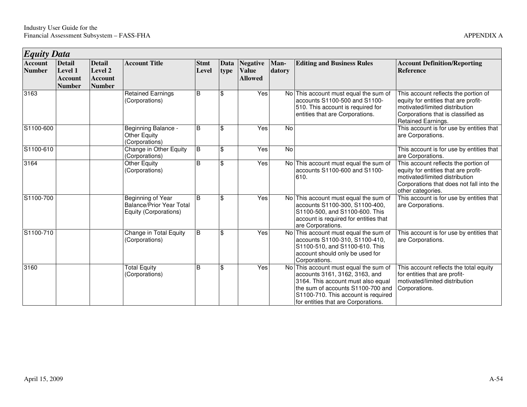| <b>Equity Data</b>       |                                                             |                                                             |                                                                                      |                      |                |                                                   |                |                                                                                                                                                                                                                                  |                                                                                                                                                                                 |
|--------------------------|-------------------------------------------------------------|-------------------------------------------------------------|--------------------------------------------------------------------------------------|----------------------|----------------|---------------------------------------------------|----------------|----------------------------------------------------------------------------------------------------------------------------------------------------------------------------------------------------------------------------------|---------------------------------------------------------------------------------------------------------------------------------------------------------------------------------|
| Account<br><b>Number</b> | <b>Detail</b><br>Level 1<br><b>Account</b><br><b>Number</b> | <b>Detail</b><br>Level 2<br><b>Account</b><br><b>Number</b> | <b>Account Title</b>                                                                 | <b>Stmt</b><br>Level | Data<br>type   | <b>Negative</b><br><b>Value</b><br><b>Allowed</b> | Man-<br>datory | <b>Editing and Business Rules</b>                                                                                                                                                                                                | <b>Account Definition/Reporting</b><br><b>Reference</b>                                                                                                                         |
| 3163                     |                                                             |                                                             | <b>Retained Earnings</b><br>(Corporations)                                           | B                    | \$             | Yes                                               |                | No This account must equal the sum of<br>accounts S1100-500 and S1100-<br>510. This account is required for<br>entities that are Corporations.                                                                                   | This account reflects the portion of<br>equity for entities that are profit-<br>motivated/limited distribution<br>Corporations that is classified as<br>Retained Earnings.      |
| S1100-600                |                                                             |                                                             | Beginning Balance -<br>Other Equity<br>(Corporations)                                | B                    | \$             | Yes                                               | No             |                                                                                                                                                                                                                                  | This account is for use by entities that<br>are Corporations.                                                                                                                   |
| S1100-610                |                                                             |                                                             | Change in Other Equity<br>(Corporations)                                             | B                    | \$             | Yes                                               | <b>No</b>      |                                                                                                                                                                                                                                  | This account is for use by entities that<br>are Corporations.                                                                                                                   |
| 3164                     |                                                             |                                                             | Other Equity<br>(Corporations)                                                       | B                    | \$             | Yes                                               |                | No This account must equal the sum of<br>accounts S1100-600 and S1100-<br>610.                                                                                                                                                   | This account reflects the portion of<br>equity for entities that are profit-<br>motivated/limited distribution<br>Corporations that does not fall into the<br>other categories. |
| S1100-700                |                                                             |                                                             | <b>Beginning of Year</b><br><b>Balance/Prior Year Total</b><br>Equity (Corporations) | B                    | \$             | Yes                                               |                | No This account must equal the sum of<br>accounts S1100-300, S1100-400,<br>S1100-500, and S1100-600. This<br>account is required for entities that<br>are Corporations.                                                          | This account is for use by entities that<br>are Corporations.                                                                                                                   |
| S1100-710                |                                                             |                                                             | Change in Total Equity<br>(Corporations)                                             | $\sf B$              | $\mathfrak{S}$ | Yes                                               |                | No This account must equal the sum of<br>accounts S1100-310, S1100-410,<br>S1100-510, and S1100-610. This<br>account should only be used for<br>Corporations.                                                                    | This account is for use by entities that<br>are Corporations.                                                                                                                   |
| 3160                     |                                                             |                                                             | <b>Total Equity</b><br>(Corporations)                                                | B                    | \$             | Yes                                               |                | No This account must equal the sum of<br>accounts 3161, 3162, 3163, and<br>3164. This account must also equal<br>the sum of accounts S1100-700 and<br>S1100-710. This account is required<br>for entities that are Corporations. | This account reflects the total equity<br>for entities that are profit-<br>motivated/limited distribution<br>Corporations.                                                      |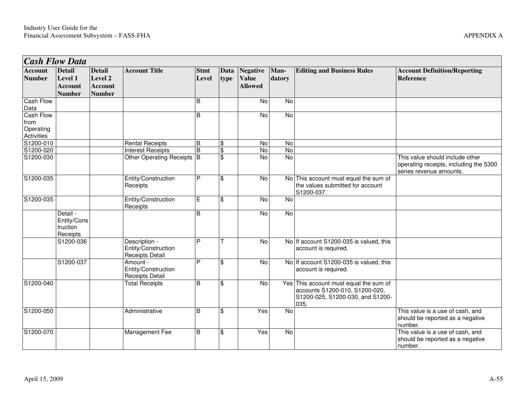| <b>Cash Flow Data</b>                                      |                                                             |                                                             |                                                           |                         |                 |                                            |                |                                                                                                                      |                                                                                                      |
|------------------------------------------------------------|-------------------------------------------------------------|-------------------------------------------------------------|-----------------------------------------------------------|-------------------------|-----------------|--------------------------------------------|----------------|----------------------------------------------------------------------------------------------------------------------|------------------------------------------------------------------------------------------------------|
| <b>Account</b><br><b>Number</b>                            | <b>Detail</b><br>Level 1<br><b>Account</b><br><b>Number</b> | <b>Detail</b><br>Level 2<br><b>Account</b><br><b>Number</b> | <b>Account Title</b>                                      | <b>Stmt</b><br>Level    | Data<br>type    | Negative<br><b>Value</b><br><b>Allowed</b> | Man-<br>datory | <b>Editing and Business Rules</b>                                                                                    | <b>Account Definition/Reporting</b><br>Reference                                                     |
| <b>Cash Flow</b><br>Data                                   |                                                             |                                                             |                                                           | $\overline{\mathsf{B}}$ |                 | No                                         | $\overline{N}$ |                                                                                                                      |                                                                                                      |
| <b>Cash Flow</b><br>from<br>Operating<br><b>Activities</b> |                                                             |                                                             |                                                           | B                       |                 | No                                         | No             |                                                                                                                      |                                                                                                      |
| S1200-010                                                  |                                                             |                                                             | <b>Rental Receipts</b>                                    | B                       | \$              | No                                         | No             |                                                                                                                      |                                                                                                      |
| S1200-020                                                  |                                                             |                                                             | <b>Interest Receipts</b>                                  | B                       | \$              | No                                         | $\overline{N}$ |                                                                                                                      |                                                                                                      |
| S1200-030                                                  |                                                             |                                                             | Other Operating Receipts B                                |                         | $\overline{\$}$ | <b>No</b>                                  | <b>No</b>      |                                                                                                                      | This value should include other<br>operating receipts, including the 5300<br>series revenue amounts. |
| S1200-035                                                  |                                                             |                                                             | Entity/Construction<br>Receipts                           | P                       | \$              | No                                         |                | No This account must equal the sum of<br>the values submitted for account<br>S1200-037.                              |                                                                                                      |
| S1200-035                                                  |                                                             |                                                             | Entity/Construction<br>Receipts                           | E                       | \$              | No                                         | <b>No</b>      |                                                                                                                      |                                                                                                      |
|                                                            | Detail -<br>Entity/Cons<br>truction<br>Receipts             |                                                             |                                                           | B                       |                 | No                                         | No             |                                                                                                                      |                                                                                                      |
|                                                            | S1200-036                                                   |                                                             | Description -<br>Entity/Construction<br>Receipts Detail   | P                       |                 | No                                         |                | No If account S1200-035 is valued, this<br>account is required.                                                      |                                                                                                      |
|                                                            | S1200-037                                                   |                                                             | Amount -<br>Entity/Construction<br><b>Receipts Detail</b> | P                       | \$              | $\overline{N}$                             |                | No If account S1200-035 is valued, this<br>account is required.                                                      |                                                                                                      |
| S1200-040                                                  |                                                             |                                                             | <b>Total Receipts</b>                                     | B                       | \$              | <b>No</b>                                  |                | Yes This account must equal the sum of<br>accounts S1200-010, S1200-020,<br>S1200-025, S1200-030, and S1200-<br>035. |                                                                                                      |
| S1200-050                                                  |                                                             |                                                             | Administrative                                            | $\overline{B}$          | \$              | Yes                                        | $\overline{N}$ |                                                                                                                      | This value is a use of cash, and<br>should be reported as a negative<br>number.                      |
| S1200-070                                                  |                                                             |                                                             | Management Fee                                            | B                       | \$              | Yes                                        | N <sub>o</sub> |                                                                                                                      | This value is a use of cash, and<br>should be reported as a negative<br>number.                      |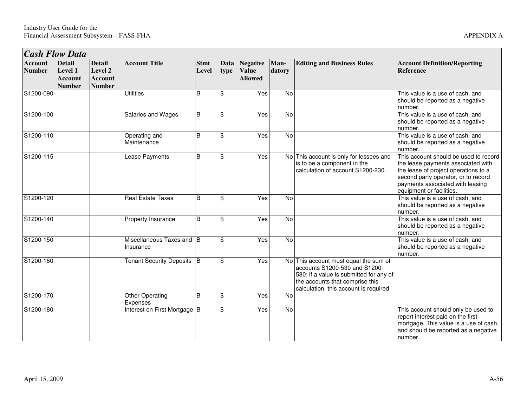| <b>Cash Flow Data</b>           |                                                      |                                                             |                                        |                      |                     |                                            |                |                                                                                                                                                                                                |                                                                                                                                                                                                                            |
|---------------------------------|------------------------------------------------------|-------------------------------------------------------------|----------------------------------------|----------------------|---------------------|--------------------------------------------|----------------|------------------------------------------------------------------------------------------------------------------------------------------------------------------------------------------------|----------------------------------------------------------------------------------------------------------------------------------------------------------------------------------------------------------------------------|
| <b>Account</b><br><b>Number</b> | <b>Detail</b><br>Level 1<br>Account<br><b>Number</b> | <b>Detail</b><br>Level 2<br><b>Account</b><br><b>Number</b> | <b>Account Title</b>                   | <b>Stmt</b><br>Level | <b>Data</b><br>type | Negative<br><b>Value</b><br><b>Allowed</b> | Man-<br>datory | <b>Editing and Business Rules</b>                                                                                                                                                              | <b>Account Definition/Reporting</b><br><b>Reference</b>                                                                                                                                                                    |
| S1200-090                       |                                                      |                                                             | <b>Utilities</b>                       | <sub>B</sub>         | \$                  | Yes                                        | No             |                                                                                                                                                                                                | This value is a use of cash, and<br>should be reported as a negative<br>number.                                                                                                                                            |
| S1200-100                       |                                                      |                                                             | Salaries and Wages                     | B                    | $\mathfrak{F}$      | Yes                                        | No             |                                                                                                                                                                                                | This value is a use of cash, and<br>should be reported as a negative<br>number.                                                                                                                                            |
| S1200-110                       |                                                      |                                                             | Operating and<br>Maintenance           | B                    | $\mathfrak{F}$      | Yes                                        | No             |                                                                                                                                                                                                | This value is a use of cash, and<br>should be reported as a negative<br>number.                                                                                                                                            |
| S1200-115                       |                                                      |                                                             | <b>Lease Payments</b>                  | B                    | $\mathfrak{F}$      | Yes                                        |                | No This account is only for lessees and<br>is to be a component in the<br>calculation of account S1200-230.                                                                                    | This account should be used to record<br>the lease payments associated with<br>the lease of project operations to a<br>second party operator, or to record<br>payments associated with leasing<br>equipment or facilities. |
| S1200-120                       |                                                      |                                                             | <b>Real Estate Taxes</b>               | <sub>B</sub>         | $\mathfrak{F}$      | Yes                                        | $\overline{N}$ |                                                                                                                                                                                                | This value is a use of cash, and<br>should be reported as a negative<br>number.                                                                                                                                            |
| S1200-140                       |                                                      |                                                             | Property Insurance                     | B                    | $\mathfrak{F}$      | <b>Yes</b>                                 | No             |                                                                                                                                                                                                | This value is a use of cash, and<br>should be reported as a negative<br>number.                                                                                                                                            |
| S1200-150                       |                                                      |                                                             | Miscellaneous Taxes and B<br>Insurance |                      | $\mathfrak{F}$      | Yes                                        | No             |                                                                                                                                                                                                | This value is a use of cash, and<br>should be reported as a negative<br>number.                                                                                                                                            |
| S1200-160                       |                                                      |                                                             | Tenant Security Deposits B             |                      | $\mathbf{\hat{s}}$  | Yes                                        |                | No This account must equal the sum of<br>accounts S1200-530 and S1200-<br>580; if a value is submitted for any of<br>the accounts that comprise this<br>calculation, this account is required. |                                                                                                                                                                                                                            |
| S1200-170                       |                                                      |                                                             | <b>Other Operating</b><br>Expenses     | <sub>B</sub>         | $\mathfrak{F}$      | Yes                                        | No             |                                                                                                                                                                                                |                                                                                                                                                                                                                            |
| S1200-180                       |                                                      |                                                             | Interest on First Mortgage B           |                      | $\mathfrak{S}$      | Yes                                        | No             |                                                                                                                                                                                                | This account should only be used to<br>report interest paid on the first<br>mortgage. This value is a use of cash,<br>and should be reported as a negative<br>number.                                                      |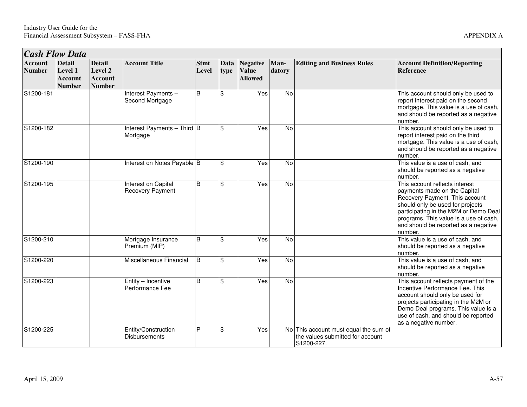| <b>Cash Flow Data</b>           |                                                             |                                                             |                                                |                      |              |                                                   |                |                                                                                         |                                                                                                                                                                                                                                                                            |
|---------------------------------|-------------------------------------------------------------|-------------------------------------------------------------|------------------------------------------------|----------------------|--------------|---------------------------------------------------|----------------|-----------------------------------------------------------------------------------------|----------------------------------------------------------------------------------------------------------------------------------------------------------------------------------------------------------------------------------------------------------------------------|
| <b>Account</b><br><b>Number</b> | <b>Detail</b><br>Level 1<br><b>Account</b><br><b>Number</b> | <b>Detail</b><br>Level 2<br><b>Account</b><br><b>Number</b> | <b>Account Title</b>                           | <b>Stmt</b><br>Level | Data<br>type | <b>Negative</b><br><b>Value</b><br><b>Allowed</b> | Man-<br>datory | <b>Editing and Business Rules</b>                                                       | <b>Account Definition/Reporting</b><br><b>Reference</b>                                                                                                                                                                                                                    |
| S1200-181                       |                                                             |                                                             | Interest Payments -<br>Second Mortgage         | B                    | \$           | Yes                                               | $\overline{N}$ |                                                                                         | This account should only be used to<br>report interest paid on the second<br>mortgage. This value is a use of cash,<br>and should be reported as a negative<br>number.                                                                                                     |
| S1200-182                       |                                                             |                                                             | Interest Payments $-$ Third B<br>Mortgage      |                      | \$           | Yes                                               | $\overline{N}$ |                                                                                         | This account should only be used to<br>report interest paid on the third<br>mortgage. This value is a use of cash,<br>and should be reported as a negative<br>number.                                                                                                      |
| S1200-190                       |                                                             |                                                             | Interest on Notes Payable B                    |                      | \$           | Yes                                               | $\overline{N}$ |                                                                                         | This value is a use of cash, and<br>should be reported as a negative<br>number.                                                                                                                                                                                            |
| S1200-195                       |                                                             |                                                             | Interest on Capital<br><b>Recovery Payment</b> | B                    | \$           | Yes                                               | No             |                                                                                         | This account reflects interest<br>payments made on the Capital<br>Recovery Payment. This account<br>should only be used for projects<br>participating in the M2M or Demo Deal<br>programs. This value is a use of cash,<br>and should be reported as a negative<br>number. |
| S1200-210                       |                                                             |                                                             | Mortgage Insurance<br>Premium (MIP)            | B                    | \$           | Yes                                               | $\overline{N}$ |                                                                                         | This value is a use of cash, and<br>should be reported as a negative<br>number.                                                                                                                                                                                            |
| S1200-220                       |                                                             |                                                             | Miscellaneous Financial                        | l B                  | \$           | Yes                                               | N <sub>o</sub> |                                                                                         | This value is a use of cash, and<br>should be reported as a negative<br>number.                                                                                                                                                                                            |
| S1200-223                       |                                                             |                                                             | Entity - Incentive<br>Performance Fee          | B                    | \$           | Yes                                               | <b>No</b>      |                                                                                         | This account reflects payment of the<br>Incentive Performance Fee. This<br>account should only be used for<br>projects participating in the M2M or<br>Demo Deal programs. This value is a<br>use of cash, and should be reported<br>as a negative number.                  |
| S1200-225                       |                                                             |                                                             | Entity/Construction<br>Disbursements           | P                    | \$           | Yes                                               |                | No This account must equal the sum of<br>the values submitted for account<br>S1200-227. |                                                                                                                                                                                                                                                                            |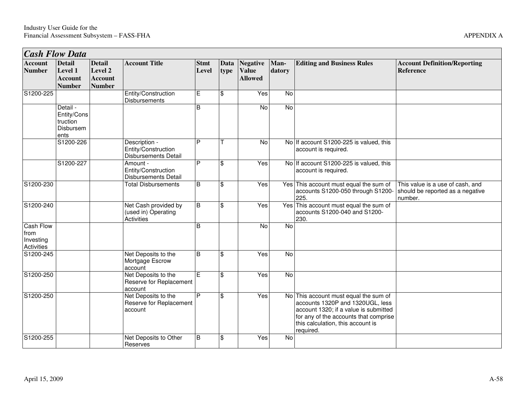| <b>Man-</b><br>datory | <b>Editing and Business Rules</b> | <b>Account Definition/Reporting</b><br><b>Reference</b> |
|-----------------------|-----------------------------------|---------------------------------------------------------|
| No                    |                                   |                                                         |
| No                    |                                   |                                                         |

| <b>Cash Flow Data</b>                               |                                                             |                                                             |                                                                  |                      |              |                                                   |                |                                                                                                                                                                                                               |                                                                                 |
|-----------------------------------------------------|-------------------------------------------------------------|-------------------------------------------------------------|------------------------------------------------------------------|----------------------|--------------|---------------------------------------------------|----------------|---------------------------------------------------------------------------------------------------------------------------------------------------------------------------------------------------------------|---------------------------------------------------------------------------------|
| <b>Account</b><br><b>Number</b>                     | <b>Detail</b><br>Level 1<br><b>Account</b><br><b>Number</b> | <b>Detail</b><br>Level 2<br><b>Account</b><br><b>Number</b> | <b>Account Title</b>                                             | <b>Stmt</b><br>Level | Data<br>type | <b>Negative</b><br><b>Value</b><br><b>Allowed</b> | Man-<br>datory | <b>Editing and Business Rules</b>                                                                                                                                                                             | <b>Account Definition/Reporting</b><br><b>Reference</b>                         |
| S1200-225                                           |                                                             |                                                             | Entity/Construction<br>Disbursements                             | E                    | \$           | Yes                                               | $\overline{N}$ |                                                                                                                                                                                                               |                                                                                 |
|                                                     | Detail -<br>Entity/Cons<br>truction<br>Disbursem<br>ents    |                                                             |                                                                  | B                    |              | No                                                | No             |                                                                                                                                                                                                               |                                                                                 |
|                                                     | S1200-226                                                   |                                                             | Description -<br>Entity/Construction<br>Disbursements Detail     | P                    |              | $\overline{N}$                                    |                | No If account S1200-225 is valued, this<br>account is required.                                                                                                                                               |                                                                                 |
|                                                     | S1200-227                                                   |                                                             | Amount -<br>Entity/Construction<br><b>Disbursements Detail</b>   | P                    | \$           | $\overline{Yes}$                                  |                | No If account S1200-225 is valued, this<br>account is required.                                                                                                                                               |                                                                                 |
| S1200-230                                           |                                                             |                                                             | <b>Total Disbursements</b>                                       | B                    | \$           | Yes                                               |                | Yes This account must equal the sum of<br>accounts S1200-050 through S1200-<br>225.                                                                                                                           | This value is a use of cash, and<br>should be reported as a negative<br>number. |
| S1200-240                                           |                                                             |                                                             | Net Cash provided by<br>(used in) Operating<br><b>Activities</b> | B                    | \$           | Yes                                               |                | Yes This account must equal the sum of<br>accounts S1200-040 and S1200-<br>230.                                                                                                                               |                                                                                 |
| <b>Cash Flow</b><br>from<br>Investing<br>Activities |                                                             |                                                             |                                                                  | B                    |              | No                                                | No             |                                                                                                                                                                                                               |                                                                                 |
| S1200-245                                           |                                                             |                                                             | Net Deposits to the<br>Mortgage Escrow<br>account                | B                    | \$           | Yes                                               | <b>No</b>      |                                                                                                                                                                                                               |                                                                                 |
| S1200-250                                           |                                                             |                                                             | Net Deposits to the<br>Reserve for Replacement<br>account        | E                    | \$           | Yes                                               | No             |                                                                                                                                                                                                               |                                                                                 |
| S1200-250                                           |                                                             |                                                             | Net Deposits to the<br>Reserve for Replacement<br>account        | P                    | \$           | Yes                                               |                | No This account must equal the sum of<br>accounts 1320P and 1320UGL, less<br>account 1320; if a value is submitted<br>for any of the accounts that comprise<br>this calculation, this account is<br>required. |                                                                                 |
| S1200-255                                           |                                                             |                                                             | Net Deposits to Other<br>Reserves                                | B                    | \$           | Yes                                               | No             |                                                                                                                                                                                                               |                                                                                 |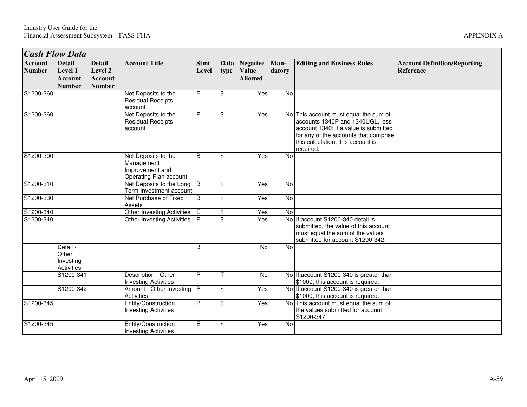|                                 | <b>Cash Flow Data</b>                                |                                                             |                                                                                |                      |                     |                                                   |                |                                                                                                                                                                                                               |                                                  |
|---------------------------------|------------------------------------------------------|-------------------------------------------------------------|--------------------------------------------------------------------------------|----------------------|---------------------|---------------------------------------------------|----------------|---------------------------------------------------------------------------------------------------------------------------------------------------------------------------------------------------------------|--------------------------------------------------|
| <b>Account</b><br><b>Number</b> | <b>Detail</b><br>Level 1<br><b>Account</b><br>Number | <b>Detail</b><br>Level 2<br><b>Account</b><br><b>Number</b> | <b>Account Title</b>                                                           | <b>Stmt</b><br>Level | <b>Data</b><br>type | <b>Negative</b><br><b>Value</b><br><b>Allowed</b> | Man-<br>datory | <b>Editing and Business Rules</b>                                                                                                                                                                             | <b>Account Definition/Reporting</b><br>Reference |
| S1200-260                       |                                                      |                                                             | Net Deposits to the<br><b>Residual Receipts</b><br>account                     | E                    | $\frac{3}{2}$       | Yes                                               | No             |                                                                                                                                                                                                               |                                                  |
| S1200-260                       |                                                      |                                                             | Net Deposits to the<br><b>Residual Receipts</b><br>account                     | P                    | \$                  | Yes                                               |                | No This account must equal the sum of<br>accounts 1340P and 1340UGL, less<br>account 1340; if a value is submitted<br>for any of the accounts that comprise<br>this calculation, this account is<br>required. |                                                  |
| S1200-300                       |                                                      |                                                             | Net Deposits to the<br>Management<br>Improvement and<br>Operating Plan account | <sub>B</sub>         | $\mathfrak{F}$      | Yes                                               | No             |                                                                                                                                                                                                               |                                                  |
| S1200-310                       |                                                      |                                                             | Net Deposits to the Long<br>Term Investment account                            | l B                  | $\$\$               | Yes                                               | No             |                                                                                                                                                                                                               |                                                  |
| S1200-330                       |                                                      |                                                             | Net Purchase of Fixed<br>Assets                                                | B                    | $\$\$               | Yes                                               | No             |                                                                                                                                                                                                               |                                                  |
| S1200-340                       |                                                      |                                                             | <b>Other Investing Activities</b>                                              | E                    | $\$\$               | Yes                                               | $\overline{N}$ |                                                                                                                                                                                                               |                                                  |
| S1200-340                       |                                                      |                                                             | Other Investing Activities                                                     |                      | $\mathfrak{L}$      | Yes                                               |                | No If account S1200-340 detail is<br>submitted, the value of this account<br>must equal the sum of the values<br>submitted for account S1200-342.                                                             |                                                  |
|                                 | Detail -<br>Other<br>Investing<br><b>Activities</b>  |                                                             |                                                                                | B                    |                     | No                                                | <b>No</b>      |                                                                                                                                                                                                               |                                                  |
|                                 | S1200-341                                            |                                                             | Description - Other<br><b>Investing Activities</b>                             | P                    |                     | No                                                |                | No If account S1200-340 is greater than<br>\$1000, this account is required.                                                                                                                                  |                                                  |
|                                 | S1200-342                                            |                                                             | Amount - Other Investing<br><b>Activities</b>                                  | P                    | \$                  | Yes                                               |                | No If account S1200-340 is greater than<br>\$1000, this account is required.                                                                                                                                  |                                                  |
| $\overline{S1200-345}$          |                                                      |                                                             | Entity/Construction<br><b>Investing Activities</b>                             | P                    | $\mathbf{\hat{s}}$  | Yes                                               |                | No This account must equal the sum of<br>the values submitted for account<br>S1200-347.                                                                                                                       |                                                  |
| S1200-345                       |                                                      |                                                             | Entity/Construction<br><b>Investing Activities</b>                             | Е                    | \$                  | Yes                                               | No             |                                                                                                                                                                                                               |                                                  |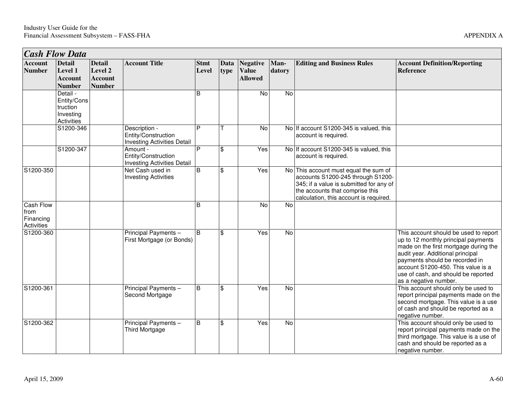| <b>Cash Flow Data</b>                               |                                                                |                                                             |                                                                            |                      |                         |                                                   |                |                                                                                                                                                                                                    |                                                                                                                                                                                                                                                                                                   |
|-----------------------------------------------------|----------------------------------------------------------------|-------------------------------------------------------------|----------------------------------------------------------------------------|----------------------|-------------------------|---------------------------------------------------|----------------|----------------------------------------------------------------------------------------------------------------------------------------------------------------------------------------------------|---------------------------------------------------------------------------------------------------------------------------------------------------------------------------------------------------------------------------------------------------------------------------------------------------|
| <b>Account</b><br><b>Number</b>                     | <b>Detail</b><br>Level 1<br><b>Account</b><br><b>Number</b>    | <b>Detail</b><br>Level 2<br><b>Account</b><br><b>Number</b> | <b>Account Title</b>                                                       | <b>Stmt</b><br>Level | Data<br>type            | <b>Negative</b><br><b>Value</b><br><b>Allowed</b> | Man-<br>datory | <b>Editing and Business Rules</b>                                                                                                                                                                  | <b>Account Definition/Reporting</b><br><b>Reference</b>                                                                                                                                                                                                                                           |
|                                                     | Detail -<br>Entity/Cons<br>truction<br>Investing<br>Activities |                                                             |                                                                            | B                    |                         | No                                                | $\overline{N}$ |                                                                                                                                                                                                    |                                                                                                                                                                                                                                                                                                   |
|                                                     | S1200-346                                                      |                                                             | Description -<br>Entity/Construction<br><b>Investing Activities Detail</b> | P                    |                         | No                                                |                | No If account S1200-345 is valued, this<br>account is required.                                                                                                                                    |                                                                                                                                                                                                                                                                                                   |
|                                                     | S1200-347                                                      |                                                             | Amount -<br>Entity/Construction<br><b>Investing Activities Detail</b>      | P                    | \$                      | Yes                                               |                | No If account S1200-345 is valued, this<br>account is required.                                                                                                                                    |                                                                                                                                                                                                                                                                                                   |
| S1200-350                                           |                                                                |                                                             | Net Cash used in<br><b>Investing Activities</b>                            | $\mathsf B$          | \$                      | Yes                                               |                | No This account must equal the sum of<br>accounts S1200-245 through S1200-<br>345; if a value is submitted for any of<br>the accounts that comprise this<br>calculation, this account is required. |                                                                                                                                                                                                                                                                                                   |
| <b>Cash Flow</b><br>from<br>Financing<br>Activities |                                                                |                                                             |                                                                            | B                    |                         | No                                                | No             |                                                                                                                                                                                                    |                                                                                                                                                                                                                                                                                                   |
| S1200-360                                           |                                                                |                                                             | Principal Payments -<br>First Mortgage (or Bonds)                          | <sub>B</sub>         | \$                      | Yes                                               | <b>No</b>      |                                                                                                                                                                                                    | This account should be used to report<br>up to 12 monthly principal payments<br>made on the first mortgage during the<br>audit year. Additional principal<br>payments should be recorded in<br>account S1200-450. This value is a<br>use of cash, and should be reported<br>as a negative number. |
| S1200-361                                           |                                                                |                                                             | Principal Payments -<br>Second Mortgage                                    | B                    | $\overline{\mathbf{s}}$ | Yes                                               | $\overline{N}$ |                                                                                                                                                                                                    | This account should only be used to<br>report principal payments made on the<br>second mortgage. This value is a use<br>of cash and should be reported as a<br>negative number.                                                                                                                   |
| S1200-362                                           |                                                                |                                                             | Principal Payments -<br><b>Third Mortgage</b>                              | B                    | \$                      | Yes                                               | $\overline{N}$ |                                                                                                                                                                                                    | This account should only be used to<br>report principal payments made on the<br>third mortgage. This value is a use of<br>cash and should be reported as a<br>negative number.                                                                                                                    |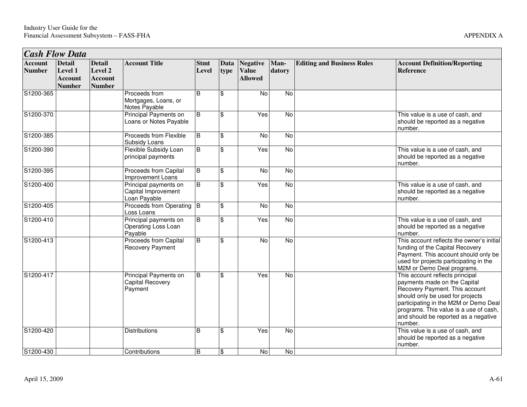| <b>Cash Flow Data</b>           |                                                             |                                                             |                                                              |                      |                    |                                                   |                |                                   |                                                                                                                                                                                                                                                                             |
|---------------------------------|-------------------------------------------------------------|-------------------------------------------------------------|--------------------------------------------------------------|----------------------|--------------------|---------------------------------------------------|----------------|-----------------------------------|-----------------------------------------------------------------------------------------------------------------------------------------------------------------------------------------------------------------------------------------------------------------------------|
| <b>Account</b><br><b>Number</b> | <b>Detail</b><br>Level 1<br><b>Account</b><br><b>Number</b> | <b>Detail</b><br>Level 2<br><b>Account</b><br><b>Number</b> | <b>Account Title</b>                                         | <b>Stmt</b><br>Level | Data<br>type       | <b>Negative</b><br><b>Value</b><br><b>Allowed</b> | Man-<br>datory | <b>Editing and Business Rules</b> | <b>Account Definition/Reporting</b><br><b>Reference</b>                                                                                                                                                                                                                     |
| S1200-365                       |                                                             |                                                             | Proceeds from<br>Mortgages, Loans, or<br>Notes Payable       | $\overline{B}$       | $\mathfrak{S}$     | No                                                | No             |                                   |                                                                                                                                                                                                                                                                             |
| S1200-370                       |                                                             |                                                             | <b>Principal Payments on</b><br>Loans or Notes Payable       | $\overline{B}$       | $\mathfrak{L}$     | Yes                                               | $\overline{N}$ |                                   | This value is a use of cash, and<br>should be reported as a negative<br>number.                                                                                                                                                                                             |
| S1200-385                       |                                                             |                                                             | Proceeds from Flexible<br>Subsidy Loans                      | B                    | $\mathfrak{L}$     | <b>No</b>                                         | No             |                                   |                                                                                                                                                                                                                                                                             |
| S1200-390                       |                                                             |                                                             | Flexible Subsidy Loan<br>principal payments                  | B                    | $\mathfrak{L}$     | Yes                                               | No             |                                   | This value is a use of cash, and<br>should be reported as a negative<br>number.                                                                                                                                                                                             |
| S1200-395                       |                                                             |                                                             | <b>Proceeds from Capital</b><br>Improvement Loans            | B                    | $\mathfrak{L}$     | No                                                | No             |                                   |                                                                                                                                                                                                                                                                             |
| S1200-400                       |                                                             |                                                             | Principal payments on<br>Capital Improvement<br>Loan Payable | $\overline{B}$       | $\mathbf{\hat{s}}$ | Yes                                               | $\overline{N}$ |                                   | This value is a use of cash, and<br>should be reported as a negative<br>number.                                                                                                                                                                                             |
| S1200-405                       |                                                             |                                                             | Proceeds from Operating B<br>Loss Loans                      |                      | $\mathfrak{L}$     | No                                                | No             |                                   |                                                                                                                                                                                                                                                                             |
| S1200-410                       |                                                             |                                                             | Principal payments on<br>Operating Loss Loan<br>Payable      | $\overline{B}$       | $\mathfrak{S}$     | Yes                                               | $\overline{N}$ |                                   | This value is a use of cash, and<br>should be reported as a negative<br>number.                                                                                                                                                                                             |
| S1200-413                       |                                                             |                                                             | Proceeds from Capital<br><b>Recovery Payment</b>             | $\overline{B}$       | $\mathbf{\hat{s}}$ | $\overline{N}$                                    | $\overline{N}$ |                                   | This account reflects the owner's initial<br>funding of the Capital Recovery<br>Payment. This account should only be<br>used for projects participating in the<br>M2M or Demo Deal programs.                                                                                |
| S1200-417                       |                                                             |                                                             | Principal Payments on<br><b>Capital Recovery</b><br>Payment  | $\overline{B}$       | $\mathfrak{S}$     | Yes                                               | <b>No</b>      |                                   | This account reflects principal<br>payments made on the Capital<br>Recovery Payment. This account<br>should only be used for projects<br>participating in the M2M or Demo Deal<br>programs. This value is a use of cash,<br>and should be reported as a negative<br>number. |
| S1200-420                       |                                                             |                                                             | <b>Distributions</b>                                         | B                    | $\mathfrak{L}$     | Yes                                               | <b>No</b>      |                                   | This value is a use of cash, and<br>should be reported as a negative<br>number.                                                                                                                                                                                             |
| S1200-430                       |                                                             |                                                             | Contributions                                                | $\overline{B}$       | $\mathfrak{S}$     | No                                                | $\overline{N}$ |                                   |                                                                                                                                                                                                                                                                             |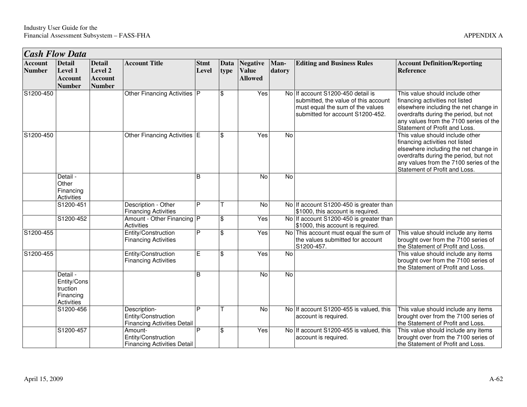| <b>Cash Flow Data</b>           |                                                                       |                                                             |                                                                           |                      |                    |                                                   |                |                                                                                                                                                   |                                                                                                                                                                                                                                 |
|---------------------------------|-----------------------------------------------------------------------|-------------------------------------------------------------|---------------------------------------------------------------------------|----------------------|--------------------|---------------------------------------------------|----------------|---------------------------------------------------------------------------------------------------------------------------------------------------|---------------------------------------------------------------------------------------------------------------------------------------------------------------------------------------------------------------------------------|
| <b>Account</b><br><b>Number</b> | <b>Detail</b><br><b>Level 1</b><br><b>Account</b><br><b>Number</b>    | <b>Detail</b><br>Level 2<br><b>Account</b><br><b>Number</b> | <b>Account Title</b>                                                      | <b>Stmt</b><br>Level | Data<br>type       | <b>Negative</b><br><b>Value</b><br><b>Allowed</b> | Man-<br>datory | <b>Editing and Business Rules</b>                                                                                                                 | <b>Account Definition/Reporting</b><br><b>Reference</b>                                                                                                                                                                         |
| S1200-450                       |                                                                       |                                                             | Other Financing Activities   P                                            |                      | $\mathfrak{L}$     | Yes                                               |                | No If account S1200-450 detail is<br>submitted, the value of this account<br>must equal the sum of the values<br>submitted for account S1200-452. | This value should include other<br>financing activities not listed<br>elsewhere including the net change in<br>overdrafts during the period, but not<br>any values from the 7100 series of the<br>Statement of Profit and Loss. |
| S1200-450                       |                                                                       |                                                             | Other Financing Activities E                                              |                      | $\mathbf{\hat{S}}$ | Yes                                               | No             |                                                                                                                                                   | This value should include other<br>financing activities not listed<br>elsewhere including the net change in<br>overdrafts during the period, but not<br>any values from the 7100 series of the<br>Statement of Profit and Loss. |
|                                 | Detail -<br>Other<br>Financing<br>Activities                          |                                                             |                                                                           | <sub>B</sub>         |                    | <b>No</b>                                         | No             |                                                                                                                                                   |                                                                                                                                                                                                                                 |
|                                 | S1200-451                                                             |                                                             | Description - Other<br><b>Financing Activities</b>                        | P                    |                    | $\overline{N}$                                    |                | No If account S1200-450 is greater than<br>\$1000, this account is required.                                                                      |                                                                                                                                                                                                                                 |
|                                 | S1200-452                                                             |                                                             | Amount - Other Financing P<br>Activities                                  |                      | $\mathbf{\hat{S}}$ | Yes                                               |                | No If account S1200-450 is greater than<br>\$1000, this account is required.                                                                      |                                                                                                                                                                                                                                 |
| S1200-455                       |                                                                       |                                                             | Entity/Construction<br><b>Financing Activities</b>                        | P                    | \$                 | Yes                                               |                | No This account must equal the sum of<br>the values submitted for account<br>S1200-457.                                                           | This value should include any items<br>brought over from the 7100 series of<br>the Statement of Profit and Loss.                                                                                                                |
| S1200-455                       |                                                                       |                                                             | Entity/Construction<br><b>Financing Activities</b>                        | Έ                    | $\mathbf{\hat{s}}$ | Yes                                               | $\overline{N}$ |                                                                                                                                                   | This value should include any items<br>brought over from the 7100 series of<br>the Statement of Profit and Loss.                                                                                                                |
|                                 | Detail -<br>Entity/Cons<br>truction<br>Financing<br><b>Activities</b> |                                                             |                                                                           | $\overline{B}$       |                    | $\overline{N}$                                    | <b>No</b>      |                                                                                                                                                   |                                                                                                                                                                                                                                 |
|                                 | S1200-456                                                             |                                                             | Description-<br>Entity/Construction<br><b>Financing Activities Detail</b> | P                    |                    | $\overline{N}$                                    |                | No If account S1200-455 is valued, this<br>account is required.                                                                                   | This value should include any items<br>brought over from the 7100 series of<br>the Statement of Profit and Loss.                                                                                                                |
|                                 | S1200-457                                                             |                                                             | Amount-<br>Entity/Construction<br><b>Financing Activities Detail</b>      | P                    | $\mathbf{\hat{S}}$ | Yes                                               |                | No If account S1200-455 is valued, this<br>account is required.                                                                                   | This value should include any items<br>brought over from the 7100 series of<br>the Statement of Profit and Loss.                                                                                                                |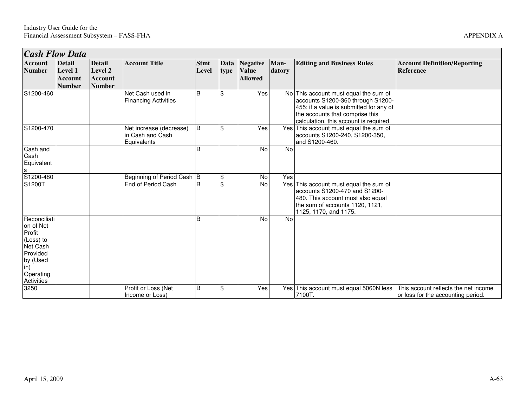0 Profit or Loss (Net Income or Loss)

B

|                                                                                                                        | <b>Cash Flow Data</b>                                              |                                                             |                                                            |                      |                               |                                                   |                |                                                                                                                                                                                                    |                                                         |  |
|------------------------------------------------------------------------------------------------------------------------|--------------------------------------------------------------------|-------------------------------------------------------------|------------------------------------------------------------|----------------------|-------------------------------|---------------------------------------------------|----------------|----------------------------------------------------------------------------------------------------------------------------------------------------------------------------------------------------|---------------------------------------------------------|--|
| <b>Account</b><br><b>Number</b>                                                                                        | <b>Detail</b><br><b>Level 1</b><br><b>Account</b><br><b>Number</b> | <b>Detail</b><br>Level 2<br><b>Account</b><br><b>Number</b> | <b>Account Title</b>                                       | <b>Stmt</b><br>Level | Data<br>type                  | <b>Negative</b><br><b>Value</b><br><b>Allowed</b> | Man-<br>datory | <b>Editing and Business Rules</b>                                                                                                                                                                  | <b>Account Definition/Reporting</b><br><b>Reference</b> |  |
| S1200-460                                                                                                              |                                                                    |                                                             | Net Cash used in<br><b>Financing Activities</b>            | B                    | \$                            | Yes                                               |                | No This account must equal the sum of<br>accounts S1200-360 through S1200-<br>455; if a value is submitted for any of<br>the accounts that comprise this<br>calculation, this account is required. |                                                         |  |
| S1200-470                                                                                                              |                                                                    |                                                             | Net increase (decrease)<br>in Cash and Cash<br>Equivalents | B                    | \$                            | Yes                                               |                | Yes This account must equal the sum of<br>accounts S1200-240, S1200-350,<br>and S1200-460.                                                                                                         |                                                         |  |
| Cash and<br>Cash<br>Equivalent<br>$\mathbf{s}$                                                                         |                                                                    |                                                             |                                                            | <sub>B</sub>         |                               | No                                                | No             |                                                                                                                                                                                                    |                                                         |  |
| S1200-480<br>S1200T                                                                                                    |                                                                    |                                                             | Beginning of Period Cash B<br>End of Period Cash           | B                    | \$<br>$\overline{\mathbf{S}}$ | No<br>No                                          | Yes            | Yes This account must equal the sum of<br>accounts S1200-470 and S1200-<br>480. This account must also equal<br>the sum of accounts 1120, 1121,<br>1125, 1170, and 1175.                           |                                                         |  |
| Reconciliati<br>on of Net<br>Profit<br>(Loss) to<br>Net Cash<br>Provided<br>by (Used<br>in)<br>Operating<br>Activities |                                                                    |                                                             |                                                            | B                    |                               | <b>No</b>                                         | No             |                                                                                                                                                                                                    |                                                         |  |
| 3250                                                                                                                   |                                                                    |                                                             | Profit or Loss (Net                                        | <b>B</b>             | \$                            | Yes                                               |                | Yes This account must equal 5060N less This account reflects the net income                                                                                                                        |                                                         |  |

B  $\begin{array}{|c|c|c|c|}\n\hline\n\end{array}$  Yes Yes This account must equal 5060N less 7100T.

This account reflects the net income or loss for the accounting period.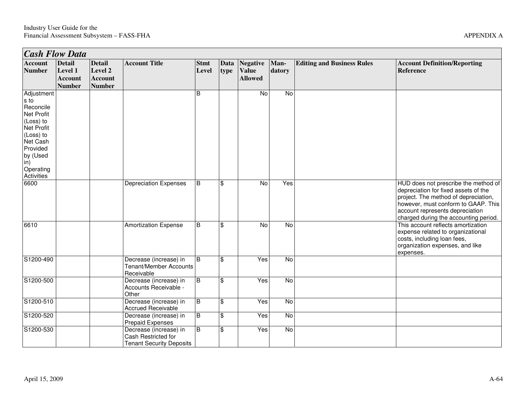| <b>Cash Flow Data</b>                                                                                                                                              |                                                             |                                                             |                                                                                  |                      |                           |                                            |                |                                   |                                                                                                                                                                                                                                         |
|--------------------------------------------------------------------------------------------------------------------------------------------------------------------|-------------------------------------------------------------|-------------------------------------------------------------|----------------------------------------------------------------------------------|----------------------|---------------------------|--------------------------------------------|----------------|-----------------------------------|-----------------------------------------------------------------------------------------------------------------------------------------------------------------------------------------------------------------------------------------|
| Account<br><b>Number</b>                                                                                                                                           | <b>Detail</b><br>Level 1<br><b>Account</b><br><b>Number</b> | <b>Detail</b><br>Level 2<br><b>Account</b><br><b>Number</b> | <b>Account Title</b>                                                             | <b>Stmt</b><br>Level | Data<br>type              | Negative<br><b>Value</b><br><b>Allowed</b> | Man-<br>datory | <b>Editing and Business Rules</b> | <b>Account Definition/Reporting</b><br>Reference                                                                                                                                                                                        |
| Adjustment<br>s to<br>Reconcile<br><b>Net Profit</b><br>(Loss) to<br>Net Profit<br>(Loss) to<br>Net Cash<br>Provided<br>by (Used<br>in)<br>Operating<br>Activities |                                                             |                                                             |                                                                                  | B                    |                           | $\overline{N}$                             | $\overline{N}$ |                                   |                                                                                                                                                                                                                                         |
| 6600                                                                                                                                                               |                                                             |                                                             | <b>Depreciation Expenses</b>                                                     | B                    | \$                        | No                                         | Yes            |                                   | HUD does not prescribe the method of<br>depreciation for fixed assets of the<br>project. The method of depreciation,<br>however, must conform to GAAP. This<br>account represents depreciation<br>charged during the accounting period. |
| 6610                                                                                                                                                               |                                                             |                                                             | <b>Amortization Expense</b>                                                      | B                    | $\mathfrak{S}$            | $\overline{N}$                             | N <sub>o</sub> |                                   | This account reflects amortization<br>expense related to organizational<br>costs, including loan fees,<br>organization expenses, and like<br>expenses.                                                                                  |
| S1200-490                                                                                                                                                          |                                                             |                                                             | Decrease (increase) in<br>Tenant/Member Accounts<br>Receivable                   | ΙB                   | $\mathbf{\hat{s}}$        | Yes                                        | N <sub>o</sub> |                                   |                                                                                                                                                                                                                                         |
| S1200-500                                                                                                                                                          |                                                             |                                                             | Decrease (increase) in<br>Accounts Receivable -<br>Other                         | B                    | $\boldsymbol{\mathsf{S}}$ | Yes                                        | No             |                                   |                                                                                                                                                                                                                                         |
| S1200-510                                                                                                                                                          |                                                             |                                                             | Decrease (increase) in<br><b>Accrued Receivable</b>                              | Ш                    | $\boldsymbol{\mathsf{S}}$ | Yes                                        | $\overline{N}$ |                                   |                                                                                                                                                                                                                                         |
| S1200-520                                                                                                                                                          |                                                             |                                                             | Decrease (increase) in<br><b>Prepaid Expenses</b>                                | Ш                    | \$                        | Yes                                        | $\overline{N}$ |                                   |                                                                                                                                                                                                                                         |
| S1200-530                                                                                                                                                          |                                                             |                                                             | Decrease (increase) in<br>Cash Restricted for<br><b>Tenant Security Deposits</b> | $\overline{B}$       | $\mathfrak{S}$            | Yes                                        | No             |                                   |                                                                                                                                                                                                                                         |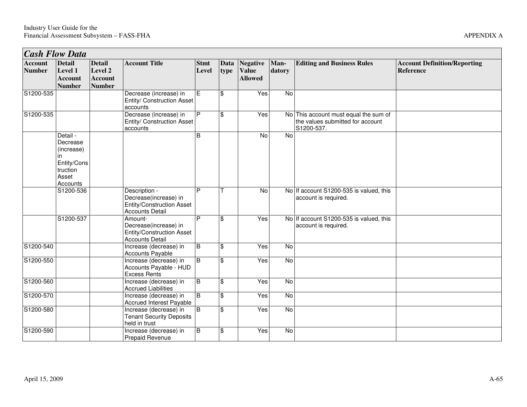|                                 | <b>Cash Flow Data</b>                                                                     |                                                             |                                                                                                      |                      |                     |                                                   |                |                                                                                         |                                                  |
|---------------------------------|-------------------------------------------------------------------------------------------|-------------------------------------------------------------|------------------------------------------------------------------------------------------------------|----------------------|---------------------|---------------------------------------------------|----------------|-----------------------------------------------------------------------------------------|--------------------------------------------------|
| <b>Account</b><br><b>Number</b> | <b>Detail</b><br><b>Level 1</b><br><b>Account</b><br><b>Number</b>                        | <b>Detail</b><br>Level 2<br><b>Account</b><br><b>Number</b> | <b>Account Title</b>                                                                                 | <b>Stmt</b><br>Level | <b>Data</b><br>type | <b>Negative</b><br><b>Value</b><br><b>Allowed</b> | Man-<br>datory | <b>Editing and Business Rules</b>                                                       | <b>Account Definition/Reporting</b><br>Reference |
| S1200-535                       |                                                                                           |                                                             | Decrease (increase) in<br>Entity/ Construction Asset<br>accounts                                     | E                    | \$                  | Yes                                               | $\overline{N}$ |                                                                                         |                                                  |
| S1200-535                       |                                                                                           |                                                             | Decrease (increase) in<br>Entity/ Construction Asset<br>accounts                                     | P                    | \$                  | Yes                                               |                | No This account must equal the sum of<br>the values submitted for account<br>S1200-537. |                                                  |
|                                 | Detail -<br>Decrease<br>(increase)<br>in.<br>Entity/Cons<br>truction<br>Asset<br>Accounts |                                                             |                                                                                                      | $\overline{B}$       |                     | No                                                | $\overline{N}$ |                                                                                         |                                                  |
|                                 | S1200-536                                                                                 |                                                             | Description -<br>Decrease(increase) in<br><b>Entity/Construction Asset</b><br><b>Accounts Detail</b> | P                    | т                   | No                                                |                | No If account S1200-535 is valued, this<br>account is required.                         |                                                  |
|                                 | S1200-537                                                                                 |                                                             | Amount-<br>Decrease(increase) in<br><b>Entity/Construction Asset</b><br><b>Accounts Detail</b>       | D                    | $\frac{1}{2}$       | Yes                                               |                | No If account S1200-535 is valued, this<br>account is required.                         |                                                  |
| S1200-540                       |                                                                                           |                                                             | Increase (decrease) in<br>Accounts Payable                                                           | B                    | \$                  | Yes                                               | <b>No</b>      |                                                                                         |                                                  |
| S1200-550                       |                                                                                           |                                                             | Increase (decrease) in<br>Accounts Payable - HUD<br><b>Excess Rents</b>                              | B                    | \$                  | Yes                                               | $\overline{N}$ |                                                                                         |                                                  |
| S1200-560                       |                                                                                           |                                                             | Increase (decrease) in<br><b>Accrued Liabilities</b>                                                 | $\overline{B}$       | \$                  | Yes                                               | <b>No</b>      |                                                                                         |                                                  |
| S1200-570                       |                                                                                           |                                                             | Increase (decrease) in<br><b>Accrued Interest Payable</b>                                            | B                    | \$                  | Yes                                               | $\overline{N}$ |                                                                                         |                                                  |
| S1200-580                       |                                                                                           |                                                             | Increase (decrease) in<br><b>Tenant Security Deposits</b><br>held in trust                           | B                    | \$                  | Yes                                               | <b>No</b>      |                                                                                         |                                                  |
| S1200-590                       |                                                                                           |                                                             | Increase (decrease) in<br>Prepaid Revenue                                                            | B                    | \$                  | Yes                                               | $\overline{N}$ |                                                                                         |                                                  |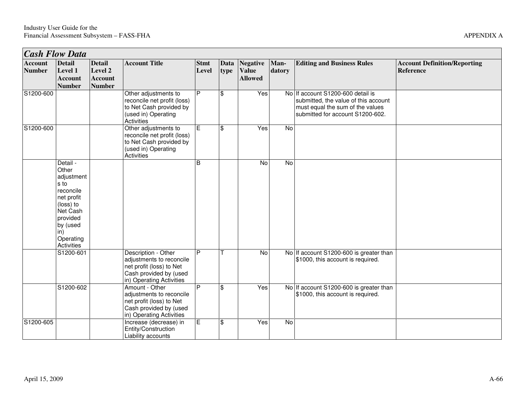|              | .                                                |  |
|--------------|--------------------------------------------------|--|
| <b>Rules</b> | <b>Account Definition/Reporting</b><br>Reference |  |
|              |                                                  |  |

| <b>Cash Flow Data</b>           |                                                                                                                                                       |                                                             |                                                                                                                                   |                      |                         |                                                   |                |                                                                                                                                                   |                                                  |
|---------------------------------|-------------------------------------------------------------------------------------------------------------------------------------------------------|-------------------------------------------------------------|-----------------------------------------------------------------------------------------------------------------------------------|----------------------|-------------------------|---------------------------------------------------|----------------|---------------------------------------------------------------------------------------------------------------------------------------------------|--------------------------------------------------|
| <b>Account</b><br><b>Number</b> | <b>Detail</b><br>Level 1<br><b>Account</b><br><b>Number</b>                                                                                           | <b>Detail</b><br>Level 2<br><b>Account</b><br><b>Number</b> | <b>Account Title</b>                                                                                                              | <b>Stmt</b><br>Level | Data<br>type            | <b>Negative</b><br><b>Value</b><br><b>Allowed</b> | Man-<br>datory | <b>Editing and Business Rules</b>                                                                                                                 | <b>Account Definition/Reporting</b><br>Reference |
| S1200-600                       |                                                                                                                                                       |                                                             | Other adjustments to<br>reconcile net profit (loss)<br>to Net Cash provided by<br>(used in) Operating<br>Activities               | P                    | $\mathfrak{L}$          | Yes                                               |                | No If account S1200-600 detail is<br>submitted, the value of this account<br>must equal the sum of the values<br>submitted for account S1200-602. |                                                  |
| S1200-600                       |                                                                                                                                                       |                                                             | Other adjustments to<br>reconcile net profit (loss)<br>to Net Cash provided by<br>(used in) Operating<br>Activities               | $\overline{E}$       | $\mathfrak{L}$          | Yes                                               | No             |                                                                                                                                                   |                                                  |
|                                 | Detail -<br>Other<br>adjustment<br>s to<br>reconcile<br>net profit<br>(loss) to<br>Net Cash<br>provided<br>by (used<br>in)<br>Operating<br>Activities |                                                             |                                                                                                                                   | B                    |                         | $\overline{N}$                                    | No             |                                                                                                                                                   |                                                  |
|                                 | S1200-601                                                                                                                                             |                                                             | Description - Other<br>adjustments to reconcile<br>net profit (loss) to Net<br>Cash provided by (used<br>in) Operating Activities | $\overline{P}$       |                         | $\overline{N}$                                    |                | No If account S1200-600 is greater than<br>\$1000, this account is required.                                                                      |                                                  |
|                                 | S1200-602                                                                                                                                             |                                                             | Amount - Other<br>adjustments to reconcile<br>net profit (loss) to Net<br>Cash provided by (used<br>in) Operating Activities      | P                    | $\overline{\mathbf{s}}$ | Yes                                               |                | No If account S1200-600 is greater than<br>\$1000, this account is required.                                                                      |                                                  |
| S1200-605                       |                                                                                                                                                       |                                                             | Increase (decrease) in<br>Entity/Construction<br>Liability accounts                                                               | E                    | $\mathfrak{F}$          | Yes                                               | No             |                                                                                                                                                   |                                                  |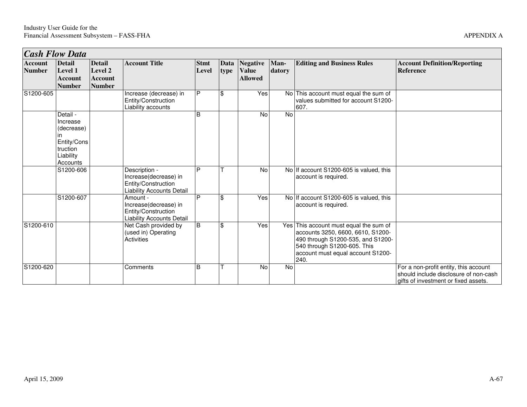| <b>Cash Flow Data</b>           |                                                                                              |                                                             |                                                                                                   |                      |              |                                                   |                |                                                                                                                                                                                              |                                                                                                                        |
|---------------------------------|----------------------------------------------------------------------------------------------|-------------------------------------------------------------|---------------------------------------------------------------------------------------------------|----------------------|--------------|---------------------------------------------------|----------------|----------------------------------------------------------------------------------------------------------------------------------------------------------------------------------------------|------------------------------------------------------------------------------------------------------------------------|
| <b>Account</b><br><b>Number</b> | <b>Detail</b><br>Level 1<br><b>Account</b><br><b>Number</b>                                  | <b>Detail</b><br>Level 2<br><b>Account</b><br><b>Number</b> | <b>Account Title</b>                                                                              | <b>Stmt</b><br>Level | Data<br>type | <b>Negative</b><br><b>Value</b><br><b>Allowed</b> | Man-<br>datory | <b>Editing and Business Rules</b>                                                                                                                                                            | <b>Account Definition/Reporting</b><br><b>Reference</b>                                                                |
| S1200-605                       |                                                                                              |                                                             | Increase (decrease) in<br>Entity/Construction<br>Liability accounts                               | P                    | \$           | Yes                                               |                | No This account must equal the sum of<br>values submitted for account S1200-<br>607.                                                                                                         |                                                                                                                        |
|                                 | Detail -<br>Increase<br>(decrease)<br>ın<br>Entity/Cons<br>truction<br>Liability<br>Accounts |                                                             |                                                                                                   | B                    |              | <b>No</b>                                         | No             |                                                                                                                                                                                              |                                                                                                                        |
|                                 | S1200-606                                                                                    |                                                             | Description -<br>Increase(decrease) in<br>Entity/Construction<br><b>Liability Accounts Detail</b> | P                    |              | No                                                |                | No If account S1200-605 is valued, this<br>account is required.                                                                                                                              |                                                                                                                        |
|                                 | S1200-607                                                                                    |                                                             | Amount -<br>Increase(decrease) in<br>Entity/Construction<br><b>Liability Accounts Detail</b>      | P                    | \$           | Yes                                               |                | No If account S1200-605 is valued, this<br>account is required.                                                                                                                              |                                                                                                                        |
| S1200-610                       |                                                                                              |                                                             | Net Cash provided by<br>(used in) Operating<br>Activities                                         | B                    | \$           | Yes                                               |                | Yes This account must equal the sum of<br>accounts 3250, 6600, 6610, S1200-<br>490 through S1200-535, and S1200-<br>540 through S1200-605. This<br>account must equal account S1200-<br>240. |                                                                                                                        |
| S1200-620                       |                                                                                              |                                                             | Comments                                                                                          | B                    |              | No                                                | No             |                                                                                                                                                                                              | For a non-profit entity, this account<br>should include disclosure of non-cash<br>gifts of investment or fixed assets. |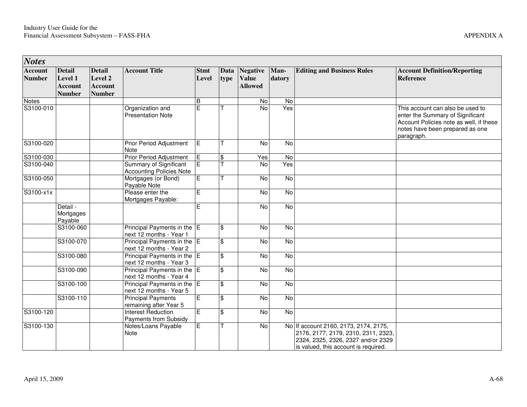| <b>Notes</b>                    |                                                             |                                                             |                                                                  |                      |                         |                                            |                |                                                                                                                                                            |                                                                                                                                                                  |
|---------------------------------|-------------------------------------------------------------|-------------------------------------------------------------|------------------------------------------------------------------|----------------------|-------------------------|--------------------------------------------|----------------|------------------------------------------------------------------------------------------------------------------------------------------------------------|------------------------------------------------------------------------------------------------------------------------------------------------------------------|
| <b>Account</b><br><b>Number</b> | <b>Detail</b><br>Level 1<br><b>Account</b><br><b>Number</b> | <b>Detail</b><br>Level 2<br><b>Account</b><br><b>Number</b> | <b>Account Title</b>                                             | <b>Stmt</b><br>Level | Data<br>type            | Negative<br><b>Value</b><br><b>Allowed</b> | Man-<br>datory | <b>Editing and Business Rules</b>                                                                                                                          | <b>Account Definition/Reporting</b><br><b>Reference</b>                                                                                                          |
| Notes                           |                                                             |                                                             |                                                                  | B                    |                         | No                                         | $\overline{N}$ |                                                                                                                                                            |                                                                                                                                                                  |
| S3100-010                       |                                                             |                                                             | Organization and<br><b>Presentation Note</b>                     | E                    |                         | <b>No</b>                                  | Yes            |                                                                                                                                                            | This account can also be used to<br>enter the Summary of Significant<br>Account Policies note as well, if these<br>notes have been prepared as one<br>paragraph. |
| S3100-020                       |                                                             |                                                             | Prior Period Adjustment<br>Note                                  | Ē                    | т                       | No                                         | No             |                                                                                                                                                            |                                                                                                                                                                  |
| S3100-030                       |                                                             |                                                             | <b>Prior Period Adjustment</b>                                   | E                    | $\overline{\mathbf{S}}$ | Yes                                        | <b>No</b>      |                                                                                                                                                            |                                                                                                                                                                  |
| S3100-040                       |                                                             |                                                             | <b>Summary of Significant</b><br><b>Accounting Policies Note</b> | $\overline{E}$       |                         | $\overline{8}$                             | Yes            |                                                                                                                                                            |                                                                                                                                                                  |
| S3100-050                       |                                                             |                                                             | Mortgages (or Bond)<br>Payable Note                              | $\overline{E}$       | T                       | $\overline{N}$                             | <b>No</b>      |                                                                                                                                                            |                                                                                                                                                                  |
| S3100-x1x                       |                                                             |                                                             | Please enter the<br>Mortgages Payable:                           | E                    |                         | $\overline{8}$                             | <b>No</b>      |                                                                                                                                                            |                                                                                                                                                                  |
|                                 | Detail -<br>Mortgages<br>Payable                            |                                                             |                                                                  | E                    |                         | $\overline{N}$                             | $\overline{N}$ |                                                                                                                                                            |                                                                                                                                                                  |
|                                 | S3100-060                                                   |                                                             | Principal Payments in the E<br>next 12 months - Year 1           |                      | \$                      | No                                         | $\overline{N}$ |                                                                                                                                                            |                                                                                                                                                                  |
|                                 | S3100-070                                                   |                                                             | Principal Payments in the E<br>next 12 months - Year 2           |                      | \$                      | No                                         | No             |                                                                                                                                                            |                                                                                                                                                                  |
|                                 | S3100-080                                                   |                                                             | Principal Payments in the E<br>next 12 months - Year 3           |                      | \$                      | $\overline{8}$                             | <b>No</b>      |                                                                                                                                                            |                                                                                                                                                                  |
|                                 | S3100-090                                                   |                                                             | Principal Payments in the E<br>next 12 months - Year 4           |                      | \$                      | <b>No</b>                                  | No             |                                                                                                                                                            |                                                                                                                                                                  |
|                                 | S3100-100                                                   |                                                             | Principal Payments in the E<br>next 12 months - Year 5           |                      | $\overline{\mathbb{S}}$ | N <sub>o</sub>                             | <b>No</b>      |                                                                                                                                                            |                                                                                                                                                                  |
|                                 | S3100-110                                                   |                                                             | <b>Principal Payments</b><br>remaining after Year 5              | $\overline{E}$       | \$                      | $\overline{N}$                             | $\overline{N}$ |                                                                                                                                                            |                                                                                                                                                                  |
| S3100-120                       |                                                             |                                                             | <b>Interest Reduction</b><br>Payments from Subsidy               | E                    | \$                      | N <sub>o</sub>                             | <b>No</b>      |                                                                                                                                                            |                                                                                                                                                                  |
| S3100-130                       |                                                             |                                                             | Notes/Loans Payable<br>Note                                      | $\overline{E}$       | T                       | N <sub>o</sub>                             |                | No If account 2160, 2173, 2174, 2175,<br>2176, 2177, 2179, 2310, 2311, 2323,<br>2324, 2325, 2326, 2327 and/or 2329<br>is valued, this account is required. |                                                                                                                                                                  |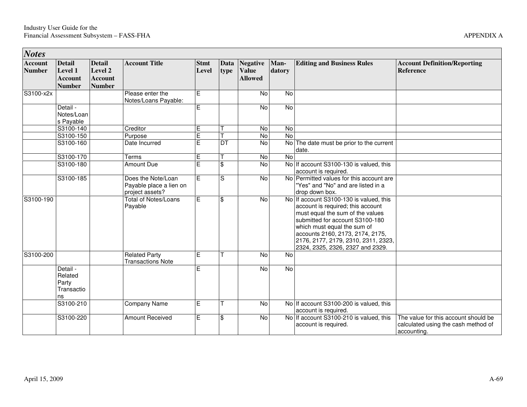| <b>Notes</b>                    |                                                             |                                                             |                                                                  |                             |                           |                                                   |                |                                                                                                                                                                                                                                                                                                   |                                                                                            |
|---------------------------------|-------------------------------------------------------------|-------------------------------------------------------------|------------------------------------------------------------------|-----------------------------|---------------------------|---------------------------------------------------|----------------|---------------------------------------------------------------------------------------------------------------------------------------------------------------------------------------------------------------------------------------------------------------------------------------------------|--------------------------------------------------------------------------------------------|
| <b>Account</b><br><b>Number</b> | <b>Detail</b><br>Level 1<br><b>Account</b><br><b>Number</b> | <b>Detail</b><br>Level 2<br><b>Account</b><br><b>Number</b> | <b>Account Title</b>                                             | <b>Stmt</b><br><b>Level</b> | Data<br>type              | <b>Negative</b><br><b>Value</b><br><b>Allowed</b> | Man-<br>datory | <b>Editing and Business Rules</b>                                                                                                                                                                                                                                                                 | <b>Account Definition/Reporting</b><br><b>Reference</b>                                    |
| $\overline{S3}100-x2x$          |                                                             |                                                             | Please enter the<br>Notes/Loans Payable:                         | E                           |                           | No                                                | No             |                                                                                                                                                                                                                                                                                                   |                                                                                            |
|                                 | Detail -<br>Notes/Loan<br>s Payable                         |                                                             |                                                                  | E                           |                           | No                                                | No             |                                                                                                                                                                                                                                                                                                   |                                                                                            |
|                                 | S3100-140                                                   |                                                             | Creditor                                                         | E                           |                           | No                                                | <b>No</b>      |                                                                                                                                                                                                                                                                                                   |                                                                                            |
|                                 | S3100-150                                                   |                                                             | Purpose                                                          | Ē                           |                           | $\overline{N}$                                    | $\overline{N}$ |                                                                                                                                                                                                                                                                                                   |                                                                                            |
|                                 | S3100-160                                                   |                                                             | Date Incurred                                                    | E                           | DT                        | <b>No</b>                                         | No             | The date must be prior to the current<br>date.                                                                                                                                                                                                                                                    |                                                                                            |
|                                 | S3100-170                                                   |                                                             | Terms                                                            | Ē                           |                           | $\overline{N}$                                    | $\overline{N}$ |                                                                                                                                                                                                                                                                                                   |                                                                                            |
|                                 | S3100-180                                                   |                                                             | Amount Due                                                       | E                           | $\mathbf{\hat{S}}$        | $\overline{N}$                                    |                | No If account S3100-130 is valued, this<br>account is required.                                                                                                                                                                                                                                   |                                                                                            |
|                                 | S3100-185                                                   |                                                             | Does the Note/Loan<br>Payable place a lien on<br>project assets? | E                           | S                         | No                                                |                | No Permitted values for this account are<br>"Yes" and "No" and are listed in a<br>drop down box.                                                                                                                                                                                                  |                                                                                            |
| S3100-190                       |                                                             |                                                             | <b>Total of Notes/Loans</b><br>Payable                           | E                           | $\boldsymbol{\mathsf{S}}$ | $\overline{N}$                                    |                | No If account S3100-130 is valued, this<br>account is required; this account<br>must equal the sum of the values<br>submitted for account S3100-180<br>which must equal the sum of<br>accounts 2160, 2173, 2174, 2175,<br>2176, 2177, 2179, 2310, 2311, 2323,<br>2324, 2325, 2326, 2327 and 2329. |                                                                                            |
| S3100-200                       |                                                             |                                                             | <b>Related Party</b><br><b>Transactions Note</b>                 | E                           | т                         | $\overline{N}$                                    | N <sub>o</sub> |                                                                                                                                                                                                                                                                                                   |                                                                                            |
|                                 | Detail -<br>Related<br>Party<br>Transactio<br>ns            |                                                             |                                                                  | F.                          |                           | No                                                | No             |                                                                                                                                                                                                                                                                                                   |                                                                                            |
|                                 | S3100-210                                                   |                                                             | Company Name                                                     | E                           |                           | $\overline{N}$                                    |                | No If account S3100-200 is valued, this<br>account is required.                                                                                                                                                                                                                                   |                                                                                            |
|                                 | S3100-220                                                   |                                                             | <b>Amount Received</b>                                           | Ē                           | $\boldsymbol{\mathsf{S}}$ | No                                                |                | No If account S3100-210 is valued, this<br>account is required.                                                                                                                                                                                                                                   | The value for this account should be<br>calculated using the cash method of<br>accounting. |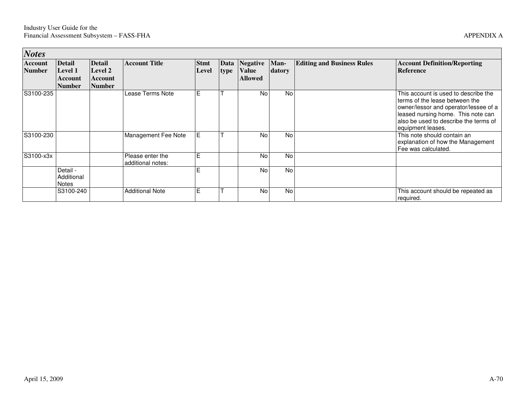|  | APPENDIX A |  |
|--|------------|--|
|--|------------|--|

| <b>Notes</b>      |                                                             |                                                      |                                       |                      |              |                                            |                |                                   |                                                                                                                                                                                                                     |
|-------------------|-------------------------------------------------------------|------------------------------------------------------|---------------------------------------|----------------------|--------------|--------------------------------------------|----------------|-----------------------------------|---------------------------------------------------------------------------------------------------------------------------------------------------------------------------------------------------------------------|
| Account<br>Number | <b>Detail</b><br><b>Level 1</b><br>Account<br><b>Number</b> | <b>Detail</b><br>Level 2<br>Account<br><b>Number</b> | <b>Account Title</b>                  | <b>Stmt</b><br>Level | Data<br>type | Negative<br><b>Value</b><br><b>Allowed</b> | Man-<br>datory | <b>Editing and Business Rules</b> | <b>Account Definition/Reporting</b><br><b>Reference</b>                                                                                                                                                             |
| S3100-235         |                                                             |                                                      | Lease Terms Note                      | E                    |              | No                                         | <b>No</b>      |                                   | This account is used to describe the<br>terms of the lease between the<br>owner/lessor and operator/lessee of a<br>leased nursing home. This note can<br>also be used to describe the terms of<br>equipment leases. |
| S3100-230         |                                                             |                                                      | Management Fee Note                   | Е                    |              | No                                         | <b>No</b>      |                                   | This note should contain an<br>explanation of how the Management<br>Fee was calculated.                                                                                                                             |
| S3100-x3x         |                                                             |                                                      | Please enter the<br>additional notes: | E                    |              | <b>No</b>                                  | <b>No</b>      |                                   |                                                                                                                                                                                                                     |
|                   | Detail -<br>Additional<br><b>Notes</b>                      |                                                      |                                       | F                    |              | <b>No</b>                                  | <b>No</b>      |                                   |                                                                                                                                                                                                                     |
|                   | S3100-240                                                   |                                                      | <b>Additional Note</b>                | Е                    |              | <b>No</b>                                  | <b>No</b>      |                                   | This account should be repeated as<br>required.                                                                                                                                                                     |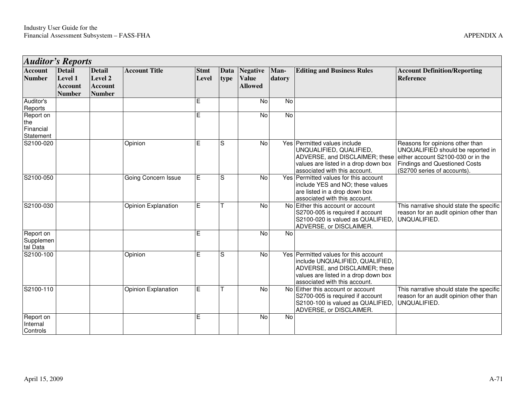| <b>Auditor's Reports</b>                   |                                                             |                                                             |                            |                      |              |                                                   |                |                                                                                                                                                                                     |                                                                                                                                                                                   |
|--------------------------------------------|-------------------------------------------------------------|-------------------------------------------------------------|----------------------------|----------------------|--------------|---------------------------------------------------|----------------|-------------------------------------------------------------------------------------------------------------------------------------------------------------------------------------|-----------------------------------------------------------------------------------------------------------------------------------------------------------------------------------|
| <b>Account</b><br><b>Number</b>            | <b>Detail</b><br>Level 1<br><b>Account</b><br><b>Number</b> | <b>Detail</b><br>Level 2<br><b>Account</b><br><b>Number</b> | <b>Account Title</b>       | <b>Stmt</b><br>Level | Data<br>type | <b>Negative</b><br><b>Value</b><br><b>Allowed</b> | Man-<br>datory | <b>Editing and Business Rules</b>                                                                                                                                                   | <b>Account Definition/Reporting</b><br><b>Reference</b>                                                                                                                           |
| Auditor's<br>Reports                       |                                                             |                                                             |                            | Е                    |              | No                                                | No             |                                                                                                                                                                                     |                                                                                                                                                                                   |
| Report on<br>the<br>Financial<br>Statement |                                                             |                                                             |                            | E                    |              | No                                                | $\overline{N}$ |                                                                                                                                                                                     |                                                                                                                                                                                   |
| S2100-020                                  |                                                             |                                                             | Opinion                    | E                    | S            | No                                                |                | Yes Permitted values include<br>UNQUALIFIED, QUALIFIED,<br>ADVERSE, and DISCLAIMER; these<br>values are listed in a drop down box<br>associated with this account.                  | Reasons for opinions other than<br>UNQUALIFIED should be reported in<br>either account S2100-030 or in the<br><b>Findings and Questioned Costs</b><br>(S2700 series of accounts). |
| S2100-050                                  |                                                             |                                                             | Going Concern Issue        | E                    | S            | No                                                |                | Yes Permitted values for this account<br>include YES and NO; these values<br>are listed in a drop down box<br>associated with this account.                                         |                                                                                                                                                                                   |
| S2100-030                                  |                                                             |                                                             | Opinion Explanation        | E                    |              | No                                                | No l           | Either this account or account<br>S2700-005 is required if account<br>S2100-020 is valued as QUALIFIED,<br>ADVERSE, or DISCLAIMER.                                                  | This narrative should state the specific<br>reason for an audit opinion other than<br>UNQUALIFIED.                                                                                |
| Report on<br>Supplemen<br>tal Data         |                                                             |                                                             |                            | Е                    |              | No                                                | <b>No</b>      |                                                                                                                                                                                     |                                                                                                                                                                                   |
| S2100-100                                  |                                                             |                                                             | Opinion                    | E                    | S            | No                                                |                | Yes Permitted values for this account<br>include UNQUALIFIED, QUALIFIED,<br>ADVERSE, and DISCLAIMER; these<br>values are listed in a drop down box<br>associated with this account. |                                                                                                                                                                                   |
| S2100-110                                  |                                                             |                                                             | <b>Opinion Explanation</b> | E                    |              | No                                                | No l           | Either this account or account<br>S2700-005 is required if account<br>S2100-100 is valued as QUALIFIED,<br>ADVERSE, or DISCLAIMER.                                                  | This narrative should state the specific<br>reason for an audit opinion other than<br>UNQUALIFIED.                                                                                |
| Report on<br>Internal<br>Controls          |                                                             |                                                             |                            | Е                    |              | <b>No</b>                                         | <b>No</b>      |                                                                                                                                                                                     |                                                                                                                                                                                   |

and the control of the control of the control of the control of the control of the control of the control of the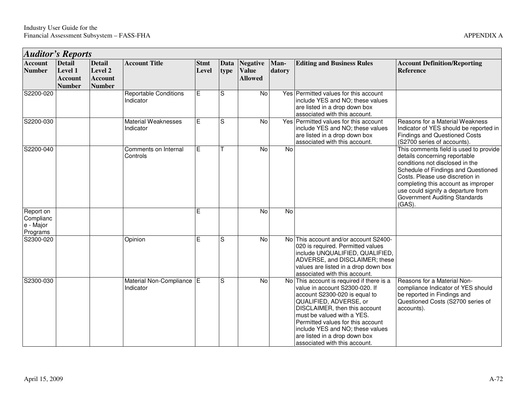| <b>Auditor's Reports</b>                        |                                                             |                                                             |                                           |                      |              |                                                   |                |                                                                                                                                                                                                                                                                                                                                                  |                                                                                                                                                                                                                                                                                                                        |
|-------------------------------------------------|-------------------------------------------------------------|-------------------------------------------------------------|-------------------------------------------|----------------------|--------------|---------------------------------------------------|----------------|--------------------------------------------------------------------------------------------------------------------------------------------------------------------------------------------------------------------------------------------------------------------------------------------------------------------------------------------------|------------------------------------------------------------------------------------------------------------------------------------------------------------------------------------------------------------------------------------------------------------------------------------------------------------------------|
| <b>Account</b><br><b>Number</b>                 | <b>Detail</b><br>Level 1<br><b>Account</b><br><b>Number</b> | <b>Detail</b><br>Level 2<br><b>Account</b><br><b>Number</b> | <b>Account Title</b>                      | <b>Stmt</b><br>Level | Data<br>type | <b>Negative</b><br><b>Value</b><br><b>Allowed</b> | Man-<br>datory | <b>Editing and Business Rules</b>                                                                                                                                                                                                                                                                                                                | <b>Account Definition/Reporting</b><br>Reference                                                                                                                                                                                                                                                                       |
| S2200-020                                       |                                                             |                                                             | <b>Reportable Conditions</b><br>Indicator | E                    | S            | No                                                |                | Yes Permitted values for this account<br>include YES and NO; these values<br>are listed in a drop down box<br>associated with this account.                                                                                                                                                                                                      |                                                                                                                                                                                                                                                                                                                        |
| S2200-030                                       |                                                             |                                                             | <b>Material Weaknesses</b><br>Indicator   | E                    | S            | No                                                |                | Yes Permitted values for this account<br>include YES and NO; these values<br>are listed in a drop down box<br>associated with this account.                                                                                                                                                                                                      | Reasons for a Material Weakness<br>Indicator of YES should be reported in<br><b>Findings and Questioned Costs</b><br>(S2700 series of accounts).                                                                                                                                                                       |
| S2200-040                                       |                                                             |                                                             | Comments on Internal<br>Controls          | E                    |              | $\overline{N}$                                    | $\overline{N}$ |                                                                                                                                                                                                                                                                                                                                                  | This comments field is used to provide<br>details concerning reportable<br>conditions not disclosed in the<br>Schedule of Findings and Questioned<br>Costs. Please use discretion in<br>completing this account as improper<br>use could signify a departure from<br><b>Government Auditing Standards</b><br>$(GAS)$ . |
| Report on<br>Complianc<br>e - Major<br>Programs |                                                             |                                                             |                                           | E                    |              | $\overline{N}$                                    | $\overline{N}$ |                                                                                                                                                                                                                                                                                                                                                  |                                                                                                                                                                                                                                                                                                                        |
| S2300-020                                       |                                                             |                                                             | Opinion                                   | E                    | S            | $\overline{N}$                                    |                | No This account and/or account S2400-<br>020 is required. Permitted values<br>include UNQUALIFIED, QUALIFIED,<br>ADVERSE, and DISCLAIMER; these<br>values are listed in a drop down box<br>associated with this account.                                                                                                                         |                                                                                                                                                                                                                                                                                                                        |
| S2300-030                                       |                                                             |                                                             | Material Non-Compliance E<br>Indicator    |                      | S            | $\overline{N}$                                    |                | No This account is required if there is a<br>value in account S2300-020. If<br>account S2300-020 is equal to<br>QUALIFIED, ADVERSE, or<br>DISCLAIMER, then this account<br>must be valued with a YES.<br>Permitted values for this account<br>include YES and NO; these values<br>are listed in a drop down box<br>associated with this account. | Reasons for a Material Non-<br>compliance Indicator of YES should<br>be reported in Findings and<br>Questioned Costs (S2700 series of<br>accounts).                                                                                                                                                                    |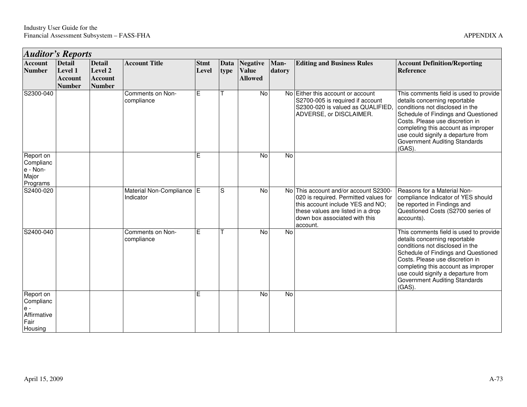| <b>Auditor's Reports</b>                                          |                                                             |                                                             |                                        |                      |              |                                                   |                |                                                                                                                                                                                                      |                                                                                                                                                                                                                                                                                                                        |  |  |
|-------------------------------------------------------------------|-------------------------------------------------------------|-------------------------------------------------------------|----------------------------------------|----------------------|--------------|---------------------------------------------------|----------------|------------------------------------------------------------------------------------------------------------------------------------------------------------------------------------------------------|------------------------------------------------------------------------------------------------------------------------------------------------------------------------------------------------------------------------------------------------------------------------------------------------------------------------|--|--|
| <b>Account</b><br><b>Number</b>                                   | <b>Detail</b><br>Level 1<br><b>Account</b><br><b>Number</b> | <b>Detail</b><br>Level 2<br><b>Account</b><br><b>Number</b> | <b>Account Title</b>                   | <b>Stmt</b><br>Level | Data<br>type | <b>Negative</b><br><b>Value</b><br><b>Allowed</b> | Man-<br>datory | <b>Editing and Business Rules</b>                                                                                                                                                                    | <b>Account Definition/Reporting</b><br><b>Reference</b>                                                                                                                                                                                                                                                                |  |  |
| S2300-040                                                         |                                                             |                                                             | Comments on Non-<br>compliance         | E                    |              | No                                                |                | No Either this account or account<br>S2700-005 is required if account<br>S2300-020 is valued as QUALIFIED.<br>ADVERSE, or DISCLAIMER.                                                                | This comments field is used to provide<br>details concerning reportable<br>conditions not disclosed in the<br>Schedule of Findings and Questioned<br>Costs. Please use discretion in<br>completing this account as improper<br>use could signify a departure from<br><b>Government Auditing Standards</b><br>$(GAS)$ . |  |  |
| Report on<br>Complianc<br>e - Non-<br>Major<br>Programs           |                                                             |                                                             |                                        | E                    |              | No                                                | No             |                                                                                                                                                                                                      |                                                                                                                                                                                                                                                                                                                        |  |  |
| S2400-020                                                         |                                                             |                                                             | Material Non-Compliance E<br>Indicator |                      | S            | No                                                |                | No This account and/or account S2300-<br>020 is required. Permitted values for<br>this account include YES and NO;<br>these values are listed in a drop<br>down box associated with this<br>account. | Reasons for a Material Non-<br>compliance Indicator of YES should<br>be reported in Findings and<br>Questioned Costs (S2700 series of<br>accounts).                                                                                                                                                                    |  |  |
| S2400-040                                                         |                                                             |                                                             | Comments on Non-<br>compliance         | Е                    |              | <b>No</b>                                         | No             |                                                                                                                                                                                                      | This comments field is used to provide<br>details concerning reportable<br>conditions not disclosed in the<br>Schedule of Findings and Questioned<br>Costs. Please use discretion in<br>completing this account as improper<br>use could signify a departure from<br><b>Government Auditing Standards</b><br>$(GAS)$ . |  |  |
| Report on<br>Complianc<br>$e -$<br>Affirmative<br>Fair<br>Housing |                                                             |                                                             |                                        | E                    |              | No                                                | <b>No</b>      |                                                                                                                                                                                                      |                                                                                                                                                                                                                                                                                                                        |  |  |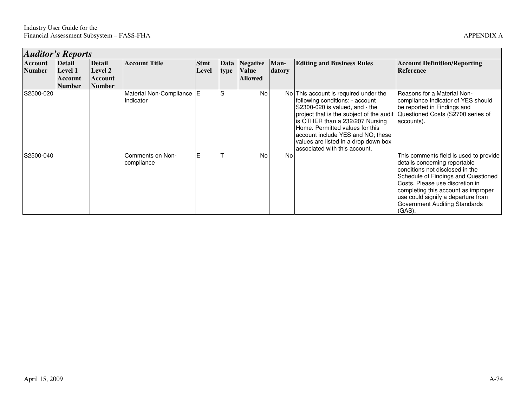|                          | <b>Auditor's Reports</b>                       |                                                      |                                        |                      |      |                                                 |                |                                                                                                                                                                                                                                                                                                                                            |                                                                                                                                                                                                                                                                                                                 |  |  |  |
|--------------------------|------------------------------------------------|------------------------------------------------------|----------------------------------------|----------------------|------|-------------------------------------------------|----------------|--------------------------------------------------------------------------------------------------------------------------------------------------------------------------------------------------------------------------------------------------------------------------------------------------------------------------------------------|-----------------------------------------------------------------------------------------------------------------------------------------------------------------------------------------------------------------------------------------------------------------------------------------------------------------|--|--|--|
| Account<br><b>Number</b> | <b>Detail</b><br>Level 1<br>Account<br> Number | <b>Detail</b><br>Level 2<br>Account<br><b>Number</b> | <b>Account Title</b>                   | <b>Stmt</b><br>Level | type | Data Negative<br><b>Value</b><br><b>Allowed</b> | Man-<br>datory | <b>Editing and Business Rules</b>                                                                                                                                                                                                                                                                                                          | <b>Account Definition/Reporting</b><br>Reference                                                                                                                                                                                                                                                                |  |  |  |
| S2500-020                |                                                |                                                      | Material Non-Compliance E<br>Indicator |                      | S    | <b>No</b>                                       |                | No This account is required under the<br>following conditions: - account<br>S2300-020 is valued, and - the<br>project that is the subject of the audit<br>is OTHER than a 232/207 Nursing<br>Home. Permitted values for this<br>account include YES and NO; these<br>values are listed in a drop down box<br>associated with this account. | Reasons for a Material Non-<br>compliance Indicator of YES should<br>be reported in Findings and<br>Questioned Costs (S2700 series of<br>accounts).                                                                                                                                                             |  |  |  |
| S2500-040                |                                                |                                                      | Comments on Non-<br>compliance         | E                    |      | <b>No</b>                                       | <b>No</b>      |                                                                                                                                                                                                                                                                                                                                            | This comments field is used to provide<br>details concerning reportable<br>conditions not disclosed in the<br>Schedule of Findings and Questioned<br>Costs. Please use discretion in<br>completing this account as improper<br>use could signify a departure from<br>Government Auditing Standards<br>$(GAS)$ . |  |  |  |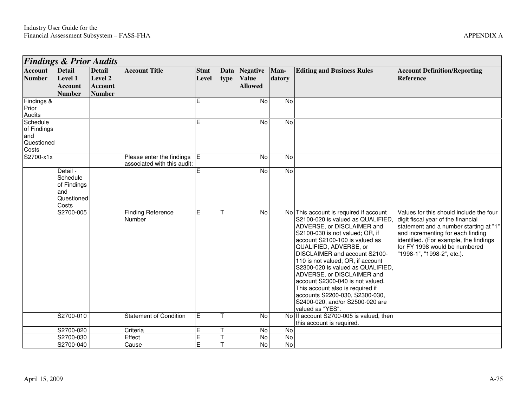| <b>Findings &amp; Prior Audits</b>                    |                                                                   |                                                             |                                                            |                      |              |                                            |                |                                                                                                                                                                                                                                                                                                                                                                                                                                                                                                                    |                                                                                                                                                                                                                                                                       |
|-------------------------------------------------------|-------------------------------------------------------------------|-------------------------------------------------------------|------------------------------------------------------------|----------------------|--------------|--------------------------------------------|----------------|--------------------------------------------------------------------------------------------------------------------------------------------------------------------------------------------------------------------------------------------------------------------------------------------------------------------------------------------------------------------------------------------------------------------------------------------------------------------------------------------------------------------|-----------------------------------------------------------------------------------------------------------------------------------------------------------------------------------------------------------------------------------------------------------------------|
| <b>Account</b><br><b>Number</b>                       | <b>Detail</b><br>Level 1<br><b>Account</b><br><b>Number</b>       | <b>Detail</b><br>Level 2<br><b>Account</b><br><b>Number</b> | <b>Account Title</b>                                       | <b>Stmt</b><br>Level | Data<br>type | Negative<br><b>Value</b><br><b>Allowed</b> | Man-<br>datory | <b>Editing and Business Rules</b>                                                                                                                                                                                                                                                                                                                                                                                                                                                                                  | <b>Account Definition/Reporting</b><br><b>Reference</b>                                                                                                                                                                                                               |
| Findings &<br>Prior<br>Audits                         |                                                                   |                                                             |                                                            | E                    |              | No                                         | $\overline{N}$ |                                                                                                                                                                                                                                                                                                                                                                                                                                                                                                                    |                                                                                                                                                                                                                                                                       |
| Schedule<br>of Findings<br>and<br>Questioned<br>Costs |                                                                   |                                                             |                                                            | E                    |              | No                                         | $\overline{N}$ |                                                                                                                                                                                                                                                                                                                                                                                                                                                                                                                    |                                                                                                                                                                                                                                                                       |
| S2700-x1x                                             |                                                                   |                                                             | Please enter the findings E<br>associated with this audit: |                      |              | No                                         | $\overline{N}$ |                                                                                                                                                                                                                                                                                                                                                                                                                                                                                                                    |                                                                                                                                                                                                                                                                       |
|                                                       | Detail -<br>Schedule<br>of Findings<br>and<br>Questioned<br>Costs |                                                             |                                                            | Е                    |              | No                                         | $\overline{N}$ |                                                                                                                                                                                                                                                                                                                                                                                                                                                                                                                    |                                                                                                                                                                                                                                                                       |
|                                                       | S2700-005                                                         |                                                             | <b>Finding Reference</b><br>Number                         | Е                    |              | No                                         |                | No This account is required if account<br>S2100-020 is valued as QUALIFIED,<br>ADVERSE, or DISCLAIMER and<br>S2100-030 is not valued; OR, if<br>account S2100-100 is valued as<br>QUALIFIED, ADVERSE, or<br>DISCLAIMER and account S2100-<br>110 is not valued; OR, if account<br>S2300-020 is valued as QUALIFIED.<br>ADVERSE, or DISCLAIMER and<br>account S2300-040 is not valued.<br>This account also is required if<br>accounts S2200-030, S2300-030,<br>S2400-020, and/or S2500-020 are<br>valued as "YES". | Values for this should include the four<br>digit fiscal year of the financial<br>statement and a number starting at "1"<br>and incrementing for each finding<br>identified. (For example, the findings<br>for FY 1998 would be numbered<br>"1998-1", "1998-2", etc.). |
|                                                       | S2700-010                                                         |                                                             | <b>Statement of Condition</b>                              | E                    |              | No                                         |                | No If account S2700-005 is valued, then<br>this account is required.                                                                                                                                                                                                                                                                                                                                                                                                                                               |                                                                                                                                                                                                                                                                       |
|                                                       | S2700-020                                                         |                                                             | Criteria                                                   | E                    |              | No                                         | $\overline{N}$ |                                                                                                                                                                                                                                                                                                                                                                                                                                                                                                                    |                                                                                                                                                                                                                                                                       |
|                                                       | S2700-030                                                         |                                                             | Effect                                                     | E                    |              | No                                         | $\overline{N}$ |                                                                                                                                                                                                                                                                                                                                                                                                                                                                                                                    |                                                                                                                                                                                                                                                                       |
|                                                       | S2700-040                                                         |                                                             | Cause                                                      | E                    |              | No                                         | No             |                                                                                                                                                                                                                                                                                                                                                                                                                                                                                                                    |                                                                                                                                                                                                                                                                       |

<u> 1989 - Johann Stoff, amerikansk politiker (\* 1908)</u>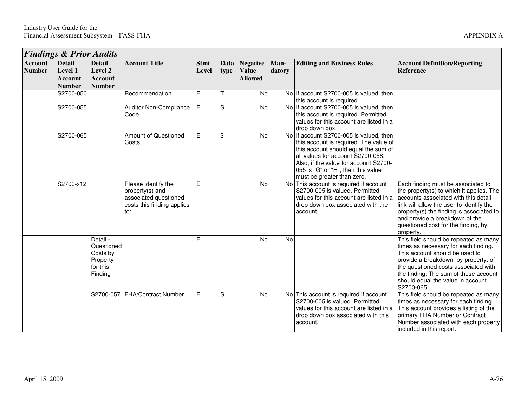|                                 | <b>Findings &amp; Prior Audits</b>                          |                                                                       |                                                                                                      |                      |              |                                                   |                |                                                                                                                                                                                                                                                                             |                                                                                                                                                                                                                                                                                                      |  |  |  |
|---------------------------------|-------------------------------------------------------------|-----------------------------------------------------------------------|------------------------------------------------------------------------------------------------------|----------------------|--------------|---------------------------------------------------|----------------|-----------------------------------------------------------------------------------------------------------------------------------------------------------------------------------------------------------------------------------------------------------------------------|------------------------------------------------------------------------------------------------------------------------------------------------------------------------------------------------------------------------------------------------------------------------------------------------------|--|--|--|
| <b>Account</b><br><b>Number</b> | <b>Detail</b><br>Level 1<br><b>Account</b><br><b>Number</b> | <b>Detail</b><br>Level 2<br><b>Account</b><br><b>Number</b>           | <b>Account Title</b>                                                                                 | <b>Stmt</b><br>Level | Data<br>type | <b>Negative</b><br><b>Value</b><br><b>Allowed</b> | Man-<br>datory | <b>Editing and Business Rules</b>                                                                                                                                                                                                                                           | <b>Account Definition/Reporting</b><br><b>Reference</b>                                                                                                                                                                                                                                              |  |  |  |
|                                 | S2700-050                                                   |                                                                       | Recommendation                                                                                       | E                    |              | No                                                |                | No If account S2700-005 is valued, then<br>this account is required.                                                                                                                                                                                                        |                                                                                                                                                                                                                                                                                                      |  |  |  |
|                                 | S2700-055                                                   |                                                                       | <b>Auditor Non-Compliance</b><br>Code                                                                | $\overline{E}$       | S            | No                                                |                | No If account S2700-005 is valued, then<br>this account is required. Permitted<br>values for this account are listed in a<br>drop down box.                                                                                                                                 |                                                                                                                                                                                                                                                                                                      |  |  |  |
|                                 | S2700-065                                                   |                                                                       | <b>Amount of Questioned</b><br>Costs                                                                 | E                    | \$           | No                                                |                | No If account S2700-005 is valued, then<br>this account is required. The value of<br>this account should equal the sum of<br>all values for account S2700-058.<br>Also, if the value for account S2700-<br>055 is "G" or "H", then this value<br>must be greater than zero. |                                                                                                                                                                                                                                                                                                      |  |  |  |
|                                 | S2700-x12                                                   |                                                                       | Please identify the<br>property(s) and<br>associated questioned<br>costs this finding applies<br>to: | Ē                    |              | No                                                |                | No This account is required if account<br>S2700-005 is valued. Permitted<br>values for this account are listed in a<br>drop down box associated with the<br>account.                                                                                                        | Each finding must be associated to<br>the property(s) to which it applies. The<br>accounts associated with this detail<br>link will allow the user to identify the<br>property(s) the finding is associated to<br>and provide a breakdown of the<br>questioned cost for the finding, by<br>property. |  |  |  |
|                                 |                                                             | Detail -<br>Questioned<br>Costs by<br>Property<br>for this<br>Finding |                                                                                                      | E                    |              | <b>No</b>                                         | No             |                                                                                                                                                                                                                                                                             | This field should be repeated as many<br>times as necessary for each finding.<br>This account should be used to<br>provide a breakdown, by property, of<br>the questioned costs associated with<br>the finding. The sum of these account<br>should equal the value in account<br>S2700-065.          |  |  |  |
|                                 |                                                             |                                                                       | S2700-057 FHA/Contract Number                                                                        | E                    | S            | No                                                |                | No This account is required if account<br>S2700-005 is valued. Permitted<br>values for this account are listed in a<br>drop down box associated with this<br>account.                                                                                                       | This field should be repeated as many<br>times as necessary for each finding.<br>This account provides a listing of the<br>primary FHA Number or Contract<br>Number associated with each property<br>included in this report.                                                                        |  |  |  |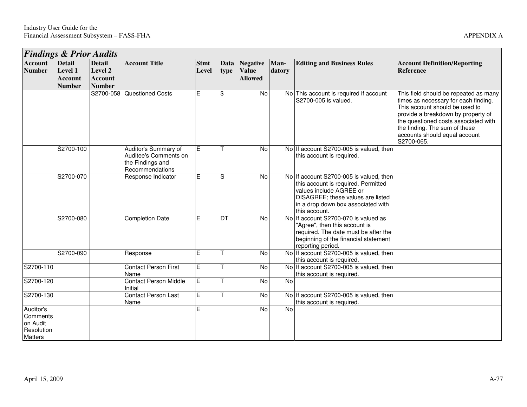|                                                            | <b>Findings &amp; Prior Audits</b>         |                                            |                                                                                      |                      |                     |                                                   |                |                                                                                                                                                                                                       |                                                                                                                                                                                                                                                                               |  |  |  |
|------------------------------------------------------------|--------------------------------------------|--------------------------------------------|--------------------------------------------------------------------------------------|----------------------|---------------------|---------------------------------------------------|----------------|-------------------------------------------------------------------------------------------------------------------------------------------------------------------------------------------------------|-------------------------------------------------------------------------------------------------------------------------------------------------------------------------------------------------------------------------------------------------------------------------------|--|--|--|
| <b>Account</b><br><b>Number</b>                            | <b>Detail</b><br>Level 1<br><b>Account</b> | <b>Detail</b><br>Level 2<br><b>Account</b> | <b>Account Title</b>                                                                 | <b>Stmt</b><br>Level | <b>Data</b><br>type | <b>Negative</b><br><b>Value</b><br><b>Allowed</b> | Man-<br>datory | <b>Editing and Business Rules</b>                                                                                                                                                                     | <b>Account Definition/Reporting</b><br><b>Reference</b>                                                                                                                                                                                                                       |  |  |  |
|                                                            | <b>Number</b>                              | <b>Number</b>                              |                                                                                      |                      |                     |                                                   |                |                                                                                                                                                                                                       |                                                                                                                                                                                                                                                                               |  |  |  |
|                                                            |                                            | S2700-058                                  | Questioned Costs                                                                     | Е                    | \$                  | $\overline{N}$                                    |                | No This account is required if account<br>S2700-005 is valued.                                                                                                                                        | This field should be repeated as many<br>times as necessary for each finding.<br>This account should be used to<br>provide a breakdown by property of<br>the questioned costs associated with<br>the finding. The sum of these<br>accounts should equal account<br>S2700-065. |  |  |  |
|                                                            | S2700-100                                  |                                            | Auditor's Summary of<br>Auditee's Comments on<br>the Findings and<br>Recommendations | Ε                    |                     | $\overline{N}$                                    |                | No If account S2700-005 is valued, then<br>this account is required.                                                                                                                                  |                                                                                                                                                                                                                                                                               |  |  |  |
|                                                            | S2700-070                                  |                                            | Response Indicator                                                                   | Е                    | S                   | No                                                |                | No If account S2700-005 is valued, then<br>this account is required. Permitted<br>values include AGREE or<br>DISAGREE; these values are listed<br>in a drop down box associated with<br>this account. |                                                                                                                                                                                                                                                                               |  |  |  |
|                                                            | S2700-080                                  |                                            | <b>Completion Date</b>                                                               | $\overline{E}$       | DT                  | $\overline{N}$                                    |                | No If account S2700-070 is valued as<br>"Agree", then this account is<br>required. The date must be after the<br>beginning of the financial statement<br>reporting period.                            |                                                                                                                                                                                                                                                                               |  |  |  |
|                                                            | S2700-090                                  |                                            | Response                                                                             | Е                    |                     | No                                                |                | No If account S2700-005 is valued, then<br>this account is required.                                                                                                                                  |                                                                                                                                                                                                                                                                               |  |  |  |
| S2700-110                                                  |                                            |                                            | <b>Contact Person First</b><br>Name                                                  | $\overline{E}$       |                     | $\overline{N}$                                    |                | No If account S2700-005 is valued, then<br>this account is required.                                                                                                                                  |                                                                                                                                                                                                                                                                               |  |  |  |
| S2700-120                                                  |                                            |                                            | <b>Contact Person Middle</b><br>Initial                                              | $\overline{E}$       |                     | <b>No</b>                                         | $\overline{N}$ |                                                                                                                                                                                                       |                                                                                                                                                                                                                                                                               |  |  |  |
| S2700-130                                                  |                                            |                                            | <b>Contact Person Last</b><br>Name                                                   | Е                    |                     | No                                                |                | No If account S2700-005 is valued, then<br>this account is required.                                                                                                                                  |                                                                                                                                                                                                                                                                               |  |  |  |
| Auditor's<br>Comments<br>on Audit<br>Resolution<br>Matters |                                            |                                            |                                                                                      | E.                   |                     | <b>No</b>                                         | <b>No</b>      |                                                                                                                                                                                                       |                                                                                                                                                                                                                                                                               |  |  |  |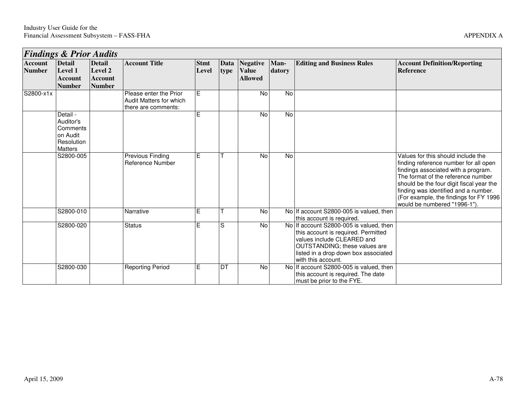|               | <b>Findings &amp; Prior Audits</b> |                |                         |             |      |                 |           |                                                                   |                                          |  |  |  |
|---------------|------------------------------------|----------------|-------------------------|-------------|------|-----------------|-----------|-------------------------------------------------------------------|------------------------------------------|--|--|--|
| Account       | <b>Detail</b>                      | <b>Detail</b>  | <b>Account Title</b>    | <b>Stmt</b> | Data | <b>Negative</b> | Man-      | <b>Editing and Business Rules</b>                                 | <b>Account Definition/Reporting</b>      |  |  |  |
| <b>Number</b> | Level 1                            | Level 2        |                         | Level       | type | <b>Value</b>    | datory    |                                                                   | <b>Reference</b>                         |  |  |  |
|               | <b>Account</b>                     | <b>Account</b> |                         |             |      | <b>Allowed</b>  |           |                                                                   |                                          |  |  |  |
|               | <b>Number</b>                      | <b>Number</b>  |                         |             |      |                 |           |                                                                   |                                          |  |  |  |
| S2800-x1x     |                                    |                | Please enter the Prior  | Е           |      | <b>No</b>       | No        |                                                                   |                                          |  |  |  |
|               |                                    |                | Audit Matters for which |             |      |                 |           |                                                                   |                                          |  |  |  |
|               |                                    |                | there are comments:     |             |      |                 |           |                                                                   |                                          |  |  |  |
|               | Detail -                           |                |                         | E           |      | No              | No        |                                                                   |                                          |  |  |  |
|               | Auditor's                          |                |                         |             |      |                 |           |                                                                   |                                          |  |  |  |
|               | Comments<br>Ion Audit              |                |                         |             |      |                 |           |                                                                   |                                          |  |  |  |
|               | Resolution                         |                |                         |             |      |                 |           |                                                                   |                                          |  |  |  |
|               | <b>Matters</b>                     |                |                         |             |      |                 |           |                                                                   |                                          |  |  |  |
|               | S2800-005                          |                | <b>Previous Finding</b> | E.          |      | No              | <b>No</b> |                                                                   | Values for this should include the       |  |  |  |
|               |                                    |                | Reference Number        |             |      |                 |           |                                                                   | finding reference number for all open    |  |  |  |
|               |                                    |                |                         |             |      |                 |           |                                                                   | findings associated with a program.      |  |  |  |
|               |                                    |                |                         |             |      |                 |           |                                                                   | The format of the reference number       |  |  |  |
|               |                                    |                |                         |             |      |                 |           |                                                                   | should be the four digit fiscal year the |  |  |  |
|               |                                    |                |                         |             |      |                 |           |                                                                   | finding was identified and a number.     |  |  |  |
|               |                                    |                |                         |             |      |                 |           |                                                                   | (For example, the findings for FY 1996)  |  |  |  |
|               |                                    |                |                         |             |      |                 |           |                                                                   | would be numbered "1996-1").             |  |  |  |
|               | S2800-010                          |                | Narrative               | E.          |      | No              |           | No If account S2800-005 is valued, then                           |                                          |  |  |  |
|               | S2800-020                          |                | <b>Status</b>           | E.          | S    | No              | <b>No</b> | this account is required.<br>If account S2800-005 is valued, then |                                          |  |  |  |
|               |                                    |                |                         |             |      |                 |           | this account is required. Permitted                               |                                          |  |  |  |
|               |                                    |                |                         |             |      |                 |           | values include CLEARED and                                        |                                          |  |  |  |
|               |                                    |                |                         |             |      |                 |           | <b>OUTSTANDING</b> ; these values are                             |                                          |  |  |  |
|               |                                    |                |                         |             |      |                 |           | listed in a drop down box associated                              |                                          |  |  |  |
|               |                                    |                |                         |             |      |                 |           | with this account.                                                |                                          |  |  |  |
|               | S2800-030                          |                | <b>Reporting Period</b> | Е           | DT   | No              | <b>No</b> | If account S2800-005 is valued, then                              |                                          |  |  |  |
|               |                                    |                |                         |             |      |                 |           | this account is required. The date                                |                                          |  |  |  |
|               |                                    |                |                         |             |      |                 |           | must be prior to the FYE.                                         |                                          |  |  |  |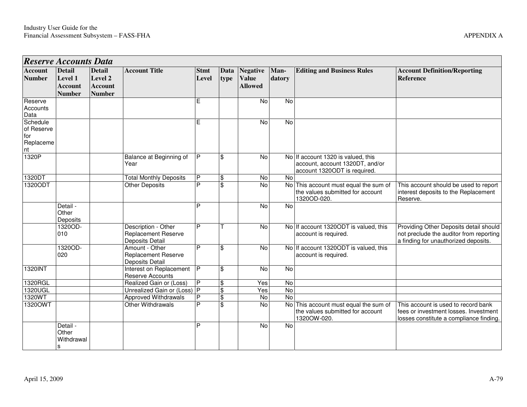| <b>Reserve Accounts Data</b>                     |                                                             |                                                             |                                                                             |                      |                         |                                                   |                |                                                                                                       |                                                                                                                           |
|--------------------------------------------------|-------------------------------------------------------------|-------------------------------------------------------------|-----------------------------------------------------------------------------|----------------------|-------------------------|---------------------------------------------------|----------------|-------------------------------------------------------------------------------------------------------|---------------------------------------------------------------------------------------------------------------------------|
| <b>Account</b><br><b>Number</b>                  | <b>Detail</b><br>Level 1<br><b>Account</b><br><b>Number</b> | <b>Detail</b><br>Level 2<br><b>Account</b><br><b>Number</b> | <b>Account Title</b>                                                        | <b>Stmt</b><br>Level | Data<br>type            | <b>Negative</b><br><b>Value</b><br><b>Allowed</b> | Man-<br>datory | <b>Editing and Business Rules</b>                                                                     | <b>Account Definition/Reporting</b><br><b>Reference</b>                                                                   |
| Reserve<br>Accounts<br>Data                      |                                                             |                                                             |                                                                             | E                    |                         | <b>No</b>                                         | <b>No</b>      |                                                                                                       |                                                                                                                           |
| Schedule<br>of Reserve<br>for<br>Replaceme<br>nt |                                                             |                                                             |                                                                             | E                    |                         | No                                                | No             |                                                                                                       |                                                                                                                           |
| 1320P                                            |                                                             |                                                             | Balance at Beginning of<br>Year                                             | <b>P</b>             | \$                      | No                                                |                | No If account 1320 is valued, this<br>account, account 1320DT, and/or<br>account 1320ODT is required. |                                                                                                                           |
| 1320DT                                           |                                                             |                                                             | <b>Total Monthly Deposits</b>                                               | P                    | \$                      | <b>No</b>                                         | No             |                                                                                                       |                                                                                                                           |
| 1320ODT                                          |                                                             |                                                             | <b>Other Deposits</b>                                                       | P                    | $\overline{\mathbf{s}}$ | $\overline{N}$                                    | $\overline{N}$ | This account must equal the sum of<br>the values submitted for account<br>1320OD-020.                 | This account should be used to report<br>interest deposits to the Replacement<br>Reserve.                                 |
|                                                  | Detail -<br>Other<br>Deposits                               |                                                             |                                                                             | P                    |                         | $\overline{N}$                                    | <b>No</b>      |                                                                                                       |                                                                                                                           |
|                                                  | 1320OD-<br>010                                              |                                                             | Description - Other<br><b>Replacement Reserve</b><br><b>Deposits Detail</b> | P                    |                         | <b>No</b>                                         |                | No If account 1320ODT is valued, this<br>account is required.                                         | Providing Other Deposits detail should<br>not preclude the auditor from reporting<br>a finding for unauthorized deposits. |
|                                                  | 1320OD-<br>020                                              |                                                             | Amount - Other<br><b>Replacement Reserve</b><br>Deposits Detail             | P                    | \$                      | No                                                |                | No If account 1320ODT is valued, this<br>account is required.                                         |                                                                                                                           |
| 1320INT                                          |                                                             |                                                             | Interest on Replacement<br><b>Reserve Accounts</b>                          | P                    | \$                      | No                                                | N <sub>o</sub> |                                                                                                       |                                                                                                                           |
| 1320RGL                                          |                                                             |                                                             | Realized Gain or (Loss)                                                     | P                    | $\overline{\mathbf{e}}$ | Yes                                               | $\overline{N}$ |                                                                                                       |                                                                                                                           |
| 1320UGL                                          |                                                             |                                                             | Unrealized Gain or (Loss) P                                                 |                      | $\overline{\$}$         | Yes                                               | <b>No</b>      |                                                                                                       |                                                                                                                           |
| 1320WT                                           |                                                             |                                                             | <b>Approved Withdrawals</b>                                                 | P                    | $\overline{\mathbf{S}}$ | No                                                | <b>No</b>      |                                                                                                       |                                                                                                                           |
| 1320OWT                                          |                                                             |                                                             | <b>Other Withdrawals</b>                                                    | $\overline{P}$       | $\overline{\mathbf{s}}$ | No                                                | No             | This account must equal the sum of<br>the values submitted for account<br>1320OW-020.                 | This account is used to record bank<br>fees or investment losses. Investment<br>losses constitute a compliance finding.   |
|                                                  | Detail -<br>Other<br>Withdrawal<br>s                        |                                                             |                                                                             | P                    |                         | <b>No</b>                                         | <b>No</b>      |                                                                                                       |                                                                                                                           |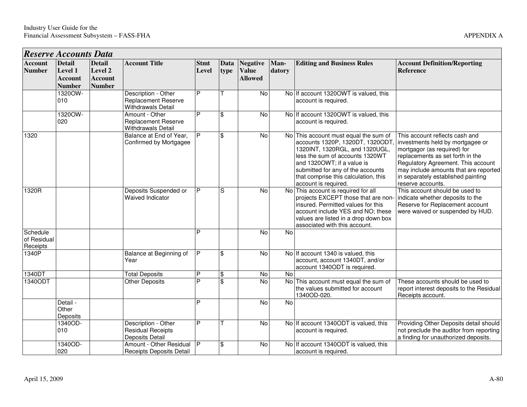| <b>Reserve Accounts Data</b>        |                                                             |                                                             |                                                                                |                      |              |                                                   |                |                                                                                                                                                                                                                                                                                  |                                                                                                                                                                                                                                                                                 |
|-------------------------------------|-------------------------------------------------------------|-------------------------------------------------------------|--------------------------------------------------------------------------------|----------------------|--------------|---------------------------------------------------|----------------|----------------------------------------------------------------------------------------------------------------------------------------------------------------------------------------------------------------------------------------------------------------------------------|---------------------------------------------------------------------------------------------------------------------------------------------------------------------------------------------------------------------------------------------------------------------------------|
| <b>Account</b><br><b>Number</b>     | <b>Detail</b><br>Level 1<br><b>Account</b><br><b>Number</b> | <b>Detail</b><br>Level 2<br><b>Account</b><br><b>Number</b> | <b>Account Title</b>                                                           | <b>Stmt</b><br>Level | Data<br>type | <b>Negative</b><br><b>Value</b><br><b>Allowed</b> | Man-<br>datory | <b>Editing and Business Rules</b>                                                                                                                                                                                                                                                | <b>Account Definition/Reporting</b><br><b>Reference</b>                                                                                                                                                                                                                         |
|                                     | 1320OW-<br>010                                              |                                                             | Description - Other<br><b>Replacement Reserve</b><br><b>Withdrawals Detail</b> | P                    |              | No                                                |                | No If account 13200WT is valued, this<br>account is required.                                                                                                                                                                                                                    |                                                                                                                                                                                                                                                                                 |
|                                     | 1320OW-<br>020                                              |                                                             | Amount - Other<br><b>Replacement Reserve</b><br><b>Withdrawals Detail</b>      | P                    | \$           | No                                                |                | No If account 1320OWT is valued, this<br>account is required.                                                                                                                                                                                                                    |                                                                                                                                                                                                                                                                                 |
| 1320                                |                                                             |                                                             | Balance at End of Year,<br>Confirmed by Mortgagee                              | P                    | \$           | No                                                |                | No This account must equal the sum of<br>accounts 1320P, 1320DT, 1320ODT<br>1320INT, 1320RGL, and 1320UGL,<br>less the sum of accounts 1320WT<br>and 13200WT; if a value is<br>submitted for any of the accounts<br>that comprise this calculation, this<br>account is required. | This account reflects cash and<br>investments held by mortgagee or<br>mortgagor (as required) for<br>replacements as set forth in the<br>Regulatory Agreement. This account<br>may include amounts that are reported<br>in separately established painting<br>reserve accounts. |
| 1320R                               |                                                             |                                                             | Deposits Suspended or<br>Waived Indicator                                      | P                    | S            | No                                                |                | No This account is required for all<br>projects EXCEPT those that are non-<br>insured. Permitted values for this<br>account include YES and NO; these<br>values are listed in a drop down box<br>associated with this account.                                                   | This account should be used to<br>indicate whether deposits to the<br>Reserve for Replacement account<br>were waived or suspended by HUD.                                                                                                                                       |
| Schedule<br>of Residual<br>Receipts |                                                             |                                                             |                                                                                | P                    |              | $\overline{N}$                                    | $\overline{N}$ |                                                                                                                                                                                                                                                                                  |                                                                                                                                                                                                                                                                                 |
| 1340P                               |                                                             |                                                             | Balance at Beginning of<br>Year                                                | P                    | \$           | $\overline{N}$                                    |                | No If account 1340 is valued, this<br>account, account 1340DT, and/or<br>account 1340ODT is required.                                                                                                                                                                            |                                                                                                                                                                                                                                                                                 |
| 1340DT                              |                                                             |                                                             | <b>Total Deposits</b>                                                          | $\overline{P}$       | Φ            | $\overline{N}$                                    | <b>No</b>      |                                                                                                                                                                                                                                                                                  |                                                                                                                                                                                                                                                                                 |
| 1340ODT                             |                                                             |                                                             | <b>Other Deposits</b>                                                          | P                    | \$           | No                                                |                | No This account must equal the sum of<br>the values submitted for account<br>1340OD-020.                                                                                                                                                                                         | These accounts should be used to<br>report interest deposits to the Residual<br>Receipts account.                                                                                                                                                                               |
|                                     | Detail -<br>Other<br>Deposits                               |                                                             |                                                                                | P                    |              | No                                                | No             |                                                                                                                                                                                                                                                                                  |                                                                                                                                                                                                                                                                                 |
|                                     | 1340OD-<br>010                                              |                                                             | Description - Other<br><b>Residual Receipts</b><br>Deposits Detail             | P                    |              | $\overline{N}$                                    |                | No If account 1340ODT is valued, this<br>account is required.                                                                                                                                                                                                                    | Providing Other Deposits detail should<br>not preclude the auditor from reporting<br>a finding for unauthorized deposits.                                                                                                                                                       |

Amount - Other Residual P  $\begin{array}{|l|l|}\n\hline\n8 & 8\n\end{array}$  No No If account 1340ODT is valued, this Receipts Deposits Detail

1340OD-020

Amount - Other Residual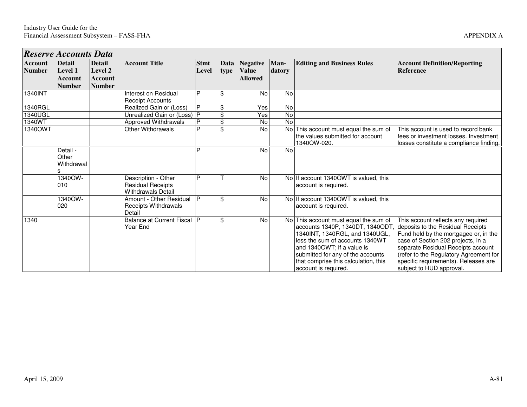|                                 | Reserve Accounts Data                                |                                                      |                                                                              |                      |                         |                                                   |                |                                                                                                                                                                                                                                                                                                                  |                                                                                                                                                                                                                                                                       |
|---------------------------------|------------------------------------------------------|------------------------------------------------------|------------------------------------------------------------------------------|----------------------|-------------------------|---------------------------------------------------|----------------|------------------------------------------------------------------------------------------------------------------------------------------------------------------------------------------------------------------------------------------------------------------------------------------------------------------|-----------------------------------------------------------------------------------------------------------------------------------------------------------------------------------------------------------------------------------------------------------------------|
| <b>Account</b><br><b>Number</b> | <b>Detail</b><br>Level 1<br>Account<br><b>Number</b> | <b>Detail</b><br>Level 2<br>Account<br><b>Number</b> | <b>Account Title</b>                                                         | <b>Stmt</b><br>Level | Data<br>type            | <b>Negative</b><br><b>Value</b><br><b>Allowed</b> | Man-<br>datory | <b>Editing and Business Rules</b>                                                                                                                                                                                                                                                                                | <b>Account Definition/Reporting</b><br><b>Reference</b>                                                                                                                                                                                                               |
| 1340INT                         |                                                      |                                                      | Interest on Residual<br><b>Receipt Accounts</b>                              | P                    | \$                      | <b>No</b>                                         | No             |                                                                                                                                                                                                                                                                                                                  |                                                                                                                                                                                                                                                                       |
| 1340RGL                         |                                                      |                                                      | Realized Gain or (Loss)                                                      | P                    | \$                      | Yes                                               | No             |                                                                                                                                                                                                                                                                                                                  |                                                                                                                                                                                                                                                                       |
| 1340UGL                         |                                                      |                                                      | Unrealized Gain or (Loss) P                                                  |                      | $\overline{\mathbf{e}}$ | Yes                                               | $\overline{N}$ |                                                                                                                                                                                                                                                                                                                  |                                                                                                                                                                                                                                                                       |
| 1340WT                          |                                                      |                                                      | Approved Withdrawals                                                         |                      | $\overline{\mathbf{e}}$ | No                                                | <b>No</b>      |                                                                                                                                                                                                                                                                                                                  |                                                                                                                                                                                                                                                                       |
| 1340OWT                         |                                                      |                                                      | Other Withdrawals                                                            | P                    | \$                      | <b>No</b>                                         | <b>No</b>      | This account must equal the sum of<br>the values submitted for account<br>1340OW-020.                                                                                                                                                                                                                            | This account is used to record bank<br>fees or investment losses. Investment<br>losses constitute a compliance finding.                                                                                                                                               |
|                                 | Detail -<br>Other<br>Withdrawal                      |                                                      |                                                                              | D                    |                         | No                                                | No             |                                                                                                                                                                                                                                                                                                                  |                                                                                                                                                                                                                                                                       |
|                                 | 1340OW-<br>010                                       |                                                      | Description - Other<br><b>Residual Receipts</b><br><b>Withdrawals Detail</b> | D                    |                         | No                                                |                | No If account 1340 OWT is valued, this<br>account is required.                                                                                                                                                                                                                                                   |                                                                                                                                                                                                                                                                       |
|                                 | 1340OW-<br>020                                       |                                                      | Amount - Other Residual<br>Receipts Withdrawals<br>Detail                    |                      | \$                      | No                                                |                | No If account 1340 OWT is valued, this<br>account is required.                                                                                                                                                                                                                                                   |                                                                                                                                                                                                                                                                       |
| 1340                            |                                                      |                                                      | Balance at Current Fiscal   P<br>Year End                                    |                      | \$                      | No                                                | No l           | This account must equal the sum of<br>accounts 1340P, 1340DT, 1340ODT, deposits to the Residual Receipts<br>1340INT, 1340RGL, and 1340UGL,<br>less the sum of accounts 1340WT<br>and 1340OWT; if a value is<br>submitted for any of the accounts<br>that comprise this calculation, this<br>account is required. | This account reflects any required<br>Fund held by the mortgagee or, in the<br>case of Section 202 projects, in a<br>separate Residual Receipts account<br>(refer to the Regulatory Agreement for<br>specific requirements). Releases are<br>subject to HUD approval. |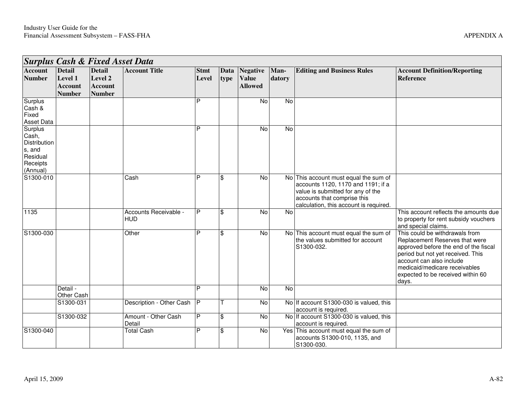|                                                                                | <b>Surplus Cash &amp; Fixed Asset Data</b>                  |                                                             |                                     |                      |                |                                                   |                |                                                                                                                                                                                           |                                                                                                                                                                                                                                                           |  |  |  |
|--------------------------------------------------------------------------------|-------------------------------------------------------------|-------------------------------------------------------------|-------------------------------------|----------------------|----------------|---------------------------------------------------|----------------|-------------------------------------------------------------------------------------------------------------------------------------------------------------------------------------------|-----------------------------------------------------------------------------------------------------------------------------------------------------------------------------------------------------------------------------------------------------------|--|--|--|
| <b>Account</b><br><b>Number</b>                                                | <b>Detail</b><br>Level 1<br><b>Account</b><br><b>Number</b> | <b>Detail</b><br>Level 2<br><b>Account</b><br><b>Number</b> | <b>Account Title</b>                | <b>Stmt</b><br>Level | Data<br>type   | <b>Negative</b><br><b>Value</b><br><b>Allowed</b> | Man-<br>datory | <b>Editing and Business Rules</b>                                                                                                                                                         | <b>Account Definition/Reporting</b><br><b>Reference</b>                                                                                                                                                                                                   |  |  |  |
| Surplus<br>Cash &<br>Fixed<br>Asset Data                                       |                                                             |                                                             |                                     | P                    |                | $\overline{N}$                                    | $\overline{N}$ |                                                                                                                                                                                           |                                                                                                                                                                                                                                                           |  |  |  |
| Surplus<br>Cash,<br>Distribution<br>s, and<br>Residual<br>Receipts<br>(Annual) |                                                             |                                                             |                                     | P                    |                | <b>No</b>                                         | No             |                                                                                                                                                                                           |                                                                                                                                                                                                                                                           |  |  |  |
| S1300-010                                                                      |                                                             |                                                             | Cash                                | P                    | \$             | No                                                |                | No This account must equal the sum of<br>accounts 1120, 1170 and 1191; if a<br>value is submitted for any of the<br>accounts that comprise this<br>calculation, this account is required. |                                                                                                                                                                                                                                                           |  |  |  |
| 1135                                                                           |                                                             |                                                             | Accounts Receivable -<br><b>HUD</b> | P                    | \$             | No                                                | No             |                                                                                                                                                                                           | This account reflects the amounts due<br>to property for rent subsidy vouchers<br>and special claims.                                                                                                                                                     |  |  |  |
| S1300-030                                                                      |                                                             |                                                             | Other                               | P                    | $\mathfrak{L}$ | $\overline{N}$                                    |                | No This account must equal the sum of<br>the values submitted for account<br>S1300-032.                                                                                                   | This could be withdrawals from<br>Replacement Reserves that were<br>approved before the end of the fiscal<br>period but not yet received. This<br>account can also include<br>medicaid/medicare receivables<br>expected to be received within 60<br>days. |  |  |  |
|                                                                                | Detail -<br>Other Cash                                      |                                                             |                                     | P                    |                | $\overline{N}$                                    | $\overline{N}$ |                                                                                                                                                                                           |                                                                                                                                                                                                                                                           |  |  |  |
|                                                                                | S1300-031                                                   |                                                             | Description - Other Cash            | IP.                  |                | <b>No</b>                                         |                | No If account S1300-030 is valued, this<br>account is required.                                                                                                                           |                                                                                                                                                                                                                                                           |  |  |  |
|                                                                                | S1300-032                                                   |                                                             | Amount - Other Cash<br>Detail       | P                    | \$             | <b>No</b>                                         |                | No If account S1300-030 is valued, this<br>account is required.                                                                                                                           |                                                                                                                                                                                                                                                           |  |  |  |
| S1300-040                                                                      |                                                             |                                                             | <b>Total Cash</b>                   | P                    | $\mathfrak{S}$ | No                                                |                | Yes This account must equal the sum of<br>accounts S1300-010, 1135, and<br>S1300-030.                                                                                                     |                                                                                                                                                                                                                                                           |  |  |  |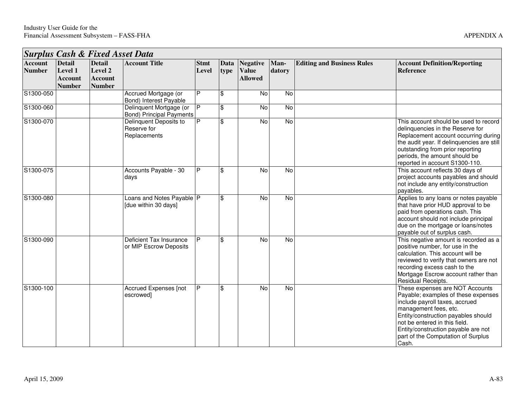*Surplus Cash & Fixed Asset Data* 

**Detail Level 2** 

**Detail Level 1** 

**Account Number** 

**Account Title Stmt** 

| <b>Man-</b><br>datory | <b>Editing and Business Rules</b> | <b>Account Definition/Reporting</b><br><b>Reference</b>                                                                                                         |
|-----------------------|-----------------------------------|-----------------------------------------------------------------------------------------------------------------------------------------------------------------|
| No                    |                                   |                                                                                                                                                                 |
| No                    |                                   |                                                                                                                                                                 |
| No                    |                                   | This account should be used to record<br>delinquencies in the Reserve for<br>Replacement account occurring during<br>the audit year. If delinguencies are still |

| Account<br><b>Number</b> | Detail<br><b>Level 1</b><br><b>Account</b><br><b>Number</b> | <b>Detail</b><br>Level 2<br><b>Account</b><br><b>Number</b> | <b>Account Title</b>                                       | <b>Stmt</b><br>Level | type | Data   Negative   Man-<br><b>Value</b><br><b>Allowed</b> | datory         | <b>Editing and Business Rules</b> | Account Definition/Reporting<br>Reference                                                                                                                                                                                                                                                       |
|--------------------------|-------------------------------------------------------------|-------------------------------------------------------------|------------------------------------------------------------|----------------------|------|----------------------------------------------------------|----------------|-----------------------------------|-------------------------------------------------------------------------------------------------------------------------------------------------------------------------------------------------------------------------------------------------------------------------------------------------|
| S1300-050                |                                                             |                                                             | Accrued Mortgage (or<br>Bond) Interest Payable             | P                    | \$   | No                                                       | No             |                                   |                                                                                                                                                                                                                                                                                                 |
| S1300-060                |                                                             |                                                             | Delinquent Mortgage (or<br><b>Bond) Principal Payments</b> | P                    | \$   | <b>No</b>                                                | No             |                                   |                                                                                                                                                                                                                                                                                                 |
| S1300-070                |                                                             |                                                             | Delinquent Deposits to<br>Reserve for<br>Replacements      | P                    | \$   | <b>No</b>                                                | $\overline{N}$ |                                   | This account should be used to record<br>delinquencies in the Reserve for<br>Replacement account occurring during<br>the audit year. If delinquencies are still<br>outstanding from prior reporting<br>periods, the amount should be<br>reported in account S1300-110.                          |
| S1300-075                |                                                             |                                                             | Accounts Payable - 30<br>days                              | P                    | \$   | No                                                       | No             |                                   | This account reflects 30 days of<br>project accounts payables and should<br>not include any entity/construction<br>payables.                                                                                                                                                                    |
| S1300-080                |                                                             |                                                             | Loans and Notes Payable   P<br>[due within 30 days]        |                      | \$   | No                                                       | No             |                                   | Applies to any loans or notes payable<br>that have prior HUD approval to be<br>paid from operations cash. This<br>account should not include principal<br>due on the mortgage or loans/notes<br>payable out of surplus cash.                                                                    |
| S1300-090                |                                                             |                                                             | Deficient Tax Insurance<br>or MIP Escrow Deposits          | P                    | \$   | No                                                       | $\overline{N}$ |                                   | This negative amount is recorded as a<br>positive number, for use in the<br>calculation. This account will be<br>reviewed to verify that owners are not<br>recording excess cash to the<br>Mortgage Escrow account rather than<br>Residual Receipts.                                            |
| S1300-100                |                                                             |                                                             | Accrued Expenses [not<br>escrowed]                         | P                    | \$   | No                                                       | $\overline{N}$ |                                   | These expenses are NOT Accounts<br>Payable; examples of these expenses<br>include payroll taxes, accrued<br>management fees, etc.<br>Entity/construction payables should<br>not be entered in this field.<br>Entity/construction payable are not<br>part of the Computation of Surplus<br>Cash. |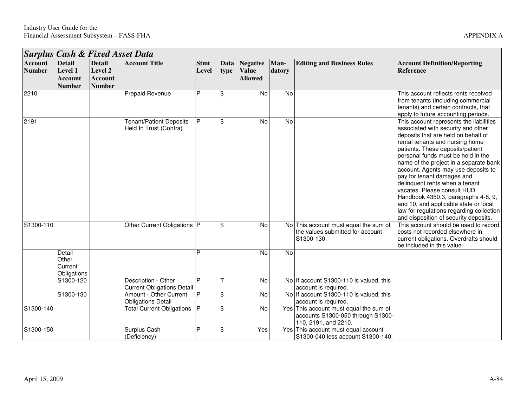|                                 |                                                             |                                                             | <b>Surplus Cash &amp; Fixed Asset Data</b>               |                         |                         |                                            |                |                                                                                                     |                                                                                                                                                                                                                                                                                                                                                                                                                                                                                                                                                                                        |
|---------------------------------|-------------------------------------------------------------|-------------------------------------------------------------|----------------------------------------------------------|-------------------------|-------------------------|--------------------------------------------|----------------|-----------------------------------------------------------------------------------------------------|----------------------------------------------------------------------------------------------------------------------------------------------------------------------------------------------------------------------------------------------------------------------------------------------------------------------------------------------------------------------------------------------------------------------------------------------------------------------------------------------------------------------------------------------------------------------------------------|
| <b>Account</b><br><b>Number</b> | <b>Detail</b><br>Level 1<br><b>Account</b><br><b>Number</b> | <b>Detail</b><br>Level 2<br><b>Account</b><br><b>Number</b> | <b>Account Title</b>                                     | <b>Stmt</b><br>Level    | Data<br>type            | Negative<br><b>Value</b><br><b>Allowed</b> | Man-<br>datory | <b>Editing and Business Rules</b>                                                                   | <b>Account Definition/Reporting</b><br><b>Reference</b>                                                                                                                                                                                                                                                                                                                                                                                                                                                                                                                                |
| 2210                            |                                                             |                                                             | <b>Prepaid Revenue</b>                                   | P                       | \$                      | No                                         | No             |                                                                                                     | This account reflects rents received<br>from tenants (including commercial<br>tenants) and certain contracts, that<br>apply to future accounting periods.                                                                                                                                                                                                                                                                                                                                                                                                                              |
| 2191                            |                                                             |                                                             | <b>Tenant/Patient Deposits</b><br>Held In Trust (Contra) | P                       | \$                      | No                                         | <b>No</b>      |                                                                                                     | This account represents the liabilities<br>associated with security and other<br>deposits that are held on behalf of<br>rental tenants and nursing home<br>patients. These deposits/patient<br>personal funds must be held in the<br>name of the project in a separate bank<br>account. Agents may use deposits to<br>pay for tenant damages and<br>delinquent rents when a tenant<br>vacates. Please consult HUD<br>Handbook 4350.3, paragraphs 4-8, 9,<br>and 10, and applicable state or local<br>law for regulations regarding collection<br>and disposition of security deposits. |
| S1300-110                       |                                                             |                                                             | Other Current Obligations   P                            |                         | \$                      | $\overline{N}$                             |                | No This account must equal the sum of<br>the values submitted for account<br>S1300-130.             | This account should be used to record<br>costs not recorded elsewhere in<br>current obligations. Overdrafts should<br>be included in this value.                                                                                                                                                                                                                                                                                                                                                                                                                                       |
|                                 | Detail -<br>Other<br>Current<br>Obligations                 |                                                             |                                                          | Þ                       |                         | No                                         | <b>No</b>      |                                                                                                     |                                                                                                                                                                                                                                                                                                                                                                                                                                                                                                                                                                                        |
|                                 | S1300-120                                                   |                                                             | Description - Other<br><b>Current Obligations Detail</b> | P                       |                         | No                                         |                | No If account S1300-110 is valued, this<br>account is required.                                     |                                                                                                                                                                                                                                                                                                                                                                                                                                                                                                                                                                                        |
|                                 | S1300-130                                                   |                                                             | Amount - Other Current<br><b>Obligations Detail</b>      | P                       | \$                      | No                                         |                | No If account S1300-110 is valued, this<br>account is required.                                     |                                                                                                                                                                                                                                                                                                                                                                                                                                                                                                                                                                                        |
| S1300-140                       |                                                             |                                                             | <b>Total Current Obligations</b>                         | $\overline{\mathsf{P}}$ | $\overline{\mathbb{S}}$ | No                                         |                | Yes This account must equal the sum of<br>accounts S1300-050 through S1300-<br>110, 2191, and 2210. |                                                                                                                                                                                                                                                                                                                                                                                                                                                                                                                                                                                        |
| S1300-150                       |                                                             |                                                             | Surplus Cash<br>(Deficiency)                             | P                       | \$                      | Yes                                        |                | Yes This account must equal account<br>S1300-040 less account S1300-140.                            |                                                                                                                                                                                                                                                                                                                                                                                                                                                                                                                                                                                        |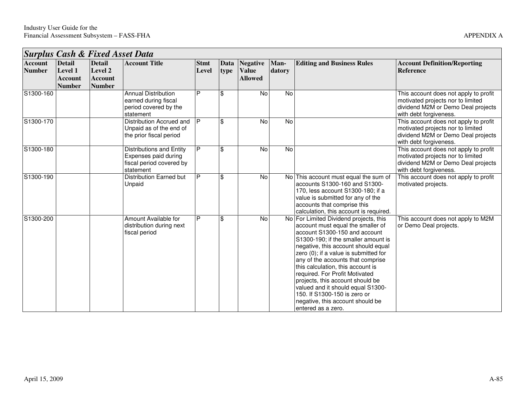| <b>Surplus Cash &amp; Fixed Asset Data</b> |                                               |                                                             |                                                                                                  |                      |              |                                                   |                |                                                                                                                                                                                                                                                                                                                                                                                                                                                                                                                     |                                                                                                                                            |  |  |
|--------------------------------------------|-----------------------------------------------|-------------------------------------------------------------|--------------------------------------------------------------------------------------------------|----------------------|--------------|---------------------------------------------------|----------------|---------------------------------------------------------------------------------------------------------------------------------------------------------------------------------------------------------------------------------------------------------------------------------------------------------------------------------------------------------------------------------------------------------------------------------------------------------------------------------------------------------------------|--------------------------------------------------------------------------------------------------------------------------------------------|--|--|
| <b>Account</b><br><b>Number</b>            | <b>Detail</b><br>Level 1<br>Account<br>Number | <b>Detail</b><br>Level 2<br><b>Account</b><br><b>Number</b> | <b>Account Title</b>                                                                             | <b>Stmt</b><br>Level | Data<br>type | <b>Negative</b><br><b>Value</b><br><b>Allowed</b> | Man-<br>datory | <b>Editing and Business Rules</b>                                                                                                                                                                                                                                                                                                                                                                                                                                                                                   | <b>Account Definition/Reporting</b><br><b>Reference</b>                                                                                    |  |  |
| S1300-160                                  |                                               |                                                             | <b>Annual Distribution</b><br>earned during fiscal<br>period covered by the<br>statement         | P                    | \$           | <b>No</b>                                         | No             |                                                                                                                                                                                                                                                                                                                                                                                                                                                                                                                     | This account does not apply to profit<br>motivated projects nor to limited<br>dividend M2M or Demo Deal projects<br>with debt forgiveness. |  |  |
| S1300-170                                  |                                               |                                                             | Distribution Accrued and<br>Unpaid as of the end of<br>the prior fiscal period                   | P                    | \$           | No                                                | No             |                                                                                                                                                                                                                                                                                                                                                                                                                                                                                                                     | This account does not apply to profit<br>motivated projects nor to limited<br>dividend M2M or Demo Deal projects<br>with debt forgiveness. |  |  |
| S1300-180                                  |                                               |                                                             | <b>Distributions and Entity</b><br>Expenses paid during<br>fiscal period covered by<br>statement | P                    | \$           | No                                                | No             |                                                                                                                                                                                                                                                                                                                                                                                                                                                                                                                     | This account does not apply to profit<br>motivated projects nor to limited<br>dividend M2M or Demo Deal projects<br>with debt forgiveness. |  |  |
| S1300-190                                  |                                               |                                                             | Distribution Earned but<br>Unpaid                                                                | P                    | \$           | No                                                |                | No This account must equal the sum of<br>accounts S1300-160 and S1300-<br>170, less account S1300-180; if a<br>value is submitted for any of the<br>accounts that comprise this<br>calculation, this account is required.                                                                                                                                                                                                                                                                                           | This account does not apply to profit<br>motivated projects.                                                                               |  |  |
| S1300-200                                  |                                               |                                                             | Amount Available for<br>distribution during next<br>fiscal period                                | P                    | \$           | No                                                |                | No For Limited Dividend projects, this<br>account must equal the smaller of<br>account S1300-150 and account<br>S1300-190; if the smaller amount is<br>negative, this account should equal<br>zero (0); if a value is submitted for<br>any of the accounts that comprise<br>this calculation, this account is<br>required. For Profit Motivated<br>projects, this account should be<br>valued and it should equal S1300-<br>150. If S1300-150 is zero or<br>negative, this account should be<br>lentered as a zero. | This account does not apply to M2M<br>or Demo Deal projects.                                                                               |  |  |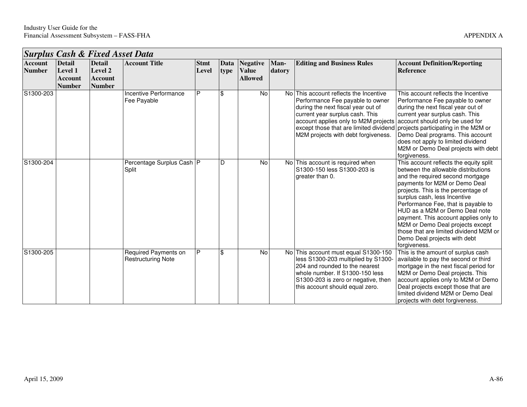┑

|                                 | Surplus Cash & Fixed Asset Data                      |                                                                    |                                                   |                      |              |                                                   |                |                                                                                                                                                                                                                                                                                                                   |                                                                                                                                                                                                                                                                                                                                                                                                                                                                           |  |  |  |
|---------------------------------|------------------------------------------------------|--------------------------------------------------------------------|---------------------------------------------------|----------------------|--------------|---------------------------------------------------|----------------|-------------------------------------------------------------------------------------------------------------------------------------------------------------------------------------------------------------------------------------------------------------------------------------------------------------------|---------------------------------------------------------------------------------------------------------------------------------------------------------------------------------------------------------------------------------------------------------------------------------------------------------------------------------------------------------------------------------------------------------------------------------------------------------------------------|--|--|--|
| <b>Account</b><br><b>Number</b> | <b>Detail</b><br>Level 1<br>Account<br><b>Number</b> | <b>Detail</b><br><b>Level 2</b><br><b>Account</b><br><b>Number</b> | <b>Account Title</b>                              | <b>Stmt</b><br>Level | Data<br>type | <b>Negative</b><br><b>Value</b><br><b>Allowed</b> | Man-<br>datory | <b>Editing and Business Rules</b>                                                                                                                                                                                                                                                                                 | <b>Account Definition/Reporting</b><br><b>Reference</b>                                                                                                                                                                                                                                                                                                                                                                                                                   |  |  |  |
| S1300-203                       |                                                      |                                                                    | Incentive Performance<br>Fee Payable              | P                    | \$           | <b>No</b>                                         |                | No This account reflects the Incentive<br>Performance Fee payable to owner<br>during the next fiscal year out of<br>current year surplus cash. This<br>account applies only to M2M projects<br>except those that are limited dividend projects participating in the M2M or<br>M2M projects with debt forgiveness. | This account reflects the Incentive<br>Performance Fee payable to owner<br>during the next fiscal year out of<br>current year surplus cash. This<br>account should only be used for<br>Demo Deal programs. This account<br>does not apply to limited dividend<br>M2M or Demo Deal projects with debt<br>forgiveness.                                                                                                                                                      |  |  |  |
| S1300-204                       |                                                      |                                                                    | Percentage Surplus Cash   P<br>Split              |                      | D            | No                                                |                | No This account is required when<br>S1300-150 less S1300-203 is<br>greater than 0.                                                                                                                                                                                                                                | This account reflects the equity split<br>between the allowable distributions<br>and the required second mortgage<br>payments for M2M or Demo Deal<br>projects. This is the percentage of<br>surplus cash, less Incentive<br>Performance Fee, that is payable to<br>HUD as a M2M or Demo Deal note<br>payment. This account applies only to<br>M2M or Demo Deal projects except<br>those that are limited dividend M2M or<br>Demo Deal projects with debt<br>forgiveness. |  |  |  |
| S1300-205                       |                                                      |                                                                    | Required Payments on<br><b>Restructuring Note</b> | P                    | \$           | No                                                |                | No This account must equal S1300-150<br>less S1300-203 multiplied by S1300-<br>204 and rounded to the nearest<br>whole number. If S1300-150 less<br>S1300-203 is zero or negative, then<br>this account should equal zero.                                                                                        | This is the amount of surplus cash<br>available to pay the second or third<br>mortgage in the next fiscal period for<br>M2M or Demo Deal projects. This<br>account applies only to M2M or Demo<br>Deal projects except those that are<br>limited dividend M2M or Demo Deal<br>projects with debt forgiveness.                                                                                                                                                             |  |  |  |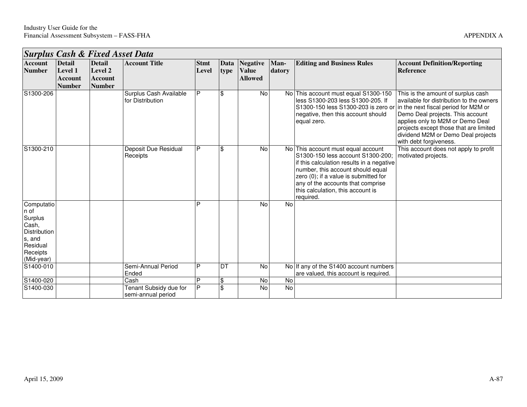┑

|                                                                                                        | <b>Surplus Cash &amp; Fixed Asset Data</b>           |                                                                    |                                              |                      |                           |                                                   |                |                                                                                                                                                                                                                                                                                           |                                                                                                                                                                                                                                                                                                          |  |  |
|--------------------------------------------------------------------------------------------------------|------------------------------------------------------|--------------------------------------------------------------------|----------------------------------------------|----------------------|---------------------------|---------------------------------------------------|----------------|-------------------------------------------------------------------------------------------------------------------------------------------------------------------------------------------------------------------------------------------------------------------------------------------|----------------------------------------------------------------------------------------------------------------------------------------------------------------------------------------------------------------------------------------------------------------------------------------------------------|--|--|
| <b>Account</b><br><b>Number</b>                                                                        | <b>Detail</b><br>Level 1<br>Account<br><b>Number</b> | <b>Detail</b><br><b>Level 2</b><br><b>Account</b><br><b>Number</b> | <b>Account Title</b>                         | <b>Stmt</b><br>Level | Data<br>type              | <b>Negative</b><br><b>Value</b><br><b>Allowed</b> | Man-<br>datory | <b>Editing and Business Rules</b>                                                                                                                                                                                                                                                         | <b>Account Definition/Reporting</b><br><b>Reference</b>                                                                                                                                                                                                                                                  |  |  |
| S1300-206                                                                                              |                                                      |                                                                    | Surplus Cash Available<br>for Distribution   | P                    | \$                        | No                                                |                | No This account must equal S1300-150<br>less S1300-203 less S1300-205. If<br>S1300-150 less S1300-203 is zero or<br>negative, then this account should<br>equal zero.                                                                                                                     | This is the amount of surplus cash<br>available for distribution to the owners<br>in the next fiscal period for M2M or<br>Demo Deal projects. This account<br>applies only to M2M or Demo Deal<br>projects except those that are limited<br>dividend M2M or Demo Deal projects<br>with debt forgiveness. |  |  |
| S1300-210                                                                                              |                                                      |                                                                    | Deposit Due Residual<br>Receipts             | P                    | \$                        | No                                                |                | No This account must equal account<br>S1300-150 less account S1300-200:<br>if this calculation results in a negative<br>number, this account should equal<br>zero (0); if a value is submitted for<br>any of the accounts that comprise<br>this calculation, this account is<br>required. | This account does not apply to profit<br>motivated projects.                                                                                                                                                                                                                                             |  |  |
| Computatio<br>n of<br>Surplus<br>Cash,<br>Distribution<br>s, and<br>Residual<br>Receipts<br>(Mid-year) |                                                      |                                                                    |                                              | P                    |                           | <b>No</b>                                         | <b>No</b>      |                                                                                                                                                                                                                                                                                           |                                                                                                                                                                                                                                                                                                          |  |  |
| S1400-010                                                                                              |                                                      |                                                                    | Semi-Annual Period<br>Ended                  | P                    | <b>DT</b>                 | No                                                |                | No If any of the S1400 account numbers<br>are valued, this account is required.                                                                                                                                                                                                           |                                                                                                                                                                                                                                                                                                          |  |  |
| S1400-020                                                                                              |                                                      |                                                                    | Cash                                         | P                    | $\boldsymbol{\mathsf{S}}$ | No                                                | $\overline{N}$ |                                                                                                                                                                                                                                                                                           |                                                                                                                                                                                                                                                                                                          |  |  |
| S1400-030                                                                                              |                                                      |                                                                    | Tenant Subsidy due for<br>semi-annual period | P                    | $\mathfrak{S}$            | No                                                | No             |                                                                                                                                                                                                                                                                                           |                                                                                                                                                                                                                                                                                                          |  |  |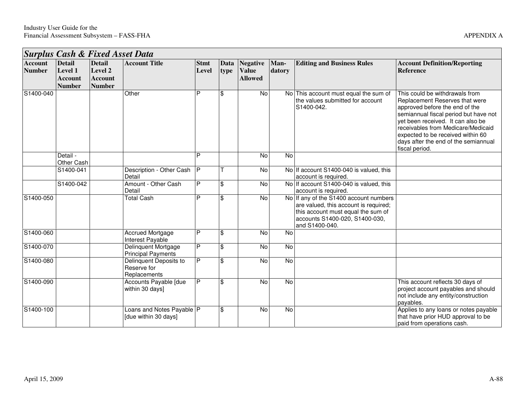|                                 | <b>Surplus Cash &amp; Fixed Asset Data</b> |                                 |                                                       |                |                    |                                |                |                                                                                                                                                                           |                                                                                                                                                                                                                                                                                                                       |  |  |  |
|---------------------------------|--------------------------------------------|---------------------------------|-------------------------------------------------------|----------------|--------------------|--------------------------------|----------------|---------------------------------------------------------------------------------------------------------------------------------------------------------------------------|-----------------------------------------------------------------------------------------------------------------------------------------------------------------------------------------------------------------------------------------------------------------------------------------------------------------------|--|--|--|
| <b>Account</b><br><b>Number</b> | <b>Detail</b><br>Level 1                   | <b>Detail</b><br>Level 2        | <b>Account Title</b>                                  | <b>Stmt</b>    | Data               | <b>Negative</b>                | Man-           | <b>Editing and Business Rules</b>                                                                                                                                         | <b>Account Definition/Reporting</b><br><b>Reference</b>                                                                                                                                                                                                                                                               |  |  |  |
|                                 | <b>Account</b><br><b>Number</b>            | <b>Account</b><br><b>Number</b> |                                                       | Level          | <b>type</b>        | <b>Value</b><br><b>Allowed</b> | datory         |                                                                                                                                                                           |                                                                                                                                                                                                                                                                                                                       |  |  |  |
| S1400-040                       |                                            |                                 | Other                                                 | Þ              | l\$                | No                             |                | No This account must equal the sum of<br>the values submitted for account<br>S1400-042.                                                                                   | This could be withdrawals from<br>Replacement Reserves that were<br>approved before the end of the<br>semiannual fiscal period but have not<br>yet been received. It can also be<br>receivables from Medicare/Medicaid<br>expected to be received within 60<br>days after the end of the semiannual<br>fiscal period. |  |  |  |
|                                 | Detail -<br>Other Cash                     |                                 |                                                       | D              |                    | $\overline{N}$                 | $\overline{N}$ |                                                                                                                                                                           |                                                                                                                                                                                                                                                                                                                       |  |  |  |
|                                 | S1400-041                                  |                                 | Description - Other Cash<br>Detail                    | $\overline{P}$ |                    | No                             |                | No If account S1400-040 is valued, this<br>account is required.                                                                                                           |                                                                                                                                                                                                                                                                                                                       |  |  |  |
|                                 | S1400-042                                  |                                 | Amount - Other Cash<br>Detail                         | P              | $\mathbf{\hat{s}}$ | $\overline{N}$                 |                | No If account S1400-040 is valued, this<br>account is required.                                                                                                           |                                                                                                                                                                                                                                                                                                                       |  |  |  |
| S1400-050                       |                                            |                                 | <b>Total Cash</b>                                     | P              | \$                 | <b>No</b>                      |                | No If any of the S1400 account numbers<br>are valued, this account is required;<br>this account must equal the sum of<br>accounts S1400-020, S1400-030,<br>and S1400-040. |                                                                                                                                                                                                                                                                                                                       |  |  |  |
| S1400-060                       |                                            |                                 | <b>Accrued Mortgage</b><br>Interest Payable           | P              | $\mathfrak{L}$     | <b>No</b>                      | No             |                                                                                                                                                                           |                                                                                                                                                                                                                                                                                                                       |  |  |  |
| S1400-070                       |                                            |                                 | Delinquent Mortgage<br><b>Principal Payments</b>      | P              | $\mathfrak{S}$     | No                             | No             |                                                                                                                                                                           |                                                                                                                                                                                                                                                                                                                       |  |  |  |
| S1400-080                       |                                            |                                 | Delinquent Deposits to<br>Reserve for<br>Replacements | P              | $\mathbf{\$}$      | $\overline{N}$                 | $\overline{N}$ |                                                                                                                                                                           |                                                                                                                                                                                                                                                                                                                       |  |  |  |
| S1400-090                       |                                            |                                 | Accounts Payable [due<br>within 30 days]              | P              | $\mathbf{\$}$      | $\overline{N}$                 | $\overline{N}$ |                                                                                                                                                                           | This account reflects 30 days of<br>project account payables and should<br>not include any entity/construction<br>pavables.                                                                                                                                                                                           |  |  |  |
| S1400-100                       |                                            |                                 | Loans and Notes Payable   P<br>[due within 30 days]   |                | \$                 | <b>No</b>                      | No             |                                                                                                                                                                           | Applies to any loans or notes payable<br>that have prior HUD approval to be<br>paid from operations cash.                                                                                                                                                                                                             |  |  |  |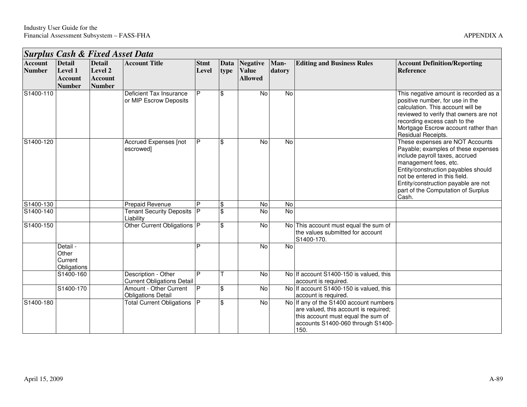|                                 | <b>Surplus Cash &amp; Fixed Asset Data</b>                  |                                                             |                                                          |                      |                    |                                            |                |                                                                                                                                                                    |                                                                                                                                                                                                                                                                                                 |  |  |  |  |
|---------------------------------|-------------------------------------------------------------|-------------------------------------------------------------|----------------------------------------------------------|----------------------|--------------------|--------------------------------------------|----------------|--------------------------------------------------------------------------------------------------------------------------------------------------------------------|-------------------------------------------------------------------------------------------------------------------------------------------------------------------------------------------------------------------------------------------------------------------------------------------------|--|--|--|--|
| <b>Account</b><br><b>Number</b> | <b>Detail</b><br>Level 1<br><b>Account</b><br><b>Number</b> | <b>Detail</b><br>Level 2<br><b>Account</b><br><b>Number</b> | <b>Account Title</b>                                     | <b>Stmt</b><br>Level | Data<br>type       | Negative<br><b>Value</b><br><b>Allowed</b> | Man-<br>datory | <b>Editing and Business Rules</b>                                                                                                                                  | <b>Account Definition/Reporting</b><br>Reference                                                                                                                                                                                                                                                |  |  |  |  |
| S1400-110                       |                                                             |                                                             | Deficient Tax Insurance<br>or MIP Escrow Deposits        | P                    | $\mathfrak{F}$     | No                                         | No             |                                                                                                                                                                    | This negative amount is recorded as a<br>positive number, for use in the<br>calculation. This account will be<br>reviewed to verify that owners are not<br>recording excess cash to the<br>Mortgage Escrow account rather than<br>Residual Receipts.                                            |  |  |  |  |
| S1400-120                       |                                                             |                                                             | Accrued Expenses [not<br>escrowed]                       | P                    | $\$\$              | No                                         | No             |                                                                                                                                                                    | These expenses are NOT Accounts<br>Payable; examples of these expenses<br>include payroll taxes, accrued<br>management fees, etc.<br>Entity/construction payables should<br>not be entered in this field.<br>Entity/construction payable are not<br>part of the Computation of Surplus<br>Cash. |  |  |  |  |
| S1400-130                       |                                                             |                                                             | Prepaid Revenue                                          | P                    | $\mathbf{\hat{S}}$ | No                                         | No             |                                                                                                                                                                    |                                                                                                                                                                                                                                                                                                 |  |  |  |  |
| S1400-140                       |                                                             |                                                             | <b>Tenant Security Deposits</b><br>Liability             | P                    | $\mathbf{\hat{s}}$ | No                                         | $\overline{N}$ |                                                                                                                                                                    |                                                                                                                                                                                                                                                                                                 |  |  |  |  |
| S1400-150                       |                                                             |                                                             | Other Current Obligations P                              |                      | $\$\$              | <b>No</b>                                  |                | No This account must equal the sum of<br>the values submitted for account<br>S1400-170.                                                                            |                                                                                                                                                                                                                                                                                                 |  |  |  |  |
|                                 | Detail -<br>Other<br>Current<br>Obligations                 |                                                             |                                                          | D                    |                    | <b>No</b>                                  | No             |                                                                                                                                                                    |                                                                                                                                                                                                                                                                                                 |  |  |  |  |
|                                 | S1400-160                                                   |                                                             | Description - Other<br><b>Current Obligations Detail</b> | $\overline{P}$       |                    | No                                         |                | No If account S1400-150 is valued, this<br>account is required.                                                                                                    |                                                                                                                                                                                                                                                                                                 |  |  |  |  |
|                                 | S1400-170                                                   |                                                             | Amount - Other Current<br><b>Obligations Detail</b>      | P                    | $\mathbf{\hat{s}}$ | No                                         |                | No If account S1400-150 is valued, this<br>account is required.                                                                                                    |                                                                                                                                                                                                                                                                                                 |  |  |  |  |
| S1400-180                       |                                                             |                                                             | <b>Total Current Obligations</b>                         | P                    | $\mathfrak{S}$     | <b>No</b>                                  |                | No If any of the S1400 account numbers<br>are valued, this account is required;<br>this account must equal the sum of<br>accounts S1400-060 through S1400-<br>150. |                                                                                                                                                                                                                                                                                                 |  |  |  |  |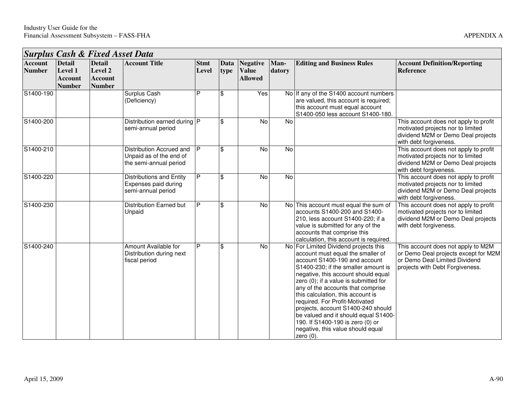|                                 | <b>Surplus Cash &amp; Fixed Asset Data</b>                  |                                                             |                                                                               |                      |              |                                                   |                |                                                                                                                                                                                                                                                                                                                                                                                                                                                                                                                       |                                                                                                                                                |  |  |  |
|---------------------------------|-------------------------------------------------------------|-------------------------------------------------------------|-------------------------------------------------------------------------------|----------------------|--------------|---------------------------------------------------|----------------|-----------------------------------------------------------------------------------------------------------------------------------------------------------------------------------------------------------------------------------------------------------------------------------------------------------------------------------------------------------------------------------------------------------------------------------------------------------------------------------------------------------------------|------------------------------------------------------------------------------------------------------------------------------------------------|--|--|--|
| <b>Account</b><br><b>Number</b> | <b>Detail</b><br>Level 1<br><b>Account</b><br><b>Number</b> | <b>Detail</b><br>Level 2<br><b>Account</b><br><b>Number</b> | <b>Account Title</b>                                                          | <b>Stmt</b><br>Level | Data<br>type | <b>Negative</b><br><b>Value</b><br><b>Allowed</b> | Man-<br>datory | <b>Editing and Business Rules</b>                                                                                                                                                                                                                                                                                                                                                                                                                                                                                     | <b>Account Definition/Reporting</b><br><b>Reference</b>                                                                                        |  |  |  |
| S1400-190                       |                                                             |                                                             | Surplus Cash<br>(Deficiency)                                                  | P                    | \$           | Yes                                               |                | No If any of the S1400 account numbers<br>are valued, this account is required;<br>this account must equal account<br>S1400-050 less account S1400-180.                                                                                                                                                                                                                                                                                                                                                               |                                                                                                                                                |  |  |  |
| S1400-200                       |                                                             |                                                             | Distribution earned during $ P $<br>semi-annual period                        |                      | \$           | No                                                | No             |                                                                                                                                                                                                                                                                                                                                                                                                                                                                                                                       | This account does not apply to profit<br>motivated projects nor to limited<br>dividend M2M or Demo Deal projects<br>with debt forgiveness.     |  |  |  |
| S1400-210                       |                                                             |                                                             | Distribution Accrued and<br>Unpaid as of the end of<br>the semi-annual period | P                    | \$           | No                                                | $\overline{N}$ |                                                                                                                                                                                                                                                                                                                                                                                                                                                                                                                       | This account does not apply to profit<br>motivated projects nor to limited<br>dividend M2M or Demo Deal projects<br>with debt forgiveness.     |  |  |  |
| S1400-220                       |                                                             |                                                             | <b>Distributions and Entity</b><br>Expenses paid during<br>semi-annual period | P                    | \$           | No                                                | $\overline{N}$ |                                                                                                                                                                                                                                                                                                                                                                                                                                                                                                                       | This account does not apply to profit<br>motivated projects nor to limited<br>dividend M2M or Demo Deal projects<br>with debt forgiveness.     |  |  |  |
| S1400-230                       |                                                             |                                                             | <b>Distribution Earned but</b><br>Unpaid                                      | P                    | \$           | No                                                |                | No This account must equal the sum of<br>accounts S1400-200 and S1400-<br>210, less account S1400-220; if a<br>value is submitted for any of the<br>accounts that comprise this<br>calculation, this account is required.                                                                                                                                                                                                                                                                                             | This account does not apply to profit<br>motivated projects nor to limited<br>dividend M2M or Demo Deal projects<br>with debt forgiveness.     |  |  |  |
| S1400-240                       |                                                             |                                                             | Amount Available for<br>Distribution during next<br>fiscal period             | P                    | \$           | No                                                |                | No For Limited Dividend projects this<br>account must equal the smaller of<br>account S1400-190 and account<br>S1400-230; if the smaller amount is<br>negative, this account should equal<br>zero (0); if a value is submitted for<br>any of the accounts that comprise<br>this calculation, this account is<br>required. For Profit-Motivated<br>projects, account S1400-240 should<br>be valued and it should equal S1400-<br>190. If S1400-190 is zero (0) or<br>negative, this value should equal<br>zero $(0)$ . | This account does not apply to M2M<br>or Demo Deal projects except for M2M<br>or Demo Deal Limited Dividend<br>projects with Debt Forgiveness. |  |  |  |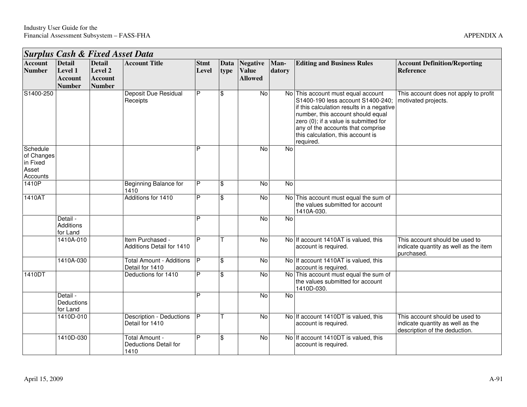|                                                         | <b>Surplus Cash &amp; Fixed Asset Data</b>                  |                                                             |                                                    |                      |                         |                                                   |                |                                                                                                                                                                                                                                                                                           |                                                                                                     |
|---------------------------------------------------------|-------------------------------------------------------------|-------------------------------------------------------------|----------------------------------------------------|----------------------|-------------------------|---------------------------------------------------|----------------|-------------------------------------------------------------------------------------------------------------------------------------------------------------------------------------------------------------------------------------------------------------------------------------------|-----------------------------------------------------------------------------------------------------|
| <b>Account</b><br><b>Number</b>                         | <b>Detail</b><br>Level 1<br><b>Account</b><br><b>Number</b> | <b>Detail</b><br>Level 2<br><b>Account</b><br><b>Number</b> | <b>Account Title</b>                               | <b>Stmt</b><br>Level | Data<br>type            | <b>Negative</b><br><b>Value</b><br><b>Allowed</b> | Man-<br>datory | <b>Editing and Business Rules</b>                                                                                                                                                                                                                                                         | <b>Account Definition/Reporting</b><br><b>Reference</b>                                             |
| S1400-250                                               |                                                             |                                                             | <b>Deposit Due Residual</b><br>Receipts            | P                    | \$                      | No                                                |                | No This account must equal account<br>S1400-190 less account S1400-240;<br>if this calculation results in a negative<br>number, this account should equal<br>zero (0); if a value is submitted for<br>any of the accounts that comprise<br>this calculation, this account is<br>required. | This account does not apply to profit<br>motivated projects.                                        |
| Schedule<br>of Changes<br>in Fixed<br>Asset<br>Accounts |                                                             |                                                             |                                                    | P                    |                         | No                                                | <b>No</b>      |                                                                                                                                                                                                                                                                                           |                                                                                                     |
| 1410P                                                   |                                                             |                                                             | <b>Beginning Balance for</b><br>1410               | P                    | \$                      | No                                                | No             |                                                                                                                                                                                                                                                                                           |                                                                                                     |
| 1410AT                                                  |                                                             |                                                             | Additions for 1410                                 | $\overline{P}$       | $\overline{\mathbf{S}}$ | $\overline{N}$                                    |                | No This account must equal the sum of<br>the values submitted for account<br>1410A-030.                                                                                                                                                                                                   |                                                                                                     |
|                                                         | Detail -<br>Additions<br>for Land                           |                                                             |                                                    | Þ                    |                         | No                                                | <b>No</b>      |                                                                                                                                                                                                                                                                                           |                                                                                                     |
|                                                         | 1410A-010                                                   |                                                             | Item Purchased -<br>Additions Detail for 1410      | P                    |                         | $\overline{N}$                                    |                | No If account 1410AT is valued, this<br>account is required.                                                                                                                                                                                                                              | This account should be used to<br>indicate quantity as well as the item<br>purchased.               |
|                                                         | 1410A-030                                                   |                                                             | <b>Total Amount - Additions</b><br>Detail for 1410 | <b>P</b>             | \$                      | $\overline{N}$                                    |                | No If account 1410AT is valued, this<br>account is required.                                                                                                                                                                                                                              |                                                                                                     |
| 1410DT                                                  |                                                             |                                                             | Deductions for 1410                                | $\overline{P}$       | $\overline{\mathbf{3}}$ | $\overline{N}$                                    |                | No This account must equal the sum of<br>the values submitted for account<br>1410D-030.                                                                                                                                                                                                   |                                                                                                     |
|                                                         | Detail -<br>Deductions<br>for Land                          |                                                             |                                                    | $\overline{P}$       |                         | $\overline{N}$                                    | $\overline{N}$ |                                                                                                                                                                                                                                                                                           |                                                                                                     |
|                                                         | 1410D-010                                                   |                                                             | <b>Description - Deductions</b><br>Detail for 1410 | P                    |                         | $\overline{N}$                                    |                | No If account 1410DT is valued, this<br>account is required.                                                                                                                                                                                                                              | This account should be used to<br>indicate quantity as well as the<br>description of the deduction. |
|                                                         | 1410D-030                                                   |                                                             | Total Amount -<br>Deductions Detail for<br>1410    | P                    | \$                      | No                                                |                | No If account 1410DT is valued, this<br>account is required.                                                                                                                                                                                                                              |                                                                                                     |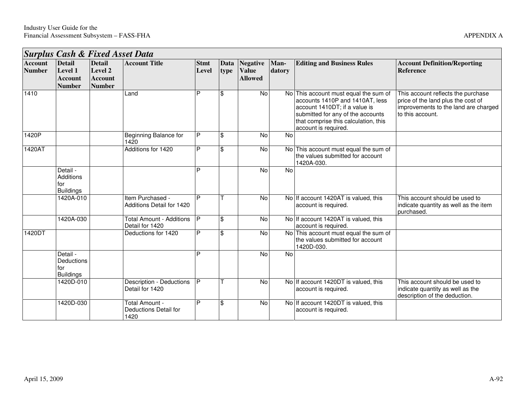|                                 | <b>Surplus Cash &amp; Fixed Asset Data</b>                  |                                                             |                                                    |                      |              |                                                   |                |                                                                                                                                                                                                                |                                                                                                                                      |  |  |  |  |
|---------------------------------|-------------------------------------------------------------|-------------------------------------------------------------|----------------------------------------------------|----------------------|--------------|---------------------------------------------------|----------------|----------------------------------------------------------------------------------------------------------------------------------------------------------------------------------------------------------------|--------------------------------------------------------------------------------------------------------------------------------------|--|--|--|--|
| <b>Account</b><br><b>Number</b> | <b>Detail</b><br>Level 1<br><b>Account</b><br><b>Number</b> | <b>Detail</b><br>Level 2<br><b>Account</b><br><b>Number</b> | <b>Account Title</b>                               | <b>Stmt</b><br>Level | Data<br>type | <b>Negative</b><br><b>Value</b><br><b>Allowed</b> | Man-<br>datory | <b>Editing and Business Rules</b>                                                                                                                                                                              | <b>Account Definition/Reporting</b><br><b>Reference</b>                                                                              |  |  |  |  |
| 1410                            |                                                             |                                                             | Land                                               | P                    | \$           | $\overline{N}$                                    |                | No This account must equal the sum of<br>accounts 1410P and 1410AT, less<br>account 1410DT; if a value is<br>submitted for any of the accounts<br>that comprise this calculation, this<br>account is required. | This account reflects the purchase<br>price of the land plus the cost of<br>improvements to the land are charged<br>to this account. |  |  |  |  |
| 1420P                           |                                                             |                                                             | Beginning Balance for<br>1420                      | P                    | \$           | No                                                | $\overline{N}$ |                                                                                                                                                                                                                |                                                                                                                                      |  |  |  |  |
| 1420AT                          |                                                             |                                                             | Additions for 1420                                 | P                    | \$           | No                                                |                | No   This account must equal the sum of<br>the values submitted for account<br>1420A-030.                                                                                                                      |                                                                                                                                      |  |  |  |  |
|                                 | Detail -<br>Additions<br>for<br><b>Buildings</b>            |                                                             |                                                    | P                    |              | <b>No</b>                                         | No             |                                                                                                                                                                                                                |                                                                                                                                      |  |  |  |  |
|                                 | 1420A-010                                                   |                                                             | Item Purchased -<br>Additions Detail for 1420      | P                    |              | $\overline{N}$                                    |                | No If account 1420AT is valued, this<br>account is required.                                                                                                                                                   | This account should be used to<br>indicate quantity as well as the item<br>purchased.                                                |  |  |  |  |
|                                 | 1420A-030                                                   |                                                             | <b>Total Amount - Additions</b><br>Detail for 1420 | P                    | \$           | No                                                |                | No If account 1420AT is valued, this<br>account is required.                                                                                                                                                   |                                                                                                                                      |  |  |  |  |
| 1420DT                          |                                                             |                                                             | Deductions for 1420                                | P                    | \$           | No                                                |                | No This account must equal the sum of<br>the values submitted for account<br>1420D-030.                                                                                                                        |                                                                                                                                      |  |  |  |  |
|                                 | Detail -<br>Deductions<br>for<br><b>Buildings</b>           |                                                             |                                                    | D                    |              | <b>No</b>                                         | No             |                                                                                                                                                                                                                |                                                                                                                                      |  |  |  |  |
|                                 | 1420D-010                                                   |                                                             | Description - Deductions<br>Detail for 1420        | <b>P</b>             |              | $\overline{N}$                                    |                | No If account 1420DT is valued, this<br>account is required.                                                                                                                                                   | This account should be used to<br>indicate quantity as well as the<br>description of the deduction.                                  |  |  |  |  |
|                                 | 1420D-030                                                   |                                                             | Total Amount -<br>Deductions Detail for<br>1420    | P                    | \$           | No                                                |                | No If account 1420DT is valued, this<br>account is required.                                                                                                                                                   |                                                                                                                                      |  |  |  |  |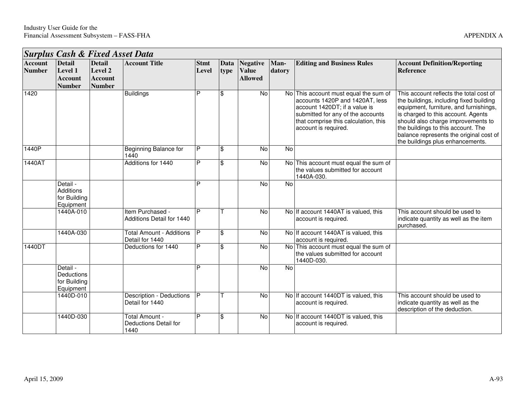┑

|                                 | <b>Surplus Cash &amp; Fixed Asset Data</b>                  |                                                             |                                                    |                      |                         |                                                   |                |                                                                                                                                                                                                                |                                                                                                                                                                                                                                                                                                                               |
|---------------------------------|-------------------------------------------------------------|-------------------------------------------------------------|----------------------------------------------------|----------------------|-------------------------|---------------------------------------------------|----------------|----------------------------------------------------------------------------------------------------------------------------------------------------------------------------------------------------------------|-------------------------------------------------------------------------------------------------------------------------------------------------------------------------------------------------------------------------------------------------------------------------------------------------------------------------------|
| <b>Account</b><br><b>Number</b> | <b>Detail</b><br>Level 1<br><b>Account</b><br><b>Number</b> | <b>Detail</b><br>Level 2<br><b>Account</b><br><b>Number</b> | <b>Account Title</b>                               | <b>Stmt</b><br>Level | Data<br>type            | <b>Negative</b><br><b>Value</b><br><b>Allowed</b> | Man-<br>datory | <b>Editing and Business Rules</b>                                                                                                                                                                              | <b>Account Definition/Reporting</b><br><b>Reference</b>                                                                                                                                                                                                                                                                       |
| 1420                            |                                                             |                                                             | <b>Buildings</b>                                   | P                    | \$                      | $\overline{N}$                                    |                | No This account must equal the sum of<br>accounts 1420P and 1420AT, less<br>account 1420DT; if a value is<br>submitted for any of the accounts<br>that comprise this calculation, this<br>account is required. | This account reflects the total cost of<br>the buildings, including fixed building<br>equipment, furniture, and furnishings,<br>is charged to this account. Agents<br>should also charge improvements to<br>the buildings to this account. The<br>balance represents the original cost of<br>the buildings plus enhancements. |
| 1440P                           |                                                             |                                                             | <b>Beginning Balance for</b><br>1440               | P                    | \$                      | <b>No</b>                                         | No             |                                                                                                                                                                                                                |                                                                                                                                                                                                                                                                                                                               |
| 1440AT                          |                                                             |                                                             | Additions for 1440                                 | P                    | \$                      | No                                                |                | No This account must equal the sum of<br>the values submitted for account<br>1440A-030.                                                                                                                        |                                                                                                                                                                                                                                                                                                                               |
|                                 | Detail -<br>Additions<br>for Building<br>Equipment          |                                                             |                                                    | P                    |                         | $\overline{N}$                                    | No             |                                                                                                                                                                                                                |                                                                                                                                                                                                                                                                                                                               |
|                                 | 1440A-010                                                   |                                                             | Item Purchased -<br>Additions Detail for 1440      | P                    |                         | <b>No</b>                                         |                | No If account 1440AT is valued, this<br>account is required.                                                                                                                                                   | This account should be used to<br>indicate quantity as well as the item<br>purchased.                                                                                                                                                                                                                                         |
|                                 | 1440A-030                                                   |                                                             | <b>Total Amount - Additions</b><br>Detail for 1440 | IP.                  | \$                      | No                                                |                | No If account 1440AT is valued, this<br>account is required.                                                                                                                                                   |                                                                                                                                                                                                                                                                                                                               |
| 1440DT                          |                                                             |                                                             | Deductions for 1440                                | P                    | $\overline{\mathbf{S}}$ | No                                                |                | No This account must equal the sum of<br>the values submitted for account<br>1440D-030.                                                                                                                        |                                                                                                                                                                                                                                                                                                                               |
|                                 | Detail -<br>Deductions<br>for Building<br>Equipment         |                                                             |                                                    | P                    |                         | $\overline{N}$                                    | No             |                                                                                                                                                                                                                |                                                                                                                                                                                                                                                                                                                               |
|                                 | 1440D-010                                                   |                                                             | Description - Deductions<br>Detail for 1440        | <b>P</b>             |                         | No                                                |                | No If account 1440DT is valued, this<br>account is required.                                                                                                                                                   | This account should be used to<br>indicate quantity as well as the<br>description of the deduction.                                                                                                                                                                                                                           |
|                                 | 1440D-030                                                   |                                                             | Total Amount -<br>Deductions Detail for<br>1440    | P                    | $\overline{\mathbb{S}}$ | No                                                |                | No If account 1440DT is valued, this<br>account is required.                                                                                                                                                   |                                                                                                                                                                                                                                                                                                                               |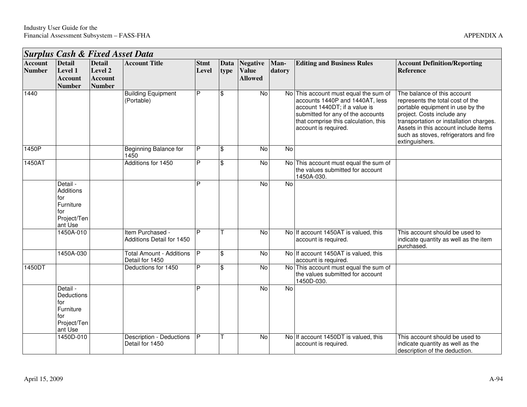Н

h

|                                 | <b>Surplus Cash &amp; Fixed Asset Data</b>                                        |                                                             |                                                    |                      |              |                                                   |                |                                                                                                                                                                                                                |                                                                                                                                                                                                                                                                                  |  |  |  |
|---------------------------------|-----------------------------------------------------------------------------------|-------------------------------------------------------------|----------------------------------------------------|----------------------|--------------|---------------------------------------------------|----------------|----------------------------------------------------------------------------------------------------------------------------------------------------------------------------------------------------------------|----------------------------------------------------------------------------------------------------------------------------------------------------------------------------------------------------------------------------------------------------------------------------------|--|--|--|
| <b>Account</b><br><b>Number</b> | <b>Detail</b><br>Level 1<br><b>Account</b><br><b>Number</b>                       | <b>Detail</b><br>Level 2<br><b>Account</b><br><b>Number</b> | <b>Account Title</b>                               | <b>Stmt</b><br>Level | Data<br>type | <b>Negative</b><br><b>Value</b><br><b>Allowed</b> | Man-<br>datory | <b>Editing and Business Rules</b>                                                                                                                                                                              | <b>Account Definition/Reporting</b><br><b>Reference</b>                                                                                                                                                                                                                          |  |  |  |
| 1440                            |                                                                                   |                                                             | <b>Building Equipment</b><br>(Portable)            | P                    | \$           | $\overline{N}$                                    |                | No This account must equal the sum of<br>accounts 1440P and 1440AT, less<br>account 1440DT; if a value is<br>submitted for any of the accounts<br>that comprise this calculation, this<br>account is required. | The balance of this account<br>represents the total cost of the<br>portable equipment in use by the<br>project. Costs include any<br>transportation or installation charges.<br>Assets in this account include items<br>such as stoves, refrigerators and fire<br>extinguishers. |  |  |  |
| 1450P                           |                                                                                   |                                                             | Beginning Balance for<br>1450                      | P                    | \$           | No                                                | No             |                                                                                                                                                                                                                |                                                                                                                                                                                                                                                                                  |  |  |  |
| 1450AT                          |                                                                                   |                                                             | Additions for 1450                                 | P                    | \$           | No                                                |                | No This account must equal the sum of<br>the values submitted for account<br>1450A-030.                                                                                                                        |                                                                                                                                                                                                                                                                                  |  |  |  |
|                                 | Detail -<br><b>Additions</b><br>for<br>Furniture<br>for<br>Project/Ten<br>ant Use |                                                             |                                                    | P                    |              | No                                                | No             |                                                                                                                                                                                                                |                                                                                                                                                                                                                                                                                  |  |  |  |
|                                 | 1450A-010                                                                         |                                                             | Item Purchased -<br>Additions Detail for 1450      | Þ                    |              | $\overline{N}$                                    |                | No If account 1450AT is valued, this<br>account is required.                                                                                                                                                   | This account should be used to<br>indicate quantity as well as the item<br>purchased.                                                                                                                                                                                            |  |  |  |
|                                 | 1450A-030                                                                         |                                                             | <b>Total Amount - Additions</b><br>Detail for 1450 | $\overline{P}$       | \$           | $\overline{N}$                                    |                | No If account 1450AT is valued, this<br>account is required.                                                                                                                                                   |                                                                                                                                                                                                                                                                                  |  |  |  |
| 1450DT                          |                                                                                   |                                                             | Deductions for 1450                                | P                    | \$           | $\overline{N}$                                    |                | No This account must equal the sum of<br>the values submitted for account<br>1450D-030.                                                                                                                        |                                                                                                                                                                                                                                                                                  |  |  |  |
|                                 | Detail -<br>Deductions<br>for<br>Furniture<br>for<br>Project/Ten<br>ant Use       |                                                             |                                                    | D                    |              | $\overline{N}$                                    | No             |                                                                                                                                                                                                                |                                                                                                                                                                                                                                                                                  |  |  |  |
|                                 | 1450D-010                                                                         |                                                             | Description - Deductions<br>Detail for 1450        | P                    |              | $\overline{N}$                                    |                | No If account 1450DT is valued, this<br>account is required.                                                                                                                                                   | This account should be used to<br>indicate quantity as well as the<br>description of the deduction.                                                                                                                                                                              |  |  |  |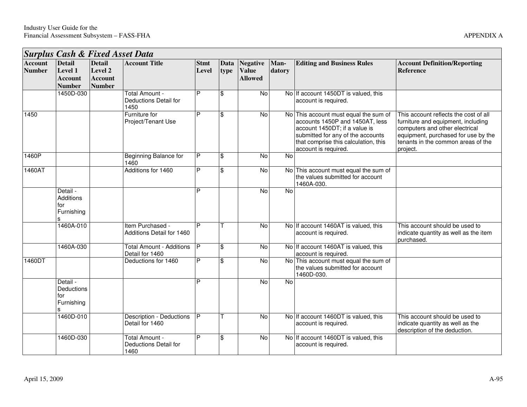|                                 |                                                             |                                                             | <b>Surplus Cash &amp; Fixed Asset Data</b>         |                      |                     |                                                   |                |                                                                                                                                                                                                                |                                                                                                                                                                                                        |
|---------------------------------|-------------------------------------------------------------|-------------------------------------------------------------|----------------------------------------------------|----------------------|---------------------|---------------------------------------------------|----------------|----------------------------------------------------------------------------------------------------------------------------------------------------------------------------------------------------------------|--------------------------------------------------------------------------------------------------------------------------------------------------------------------------------------------------------|
| <b>Account</b><br><b>Number</b> | <b>Detail</b><br>Level 1<br><b>Account</b><br><b>Number</b> | <b>Detail</b><br>Level 2<br><b>Account</b><br><b>Number</b> | <b>Account Title</b>                               | <b>Stmt</b><br>Level | <b>Data</b><br>type | <b>Negative</b><br><b>Value</b><br><b>Allowed</b> | Man-<br>datory | <b>Editing and Business Rules</b>                                                                                                                                                                              | <b>Account Definition/Reporting</b><br><b>Reference</b>                                                                                                                                                |
|                                 | 1450D-030                                                   |                                                             | Total Amount -<br>Deductions Detail for<br>1450    | P                    | \$                  | $\overline{N}$                                    |                | No If account 1450DT is valued, this<br>account is required.                                                                                                                                                   |                                                                                                                                                                                                        |
| 1450                            |                                                             |                                                             | Furniture for<br>Project/Tenant Use                | Þ                    | \$                  | $\overline{N}$                                    |                | No This account must equal the sum of<br>accounts 1450P and 1450AT, less<br>account 1450DT; if a value is<br>submitted for any of the accounts<br>that comprise this calculation, this<br>account is required. | This account reflects the cost of all<br>furniture and equipment, including<br>computers and other electrical<br>equipment, purchased for use by the<br>tenants in the common areas of the<br>project. |
| 1460P                           |                                                             |                                                             | <b>Beginning Balance for</b><br>1460               | P                    | \$                  | No                                                | No             |                                                                                                                                                                                                                |                                                                                                                                                                                                        |
| 1460AT                          |                                                             |                                                             | Additions for 1460                                 | P                    | \$                  | <b>No</b>                                         |                | No This account must equal the sum of<br>the values submitted for account<br>1460A-030.                                                                                                                        |                                                                                                                                                                                                        |
|                                 | Detail -<br><b>Additions</b><br>for<br>Furnishing           |                                                             |                                                    | P                    |                     | $\overline{N}$                                    | <b>No</b>      |                                                                                                                                                                                                                |                                                                                                                                                                                                        |
|                                 | 1460A-010                                                   |                                                             | Item Purchased -<br>Additions Detail for 1460      | P                    |                     | No                                                |                | No If account 1460AT is valued, this<br>account is required.                                                                                                                                                   | This account should be used to<br>indicate quantity as well as the item<br>purchased.                                                                                                                  |
|                                 | 1460A-030                                                   |                                                             | <b>Total Amount - Additions</b><br>Detail for 1460 | P                    | \$                  | $\overline{N}$                                    |                | No If account 1460AT is valued, this<br>account is required.                                                                                                                                                   |                                                                                                                                                                                                        |
| 1460DT                          |                                                             |                                                             | Deductions for 1460                                | P                    | \$                  | No                                                |                | No This account must equal the sum of<br>the values submitted for account<br>1460D-030.                                                                                                                        |                                                                                                                                                                                                        |
|                                 | Detail -<br>Deductions<br>for<br>Furnishing                 |                                                             |                                                    | P                    |                     | $\overline{N}$                                    | <b>No</b>      |                                                                                                                                                                                                                |                                                                                                                                                                                                        |
|                                 | 1460D-010                                                   |                                                             | <b>Description - Deductions</b><br>Detail for 1460 | P                    |                     | $\overline{N}$                                    |                | No If account 1460DT is valued, this<br>account is required.                                                                                                                                                   | This account should be used to<br>indicate quantity as well as the<br>description of the deduction.                                                                                                    |
|                                 | 1460D-030                                                   |                                                             | Total Amount -<br>Deductions Detail for<br>1460    | P                    | \$                  | $\overline{N}$                                    |                | No If account 1460DT is valued, this<br>account is required.                                                                                                                                                   |                                                                                                                                                                                                        |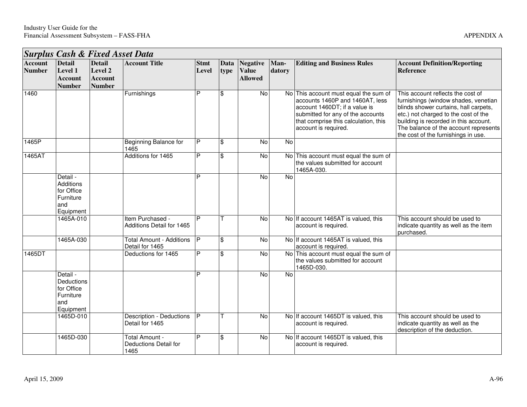Н

|                          |                                                                       |                                                             | <b>Surplus Cash &amp; Fixed Asset Data</b>         |                      |                         |                                                   |                |                                                                                                                                                                                                                |                                                                                                                                                                                                                                                                                     |
|--------------------------|-----------------------------------------------------------------------|-------------------------------------------------------------|----------------------------------------------------|----------------------|-------------------------|---------------------------------------------------|----------------|----------------------------------------------------------------------------------------------------------------------------------------------------------------------------------------------------------------|-------------------------------------------------------------------------------------------------------------------------------------------------------------------------------------------------------------------------------------------------------------------------------------|
| Account<br><b>Number</b> | <b>Detail</b><br>Level 1<br><b>Account</b><br><b>Number</b>           | <b>Detail</b><br>Level 2<br><b>Account</b><br><b>Number</b> | <b>Account Title</b>                               | <b>Stmt</b><br>Level | Data<br>type            | <b>Negative</b><br><b>Value</b><br><b>Allowed</b> | Man-<br>datory | <b>Editing and Business Rules</b>                                                                                                                                                                              | <b>Account Definition/Reporting</b><br><b>Reference</b>                                                                                                                                                                                                                             |
| 1460                     |                                                                       |                                                             | Furnishings                                        | P                    | \$                      | $\overline{N}$                                    |                | No This account must equal the sum of<br>accounts 1460P and 1460AT, less<br>account 1460DT; if a value is<br>submitted for any of the accounts<br>that comprise this calculation, this<br>account is required. | This account reflects the cost of<br>furnishings (window shades, venetian<br>blinds shower curtains, hall carpets,<br>etc.) not charged to the cost of the<br>building is recorded in this account.<br>The balance of the account represents<br>the cost of the furnishings in use. |
| 1465P                    |                                                                       |                                                             | Beginning Balance for<br>1465                      | P                    | \$                      | No                                                | No             |                                                                                                                                                                                                                |                                                                                                                                                                                                                                                                                     |
| 1465AT                   |                                                                       |                                                             | Additions for 1465                                 | P                    | \$                      | No                                                |                | No This account must equal the sum of<br>the values submitted for account<br>1465A-030.                                                                                                                        |                                                                                                                                                                                                                                                                                     |
|                          | Detail -<br>Additions<br>for Office<br>Furniture<br>and<br>Equipment  |                                                             |                                                    | D                    |                         | $\overline{N}$                                    | $\overline{N}$ |                                                                                                                                                                                                                |                                                                                                                                                                                                                                                                                     |
|                          | 1465A-010                                                             |                                                             | Item Purchased -<br>Additions Detail for 1465      | P                    |                         | No                                                |                | No If account 1465AT is valued, this<br>account is required.                                                                                                                                                   | This account should be used to<br>indicate quantity as well as the item<br>purchased.                                                                                                                                                                                               |
|                          | 1465A-030                                                             |                                                             | <b>Total Amount - Additions</b><br>Detail for 1465 | P                    | $\overline{\mathbf{s}}$ | $\overline{N}$                                    |                | No If account 1465AT is valued, this<br>account is required.                                                                                                                                                   |                                                                                                                                                                                                                                                                                     |
| 1465DT                   |                                                                       |                                                             | Deductions for 1465                                | P                    | $\overline{\mathbf{s}}$ | No                                                |                | No This account must equal the sum of<br>the values submitted for account<br>1465D-030.                                                                                                                        |                                                                                                                                                                                                                                                                                     |
|                          | Detail -<br>Deductions<br>for Office<br>Furniture<br>and<br>Equipment |                                                             |                                                    | P                    |                         | No                                                | $\overline{N}$ |                                                                                                                                                                                                                |                                                                                                                                                                                                                                                                                     |
|                          | 1465D-010                                                             |                                                             | <b>Description - Deductions</b><br>Detail for 1465 | P                    | т                       | No                                                |                | No If account 1465DT is valued, this<br>account is required.                                                                                                                                                   | This account should be used to<br>indicate quantity as well as the<br>description of the deduction.                                                                                                                                                                                 |
|                          | 1465D-030                                                             |                                                             | Total Amount -<br>Deductions Detail for<br>1465    | P                    | \$                      | $\overline{N}$                                    |                | No If account 1465DT is valued, this<br>account is required.                                                                                                                                                   |                                                                                                                                                                                                                                                                                     |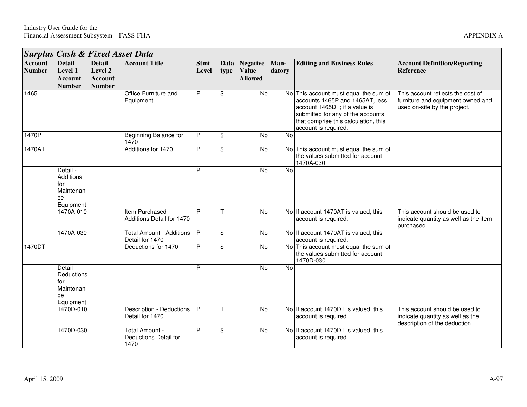|                                 | <b>Surplus Cash &amp; Fixed Asset Data</b>                          |                                                             |                                                        |                      |                    |                                                 |                |                                                                                                                                                                                                                |                                                                                                        |
|---------------------------------|---------------------------------------------------------------------|-------------------------------------------------------------|--------------------------------------------------------|----------------------|--------------------|-------------------------------------------------|----------------|----------------------------------------------------------------------------------------------------------------------------------------------------------------------------------------------------------------|--------------------------------------------------------------------------------------------------------|
| <b>Account</b><br><b>Number</b> | <b>Detail</b><br>Level 1<br>Account<br><b>Number</b>                | <b>Detail</b><br>Level 2<br><b>Account</b><br><b>Number</b> | <b>Account Title</b>                                   | <b>Stmt</b><br>Level | type               | Data Negative<br><b>Value</b><br><b>Allowed</b> | Man-<br>datory | <b>Editing and Business Rules</b>                                                                                                                                                                              | <b>Account Definition/Reporting</b><br>Reference                                                       |
| 1465                            |                                                                     |                                                             | Office Furniture and<br>Equipment                      | P                    | $\mathfrak{F}$     | No                                              |                | No This account must equal the sum of<br>accounts 1465P and 1465AT, less<br>account 1465DT; if a value is<br>submitted for any of the accounts<br>that comprise this calculation, this<br>account is required. | This account reflects the cost of<br>furniture and equipment owned and<br>used on-site by the project. |
| 1470P                           |                                                                     |                                                             | Beginning Balance for<br>1470                          | P                    | $\mathfrak{F}$     | No                                              | No             |                                                                                                                                                                                                                |                                                                                                        |
| 1470AT                          |                                                                     |                                                             | Additions for 1470                                     | P                    | $\mathbf{\hat{s}}$ | No                                              |                | No This account must equal the sum of<br>the values submitted for account<br>1470A-030.                                                                                                                        |                                                                                                        |
|                                 | Detail -<br><b>Additions</b><br>for<br>Maintenan<br>ce<br>Equipment |                                                             |                                                        | P                    |                    | No                                              | <b>No</b>      |                                                                                                                                                                                                                |                                                                                                        |
|                                 | 1470A-010                                                           |                                                             | Item Purchased -<br>Additions Detail for 1470          | $\overline{P}$       |                    | No                                              |                | No If account 1470AT is valued, this<br>account is required.                                                                                                                                                   | This account should be used to<br>indicate quantity as well as the item<br>purchased.                  |
|                                 | 1470A-030                                                           |                                                             | <b>Total Amount - Additions</b><br>Detail for 1470     | P                    | $\mathfrak{F}$     | No                                              |                | No If account 1470AT is valued, this<br>account is required.                                                                                                                                                   |                                                                                                        |
| 1470DT                          |                                                                     |                                                             | Deductions for 1470                                    | P                    | $\mathfrak{F}$     | No                                              |                | No This account must equal the sum of<br>the values submitted for account<br>1470D-030.                                                                                                                        |                                                                                                        |
|                                 | Detail -<br>Deductions<br>for<br>Maintenan<br>ce<br>Equipment       |                                                             |                                                        | D                    |                    | <b>No</b>                                       | $\overline{N}$ |                                                                                                                                                                                                                |                                                                                                        |
|                                 | 1470D-010                                                           |                                                             | <b>Description - Deductions</b><br>Detail for 1470     | P                    |                    | $\overline{N}$                                  |                | No If account 1470DT is valued, this<br>account is required.                                                                                                                                                   | This account should be used to<br>indicate quantity as well as the<br>description of the deduction.    |
|                                 | 1470D-030                                                           |                                                             | Total Amount -<br><b>Deductions Detail for</b><br>1470 | P                    | $\$\$              | No                                              |                | No If account 1470DT is valued, this<br>account is required.                                                                                                                                                   |                                                                                                        |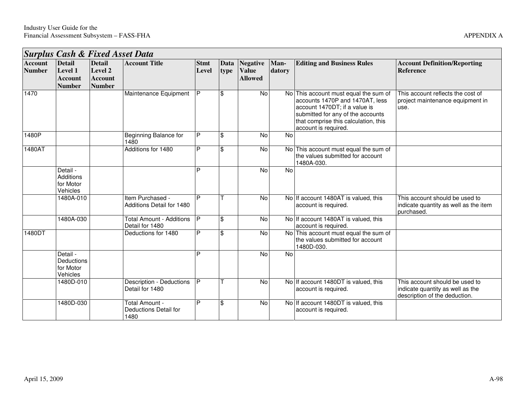|                                 | <b>Surplus Cash &amp; Fixed Asset Data</b>                  |                                                             |                                                    |                      |                          |                                                   |                |                                                                                                                                                                                                                |                                                                                                     |
|---------------------------------|-------------------------------------------------------------|-------------------------------------------------------------|----------------------------------------------------|----------------------|--------------------------|---------------------------------------------------|----------------|----------------------------------------------------------------------------------------------------------------------------------------------------------------------------------------------------------------|-----------------------------------------------------------------------------------------------------|
| <b>Account</b><br><b>Number</b> | <b>Detail</b><br>Level 1<br><b>Account</b><br><b>Number</b> | <b>Detail</b><br>Level 2<br><b>Account</b><br><b>Number</b> | <b>Account Title</b>                               | <b>Stmt</b><br>Level | <b>Data</b><br>type      | <b>Negative</b><br><b>Value</b><br><b>Allowed</b> | Man-<br>datory | <b>Editing and Business Rules</b>                                                                                                                                                                              | <b>Account Definition/Reporting</b><br><b>Reference</b>                                             |
| 1470                            |                                                             |                                                             | Maintenance Equipment                              | P                    | $\mathfrak{L}$           | <b>No</b>                                         |                | No This account must equal the sum of<br>accounts 1470P and 1470AT, less<br>account 1470DT; if a value is<br>submitted for any of the accounts<br>that comprise this calculation, this<br>account is required. | This account reflects the cost of<br>project maintenance equipment in<br>use.                       |
| 1480P                           |                                                             |                                                             | <b>Beginning Balance for</b><br>1480               | P                    | $\mathfrak{S}$           | No                                                | No             |                                                                                                                                                                                                                |                                                                                                     |
| 1480AT                          |                                                             |                                                             | Additions for 1480                                 | P                    | $\mathbf{\hat{s}}$       | No                                                |                | No This account must equal the sum of<br>the values submitted for account<br>1480A-030.                                                                                                                        |                                                                                                     |
|                                 | Detail -<br><b>Additions</b><br>for Motor<br>Vehicles       |                                                             |                                                    | P                    |                          | <b>No</b>                                         | No             |                                                                                                                                                                                                                |                                                                                                     |
|                                 | 1480A-010                                                   |                                                             | Item Purchased -<br>Additions Detail for 1480      | P                    |                          | No                                                |                | No If account 1480AT is valued, this<br>account is required.                                                                                                                                                   | This account should be used to<br>indicate quantity as well as the item<br>purchased.               |
|                                 | 1480A-030                                                   |                                                             | <b>Total Amount - Additions</b><br>Detail for 1480 | P                    | $\mathfrak{L}$           | No                                                |                | No If account 1480AT is valued, this<br>account is required.                                                                                                                                                   |                                                                                                     |
| 1480DT                          |                                                             |                                                             | Deductions for 1480                                | $\overline{P}$       | $\overline{\mathcal{E}}$ | <b>No</b>                                         |                | No This account must equal the sum of<br>the values submitted for account<br>1480D-030                                                                                                                         |                                                                                                     |
|                                 | Detail -<br>Deductions<br>for Motor<br>Vehicles             |                                                             |                                                    | P                    |                          | No                                                | No             |                                                                                                                                                                                                                |                                                                                                     |
|                                 | 1480D-010                                                   |                                                             | Description - Deductions<br>Detail for 1480        | P                    |                          | No                                                |                | No If account 1480DT is valued, this<br>account is required.                                                                                                                                                   | This account should be used to<br>indicate quantity as well as the<br>description of the deduction. |
|                                 | 1480D-030                                                   |                                                             | Total Amount -<br>Deductions Detail for<br>1480    | P                    | $\mathfrak{L}$           | No                                                |                | No If account 1480DT is valued, this<br>account is required.                                                                                                                                                   |                                                                                                     |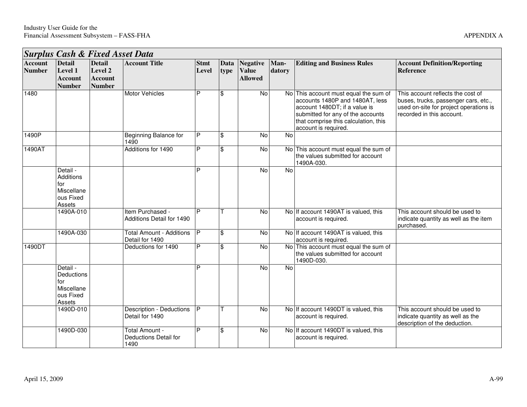|                                 |                                                                          |                                                             | <b>Surplus Cash &amp; Fixed Asset Data</b>         |                      |                         |                                                   |                |                                                                                                                                                                                                                |                                                                                                                                                  |
|---------------------------------|--------------------------------------------------------------------------|-------------------------------------------------------------|----------------------------------------------------|----------------------|-------------------------|---------------------------------------------------|----------------|----------------------------------------------------------------------------------------------------------------------------------------------------------------------------------------------------------------|--------------------------------------------------------------------------------------------------------------------------------------------------|
| <b>Account</b><br><b>Number</b> | <b>Detail</b><br>Level 1<br><b>Account</b><br><b>Number</b>              | <b>Detail</b><br>Level 2<br><b>Account</b><br><b>Number</b> | <b>Account Title</b>                               | <b>Stmt</b><br>Level | Data<br>type            | <b>Negative</b><br><b>Value</b><br><b>Allowed</b> | Man-<br>datory | <b>Editing and Business Rules</b>                                                                                                                                                                              | <b>Account Definition/Reporting</b><br><b>Reference</b>                                                                                          |
| 1480                            |                                                                          |                                                             | <b>Motor Vehicles</b>                              | P                    | \$                      | $\overline{N}$                                    |                | No This account must equal the sum of<br>accounts 1480P and 1480AT, less<br>account 1480DT; if a value is<br>submitted for any of the accounts<br>that comprise this calculation, this<br>account is required. | This account reflects the cost of<br>buses, trucks, passenger cars, etc.,<br>used on-site for project operations is<br>recorded in this account. |
| 1490P                           |                                                                          |                                                             | Beginning Balance for<br>1490                      | P                    | \$                      | No                                                | No             |                                                                                                                                                                                                                |                                                                                                                                                  |
| 1490AT                          |                                                                          |                                                             | Additions for 1490                                 | P                    | \$                      | No                                                |                | No This account must equal the sum of<br>the values submitted for account<br>1490A-030.                                                                                                                        |                                                                                                                                                  |
|                                 | Detail -<br><b>Additions</b><br>for<br>Miscellane<br>ous Fixed<br>Assets |                                                             |                                                    | D                    |                         | No                                                | No             |                                                                                                                                                                                                                |                                                                                                                                                  |
|                                 | 1490A-010                                                                |                                                             | Item Purchased -<br>Additions Detail for 1490      | $\overline{P}$       |                         | No                                                |                | No If account 1490AT is valued, this<br>account is required.                                                                                                                                                   | This account should be used to<br>indicate quantity as well as the item<br>purchased.                                                            |
|                                 | 1490A-030                                                                |                                                             | <b>Total Amount - Additions</b><br>Detail for 1490 | P                    | \$                      | No                                                |                | No If account 1490AT is valued, this<br>account is required.                                                                                                                                                   |                                                                                                                                                  |
| 1490DT                          |                                                                          |                                                             | Deductions for 1490                                | P                    | \$                      | <b>No</b>                                         |                | No This account must equal the sum of<br>the values submitted for account<br>1490D-030.                                                                                                                        |                                                                                                                                                  |
|                                 | Detail -<br>Deductions<br>for<br>Miscellane<br>ous Fixed<br>Assets       |                                                             |                                                    | D                    |                         | $\overline{N}$                                    | No             |                                                                                                                                                                                                                |                                                                                                                                                  |
|                                 | 1490D-010                                                                |                                                             | Description - Deductions<br>Detail for 1490        | P                    |                         | No                                                |                | No If account 1490DT is valued, this<br>account is required.                                                                                                                                                   | This account should be used to<br>indicate quantity as well as the<br>description of the deduction.                                              |
|                                 | 1490D-030                                                                |                                                             | Total Amount -<br>Deductions Detail for<br>1490    | P                    | $\overline{\mathbf{S}}$ | No                                                |                | No If account 1490DT is valued, this<br>account is required.                                                                                                                                                   |                                                                                                                                                  |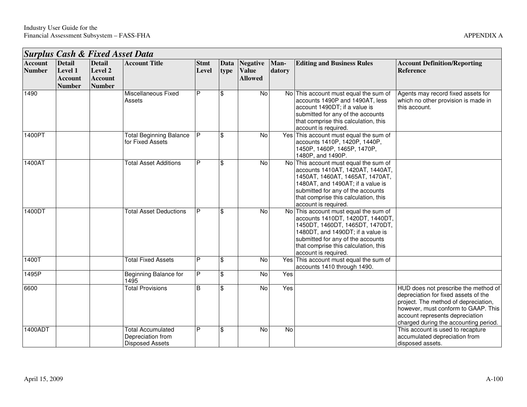|                                 | <b>Surplus Cash &amp; Fixed Asset Data</b>                  |                                                             |                                                    |                      |              |                                                   |                |                                                                                                                                                                                                                                                        |                                                                                                                                                                                                                                         |  |  |  |
|---------------------------------|-------------------------------------------------------------|-------------------------------------------------------------|----------------------------------------------------|----------------------|--------------|---------------------------------------------------|----------------|--------------------------------------------------------------------------------------------------------------------------------------------------------------------------------------------------------------------------------------------------------|-----------------------------------------------------------------------------------------------------------------------------------------------------------------------------------------------------------------------------------------|--|--|--|
| <b>Account</b><br><b>Number</b> | <b>Detail</b><br>Level 1<br><b>Account</b><br><b>Number</b> | <b>Detail</b><br>Level 2<br><b>Account</b><br><b>Number</b> | <b>Account Title</b>                               | <b>Stmt</b><br>Level | Data<br>type | <b>Negative</b><br><b>Value</b><br><b>Allowed</b> | Man-<br>datory | <b>Editing and Business Rules</b>                                                                                                                                                                                                                      | <b>Account Definition/Reporting</b><br><b>Reference</b>                                                                                                                                                                                 |  |  |  |
| 1490                            |                                                             |                                                             | Miscellaneous Fixed<br>Assets                      | P                    | \$           | No                                                |                | No This account must equal the sum of<br>accounts 1490P and 1490AT, less<br>account 1490DT; if a value is<br>submitted for any of the accounts<br>that comprise this calculation, this<br>account is required.                                         | Agents may record fixed assets for<br>which no other provision is made in<br>this account.                                                                                                                                              |  |  |  |
| 1400PT                          |                                                             |                                                             | <b>Total Beginning Balance</b><br>for Fixed Assets | P                    | \$           | <b>No</b>                                         |                | Yes This account must equal the sum of<br>accounts 1410P, 1420P, 1440P,<br>1450P, 1460P, 1465P, 1470P,<br>1480P, and 1490P.                                                                                                                            |                                                                                                                                                                                                                                         |  |  |  |
| 1400AT                          |                                                             |                                                             | <b>Total Asset Additions</b>                       | P                    | \$           | No                                                |                | No This account must equal the sum of<br>accounts 1410AT, 1420AT, 1440AT,<br>1450AT, 1460AT, 1465AT, 1470AT,<br>1480AT, and 1490AT; if a value is<br>submitted for any of the accounts<br>that comprise this calculation, this<br>account is required. |                                                                                                                                                                                                                                         |  |  |  |
| 1400DT                          |                                                             |                                                             | <b>Total Asset Deductions</b>                      | P                    | \$           | <b>No</b>                                         |                | No This account must equal the sum of<br>accounts 1410DT, 1420DT, 1440DT,<br>1450DT, 1460DT, 1465DT, 1470DT,<br>1480DT, and 1490DT; if a value is<br>submitted for any of the accounts<br>that comprise this calculation, this<br>account is required. |                                                                                                                                                                                                                                         |  |  |  |
| 1400T                           |                                                             |                                                             | <b>Total Fixed Assets</b>                          | P                    | \$           | No                                                |                | Yes This account must equal the sum of<br>accounts 1410 through 1490.                                                                                                                                                                                  |                                                                                                                                                                                                                                         |  |  |  |
| 1495P                           |                                                             |                                                             | <b>Beginning Balance for</b><br>1495               | P                    | \$           | $\overline{N}$                                    | Yes            |                                                                                                                                                                                                                                                        |                                                                                                                                                                                                                                         |  |  |  |
| 6600                            |                                                             |                                                             | <b>Total Provisions</b>                            | B                    | \$           | <b>No</b>                                         | Yes            |                                                                                                                                                                                                                                                        | HUD does not prescribe the method of<br>depreciation for fixed assets of the<br>project. The method of depreciation,<br>however, must conform to GAAP. This<br>account represents depreciation<br>charged during the accounting period. |  |  |  |
| 1400ADT                         |                                                             |                                                             | <b>Total Accumulated</b><br>Depreciation from      | P                    | \$           | <b>No</b>                                         | No             |                                                                                                                                                                                                                                                        | This account is used to recapture<br>accumulated depreciation from                                                                                                                                                                      |  |  |  |

Disposed Assets

disposed assets.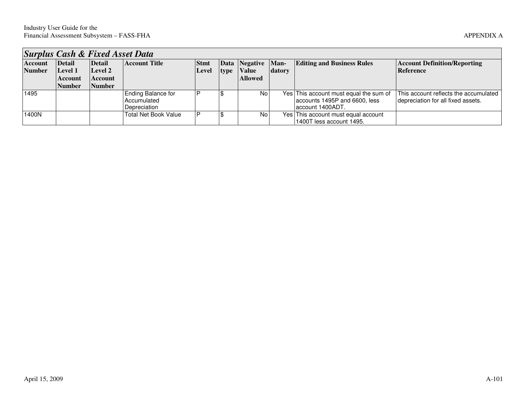| <b>Surplus Cash &amp; Fixed Asset Data</b> |               |                |                             |             |  |                |        |                                        |                                       |  |  |  |
|--------------------------------------------|---------------|----------------|-----------------------------|-------------|--|----------------|--------|----------------------------------------|---------------------------------------|--|--|--|
| <b>Account</b>                             | Detail        | Detail         | <b>Account Title</b>        | <b>Stmt</b> |  | Data Negative  | Man-   | <b>Editing and Business Rules</b>      | <b>Account Definition/Reporting</b>   |  |  |  |
| <b>Number</b>                              | Level 1       | Level 2        |                             | Level       |  | type Value     | datory |                                        | Reference                             |  |  |  |
|                                            | Account       | <b>Account</b> |                             |             |  | <b>Allowed</b> |        |                                        |                                       |  |  |  |
|                                            | <b>Number</b> | Number         |                             |             |  |                |        |                                        |                                       |  |  |  |
| 1495                                       |               |                | Ending Balance for          |             |  | No.            |        | Yes This account must equal the sum of | This account reflects the accumulated |  |  |  |
|                                            |               |                | Accumulated                 |             |  |                |        | accounts 1495P and 6600, less          | depreciation for all fixed assets.    |  |  |  |
|                                            |               |                | Depreciation                |             |  |                |        | laccount 1400ADT.                      |                                       |  |  |  |
| 1400N                                      |               |                | <b>Total Net Book Value</b> |             |  | No             |        | Yes This account must equal account    |                                       |  |  |  |
|                                            |               |                |                             |             |  |                |        | 1400T less account 1495.               |                                       |  |  |  |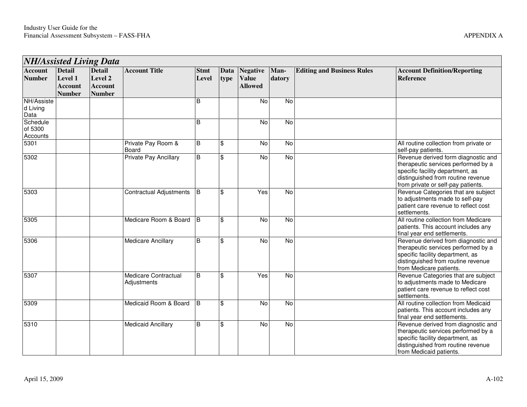|                                 | <b>NH/Assisted Living Data</b>                              |                                                             |                                            |                      |                           |                                                   |                |                                   |                                                                                                                                                                                            |  |  |  |
|---------------------------------|-------------------------------------------------------------|-------------------------------------------------------------|--------------------------------------------|----------------------|---------------------------|---------------------------------------------------|----------------|-----------------------------------|--------------------------------------------------------------------------------------------------------------------------------------------------------------------------------------------|--|--|--|
| <b>Account</b><br><b>Number</b> | <b>Detail</b><br>Level 1<br><b>Account</b><br><b>Number</b> | <b>Detail</b><br>Level 2<br><b>Account</b><br><b>Number</b> | <b>Account Title</b>                       | <b>Stmt</b><br>Level | Data<br>type              | <b>Negative</b><br><b>Value</b><br><b>Allowed</b> | Man-<br>datory | <b>Editing and Business Rules</b> | <b>Account Definition/Reporting</b><br><b>Reference</b>                                                                                                                                    |  |  |  |
| NH/Assiste<br>d Living<br>Data  |                                                             |                                                             |                                            | B                    |                           | No                                                | $\overline{N}$ |                                   |                                                                                                                                                                                            |  |  |  |
| Schedule<br>of 5300<br>Accounts |                                                             |                                                             |                                            | B                    |                           | No                                                | $\overline{N}$ |                                   |                                                                                                                                                                                            |  |  |  |
| 5301                            |                                                             |                                                             | Private Pay Room &<br>Board                | B                    | $\boldsymbol{\mathsf{S}}$ | No                                                | $\overline{N}$ |                                   | All routine collection from private or<br>self-pay patients.                                                                                                                               |  |  |  |
| 5302                            |                                                             |                                                             | <b>Private Pay Ancillary</b>               | B                    | $\boldsymbol{\mathsf{S}}$ | No                                                | <b>No</b>      |                                   | Revenue derived form diagnostic and<br>therapeutic services performed by a<br>specific facility department, as<br>distinguished from routine revenue<br>from private or self-pay patients. |  |  |  |
| 5303                            |                                                             |                                                             | <b>Contractual Adjustments</b>             | B                    | $\sqrt[6]{3}$             | Yes                                               | No             |                                   | Revenue Categories that are subject<br>to adjustments made to self-pay<br>patient care revenue to reflect cost<br>settlements.                                                             |  |  |  |
| 5305                            |                                                             |                                                             | Medicare Room & Board                      | $\overline{B}$       | $\mathfrak{S}$            | $\overline{N}$                                    | $\overline{N}$ |                                   | All routine collection from Medicare<br>patients. This account includes any<br>final year end settlements.                                                                                 |  |  |  |
| 5306                            |                                                             |                                                             | <b>Medicare Ancillary</b>                  | B                    | $\mathfrak{s}$            | No                                                | <b>No</b>      |                                   | Revenue derived from diagnostic and<br>therapeutic services performed by a<br>specific facility department, as<br>distinguished from routine revenue<br>from Medicare patients.            |  |  |  |
| 5307                            |                                                             |                                                             | <b>Medicare Contractual</b><br>Adjustments | B                    | $\mathfrak{S}$            | Yes                                               | $\overline{N}$ |                                   | Revenue Categories that are subject<br>to adjustments made to Medicare<br>patient care revenue to reflect cost<br>settlements.                                                             |  |  |  |
| 5309                            |                                                             |                                                             | Medicaid Room & Board                      | B                    | $\mathfrak{S}$            | No                                                | $\overline{N}$ |                                   | All routine collection from Medicaid<br>patients. This account includes any<br>final year end settlements.                                                                                 |  |  |  |
| 5310                            |                                                             |                                                             | <b>Medicaid Ancillary</b>                  | $\overline{B}$       | $\sqrt[6]{3}$             | $\overline{N}$                                    | $\overline{N}$ |                                   | Revenue derived from diagnostic and<br>therapeutic services performed by a<br>specific facility department, as<br>distinguished from routine revenue<br>from Medicaid patients.            |  |  |  |

,我们也不会有什么。""我们的人,我们也不会有什么?""我们的人,我们也不会有什么?""我们的人,我们也不会有什么?""我们的人,我们也不会有什么?""我们的人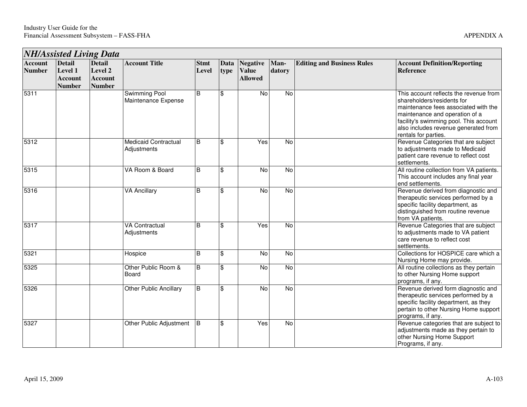| <b>NH/Assisted Living Data</b>  |                                                             |                                                             |                                            |                      |                    |                                                   |                |                                   |                                                                                                                                                                                                                                                          |  |  |
|---------------------------------|-------------------------------------------------------------|-------------------------------------------------------------|--------------------------------------------|----------------------|--------------------|---------------------------------------------------|----------------|-----------------------------------|----------------------------------------------------------------------------------------------------------------------------------------------------------------------------------------------------------------------------------------------------------|--|--|
| <b>Account</b><br><b>Number</b> | <b>Detail</b><br>Level 1<br><b>Account</b><br><b>Number</b> | <b>Detail</b><br>Level 2<br><b>Account</b><br><b>Number</b> | <b>Account Title</b>                       | <b>Stmt</b><br>Level | Data<br>type       | <b>Negative</b><br><b>Value</b><br><b>Allowed</b> | Man-<br>datory | <b>Editing and Business Rules</b> | <b>Account Definition/Reporting</b><br><b>Reference</b>                                                                                                                                                                                                  |  |  |
| 5311                            |                                                             |                                                             | Swimming Pool<br>Maintenance Expense       | B                    | $\frac{1}{2}$      | No                                                | No             |                                   | This account reflects the revenue from<br>shareholders/residents for<br>maintenance fees associated with the<br>maintenance and operation of a<br>facility's swimming pool. This account<br>also includes revenue generated from<br>rentals for parties. |  |  |
| 5312                            |                                                             |                                                             | <b>Medicaid Contractual</b><br>Adjustments | B                    | $\$\$              | Yes                                               | No             |                                   | Revenue Categories that are subject<br>to adjustments made to Medicaid<br>patient care revenue to reflect cost<br>settlements.                                                                                                                           |  |  |
| 5315                            |                                                             |                                                             | VA Room & Board                            | l B                  | $\frac{1}{2}$      | No                                                | No             |                                   | All routine collection from VA patients.<br>This account includes any final year<br>end settlements.                                                                                                                                                     |  |  |
| 5316                            |                                                             |                                                             | <b>VA Ancillary</b>                        | B                    | $\mathfrak{F}$     | $\overline{N}$                                    | No             |                                   | Revenue derived from diagnostic and<br>therapeutic services performed by a<br>specific facility department, as<br>distinguished from routine revenue<br>from VA patients.                                                                                |  |  |
| 5317                            |                                                             |                                                             | <b>VA Contractual</b><br>Adjustments       | B                    | $\frac{1}{2}$      | Yes                                               | No             |                                   | Revenue Categories that are subject<br>to adjustments made to VA patient<br>care revenue to reflect cost<br>settlements.                                                                                                                                 |  |  |
| 5321                            |                                                             |                                                             | Hospice                                    | B                    | $\mathbf{\hat{S}}$ | $\overline{N}$                                    | $\overline{N}$ |                                   | Collections for HOSPICE care which a<br>Nursing Home may provide.                                                                                                                                                                                        |  |  |
| 5325                            |                                                             |                                                             | Other Public Room &<br>Board               | B                    | $\mathfrak{F}$     | No                                                | No             |                                   | All routine collections as they pertain<br>to other Nursing Home support<br>programs, if any.                                                                                                                                                            |  |  |
| 5326                            |                                                             |                                                             | <b>Other Public Ancillary</b>              | B                    | $\mathbf{\hat{s}}$ | $\overline{N}$                                    | No             |                                   | Revenue derived form diagnostic and<br>therapeutic services performed by a<br>specific facility department, as they<br>pertain to other Nursing Home support<br>programs, if any.                                                                        |  |  |
| 5327                            |                                                             |                                                             | Other Public Adjustment                    | Iв                   | $\mathbf{\hat{s}}$ | Yes                                               | $\overline{N}$ |                                   | Revenue categories that are subject to<br>adjustments made as they pertain to<br>other Nursing Home Support<br>Programs, if any.                                                                                                                         |  |  |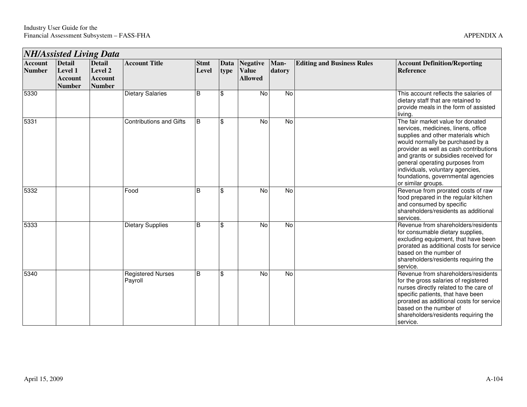|                                 | <b>NH/Assisted Living Data</b>                              |                                                             |                                     |                      |              |                                                   |                |                                   |                                                                                                                                                                                                                                                                                                                                                                         |  |  |
|---------------------------------|-------------------------------------------------------------|-------------------------------------------------------------|-------------------------------------|----------------------|--------------|---------------------------------------------------|----------------|-----------------------------------|-------------------------------------------------------------------------------------------------------------------------------------------------------------------------------------------------------------------------------------------------------------------------------------------------------------------------------------------------------------------------|--|--|
| <b>Account</b><br><b>Number</b> | <b>Detail</b><br>Level 1<br><b>Account</b><br><b>Number</b> | <b>Detail</b><br>Level 2<br><b>Account</b><br><b>Number</b> | <b>Account Title</b>                | <b>Stmt</b><br>Level | Data<br>type | <b>Negative</b><br><b>Value</b><br><b>Allowed</b> | Man-<br>datory | <b>Editing and Business Rules</b> | <b>Account Definition/Reporting</b><br><b>Reference</b>                                                                                                                                                                                                                                                                                                                 |  |  |
| 5330                            |                                                             |                                                             | <b>Dietary Salaries</b>             | B                    | \$           | <b>No</b>                                         | No             |                                   | This account reflects the salaries of<br>dietary staff that are retained to<br>provide meals in the form of assisted<br>living.                                                                                                                                                                                                                                         |  |  |
| 5331                            |                                                             |                                                             | <b>Contributions and Gifts</b>      | B                    | \$           | No                                                | $\overline{N}$ |                                   | The fair market value for donated<br>services, medicines, linens, office<br>supplies and other materials which<br>would normally be purchased by a<br>provider as well as cash contributions<br>and grants or subsidies received for<br>general operating purposes from<br>individuals, voluntary agencies,<br>foundations, governmental agencies<br>or similar groups. |  |  |
| 5332                            |                                                             |                                                             | Food                                | B                    | \$           | No                                                | No             |                                   | Revenue from prorated costs of raw<br>food prepared in the regular kitchen<br>and consumed by specific<br>shareholders/residents as additional<br>services.                                                                                                                                                                                                             |  |  |
| 5333                            |                                                             |                                                             | <b>Dietary Supplies</b>             | B                    | \$           | $\overline{N}$                                    | $\overline{N}$ |                                   | Revenue from shareholders/residents<br>for consumable dietary supplies,<br>excluding equipment, that have been<br>prorated as additional costs for service<br>based on the number of<br>shareholders/residents requiring the<br>service.                                                                                                                                |  |  |
| 5340                            |                                                             |                                                             | <b>Registered Nurses</b><br>Payroll | B                    | \$           | No                                                | No             |                                   | Revenue from shareholders/residents<br>for the gross salaries of registered<br>nurses directly related to the care of<br>specific patients, that have been<br>prorated as additional costs for service<br>based on the number of<br>shareholders/residents requiring the<br>service.                                                                                    |  |  |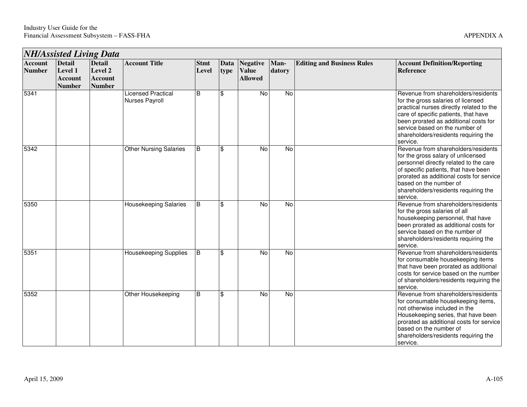|                                 | <b>NH/Assisted Living Data</b>                              |                                                             |                                             |                      |                     |                                                   |                |                                   |                                                                                                                                                                                                                                                                                              |  |  |
|---------------------------------|-------------------------------------------------------------|-------------------------------------------------------------|---------------------------------------------|----------------------|---------------------|---------------------------------------------------|----------------|-----------------------------------|----------------------------------------------------------------------------------------------------------------------------------------------------------------------------------------------------------------------------------------------------------------------------------------------|--|--|
| <b>Account</b><br><b>Number</b> | <b>Detail</b><br>Level 1<br><b>Account</b><br><b>Number</b> | <b>Detail</b><br>Level 2<br><b>Account</b><br><b>Number</b> | <b>Account Title</b>                        | <b>Stmt</b><br>Level | <b>Data</b><br>type | <b>Negative</b><br><b>Value</b><br><b>Allowed</b> | Man-<br>datory | <b>Editing and Business Rules</b> | <b>Account Definition/Reporting</b><br><b>Reference</b>                                                                                                                                                                                                                                      |  |  |
| 5341                            |                                                             |                                                             | <b>Licensed Practical</b><br>Nurses Payroll | B                    | \$                  | No                                                | No             |                                   | Revenue from shareholders/residents<br>for the gross salaries of licensed<br>practical nurses directly related to the<br>care of specific patients, that have<br>been prorated as additional costs for<br>service based on the number of<br>shareholders/residents requiring the<br>service. |  |  |
| 5342                            |                                                             |                                                             | <b>Other Nursing Salaries</b>               | B                    | \$                  | No                                                | No             |                                   | Revenue from shareholders/residents<br>for the gross salary of unlicensed<br>personnel directly related to the care<br>of specific patients, that have been<br>prorated as additional costs for service<br>based on the number of<br>shareholders/residents requiring the<br>service.        |  |  |
| 5350                            |                                                             |                                                             | Housekeeping Salaries                       | B                    | \$                  | No                                                | No             |                                   | Revenue from shareholders/residents<br>for the gross salaries of all<br>housekeeping personnel, that have<br>been prorated as additional costs for<br>service based on the number of<br>shareholders/residents requiring the<br>service.                                                     |  |  |
| 5351                            |                                                             |                                                             | <b>Housekeeping Supplies</b>                | B                    | \$                  | $\overline{N}$                                    | $\overline{N}$ |                                   | Revenue from shareholders/residents<br>for consumable housekeeping items<br>that have been prorated as additional<br>costs for service based on the number<br>of shareholders/residents requiring the<br>service.                                                                            |  |  |
| 5352                            |                                                             |                                                             | Other Housekeeping                          | $\mathsf B$          | \$                  | No                                                | <b>No</b>      |                                   | Revenue from shareholders/residents<br>for consumable housekeeping items,<br>not otherwise included in the<br>Housekeeping series, that have been<br>prorated as additional costs for service<br>based on the number of<br>shareholders/residents requiring the<br>service.                  |  |  |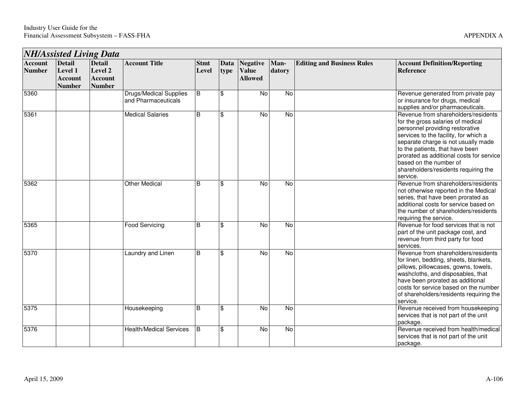|                                 | <b>NH/Assisted Living Data</b>                              |                                                             |                                                      |                      |                         |                                                   |                |                                   |                                                                                                                                                                                                                                                                                                                                                          |  |  |  |
|---------------------------------|-------------------------------------------------------------|-------------------------------------------------------------|------------------------------------------------------|----------------------|-------------------------|---------------------------------------------------|----------------|-----------------------------------|----------------------------------------------------------------------------------------------------------------------------------------------------------------------------------------------------------------------------------------------------------------------------------------------------------------------------------------------------------|--|--|--|
| <b>Account</b><br><b>Number</b> | <b>Detail</b><br>Level 1<br><b>Account</b><br><b>Number</b> | <b>Detail</b><br>Level 2<br><b>Account</b><br><b>Number</b> | <b>Account Title</b>                                 | <b>Stmt</b><br>Level | Data<br>type            | <b>Negative</b><br><b>Value</b><br><b>Allowed</b> | Man-<br>datory | <b>Editing and Business Rules</b> | <b>Account Definition/Reporting</b><br>Reference                                                                                                                                                                                                                                                                                                         |  |  |  |
| 5360                            |                                                             |                                                             | <b>Drugs/Medical Supplies</b><br>and Pharmaceuticals | B                    | \$                      | No                                                | No             |                                   | Revenue generated from private pay<br>or insurance for drugs, medical<br>supplies and/or pharmaceuticals.                                                                                                                                                                                                                                                |  |  |  |
| 5361                            |                                                             |                                                             | <b>Medical Salaries</b>                              | B                    | \$                      | $\overline{N}$                                    | No             |                                   | Revenue from shareholders/residents<br>for the gross salaries of medical<br>personnel providing restorative<br>services to the facility, for which a<br>separate charge is not usually made<br>to the patients, that have been<br>prorated as additional costs for service<br>based on the number of<br>shareholders/residents requiring the<br>service. |  |  |  |
| 5362                            |                                                             |                                                             | <b>Other Medical</b>                                 | B                    | \$                      | <b>No</b>                                         | No             |                                   | Revenue from shareholders/residents<br>not otherwise reported in the Medical<br>series, that have been prorated as<br>additional costs for service based on<br>the number of shareholders/residents<br>requiring the service.                                                                                                                            |  |  |  |
| 5365                            |                                                             |                                                             | <b>Food Servicing</b>                                | B                    | \$                      | No                                                | No             |                                   | Revenue for food services that is not<br>part of the unit package cost, and<br>revenue from third party for food<br>services.                                                                                                                                                                                                                            |  |  |  |
| 5370                            |                                                             |                                                             | Laundry and Linen                                    | B                    | \$                      | $\overline{N}$                                    | $\overline{N}$ |                                   | Revenue from shareholders/residents<br>for linen, bedding, sheets, blankets,<br>pillows, pillowcases, gowns, towels,<br>washcloths, and disposables, that<br>have been prorated as additional<br>costs for service based on the number<br>of shareholders/residents requiring the<br>service.                                                            |  |  |  |
| 5375                            |                                                             |                                                             | Housekeeping                                         | B                    | \$                      | No                                                | No             |                                   | Revenue received from housekeeping<br>services that is not part of the unit<br>package.                                                                                                                                                                                                                                                                  |  |  |  |
| 5376                            |                                                             |                                                             | <b>Health/Medical Services</b>                       | B                    | $\overline{\mathbf{s}}$ | $\overline{N}$                                    | N <sub>o</sub> |                                   | Revenue received from health/medical<br>services that is not part of the unit<br>package.                                                                                                                                                                                                                                                                |  |  |  |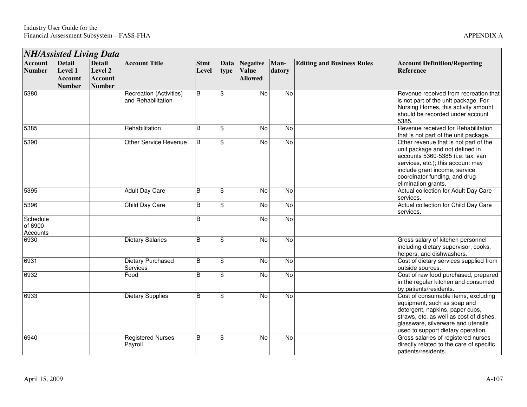|                                 |                                                             | <b>NH/Assisted Living Data</b>                              |                                               |                      |              |                                                   |                |                                   |                                                                                                                                                                                                                                             |
|---------------------------------|-------------------------------------------------------------|-------------------------------------------------------------|-----------------------------------------------|----------------------|--------------|---------------------------------------------------|----------------|-----------------------------------|---------------------------------------------------------------------------------------------------------------------------------------------------------------------------------------------------------------------------------------------|
| <b>Account</b><br><b>Number</b> | <b>Detail</b><br>Level 1<br><b>Account</b><br><b>Number</b> | <b>Detail</b><br>Level 2<br><b>Account</b><br><b>Number</b> | <b>Account Title</b>                          | <b>Stmt</b><br>Level | Data<br>type | <b>Negative</b><br><b>Value</b><br><b>Allowed</b> | Man-<br>datory | <b>Editing and Business Rules</b> | <b>Account Definition/Reporting</b><br><b>Reference</b>                                                                                                                                                                                     |
| 5380                            |                                                             |                                                             | Recreation (Activities)<br>and Rehabilitation | <sub>B</sub>         | \$           | No                                                | <b>No</b>      |                                   | Revenue received from recreation that<br>is not part of the unit package. For<br>Nursing Homes, this activity amount<br>should be recorded under account<br>5385.                                                                           |
| 5385                            |                                                             |                                                             | Rehabilitation                                | B                    | \$           | No                                                | $\overline{N}$ |                                   | Revenue received for Rehabilitation<br>that is not part of the unit package.                                                                                                                                                                |
| 5390                            |                                                             |                                                             | Other Service Revenue                         | B                    | \$           | No                                                | $\overline{N}$ |                                   | Other revenue that is not part of the<br>unit package and not defined in<br>accounts 5360-5385 (i.e. tax, van<br>services, etc.); this account may<br>include grant income, service<br>coordinator funding, and drug<br>elimination grants. |
| 5395                            |                                                             |                                                             | <b>Adult Day Care</b>                         | B                    | \$           | No                                                | <b>No</b>      |                                   | Actual collection for Adult Day Care<br>services.                                                                                                                                                                                           |
| 5396                            |                                                             |                                                             | Child Day Care                                | B                    | \$           | No                                                | No             |                                   | Actual collection for Child Day Care<br>services.                                                                                                                                                                                           |
| Schedule<br>of 6900<br>Accounts |                                                             |                                                             |                                               | B                    |              | No                                                | No             |                                   |                                                                                                                                                                                                                                             |
| 6930                            |                                                             |                                                             | <b>Dietary Salaries</b>                       | B                    | \$           | No                                                | $\overline{N}$ |                                   | Gross salary of kitchen personnel<br>including dietary supervisor, cooks,<br>helpers, and dishwashers.                                                                                                                                      |
| 6931                            |                                                             |                                                             | <b>Dietary Purchased</b><br>Services          | $\overline{B}$       | \$           | $\overline{N}$                                    | $\overline{N}$ |                                   | Cost of dietary services supplied from<br>outside sources.                                                                                                                                                                                  |
| 6932                            |                                                             |                                                             | Food                                          | B                    | \$           | No                                                | No             |                                   | Cost of raw food purchased, prepared<br>in the regular kitchen and consumed<br>by patients/residents.                                                                                                                                       |
| 6933                            |                                                             |                                                             | <b>Dietary Supplies</b>                       | B                    | \$           | No                                                | No             |                                   | Cost of consumable items, excluding<br>equipment, such as soap and<br>detergent, napkins, paper cups,<br>straws, etc. as well as cost of dishes,<br>glassware, silverware and utensils<br>used to support dietary operation.                |
| 6940                            |                                                             |                                                             | <b>Registered Nurses</b><br>Payroll           | B                    | \$           | No                                                | <b>No</b>      |                                   | Gross salaries of registered nurses<br>directly related to the care of specific<br>patients/residents.                                                                                                                                      |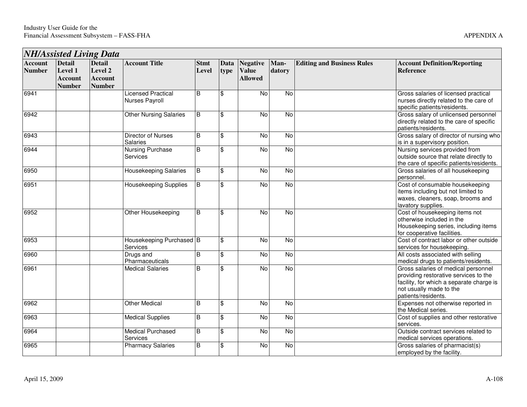| <b>NH/Assisted Living Data</b>  |                                                                    |                                                             |                                             |                         |                         |                                                   |                |                                   |                                                                                                                                                                            |
|---------------------------------|--------------------------------------------------------------------|-------------------------------------------------------------|---------------------------------------------|-------------------------|-------------------------|---------------------------------------------------|----------------|-----------------------------------|----------------------------------------------------------------------------------------------------------------------------------------------------------------------------|
| <b>Account</b><br><b>Number</b> | <b>Detail</b><br><b>Level 1</b><br><b>Account</b><br><b>Number</b> | <b>Detail</b><br>Level 2<br><b>Account</b><br><b>Number</b> | <b>Account Title</b>                        | <b>Stmt</b><br>Level    | Data<br>type            | <b>Negative</b><br><b>Value</b><br><b>Allowed</b> | Man-<br>datory | <b>Editing and Business Rules</b> | <b>Account Definition/Reporting</b><br><b>Reference</b>                                                                                                                    |
| 6941                            |                                                                    |                                                             | <b>Licensed Practical</b><br>Nurses Payroll | B                       | \$                      | No                                                | <b>No</b>      |                                   | Gross salaries of licensed practical<br>nurses directly related to the care of<br>specific patients/residents.                                                             |
| 6942                            |                                                                    |                                                             | <b>Other Nursing Salaries</b>               | B                       | \$                      | No                                                | $\overline{N}$ |                                   | Gross salary of unlicensed personnel<br>directly related to the care of specific<br>patients/residents.                                                                    |
| 6943                            |                                                                    |                                                             | <b>Director of Nurses</b><br>Salaries       | B                       | \$                      | $\overline{N}$                                    | $\overline{N}$ |                                   | Gross salary of director of nursing who<br>is in a supervisory position.                                                                                                   |
| 6944                            |                                                                    |                                                             | <b>Nursing Purchase</b><br>Services         | $\overline{B}$          | \$                      | $\overline{N}$                                    | <b>No</b>      |                                   | Nursing services provided from<br>outside source that relate directly to<br>the care of specific patients/residents.                                                       |
| 6950                            |                                                                    |                                                             | Housekeeping Salaries                       | B                       | \$                      | No                                                | No             |                                   | Gross salaries of all housekeeping<br>personnel.                                                                                                                           |
| 6951                            |                                                                    |                                                             | Housekeeping Supplies                       | B                       | \$                      | $\overline{N}$                                    | <b>No</b>      |                                   | Cost of consumable housekeeping<br>items including but not limited to<br>waxes, cleaners, soap, brooms and<br>lavatory supplies.                                           |
| 6952                            |                                                                    |                                                             | Other Housekeeping                          | B                       | $\overline{\mathbf{s}}$ | $\overline{N}$                                    | $\overline{N}$ |                                   | Cost of housekeeping items not<br>otherwise included in the<br>Housekeeping series, including items<br>for cooperative facilities.                                         |
| 6953                            |                                                                    |                                                             | Housekeeping Purchased   B<br>Services      |                         | \$                      | No                                                | $\overline{N}$ |                                   | Cost of contract labor or other outside<br>services for housekeeping.                                                                                                      |
| 6960                            |                                                                    |                                                             | Drugs and<br>Pharmaceuticals                | $\overline{B}$          | \$                      | No                                                | $\overline{N}$ |                                   | All costs associated with selling<br>medical drugs to patients/residents.                                                                                                  |
| 6961                            |                                                                    |                                                             | <b>Medical Salaries</b>                     | $\overline{\mathsf{B}}$ | \$                      | $\overline{N}$                                    | <b>No</b>      |                                   | Gross salaries of medical personnel<br>providing restorative services to the<br>facility, for which a separate charge is<br>not usually made to the<br>patients/residents. |
| 6962                            |                                                                    |                                                             | <b>Other Medical</b>                        | B                       | $\overline{\$}$         | $\overline{N}$                                    | $\overline{N}$ |                                   | Expenses not otherwise reported in<br>the Medical series.                                                                                                                  |
| 6963                            |                                                                    |                                                             | <b>Medical Supplies</b>                     | B                       | \$                      | No                                                | $\overline{N}$ |                                   | Cost of supplies and other restorative<br>services.                                                                                                                        |
| 6964                            |                                                                    |                                                             | <b>Medical Purchased</b><br>Services        | $\overline{B}$          | \$                      | No                                                | $\overline{N}$ |                                   | Outside contract services related to<br>medical services operations.                                                                                                       |
| 6965                            |                                                                    |                                                             | <b>Pharmacy Salaries</b>                    | B                       | \$                      | No                                                | $\overline{N}$ |                                   | Gross salaries of pharmacist(s)<br>employed by the facility.                                                                                                               |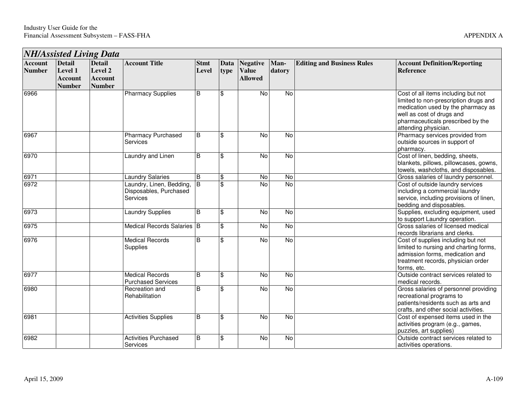| <b>NH/Assisted Living Data</b>  |                                                             |                                                             |                                                                |                      |                 |                                                   |                |                                   |                                                                                                                                                                                                              |  |
|---------------------------------|-------------------------------------------------------------|-------------------------------------------------------------|----------------------------------------------------------------|----------------------|-----------------|---------------------------------------------------|----------------|-----------------------------------|--------------------------------------------------------------------------------------------------------------------------------------------------------------------------------------------------------------|--|
| <b>Account</b><br><b>Number</b> | <b>Detail</b><br>Level 1<br><b>Account</b><br><b>Number</b> | <b>Detail</b><br>Level 2<br><b>Account</b><br><b>Number</b> | <b>Account Title</b>                                           | <b>Stmt</b><br>Level | Data<br>type    | <b>Negative</b><br><b>Value</b><br><b>Allowed</b> | Man-<br>datory | <b>Editing and Business Rules</b> | <b>Account Definition/Reporting</b><br><b>Reference</b>                                                                                                                                                      |  |
| 6966                            |                                                             |                                                             | <b>Pharmacy Supplies</b>                                       | $\overline{B}$       | \$              | $\overline{N}$                                    | $\overline{N}$ |                                   | Cost of all items including but not<br>limited to non-prescription drugs and<br>medication used by the pharmacy as<br>well as cost of drugs and<br>pharmaceuticals prescribed by the<br>attending physician. |  |
| 6967                            |                                                             |                                                             | <b>Pharmacy Purchased</b><br><b>Services</b>                   | B                    | \$              | <b>No</b>                                         | <b>No</b>      |                                   | Pharmacy services provided from<br>outside sources in support of<br>pharmacy.                                                                                                                                |  |
| 6970                            |                                                             |                                                             | Laundry and Linen                                              | B                    | \$              | No                                                | No             |                                   | Cost of linen, bedding, sheets,<br>blankets, pillows, pillowcases, gowns,<br>towels, washcloths, and disposables.                                                                                            |  |
| 6971                            |                                                             |                                                             | <b>Laundry Salaries</b>                                        | B                    | \$              | No                                                | No             |                                   | Gross salaries of laundry personnel.                                                                                                                                                                         |  |
| 6972                            |                                                             |                                                             | Laundry, Linen, Bedding,<br>Disposables, Purchased<br>Services | $\overline{B}$       | \$              | <b>No</b>                                         | $\overline{N}$ |                                   | Cost of outside laundry services<br>including a commercial laundry<br>service, including provisions of linen,<br>bedding and disposables.                                                                    |  |
| 6973                            |                                                             |                                                             | <b>Laundry Supplies</b>                                        | B                    | \$              | No                                                | $\overline{N}$ |                                   | Supplies, excluding equipment, used<br>to support Laundry operation.                                                                                                                                         |  |
| 6975                            |                                                             |                                                             | Medical Records Salaries B                                     |                      | \$              | No                                                | No             |                                   | Gross salaries of licensed medical<br>records librarians and clerks.                                                                                                                                         |  |
| 6976                            |                                                             |                                                             | <b>Medical Records</b><br>Supplies                             | B                    | $\overline{\$}$ | <b>No</b>                                         | $\overline{N}$ |                                   | Cost of supplies including but not<br>limited to nursing and charting forms,<br>admission forms, medication and<br>treatment records, physician order<br>forms, etc.                                         |  |
| 6977                            |                                                             |                                                             | <b>Medical Records</b><br><b>Purchased Services</b>            | B                    | \$              | $\overline{N}$                                    | No             |                                   | Outside contract services related to<br>medical records.                                                                                                                                                     |  |
| 6980                            |                                                             |                                                             | Recreation and<br>Rehabilitation                               | B                    | \$              | <b>No</b>                                         | No             |                                   | Gross salaries of personnel providing<br>recreational programs to<br>patients/residents such as arts and<br>crafts, and other social activities.                                                             |  |
| 6981                            |                                                             |                                                             | <b>Activities Supplies</b>                                     | B                    | \$              | <b>No</b>                                         | $\overline{N}$ |                                   | Cost of expensed items used in the<br>activities program (e.g., games,<br>puzzles, art supplies)                                                                                                             |  |
| 6982                            |                                                             |                                                             | <b>Activities Purchased</b><br>Services                        | B                    | \$              | <b>No</b>                                         | $\overline{N}$ |                                   | Outside contract services related to<br>activities operations.                                                                                                                                               |  |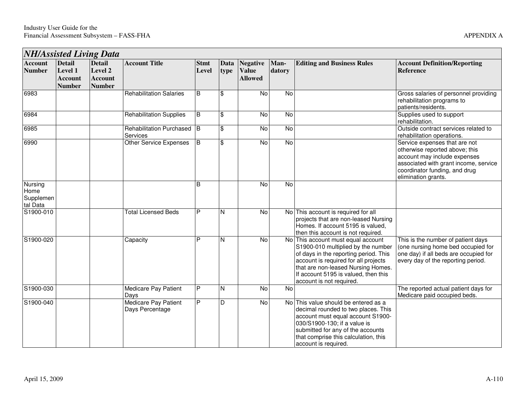| <b>NH/Assisted Living Data</b>           |                                                             |                                                             |                                                |                      |                          |                                                   |                |                                                                                                                                                                                                                                                                     |                                                                                                                                                                                                  |  |  |
|------------------------------------------|-------------------------------------------------------------|-------------------------------------------------------------|------------------------------------------------|----------------------|--------------------------|---------------------------------------------------|----------------|---------------------------------------------------------------------------------------------------------------------------------------------------------------------------------------------------------------------------------------------------------------------|--------------------------------------------------------------------------------------------------------------------------------------------------------------------------------------------------|--|--|
| <b>Account</b><br><b>Number</b>          | <b>Detail</b><br>Level 1<br><b>Account</b><br><b>Number</b> | <b>Detail</b><br>Level 2<br><b>Account</b><br><b>Number</b> | <b>Account Title</b>                           | <b>Stmt</b><br>Level | Data<br>type             | <b>Negative</b><br><b>Value</b><br><b>Allowed</b> | Man-<br>datory | <b>Editing and Business Rules</b>                                                                                                                                                                                                                                   | <b>Account Definition/Reporting</b><br><b>Reference</b>                                                                                                                                          |  |  |
| 6983                                     |                                                             |                                                             | <b>Rehabilitation Salaries</b>                 | B                    | $\$\$                    | No                                                | $\overline{N}$ |                                                                                                                                                                                                                                                                     | Gross salaries of personnel providing<br>rehabilitation programs to<br>patients/residents.                                                                                                       |  |  |
| 6984                                     |                                                             |                                                             | <b>Rehabilitation Supplies</b>                 | B                    | $\mathbf{\hat{S}}$       | No                                                | $\overline{N}$ |                                                                                                                                                                                                                                                                     | Supplies used to support<br>rehabilitation.                                                                                                                                                      |  |  |
| 6985                                     |                                                             |                                                             | <b>Rehabilitation Purchased</b><br>Services    | Iв                   | $\mathfrak{S}$           | No                                                | No             |                                                                                                                                                                                                                                                                     | Outside contract services related to<br>rehabilitation operations.                                                                                                                               |  |  |
| 6990                                     |                                                             |                                                             | <b>Other Service Expenses</b>                  | B                    | $\overline{\mathcal{S}}$ | $\overline{N}$                                    | $\overline{N}$ |                                                                                                                                                                                                                                                                     | Service expenses that are not<br>otherwise reported above; this<br>account may include expenses<br>associated with grant income, service<br>coordinator funding, and drug<br>elimination grants. |  |  |
| Nursing<br>Home<br>Supplemen<br>tal Data |                                                             |                                                             |                                                | B                    |                          | No                                                | No             |                                                                                                                                                                                                                                                                     |                                                                                                                                                                                                  |  |  |
| S1900-010                                |                                                             |                                                             | <b>Total Licensed Beds</b>                     | P                    | N                        | $\overline{N}$                                    |                | No This account is required for all<br>projects that are non-leased Nursing<br>Homes. If account 5195 is valued,<br>then this account is not required.                                                                                                              |                                                                                                                                                                                                  |  |  |
| S1900-020                                |                                                             |                                                             | Capacity                                       | P                    | N                        | <b>No</b>                                         |                | No This account must equal account<br>S1900-010 multiplied by the number<br>of days in the reporting period. This<br>account is required for all projects<br>that are non-leased Nursing Homes.<br>If account 5195 is valued, then this<br>account is not required. | This is the number of patient days<br>(one nursing home bed occupied for<br>one day) if all beds are occupied for<br>every day of the reporting period.                                          |  |  |
| S1900-030                                |                                                             |                                                             | Medicare Pay Patient<br>Days                   | P                    | N                        | No                                                | No             |                                                                                                                                                                                                                                                                     | The reported actual patient days for<br>Medicare paid occupied beds.                                                                                                                             |  |  |
| S1900-040                                |                                                             |                                                             | <b>Medicare Pay Patient</b><br>Days Percentage | P                    | D                        | No                                                |                | No This value should be entered as a<br>decimal rounded to two places. This<br>account must equal account S1900-<br>030/S1900-130; if a value is<br>submitted for any of the accounts<br>that comprise this calculation, this<br>account is required.               |                                                                                                                                                                                                  |  |  |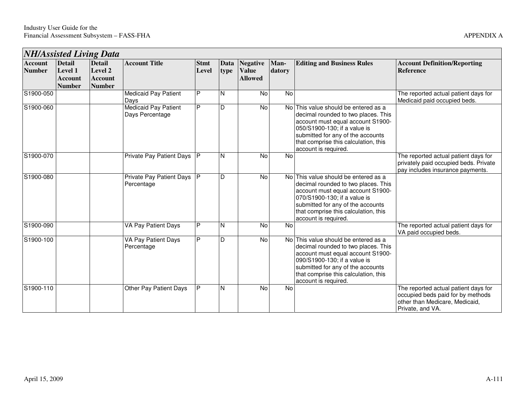|                                 |                                                             | <b>NH/Assisted Living Data</b>                              |                                         |                      |              |                                                   |                |                                                                                                                                                                                                                                                       |                                                                                                                                 |
|---------------------------------|-------------------------------------------------------------|-------------------------------------------------------------|-----------------------------------------|----------------------|--------------|---------------------------------------------------|----------------|-------------------------------------------------------------------------------------------------------------------------------------------------------------------------------------------------------------------------------------------------------|---------------------------------------------------------------------------------------------------------------------------------|
| <b>Account</b><br><b>Number</b> | <b>Detail</b><br>Level 1<br><b>Account</b><br><b>Number</b> | <b>Detail</b><br>Level 2<br><b>Account</b><br><b>Number</b> | <b>Account Title</b>                    | <b>Stmt</b><br>Level | Data<br>type | <b>Negative</b><br><b>Value</b><br><b>Allowed</b> | Man-<br>datory | <b>Editing and Business Rules</b>                                                                                                                                                                                                                     | <b>Account Definition/Reporting</b><br><b>Reference</b>                                                                         |
| S1900-050                       |                                                             |                                                             | <b>Medicaid Pay Patient</b><br>Days     | P                    | N            | No                                                | No             |                                                                                                                                                                                                                                                       | The reported actual patient days for<br>Medicaid paid occupied beds.                                                            |
| S1900-060                       |                                                             |                                                             | Medicaid Pay Patient<br>Days Percentage | P                    | D            | No                                                |                | No This value should be entered as a<br>decimal rounded to two places. This<br>account must equal account S1900-<br>050/S1900-130; if a value is<br>submitted for any of the accounts<br>that comprise this calculation, this<br>account is required. |                                                                                                                                 |
| S1900-070                       |                                                             |                                                             | Private Pay Patient Days                | <b>IP</b>            | N            | <b>No</b>                                         | <b>No</b>      |                                                                                                                                                                                                                                                       | The reported actual patient days for<br>privately paid occupied beds. Private<br>pay includes insurance payments.               |
| S1900-080                       |                                                             |                                                             | Private Pay Patient Days<br>Percentage  | <b>IP</b>            | D            | No                                                |                | No This value should be entered as a<br>decimal rounded to two places. This<br>account must equal account S1900-<br>070/S1900-130; if a value is<br>submitted for any of the accounts<br>that comprise this calculation, this<br>account is required. |                                                                                                                                 |
| S1900-090                       |                                                             |                                                             | VA Pay Patient Days                     | P                    | N            | No                                                | <b>No</b>      |                                                                                                                                                                                                                                                       | The reported actual patient days for<br>VA paid occupied beds.                                                                  |
| S1900-100                       |                                                             |                                                             | VA Pay Patient Days<br>Percentage       | P                    | D            | No                                                |                | No This value should be entered as a<br>decimal rounded to two places. This<br>account must equal account S1900-<br>090/S1900-130; if a value is<br>submitted for any of the accounts<br>that comprise this calculation, this<br>account is required. |                                                                                                                                 |
| S1900-110                       |                                                             |                                                             | Other Pay Patient Days                  | P                    | N            | No                                                | <b>No</b>      |                                                                                                                                                                                                                                                       | The reported actual patient days for<br>occupied beds paid for by methods<br>other than Medicare, Medicaid,<br>Private, and VA. |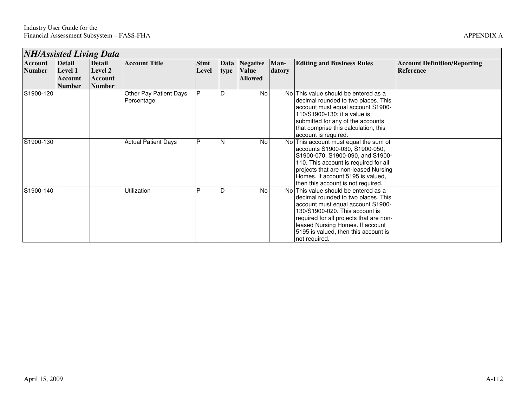| <b>NH/Assisted Living Data</b> |               |               |                                      |             |      |                |        |                                                                                                                                                                                                                                                                                            |                                     |  |  |
|--------------------------------|---------------|---------------|--------------------------------------|-------------|------|----------------|--------|--------------------------------------------------------------------------------------------------------------------------------------------------------------------------------------------------------------------------------------------------------------------------------------------|-------------------------------------|--|--|
| Account                        | <b>Detail</b> | <b>Detail</b> | <b>Account Title</b>                 | <b>Stmt</b> |      | Data Negative  | Man-   | <b>Editing and Business Rules</b>                                                                                                                                                                                                                                                          | <b>Account Definition/Reporting</b> |  |  |
| <b>Number</b>                  | Level 1       | Level 2       |                                      | Level       | type | <b>Value</b>   | datory |                                                                                                                                                                                                                                                                                            | <b>Reference</b>                    |  |  |
|                                | Account       | Account       |                                      |             |      | <b>Allowed</b> |        |                                                                                                                                                                                                                                                                                            |                                     |  |  |
|                                | <b>Number</b> | <b>Number</b> |                                      |             |      |                |        |                                                                                                                                                                                                                                                                                            |                                     |  |  |
| S1900-120                      |               |               | Other Pay Patient Days<br>Percentage | P           | D    | No l           |        | No This value should be entered as a<br>decimal rounded to two places. This<br>account must equal account S1900-<br>110/S1900-130; if a value is<br>submitted for any of the accounts<br>that comprise this calculation, this<br>account is required.                                      |                                     |  |  |
| S1900-130                      |               |               | <b>Actual Patient Days</b>           | P           | N    | <b>No</b>      |        | No This account must equal the sum of<br>accounts S1900-030, S1900-050,<br>S1900-070, S1900-090, and S1900-<br>110. This account is required for all<br>projects that are non-leased Nursing<br>Homes. If account 5195 is valued,<br>then this account is not required.                    |                                     |  |  |
| S1900-140                      |               |               | Utilization                          | P           | D    | No             |        | No This value should be entered as a<br>decimal rounded to two places. This<br>account must equal account S1900-<br>130/S1900-020. This account is<br>required for all projects that are non-<br>leased Nursing Homes. If account<br>5195 is valued, then this account is<br>not required. |                                     |  |  |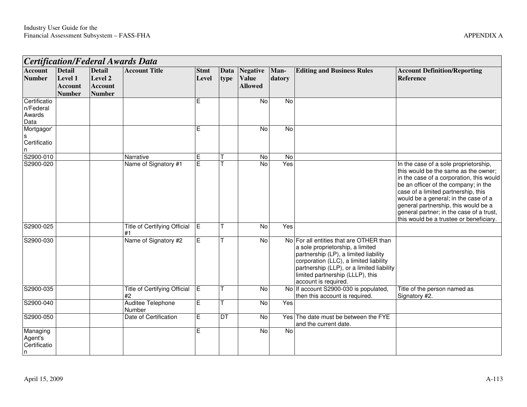| <b>Certification/Federal Awards Data</b>    |                                                             |                                                             |                                           |                      |              |                                                   |                       |                                                                                                                                                                                                                                                                         |                                                                                                                                                                                                                                                                                                                                                                                 |  |  |
|---------------------------------------------|-------------------------------------------------------------|-------------------------------------------------------------|-------------------------------------------|----------------------|--------------|---------------------------------------------------|-----------------------|-------------------------------------------------------------------------------------------------------------------------------------------------------------------------------------------------------------------------------------------------------------------------|---------------------------------------------------------------------------------------------------------------------------------------------------------------------------------------------------------------------------------------------------------------------------------------------------------------------------------------------------------------------------------|--|--|
| <b>Account</b><br><b>Number</b>             | <b>Detail</b><br>Level 1<br><b>Account</b><br><b>Number</b> | <b>Detail</b><br>Level 2<br><b>Account</b><br><b>Number</b> | <b>Account Title</b>                      | <b>Stmt</b><br>Level | Data<br>type | <b>Negative</b><br><b>Value</b><br><b>Allowed</b> | Man-<br>datory        | <b>Editing and Business Rules</b>                                                                                                                                                                                                                                       | <b>Account Definition/Reporting</b><br>Reference                                                                                                                                                                                                                                                                                                                                |  |  |
| Certificatio<br>n/Federal<br>Awards<br>Data |                                                             |                                                             |                                           | Е                    |              | No                                                | No                    |                                                                                                                                                                                                                                                                         |                                                                                                                                                                                                                                                                                                                                                                                 |  |  |
| Mortgagor'<br>Certificatio<br>n             |                                                             |                                                             |                                           | E                    |              | <b>No</b>                                         | No                    |                                                                                                                                                                                                                                                                         |                                                                                                                                                                                                                                                                                                                                                                                 |  |  |
| S2900-010<br>S2900-020                      |                                                             |                                                             | Narrative<br>Name of Signatory #1         | E<br>E               |              | No<br>$\overline{N}$                              | $\overline{N}$<br>Yes |                                                                                                                                                                                                                                                                         | In the case of a sole proprietorship,<br>this would be the same as the owner;<br>in the case of a corporation, this would<br>be an officer of the company; in the<br>case of a limited partnership, this<br>would be a general; in the case of a<br>general partnership, this would be a<br>general partner; in the case of a trust,<br>this would be a trustee or beneficiary. |  |  |
| S2900-025                                   |                                                             |                                                             | <b>Title of Certifying Official</b><br>#1 | E                    |              | No                                                | Yes                   |                                                                                                                                                                                                                                                                         |                                                                                                                                                                                                                                                                                                                                                                                 |  |  |
| S2900-030                                   |                                                             |                                                             | Name of Signatory #2                      | E                    |              | No                                                |                       | No For all entities that are OTHER than<br>a sole proprietorship, a limited<br>partnership (LP), a limited liability<br>corporation (LLC), a limited liability<br>partnership (LLP), or a limited liability<br>limited partnership (LLLP), this<br>account is required. |                                                                                                                                                                                                                                                                                                                                                                                 |  |  |
| S2900-035                                   |                                                             |                                                             | <b>Title of Certifying Official</b><br>#2 | ĪΕ                   |              | No                                                | <b>No</b>             | If account S2900-030 is populated,<br>then this account is required.                                                                                                                                                                                                    | Title of the person named as<br>Signatory #2.                                                                                                                                                                                                                                                                                                                                   |  |  |
| S2900-040                                   |                                                             |                                                             | Auditee Telephone<br>Number               | E                    |              | No                                                | Yes                   |                                                                                                                                                                                                                                                                         |                                                                                                                                                                                                                                                                                                                                                                                 |  |  |
| S2900-050                                   |                                                             |                                                             | Date of Certification                     | E                    | DT           | No                                                |                       | Yes The date must be between the FYE<br>and the current date.                                                                                                                                                                                                           |                                                                                                                                                                                                                                                                                                                                                                                 |  |  |
| Managing<br>Agent's<br>Certificatio<br>n    |                                                             |                                                             |                                           | E                    |              | No                                                | N <sub>o</sub>        |                                                                                                                                                                                                                                                                         |                                                                                                                                                                                                                                                                                                                                                                                 |  |  |

ᄀ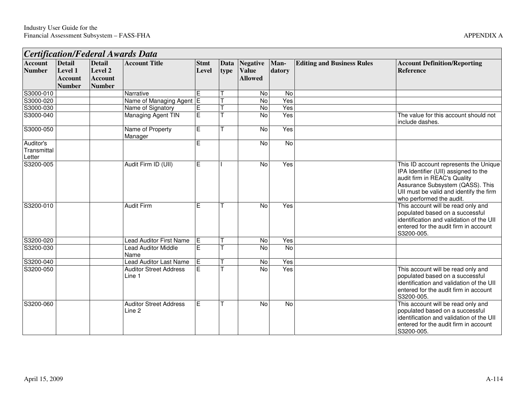| Certification/Federal Awards Data  |                                                             |                                                             |                                         |                      |              |                                                   |                |                                   |                                                                                                                                                                                                                          |  |  |
|------------------------------------|-------------------------------------------------------------|-------------------------------------------------------------|-----------------------------------------|----------------------|--------------|---------------------------------------------------|----------------|-----------------------------------|--------------------------------------------------------------------------------------------------------------------------------------------------------------------------------------------------------------------------|--|--|
| <b>Account</b><br><b>Number</b>    | <b>Detail</b><br>Level 1<br><b>Account</b><br><b>Number</b> | <b>Detail</b><br>Level 2<br><b>Account</b><br><b>Number</b> | <b>Account Title</b>                    | <b>Stmt</b><br>Level | Data<br>type | <b>Negative</b><br><b>Value</b><br><b>Allowed</b> | Man-<br>datory | <b>Editing and Business Rules</b> | <b>Account Definition/Reporting</b><br><b>Reference</b>                                                                                                                                                                  |  |  |
| S3000-010                          |                                                             |                                                             | Narrative                               | E                    |              | No                                                | No             |                                   |                                                                                                                                                                                                                          |  |  |
| S3000-020                          |                                                             |                                                             | Name of Managing Agent E                |                      |              | $\overline{N}$                                    | Yes            |                                   |                                                                                                                                                                                                                          |  |  |
| S3000-030                          |                                                             |                                                             | Name of Signatory                       | Έ                    |              | No                                                | Yes            |                                   |                                                                                                                                                                                                                          |  |  |
| S3000-040                          |                                                             |                                                             | <b>Managing Agent TIN</b>               | E                    |              | No                                                | Yes            |                                   | The value for this account should not<br>include dashes.                                                                                                                                                                 |  |  |
| S3000-050                          |                                                             |                                                             | Name of Property<br>Manager             | $\overline{E}$       |              | No                                                | Yes            |                                   |                                                                                                                                                                                                                          |  |  |
| Auditor's<br>Transmittal<br>Letter |                                                             |                                                             |                                         | E                    |              | No                                                | No             |                                   |                                                                                                                                                                                                                          |  |  |
| S3200-005                          |                                                             |                                                             | Audit Firm ID (UII)                     | Е                    |              | No                                                | Yes            |                                   | This ID account represents the Unique<br>IPA Identifier (UII) assigned to the<br>audit firm in REAC's Quality<br>Assurance Subsystem (QASS). This<br>UII must be valid and identify the firm<br>who performed the audit. |  |  |
| S3200-010                          |                                                             |                                                             | <b>Audit Firm</b>                       | E                    |              | No                                                | Yes            |                                   | This account will be read only and<br>populated based on a successful<br>identification and validation of the UII<br>entered for the audit firm in account<br>S3200-005.                                                 |  |  |
| S3200-020                          |                                                             |                                                             | <b>Lead Auditor First Name</b>          | IE.                  |              | <b>No</b>                                         | Yes            |                                   |                                                                                                                                                                                                                          |  |  |
| S3200-030                          |                                                             |                                                             | Lead Auditor Middle<br>Name             | E                    |              | No                                                | <b>No</b>      |                                   |                                                                                                                                                                                                                          |  |  |
| S3200-040                          |                                                             |                                                             | <b>Lead Auditor Last Name</b>           | İΕ                   |              | No                                                | Yes            |                                   |                                                                                                                                                                                                                          |  |  |
| S3200-050                          |                                                             |                                                             | <b>Auditor Street Address</b><br>Line 1 | E                    |              | No                                                | Yes            |                                   | This account will be read only and<br>populated based on a successful<br>identification and validation of the UII<br>entered for the audit firm in account<br>S3200-005.                                                 |  |  |
| S3200-060                          |                                                             |                                                             | <b>Auditor Street Address</b><br>Line 2 | E                    |              | $\overline{N}$                                    | <b>No</b>      |                                   | This account will be read only and<br>populated based on a successful<br>identification and validation of the UII<br>entered for the audit firm in account<br>S3200-005.                                                 |  |  |